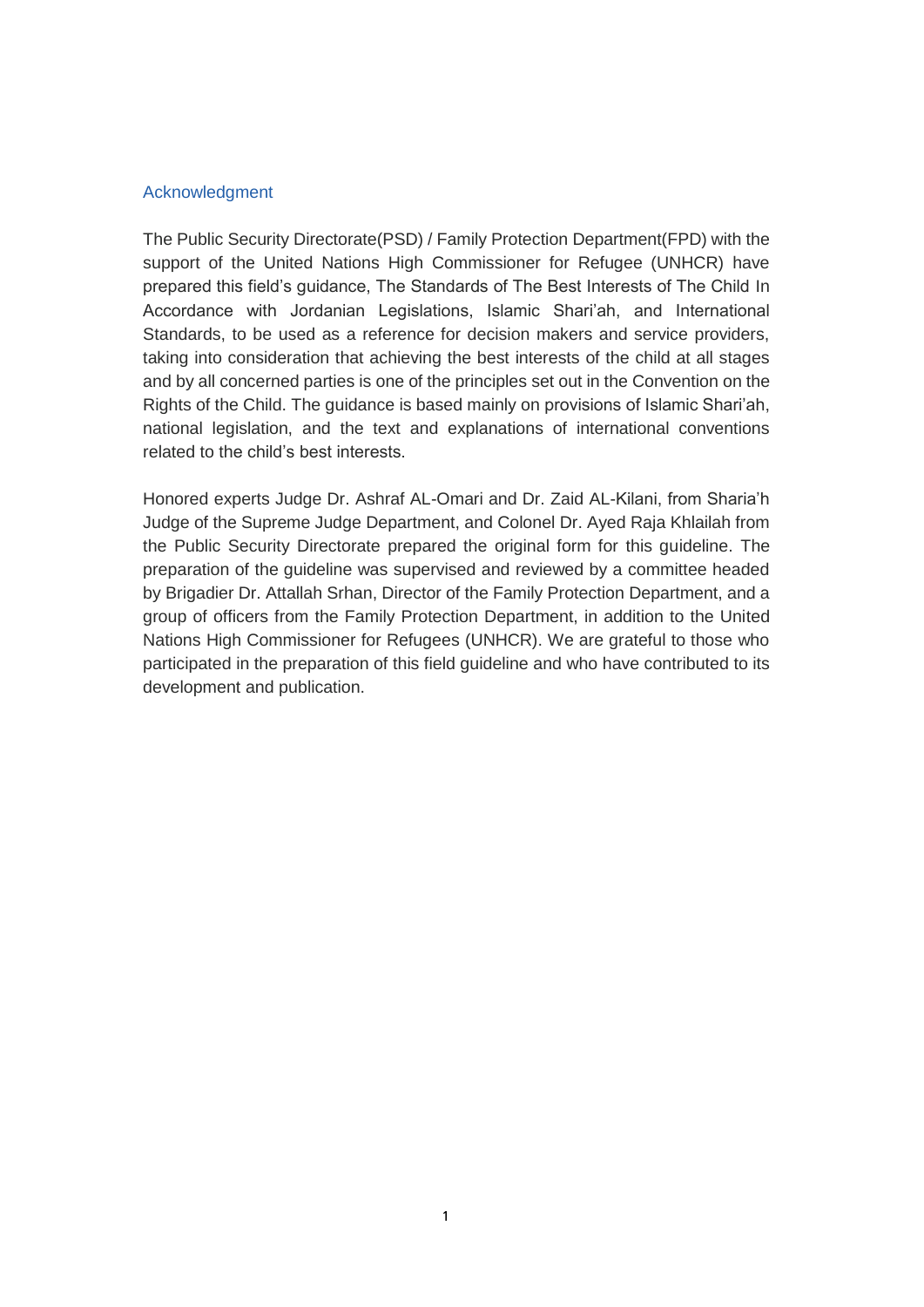### Acknowledgment

The Public Security Directorate(PSD) / Family Protection Department(FPD) with the support of the United Nations High Commissioner for Refugee (UNHCR) have prepared this field's guidance, The Standards of The Best Interests of The Child In Accordance with Jordanian Legislations, Islamic Shari'ah, and International Standards, to be used as a reference for decision makers and service providers, taking into consideration that achieving the best interests of the child at all stages and by all concerned parties is one of the principles set out in the Convention on the Rights of the Child. The guidance is based mainly on provisions of Islamic Shari'ah, national legislation, and the text and explanations of international conventions related to the child's best interests.

Honored experts Judge Dr. Ashraf AL-Omari and Dr. Zaid AL-Kilani, from Sharia'h Judge of the Supreme Judge Department, and Colonel Dr. Ayed Raja Khlailah from the Public Security Directorate prepared the original form for this guideline. The preparation of the guideline was supervised and reviewed by a committee headed by Brigadier Dr. Attallah Srhan, Director of the Family Protection Department, and a group of officers from the Family Protection Department, in addition to the United Nations High Commissioner for Refugees (UNHCR). We are grateful to those who participated in the preparation of this field guideline and who have contributed to its development and publication.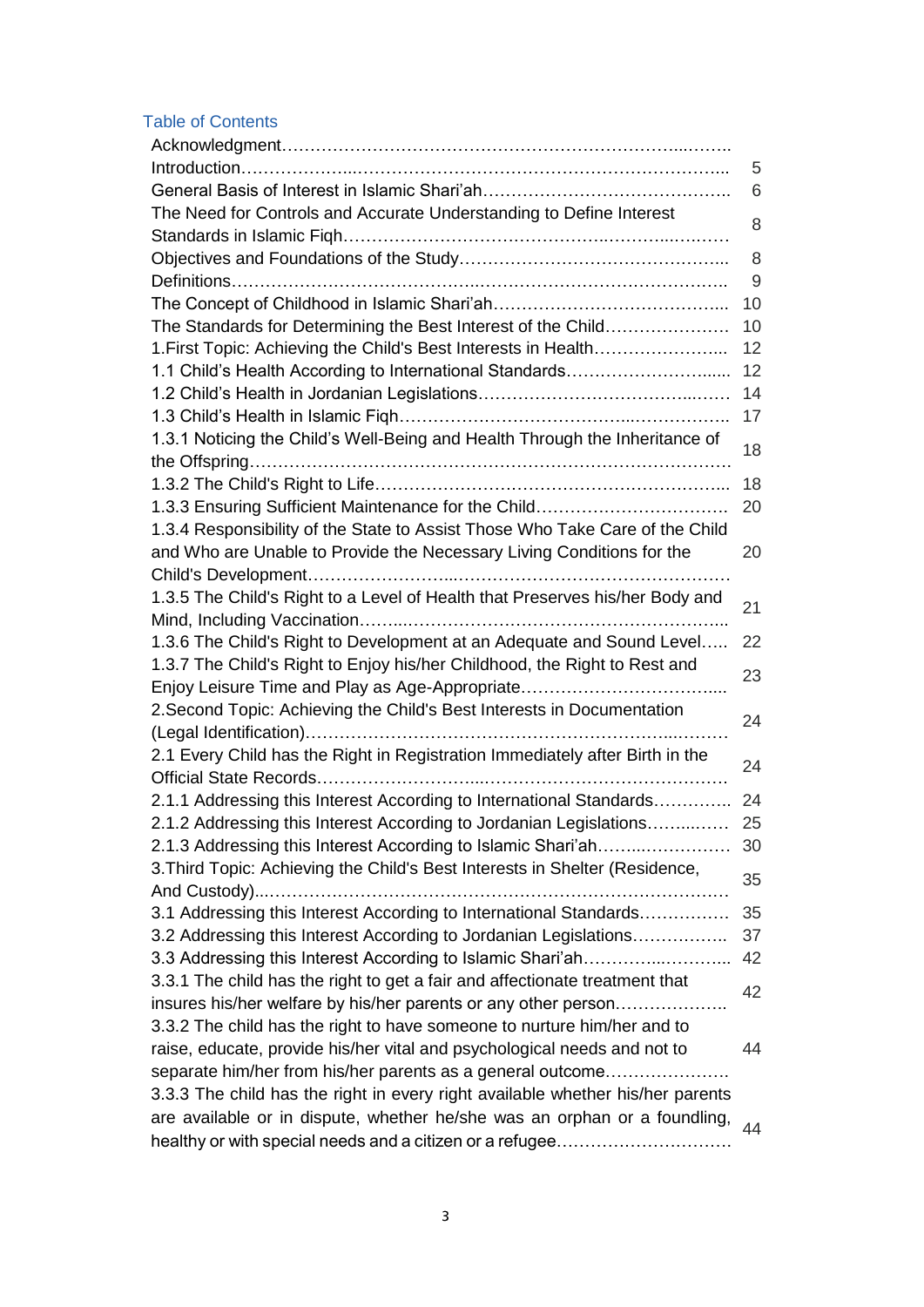# Table of Contents

|                                                                                | 5  |
|--------------------------------------------------------------------------------|----|
|                                                                                | 6  |
| The Need for Controls and Accurate Understanding to Define Interest            | 8  |
|                                                                                | 8  |
|                                                                                | 9  |
|                                                                                | 10 |
|                                                                                |    |
| The Standards for Determining the Best Interest of the Child                   | 10 |
| 1. First Topic: Achieving the Child's Best Interests in Health                 | 12 |
| 1.1 Child's Health According to International Standards                        | 12 |
|                                                                                | 14 |
|                                                                                | 17 |
| 1.3.1 Noticing the Child's Well-Being and Health Through the Inheritance of    | 18 |
|                                                                                |    |
|                                                                                | 18 |
| 1.3.3 Ensuring Sufficient Maintenance for the Child                            | 20 |
| 1.3.4 Responsibility of the State to Assist Those Who Take Care of the Child   |    |
| and Who are Unable to Provide the Necessary Living Conditions for the          | 20 |
|                                                                                |    |
| 1.3.5 The Child's Right to a Level of Health that Preserves his/her Body and   | 21 |
|                                                                                |    |
| 1.3.6 The Child's Right to Development at an Adequate and Sound Level          | 22 |
| 1.3.7 The Child's Right to Enjoy his/her Childhood, the Right to Rest and      | 23 |
| Enjoy Leisure Time and Play as Age-Appropriate                                 |    |
| 2. Second Topic: Achieving the Child's Best Interests in Documentation         | 24 |
|                                                                                |    |
| 2.1 Every Child has the Right in Registration Immediately after Birth in the   | 24 |
|                                                                                |    |
| 2.1.1 Addressing this Interest According to International Standards            | 24 |
| 2.1.2 Addressing this Interest According to Jordanian Legislations             | 25 |
| 2.1.3 Addressing this Interest According to Islamic Shari'ah                   | 30 |
| 3. Third Topic: Achieving the Child's Best Interests in Shelter (Residence,    | 35 |
|                                                                                |    |
| 3.1 Addressing this Interest According to International Standards              | 35 |
| 3.2 Addressing this Interest According to Jordanian Legislations               | 37 |
| 3.3 Addressing this Interest According to Islamic Shari'ah                     | 42 |
| 3.3.1 The child has the right to get a fair and affectionate treatment that    | 42 |
| insures his/her welfare by his/her parents or any other person                 |    |
| 3.3.2 The child has the right to have someone to nurture him/her and to        |    |
| raise, educate, provide his/her vital and psychological needs and not to       | 44 |
| separate him/her from his/her parents as a general outcome                     |    |
| 3.3.3 The child has the right in every right available whether his/her parents |    |
| are available or in dispute, whether he/she was an orphan or a foundling,      | 44 |
| healthy or with special needs and a citizen or a refugee                       |    |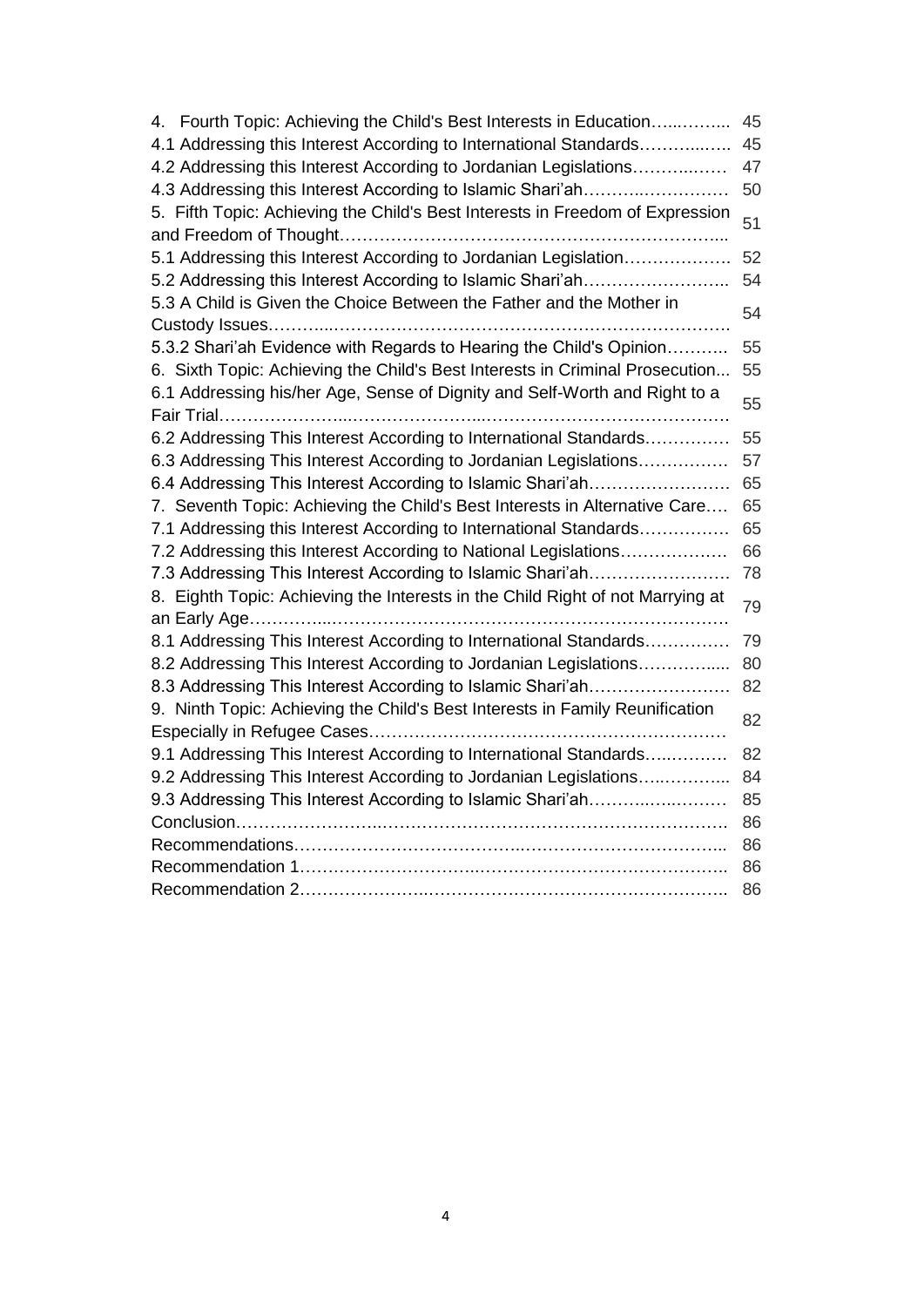| 4. Fourth Topic: Achieving the Child's Best Interests in Education             | 45 |
|--------------------------------------------------------------------------------|----|
| 4.1 Addressing this Interest According to International Standards              | 45 |
| 4.2 Addressing this Interest According to Jordanian Legislations               | 47 |
| 4.3 Addressing this Interest According to Islamic Shari'ah                     | 50 |
| 5. Fifth Topic: Achieving the Child's Best Interests in Freedom of Expression  |    |
|                                                                                | 51 |
| 5.1 Addressing this Interest According to Jordanian Legislation                | 52 |
| 5.2 Addressing this Interest According to Islamic Shari'ah                     | 54 |
| 5.3 A Child is Given the Choice Between the Father and the Mother in           |    |
|                                                                                | 54 |
| 5.3.2 Shari'ah Evidence with Regards to Hearing the Child's Opinion            | 55 |
| 6. Sixth Topic: Achieving the Child's Best Interests in Criminal Prosecution   | 55 |
| 6.1 Addressing his/her Age, Sense of Dignity and Self-Worth and Right to a     |    |
|                                                                                | 55 |
| 6.2 Addressing This Interest According to International Standards              | 55 |
| 6.3 Addressing This Interest According to Jordanian Legislations               | 57 |
| 6.4 Addressing This Interest According to Islamic Shari'ah                     | 65 |
| 7. Seventh Topic: Achieving the Child's Best Interests in Alternative Care     | 65 |
| 7.1 Addressing this Interest According to International Standards              | 65 |
| 7.2 Addressing this Interest According to National Legislations                | 66 |
| 7.3 Addressing This Interest According to Islamic Shari'ah                     | 78 |
| 8. Eighth Topic: Achieving the Interests in the Child Right of not Marrying at |    |
|                                                                                | 79 |
| 8.1 Addressing This Interest According to International Standards              | 79 |
| 8.2 Addressing This Interest According to Jordanian Legislations               | 80 |
| 8.3 Addressing This Interest According to Islamic Shari'ah                     | 82 |
| 9. Ninth Topic: Achieving the Child's Best Interests in Family Reunification   |    |
|                                                                                | 82 |
| 9.1 Addressing This Interest According to International Standards              | 82 |
| 9.2 Addressing This Interest According to Jordanian Legislations               | 84 |
| 9.3 Addressing This Interest According to Islamic Shari'ah                     | 85 |
|                                                                                | 86 |
|                                                                                | 86 |
|                                                                                | 86 |
|                                                                                | 86 |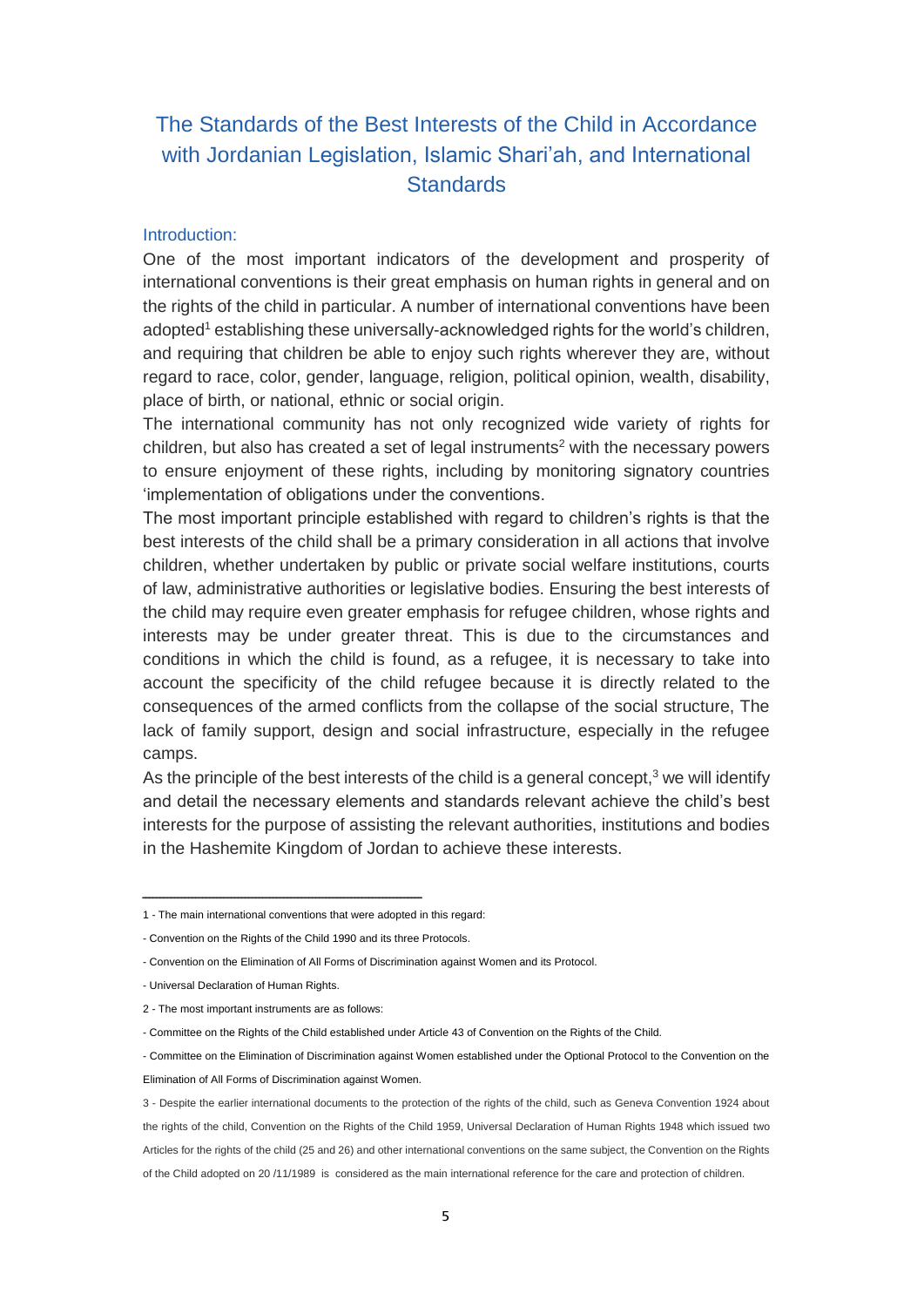# The Standards of the Best Interests of the Child in Accordance with Jordanian Legislation, Islamic Shari'ah, and International **Standards**

## Introduction:

One of the most important indicators of the development and prosperity of international conventions is their great emphasis on human rights in general and on the rights of the child in particular. A number of international conventions have been adopted<sup>1</sup> establishing these universally-acknowledged rights for the world's children, and requiring that children be able to enjoy such rights wherever they are, without regard to race, color, gender, language, religion, political opinion, wealth, disability, place of birth, or national, ethnic or social origin.

The international community has not only recognized wide variety of rights for  $children$ , but also has created a set of legal instruments<sup>2</sup> with the necessary powers to ensure enjoyment of these rights, including by monitoring signatory countries 'implementation of obligations under the conventions.

The most important principle established with regard to children's rights is that the best interests of the child shall be a primary consideration in all actions that involve children, whether undertaken by public or private social welfare institutions, courts of law, administrative authorities or legislative bodies. Ensuring the best interests of the child may require even greater emphasis for refugee children, whose rights and interests may be under greater threat. This is due to the circumstances and conditions in which the child is found, as a refugee, it is necessary to take into account the specificity of the child refugee because it is directly related to the consequences of the armed conflicts from the collapse of the social structure, The lack of family support, design and social infrastructure, especially in the refugee camps.

As the principle of the best interests of the child is a general concept, $3$  we will identify and detail the necessary elements and standards relevant achieve the child's best interests for the purpose of assisting the relevant authorities, institutions and bodies in the Hashemite Kingdom of Jordan to achieve these interests.

<sup>1 -</sup> The main international conventions that were adopted in this regard:

<sup>-</sup> Convention on the Rights of the Child 1990 and its three Protocols.

<sup>-</sup> Convention on the Elimination of All Forms of Discrimination against Women and its Protocol.

<sup>-</sup> Universal Declaration of Human Rights.

<sup>2 -</sup> The most important instruments are as follows:

<sup>-</sup> Committee on the Rights of the Child established under Article 43 of Convention on the Rights of the Child.

<sup>-</sup> Committee on the Elimination of Discrimination against Women established under the Optional Protocol to the Convention on the Elimination of All Forms of Discrimination against Women.

<sup>3 -</sup> Despite the earlier international documents to the protection of the rights of the child, such as Geneva Convention 1924 about the rights of the child, Convention on the Rights of the Child 1959, Universal Declaration of Human Rights 1948 which issued two Articles for the rights of the child (25 and 26) and other international conventions on the same subject, the Convention on the Rights of the Child adopted on 20 /11/1989 is considered as the main international reference for the care and protection of children.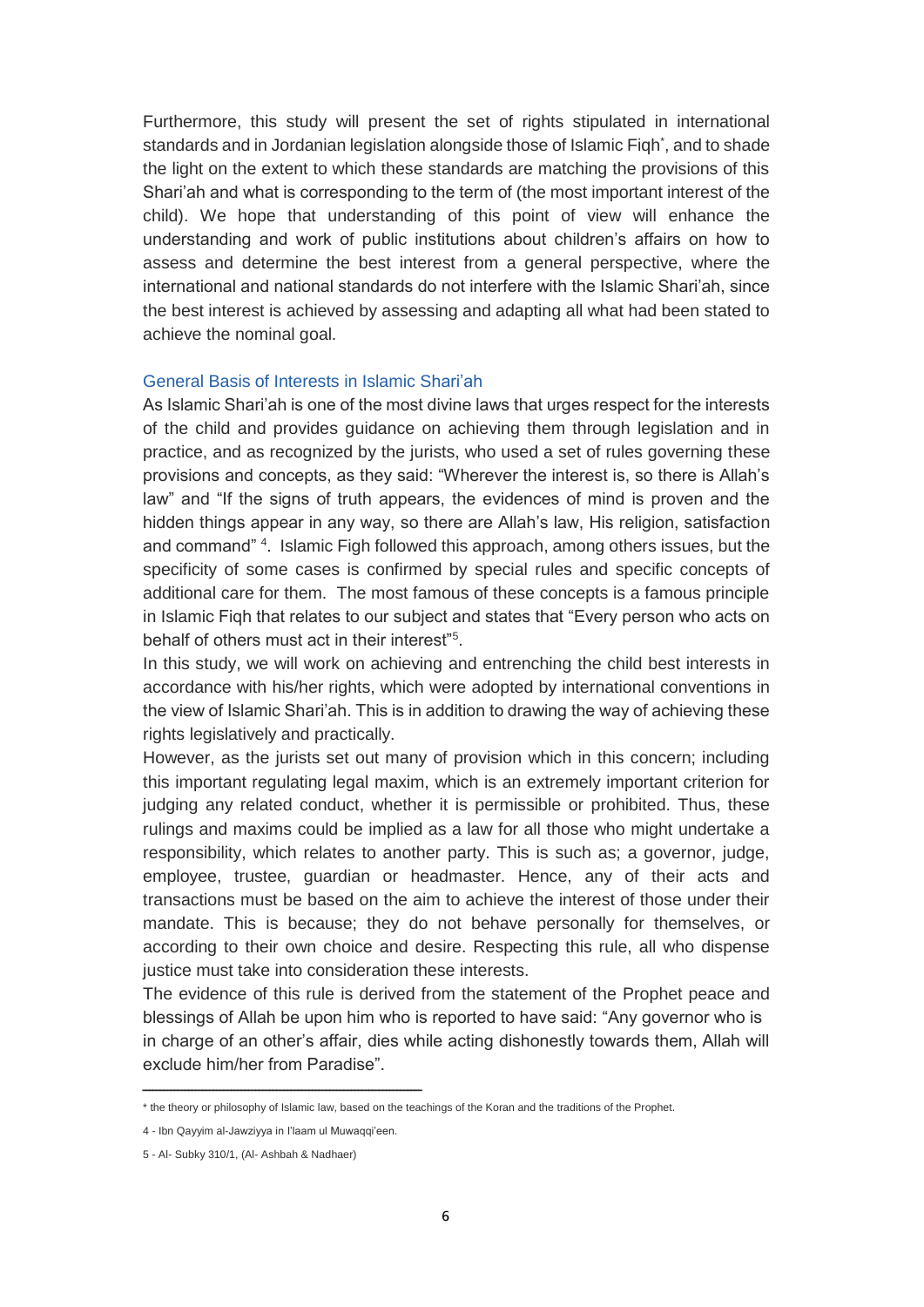Furthermore, this study will present the set of rights stipulated in international standards and in Jordanian legislation alongside those of Islamic Fiqh<sup>\*</sup>, and to shade the light on the extent to which these standards are matching the provisions of this Shari'ah and what is corresponding to the term of (the most important interest of the child). We hope that understanding of this point of view will enhance the understanding and work of public institutions about children's affairs on how to assess and determine the best interest from a general perspective, where the international and national standards do not interfere with the Islamic Shari'ah, since the best interest is achieved by assessing and adapting all what had been stated to achieve the nominal goal.

### General Basis of Interests in Islamic Shari'ah

As Islamic Shari'ah is one of the most divine laws that urges respect for the interests of the child and provides guidance on achieving them through legislation and in practice, and as recognized by the jurists, who used a set of rules governing these provisions and concepts, as they said: "Wherever the interest is, so there is Allah's law" and "If the signs of truth appears, the evidences of mind is proven and the hidden things appear in any way, so there are Allah's law, His religion, satisfaction and command"<sup>4</sup>. Islamic Figh followed this approach, among others issues, but the specificity of some cases is confirmed by special rules and specific concepts of additional care for them. The most famous of these concepts is a famous principle in Islamic Fiqh that relates to our subject and states that "Every person who acts on behalf of others must act in their interest"<sup>5</sup>.

In this study, we will work on achieving and entrenching the child best interests in accordance with his/her rights, which were adopted by international conventions in the view of Islamic Shari'ah. This is in addition to drawing the way of achieving these rights legislatively and practically.

However, as the jurists set out many of provision which in this concern; including this important regulating legal maxim, which is an extremely important criterion for judging any related conduct, whether it is permissible or prohibited. Thus, these rulings and maxims could be implied as a law for all those who might undertake a responsibility, which relates to another party. This is such as; a governor, judge, employee, trustee, guardian or headmaster. Hence, any of their acts and transactions must be based on the aim to achieve the interest of those under their mandate. This is because; they do not behave personally for themselves, or according to their own choice and desire. Respecting this rule, all who dispense justice must take into consideration these interests.

The evidence of this rule is derived from the statement of the Prophet peace and blessings of Allah be upon him who is reported to have said: "Any governor who is in charge of an other's affair, dies while acting dishonestly towards them, Allah will exclude him/her from Paradise".

<sup>\*</sup> the theory or philosophy of Islamic law, based on the teachings of the Koran and the traditions of the Prophet.

<sup>4 -</sup> Ibn Qayyim al-Jawziyya in I'laam ul Muwaqqi'een.

<sup>5 -</sup> Al- Subky 310/1, (Al- Ashbah & Nadhaer)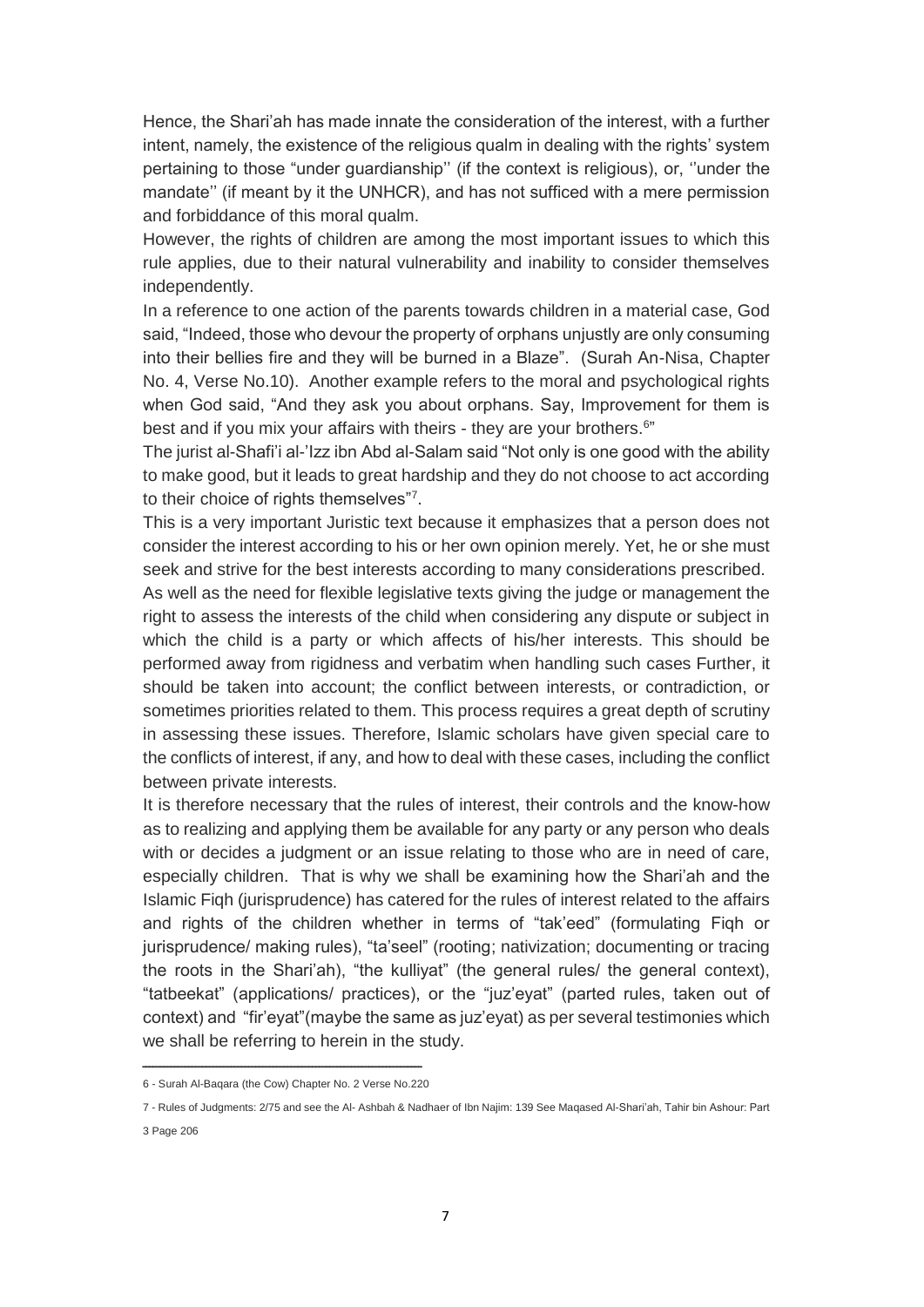Hence, the Shari'ah has made innate the consideration of the interest, with a further intent, namely, the existence of the religious qualm in dealing with the rights' system pertaining to those "under guardianship'' (if the context is religious), or, ''under the mandate'' (if meant by it the UNHCR), and has not sufficed with a mere permission and forbiddance of this moral qualm.

However, the rights of children are among the most important issues to which this rule applies, due to their natural vulnerability and inability to consider themselves independently.

In a reference to one action of the parents towards children in a material case, God said, "Indeed, those who devour the property of orphans unjustly are only consuming into their bellies fire and they will be burned in a Blaze". (Surah An-Nisa, Chapter No. 4, Verse No.10). Another example refers to the moral and psychological rights when God said, "And they ask you about orphans. Say, Improvement for them is best and if you mix your affairs with theirs - they are your brothers.<sup>6</sup>"

The jurist al-Shafi'i al-'Izz ibn Abd al-Salam said "Not only is one good with the ability to make good, but it leads to great hardship and they do not choose to act according to their choice of rights themselves"7.

This is a very important Juristic text because it emphasizes that a person does not consider the interest according to his or her own opinion merely. Yet, he or she must seek and strive for the best interests according to many considerations prescribed.

As well as the need for flexible legislative texts giving the judge or management the right to assess the interests of the child when considering any dispute or subject in which the child is a party or which affects of his/her interests. This should be performed away from rigidness and verbatim when handling such cases Further, it should be taken into account; the conflict between interests, or contradiction, or sometimes priorities related to them. This process requires a great depth of scrutiny in assessing these issues. Therefore, Islamic scholars have given special care to the conflicts of interest, if any, and how to deal with these cases, including the conflict between private interests.

It is therefore necessary that the rules of interest, their controls and the know-how as to realizing and applying them be available for any party or any person who deals with or decides a judgment or an issue relating to those who are in need of care, especially children. That is why we shall be examining how the Shari'ah and the Islamic Fiqh (jurisprudence) has catered for the rules of interest related to the affairs and rights of the children whether in terms of "tak'eed" (formulating Fiqh or jurisprudence/ making rules), "ta'seel" (rooting; nativization; documenting or tracing the roots in the Shari'ah), "the kulliyat" (the general rules/ the general context), "tatbeekat" (applications/ practices), or the "juz'eyat" (parted rules, taken out of context) and "fir'eyat"(maybe the same as juz'eyat) as per several testimonies which we shall be referring to herein in the study.

ـــــــــــــــــــــــــــــــــــــــــــــــــــــــــــــــــــــــــــــــ 6 - Surah Al-Baqara (the Cow) Chapter No. 2 Verse No.220

<sup>7 -</sup> Rules of Judgments: 2/75 and see the Al- Ashbah & Nadhaer of Ibn Najim: 139 See Maqased Al-Shari'ah, Tahir bin Ashour: Part 3 Page 206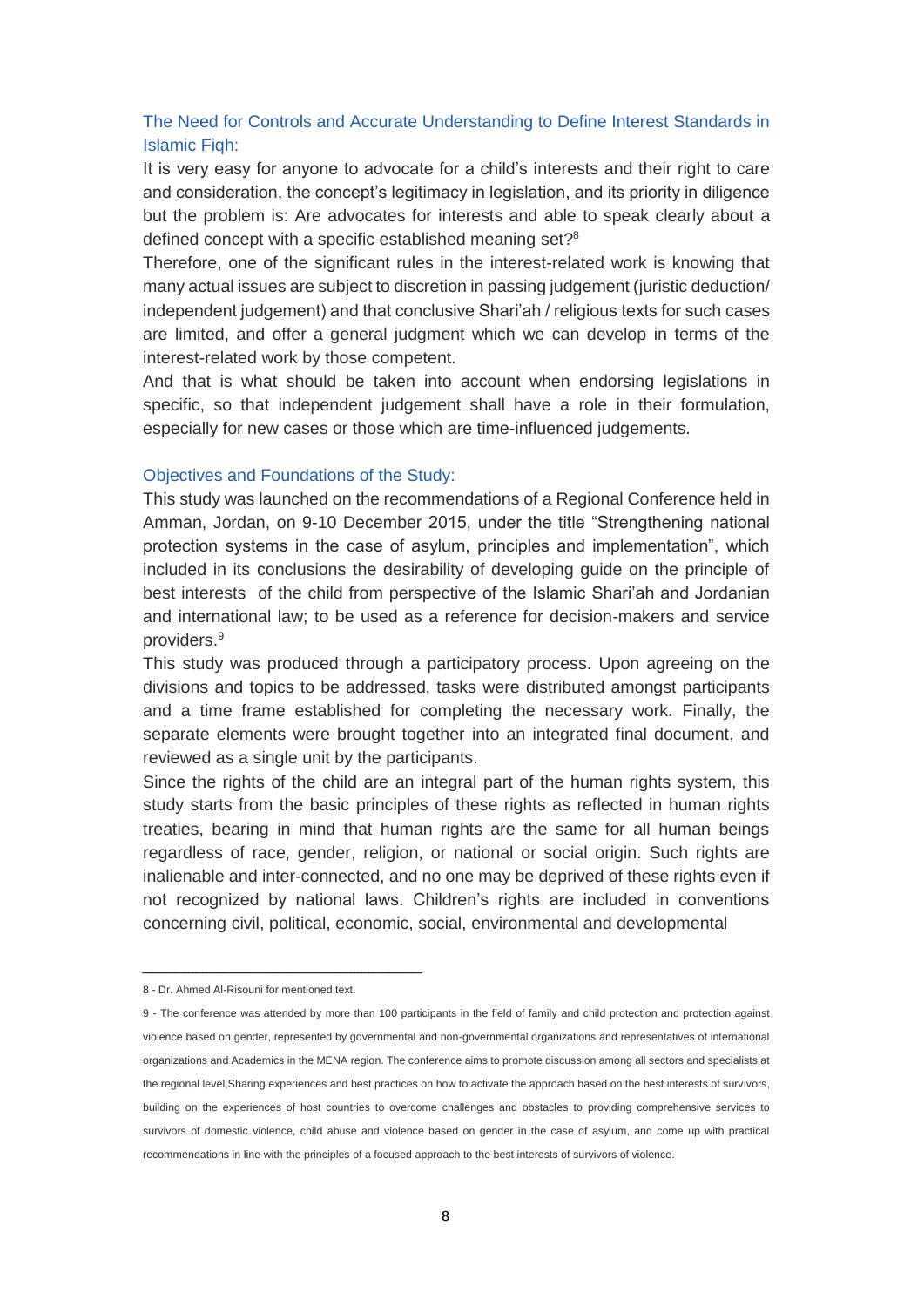## The Need for Controls and Accurate Understanding to Define Interest Standards in Islamic Fiqh:

It is very easy for anyone to advocate for a child's interests and their right to care and consideration, the concept's legitimacy in legislation, and its priority in diligence but the problem is: Are advocates for interests and able to speak clearly about a defined concept with a specific established meaning set?<sup>8</sup>

Therefore, one of the significant rules in the interest-related work is knowing that many actual issues are subject to discretion in passing judgement (juristic deduction/ independent judgement) and that conclusive Shari'ah / religious texts for such cases are limited, and offer a general judgment which we can develop in terms of the interest-related work by those competent.

And that is what should be taken into account when endorsing legislations in specific, so that independent judgement shall have a role in their formulation, especially for new cases or those which are time-influenced judgements.

### Objectives and Foundations of the Study:

This study was launched on the recommendations of a Regional Conference held in Amman, Jordan, on 9-10 December 2015, under the title "Strengthening national protection systems in the case of asylum, principles and implementation", which included in its conclusions the desirability of developing guide on the principle of best interests of the child from perspective of the Islamic Shari'ah and Jordanian and international law; to be used as a reference for decision-makers and service providers.<sup>9</sup>

This study was produced through a participatory process. Upon agreeing on the divisions and topics to be addressed, tasks were distributed amongst participants and a time frame established for completing the necessary work. Finally, the separate elements were brought together into an integrated final document, and reviewed as a single unit by the participants.

Since the rights of the child are an integral part of the human rights system, this study starts from the basic principles of these rights as reflected in human rights treaties, bearing in mind that human rights are the same for all human beings regardless of race, gender, religion, or national or social origin. Such rights are inalienable and inter-connected, and no one may be deprived of these rights even if not recognized by national laws. Children's rights are included in conventions concerning civil, political, economic, social, environmental and developmental

<sup>8 -</sup> Dr. Ahmed Al-Risouni for mentioned text.

<sup>9 -</sup> The conference was attended by more than 100 participants in the field of family and child protection and protection against violence based on gender, represented by governmental and non-governmental organizations and representatives of international organizations and Academics in the MENA region. The conference aims to promote discussion among all sectors and specialists at the regional level,Sharing experiences and best practices on how to activate the approach based on the best interests of survivors, building on the experiences of host countries to overcome challenges and obstacles to providing comprehensive services to survivors of domestic violence, child abuse and violence based on gender in the case of asylum, and come up with practical recommendations in line with the principles of a focused approach to the best interests of survivors of violence.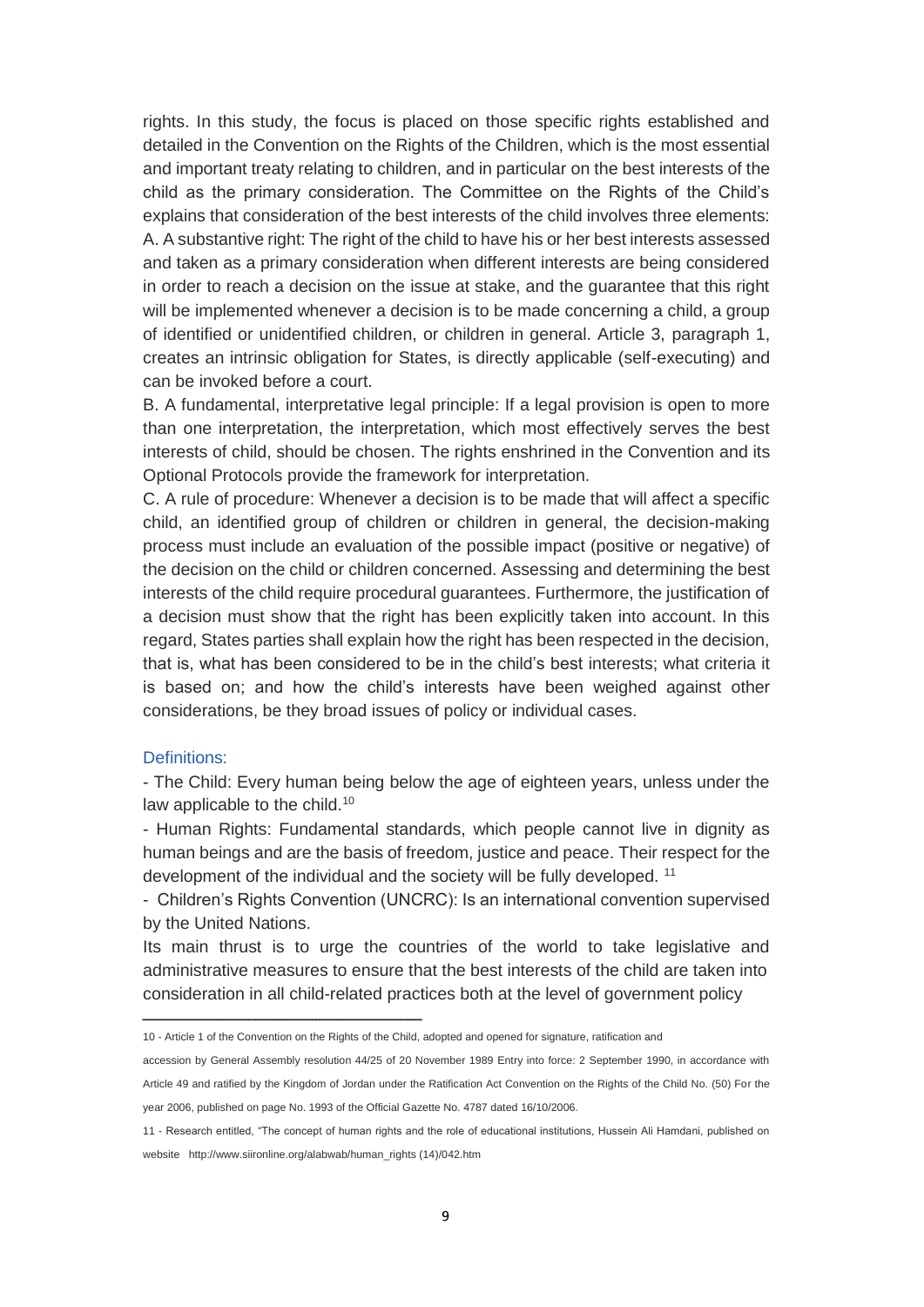rights. In this study, the focus is placed on those specific rights established and detailed in the Convention on the Rights of the Children, which is the most essential and important treaty relating to children, and in particular on the best interests of the child as the primary consideration. The Committee on the Rights of the Child's explains that consideration of the best interests of the child involves three elements: A. A substantive right: The right of the child to have his or her best interests assessed and taken as a primary consideration when different interests are being considered in order to reach a decision on the issue at stake, and the guarantee that this right will be implemented whenever a decision is to be made concerning a child, a group of identified or unidentified children, or children in general. Article 3, paragraph 1, creates an intrinsic obligation for States, is directly applicable (self-executing) and can be invoked before a court.

B. A fundamental, interpretative legal principle: If a legal provision is open to more than one interpretation, the interpretation, which most effectively serves the best interests of child, should be chosen. The rights enshrined in the Convention and its Optional Protocols provide the framework for interpretation.

C. A rule of procedure: Whenever a decision is to be made that will affect a specific child, an identified group of children or children in general, the decision-making process must include an evaluation of the possible impact (positive or negative) of the decision on the child or children concerned. Assessing and determining the best interests of the child require procedural guarantees. Furthermore, the justification of a decision must show that the right has been explicitly taken into account. In this regard, States parties shall explain how the right has been respected in the decision, that is, what has been considered to be in the child's best interests; what criteria it is based on; and how the child's interests have been weighed against other considerations, be they broad issues of policy or individual cases.

### Definitions:

- The Child: Every human being below the age of eighteen years, unless under the law applicable to the child.<sup>10</sup>

- Human Rights: Fundamental standards, which people cannot live in dignity as human beings and are the basis of freedom, justice and peace. Their respect for the development of the individual and the society will be fully developed. <sup>11</sup>

- Children's Rights Convention (UNCRC): Is an international convention supervised by the United Nations.

Its main thrust is to urge the countries of the world to take legislative and administrative measures to ensure that the best interests of the child are taken into consideration in all child-related practices both at the level of government policy

<sup>10 -</sup> Article 1 of the Convention on the Rights of the Child, adopted and opened for signature, ratification and

accession by General Assembly resolution 44/25 of 20 November 1989 Entry into force: 2 September 1990, in accordance with Article 49 and ratified by the Kingdom of Jordan under the Ratification Act Convention on the Rights of the Child No. (50) For the year 2006, published on page No. 1993 of the Official Gazette No. 4787 dated 16/10/2006.

<sup>11 -</sup> Research entitled, "The concept of human rights and the role of educational institutions, Hussein Ali Hamdani, published on website http://www.siironline.org/alabwab/human\_rights (14)/042.htm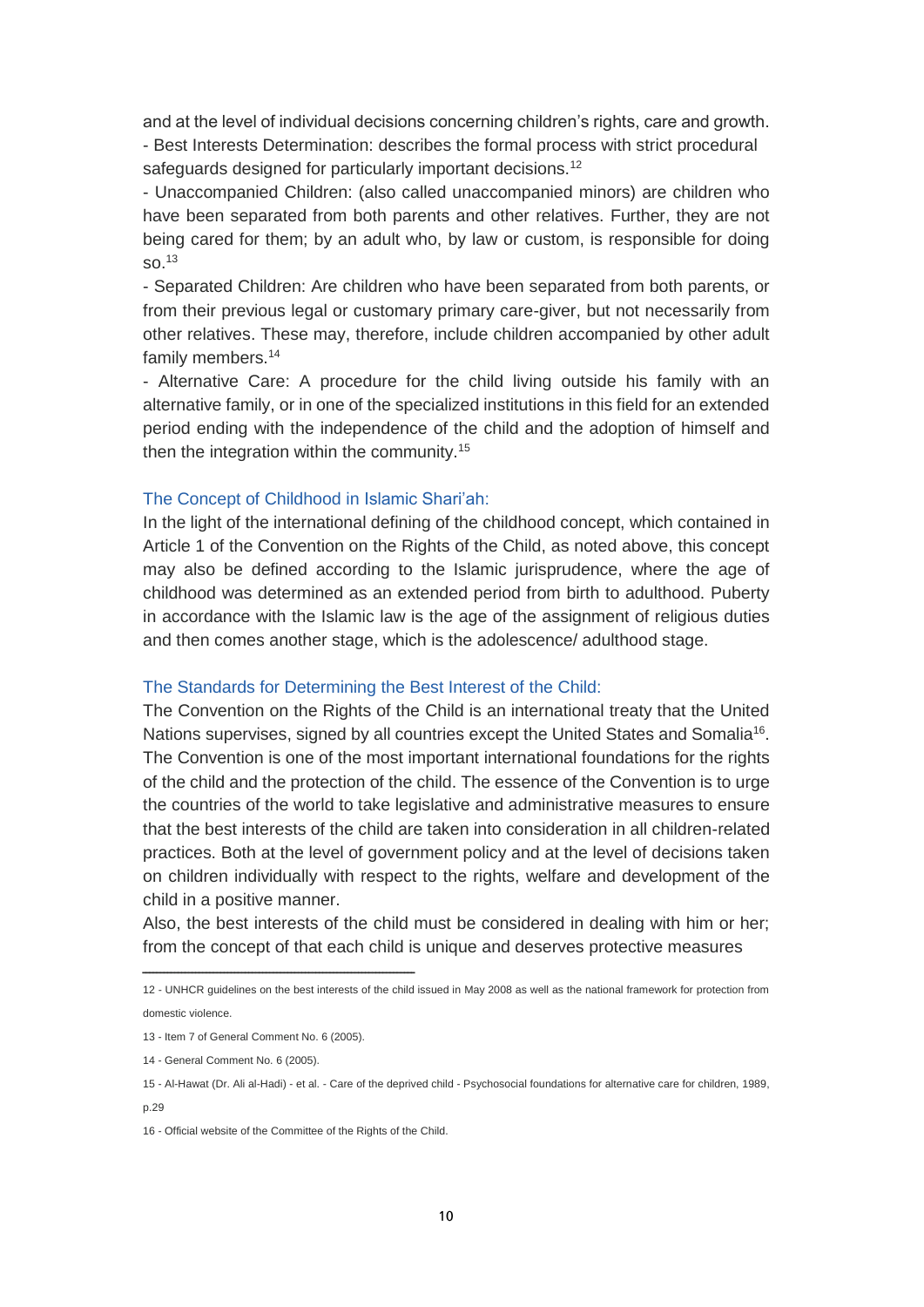and at the level of individual decisions concerning children's rights, care and growth. - Best Interests Determination: describes the formal process with strict procedural safeguards designed for particularly important decisions.<sup>12</sup>

- Unaccompanied Children: (also called unaccompanied minors) are children who have been separated from both parents and other relatives. Further, they are not being cared for them; by an adult who, by law or custom, is responsible for doing  $SO<sup>13</sup>$ 

- Separated Children: Are children who have been separated from both parents, or from their previous legal or customary primary care-giver, but not necessarily from other relatives. These may, therefore, include children accompanied by other adult family members.<sup>14</sup>

- Alternative Care: A procedure for the child living outside his family with an alternative family, or in one of the specialized institutions in this field for an extended period ending with the independence of the child and the adoption of himself and then the integration within the community.<sup>15</sup>

### The Concept of Childhood in Islamic Shari'ah:

In the light of the international defining of the childhood concept, which contained in Article 1 of the Convention on the Rights of the Child, as noted above, this concept may also be defined according to the Islamic jurisprudence, where the age of childhood was determined as an extended period from birth to adulthood. Puberty in accordance with the Islamic law is the age of the assignment of religious duties and then comes another stage, which is the adolescence/ adulthood stage.

### The Standards for Determining the Best Interest of the Child:

The Convention on the Rights of the Child is an international treaty that the United Nations supervises, signed by all countries except the United States and Somalia<sup>16</sup>. The Convention is one of the most important international foundations for the rights of the child and the protection of the child. The essence of the Convention is to urge the countries of the world to take legislative and administrative measures to ensure that the best interests of the child are taken into consideration in all children-related practices. Both at the level of government policy and at the level of decisions taken on children individually with respect to the rights, welfare and development of the child in a positive manner.

Also, the best interests of the child must be considered in dealing with him or her; from the concept of that each child is unique and deserves protective measures

<sup>12 -</sup> UNHCR guidelines on the best interests of the child issued in May 2008 as well as the national framework for protection from domestic violence.

<sup>13 -</sup> Item 7 of General Comment No. 6 (2005).

<sup>14 -</sup> General Comment No. 6 (2005).

<sup>15 -</sup> Al-Hawat (Dr. Ali al-Hadi) - et al. - Care of the deprived child - Psychosocial foundations for alternative care for children, 1989,

p.29

<sup>16 -</sup> Official website of the Committee of the Rights of the Child.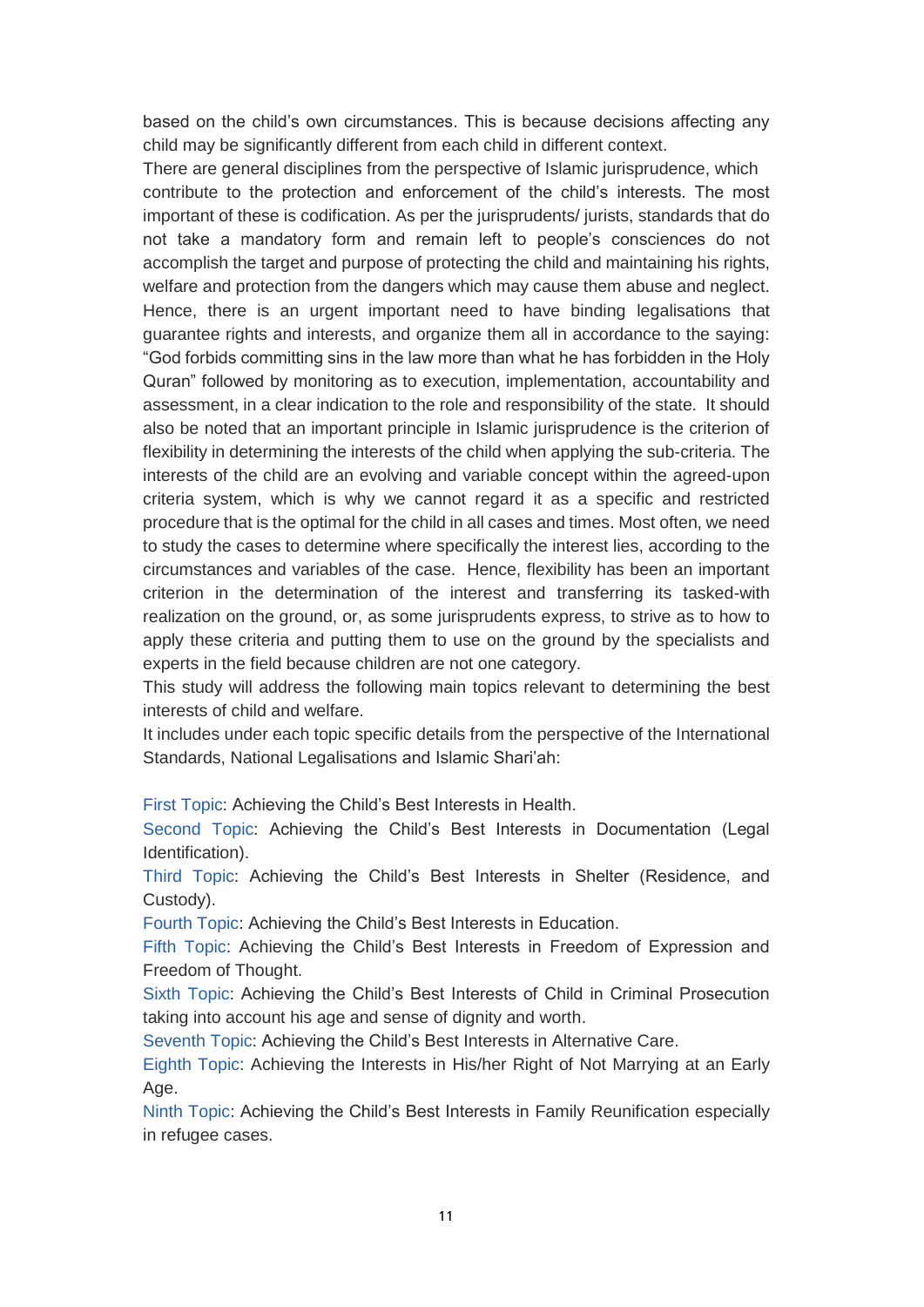based on the child's own circumstances. This is because decisions affecting any child may be significantly different from each child in different context.

There are general disciplines from the perspective of Islamic jurisprudence, which contribute to the protection and enforcement of the child's interests. The most important of these is codification. As per the jurisprudents/ jurists, standards that do not take a mandatory form and remain left to people's consciences do not accomplish the target and purpose of protecting the child and maintaining his rights, welfare and protection from the dangers which may cause them abuse and neglect. Hence, there is an urgent important need to have binding legalisations that guarantee rights and interests, and organize them all in accordance to the saying: "God forbids committing sins in the law more than what he has forbidden in the Holy Quran" followed by monitoring as to execution, implementation, accountability and assessment, in a clear indication to the role and responsibility of the state. It should also be noted that an important principle in Islamic jurisprudence is the criterion of flexibility in determining the interests of the child when applying the sub-criteria. The interests of the child are an evolving and variable concept within the agreed-upon criteria system, which is why we cannot regard it as a specific and restricted procedure that is the optimal for the child in all cases and times. Most often, we need to study the cases to determine where specifically the interest lies, according to the circumstances and variables of the case. Hence, flexibility has been an important criterion in the determination of the interest and transferring its tasked-with realization on the ground, or, as some jurisprudents express, to strive as to how to apply these criteria and putting them to use on the ground by the specialists and experts in the field because children are not one category.

This study will address the following main topics relevant to determining the best interests of child and welfare.

It includes under each topic specific details from the perspective of the International Standards, National Legalisations and Islamic Shari'ah:

First Topic: Achieving the Child's Best Interests in Health.

Second Topic: Achieving the Child's Best Interests in Documentation (Legal Identification).

Third Topic: Achieving the Child's Best Interests in Shelter (Residence, and Custody).

Fourth Topic: Achieving the Child's Best Interests in Education.

Fifth Topic: Achieving the Child's Best Interests in Freedom of Expression and Freedom of Thought.

Sixth Topic: Achieving the Child's Best Interests of Child in Criminal Prosecution taking into account his age and sense of dignity and worth.

Seventh Topic: Achieving the Child's Best Interests in Alternative Care.

Eighth Topic: Achieving the Interests in His/her Right of Not Marrying at an Early Age.

Ninth Topic: Achieving the Child's Best Interests in Family Reunification especially in refugee cases.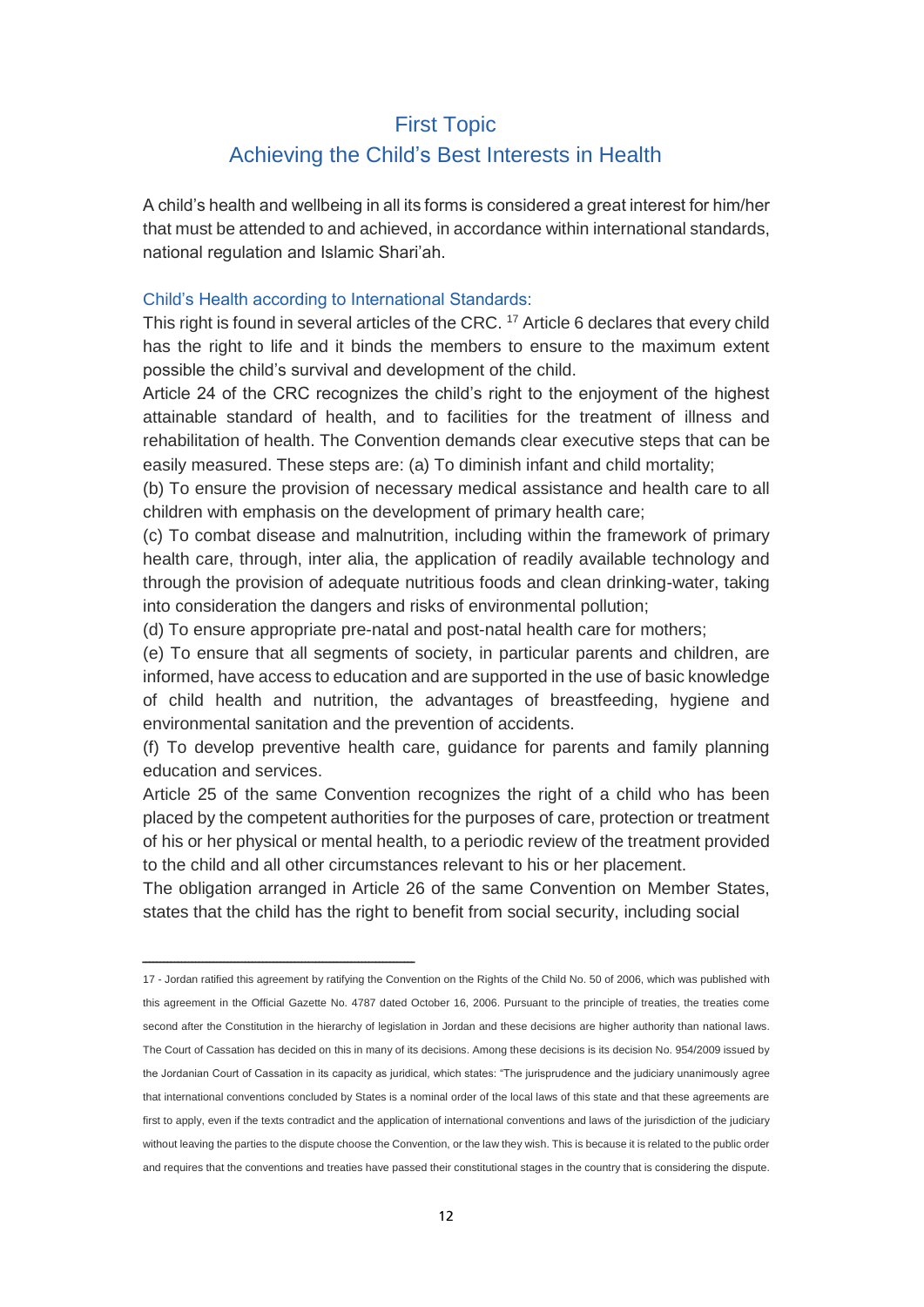# First Topic Achieving the Child's Best Interests in Health

A child's health and wellbeing in all its forms is considered a great interest for him/her that must be attended to and achieved, in accordance within international standards, national regulation and Islamic Shari'ah.

### Child's Health according to International Standards:

ـــــــــــــــــــــــــــــــــــــــــــــــــــــــــــــــــــــــــــــ

This right is found in several articles of the CRC.<sup>17</sup> Article 6 declares that every child has the right to life and it binds the members to ensure to the maximum extent possible the child's survival and development of the child.

Article 24 of the CRC recognizes the child's right to the enjoyment of the highest attainable standard of health, and to facilities for the treatment of illness and rehabilitation of health. The Convention demands clear executive steps that can be easily measured. These steps are: (a) To diminish infant and child mortality;

(b) To ensure the provision of necessary medical assistance and health care to all children with emphasis on the development of primary health care;

(c) To combat disease and malnutrition, including within the framework of primary health care, through, inter alia, the application of readily available technology and through the provision of adequate nutritious foods and clean drinking-water, taking into consideration the dangers and risks of environmental pollution;

(d) To ensure appropriate pre-natal and post-natal health care for mothers;

(e) To ensure that all segments of society, in particular parents and children, are informed, have access to education and are supported in the use of basic knowledge of child health and nutrition, the advantages of breastfeeding, hygiene and environmental sanitation and the prevention of accidents.

(f) To develop preventive health care, guidance for parents and family planning education and services.

Article 25 of the same Convention recognizes the right of a child who has been placed by the competent authorities for the purposes of care, protection or treatment of his or her physical or mental health, to a periodic review of the treatment provided to the child and all other circumstances relevant to his or her placement.

The obligation arranged in Article 26 of the same Convention on Member States, states that the child has the right to benefit from social security, including social

<sup>17 -</sup> Jordan ratified this agreement by ratifying the Convention on the Rights of the Child No. 50 of 2006, which was published with this agreement in the Official Gazette No. 4787 dated October 16, 2006. Pursuant to the principle of treaties, the treaties come second after the Constitution in the hierarchy of legislation in Jordan and these decisions are higher authority than national laws. The Court of Cassation has decided on this in many of its decisions. Among these decisions is its decision No. 954/2009 issued by the Jordanian Court of Cassation in its capacity as juridical, which states: "The jurisprudence and the judiciary unanimously agree that international conventions concluded by States is a nominal order of the local laws of this state and that these agreements are first to apply, even if the texts contradict and the application of international conventions and laws of the jurisdiction of the judiciary without leaving the parties to the dispute choose the Convention, or the law they wish. This is because it is related to the public order and requires that the conventions and treaties have passed their constitutional stages in the country that is considering the dispute.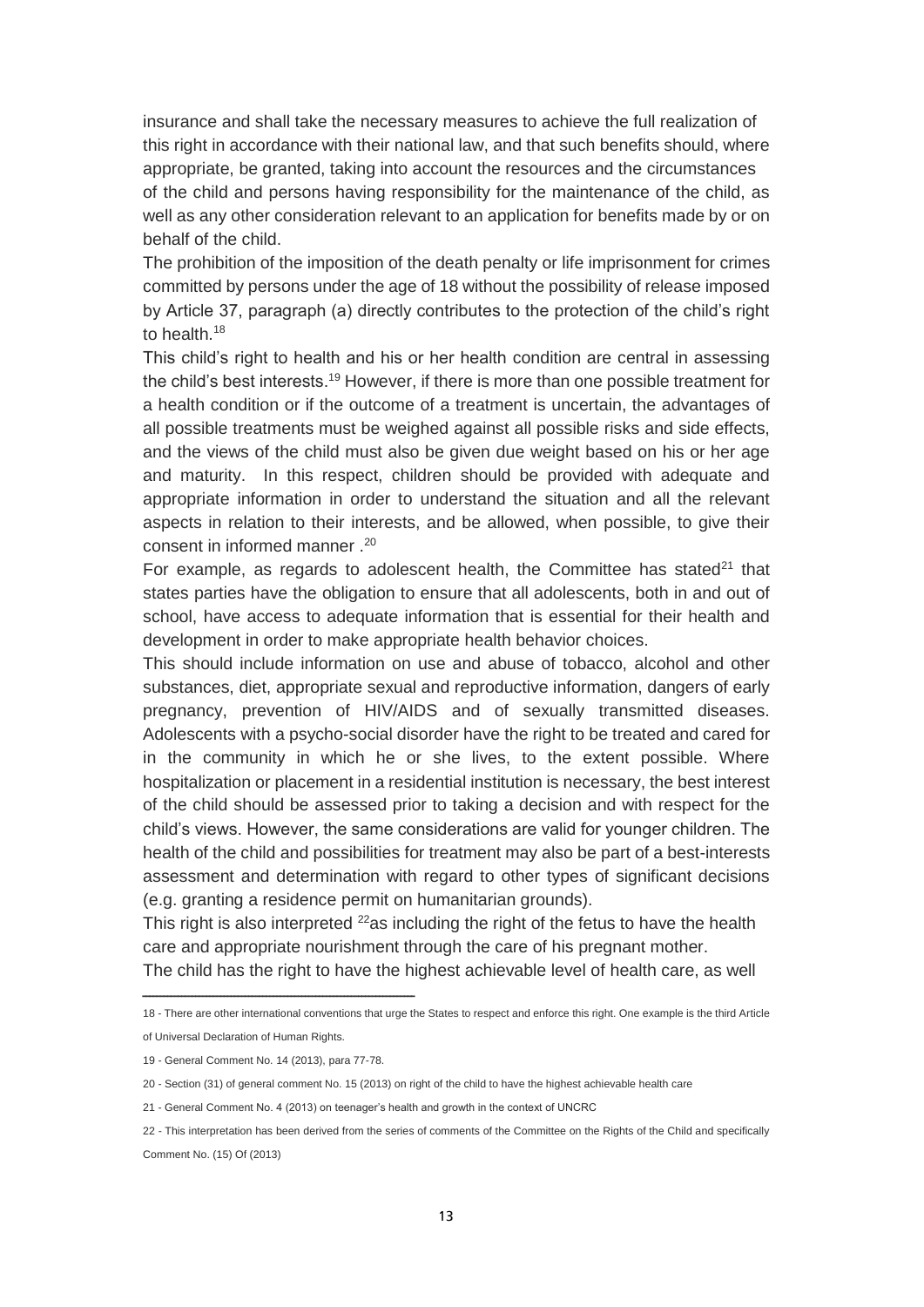insurance and shall take the necessary measures to achieve the full realization of this right in accordance with their national law, and that such benefits should, where appropriate, be granted, taking into account the resources and the circumstances of the child and persons having responsibility for the maintenance of the child, as well as any other consideration relevant to an application for benefits made by or on behalf of the child.

The prohibition of the imposition of the death penalty or life imprisonment for crimes committed by persons under the age of 18 without the possibility of release imposed by Article 37, paragraph (a) directly contributes to the protection of the child's right to health.<sup>18</sup>

This child's right to health and his or her health condition are central in assessing the child's best interests.<sup>19</sup> However, if there is more than one possible treatment for a health condition or if the outcome of a treatment is uncertain, the advantages of all possible treatments must be weighed against all possible risks and side effects, and the views of the child must also be given due weight based on his or her age and maturity. In this respect, children should be provided with adequate and appropriate information in order to understand the situation and all the relevant aspects in relation to their interests, and be allowed, when possible, to give their consent in informed manner .<sup>20</sup>

For example, as regards to adolescent health, the Committee has stated<sup>21</sup> that states parties have the obligation to ensure that all adolescents, both in and out of school, have access to adequate information that is essential for their health and development in order to make appropriate health behavior choices.

This should include information on use and abuse of tobacco, alcohol and other substances, diet, appropriate sexual and reproductive information, dangers of early pregnancy, prevention of HIV/AIDS and of sexually transmitted diseases. Adolescents with a psycho-social disorder have the right to be treated and cared for in the community in which he or she lives, to the extent possible. Where hospitalization or placement in a residential institution is necessary, the best interest of the child should be assessed prior to taking a decision and with respect for the child's views. However, the same considerations are valid for younger children. The health of the child and possibilities for treatment may also be part of a best-interests assessment and determination with regard to other types of significant decisions (e.g. granting a residence permit on humanitarian grounds).

This right is also interpreted  $^{22}$ as including the right of the fetus to have the health care and appropriate nourishment through the care of his pregnant mother.

The child has the right to have the highest achievable level of health care, as well

<sup>18 -</sup> There are other international conventions that urge the States to respect and enforce this right. One example is the third Article of Universal Declaration of Human Rights.

<sup>19 -</sup> General Comment No. 14 (2013), para 77-78.

<sup>20 -</sup> Section (31) of general comment No. 15 (2013) on right of the child to have the highest achievable health care

<sup>21 -</sup> General Comment No. 4 (2013) on teenager's health and growth in the context of UNCRC

<sup>22</sup> - This interpretation has been derived from the series of comments of the Committee on the Rights of the Child and specifically Comment No. (15) Of (2013)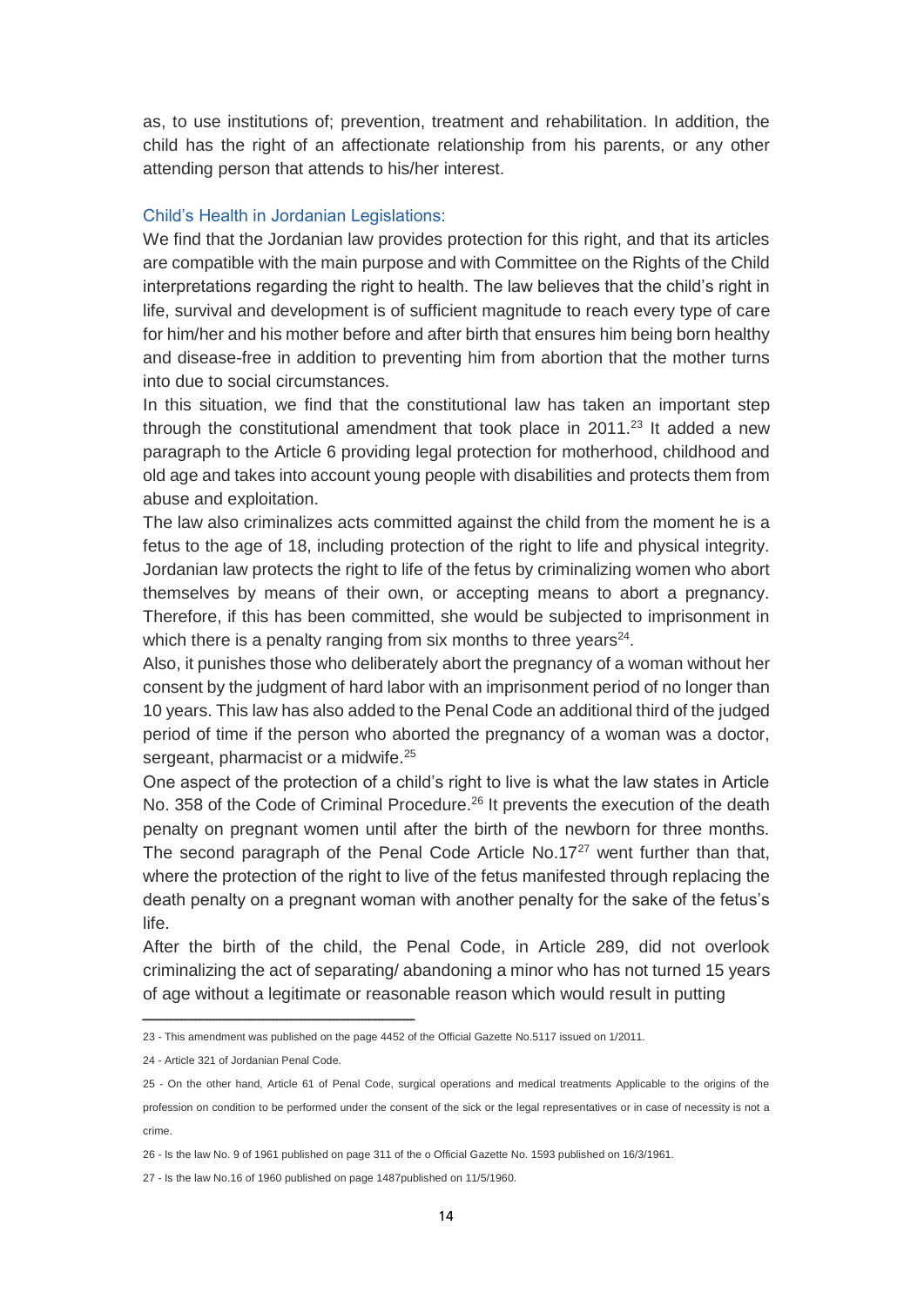as, to use institutions of; prevention, treatment and rehabilitation. In addition, the child has the right of an affectionate relationship from his parents, or any other attending person that attends to his/her interest.

### Child's Health in Jordanian Legislations:

We find that the Jordanian law provides protection for this right, and that its articles are compatible with the main purpose and with Committee on the Rights of the Child interpretations regarding the right to health. The law believes that the child's right in life, survival and development is of sufficient magnitude to reach every type of care for him/her and his mother before and after birth that ensures him being born healthy and disease-free in addition to preventing him from abortion that the mother turns into due to social circumstances.

In this situation, we find that the constitutional law has taken an important step through the constitutional amendment that took place in 2011. $^{23}$  It added a new paragraph to the Article 6 providing legal protection for motherhood, childhood and old age and takes into account young people with disabilities and protects them from abuse and exploitation.

The law also criminalizes acts committed against the child from the moment he is a fetus to the age of 18, including protection of the right to life and physical integrity. Jordanian law protects the right to life of the fetus by criminalizing women who abort themselves by means of their own, or accepting means to abort a pregnancy. Therefore, if this has been committed, she would be subjected to imprisonment in which there is a penalty ranging from six months to three years $24$ .

Also, it punishes those who deliberately abort the pregnancy of a woman without her consent by the judgment of hard labor with an imprisonment period of no longer than 10 years. This law has also added to the Penal Code an additional third of the judged period of time if the person who aborted the pregnancy of a woman was a doctor, sergeant, pharmacist or a midwife.<sup>25</sup>

One aspect of the protection of a child's right to live is what the law states in Article No. 358 of the Code of Criminal Procedure.<sup>26</sup> It prevents the execution of the death penalty on pregnant women until after the birth of the newborn for three months. The second paragraph of the Penal Code Article No.17 $27$  went further than that, where the protection of the right to live of the fetus manifested through replacing the death penalty on a pregnant woman with another penalty for the sake of the fetus's life.

After the birth of the child, the Penal Code, in Article 289, did not overlook criminalizing the act of separating/ abandoning a minor who has not turned 15 years of age without a legitimate or reasonable reason which would result in putting

<sup>23 -</sup> This amendment was published on the page 4452 of the Official Gazette No.5117 issued on 1/2011.

<sup>24 -</sup> Article 321 of Jordanian Penal Code.

<sup>25 -</sup> On the other hand, Article 61 of Penal Code, surgical operations and medical treatments Applicable to the origins of the profession on condition to be performed under the consent of the sick or the legal representatives or in case of necessity is not a crime.

<sup>26 -</sup> Is the law No. 9 of 1961 published on page 311 of the o Official Gazette No. 1593 published on 16/3/1961.

<sup>27 -</sup> Is the law No.16 of 1960 published on page 1487published on 11/5/1960.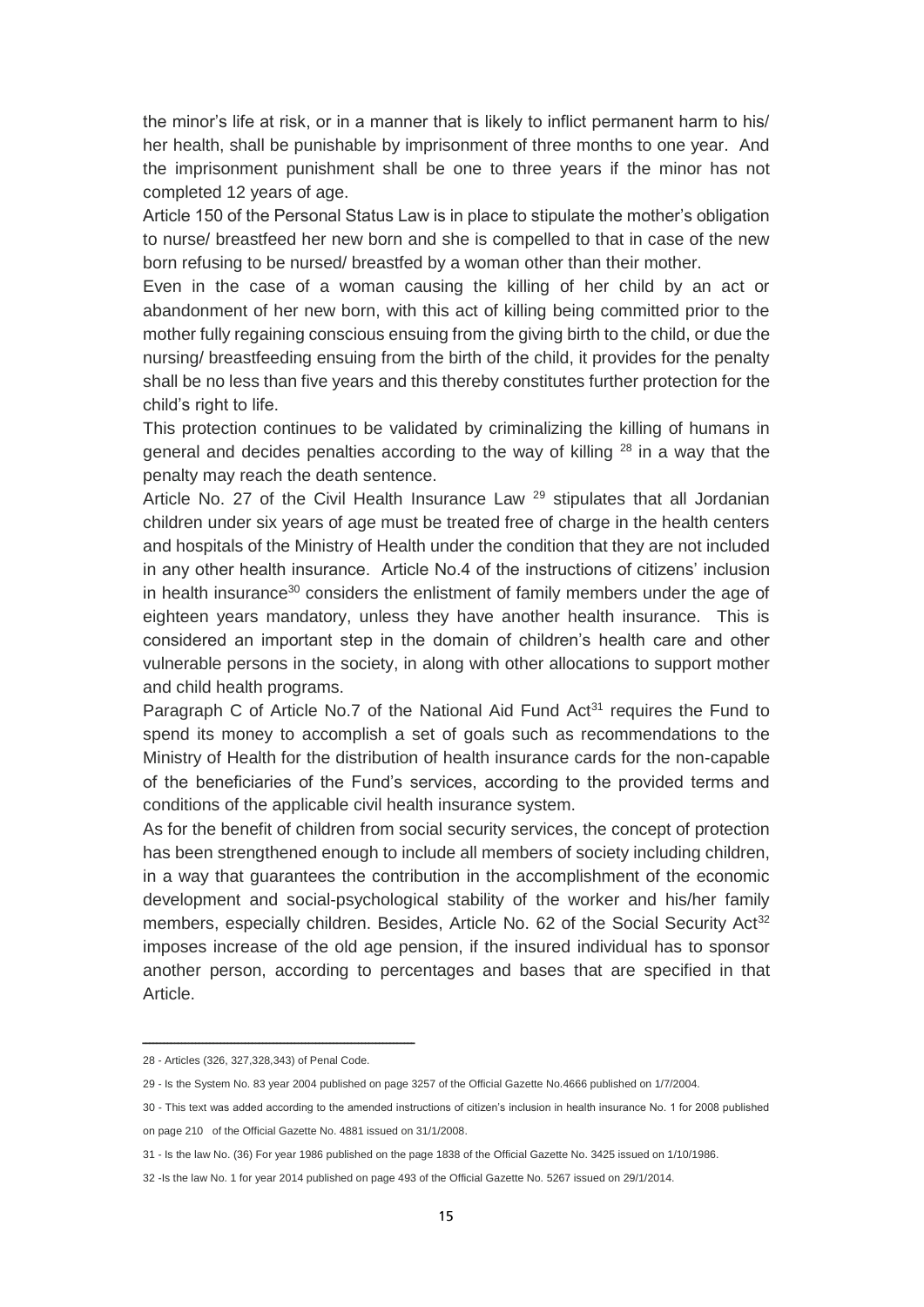the minor's life at risk, or in a manner that is likely to inflict permanent harm to his/ her health, shall be punishable by imprisonment of three months to one year. And the imprisonment punishment shall be one to three years if the minor has not completed 12 years of age.

Article 150 of the Personal Status Law is in place to stipulate the mother's obligation to nurse/ breastfeed her new born and she is compelled to that in case of the new born refusing to be nursed/ breastfed by a woman other than their mother.

Even in the case of a woman causing the killing of her child by an act or abandonment of her new born, with this act of killing being committed prior to the mother fully regaining conscious ensuing from the giving birth to the child, or due the nursing/ breastfeeding ensuing from the birth of the child, it provides for the penalty shall be no less than five years and this thereby constitutes further protection for the child's right to life.

This protection continues to be validated by criminalizing the killing of humans in general and decides penalties according to the way of killing <sup>28</sup> in a way that the penalty may reach the death sentence.

Article No. 27 of the Civil Health Insurance Law  $^{29}$  stipulates that all Jordanian children under six years of age must be treated free of charge in the health centers and hospitals of the Ministry of Health under the condition that they are not included in any other health insurance. Article No.4 of the instructions of citizens' inclusion in health insurance<sup>30</sup> considers the enlistment of family members under the age of eighteen years mandatory, unless they have another health insurance. This is considered an important step in the domain of children's health care and other vulnerable persons in the society, in along with other allocations to support mother and child health programs.

Paragraph C of Article No.7 of the National Aid Fund Act<sup>31</sup> requires the Fund to spend its money to accomplish a set of goals such as recommendations to the Ministry of Health for the distribution of health insurance cards for the non-capable of the beneficiaries of the Fund's services, according to the provided terms and conditions of the applicable civil health insurance system.

As for the benefit of children from social security services, the concept of protection has been strengthened enough to include all members of society including children, in a way that guarantees the contribution in the accomplishment of the economic development and social-psychological stability of the worker and his/her family members, especially children. Besides, Article No. 62 of the Social Security Act<sup>32</sup> imposes increase of the old age pension, if the insured individual has to sponsor another person, according to percentages and bases that are specified in that Article.

<sup>28 -</sup> Articles (326, 327,328,343) of Penal Code.

<sup>29 -</sup> Is the System No. 83 year 2004 published on page 3257 of the Official Gazette No.4666 published on 1/7/2004.

<sup>30 -</sup> This text was added according to the amended instructions of citizen's inclusion in health insurance No. 1 for 2008 published on page 210 of the Official Gazette No. 4881 issued on 31/1/2008.

<sup>31 -</sup> Is the law No. (36) For year 1986 published on the page 1838 of the Official Gazette No. 3425 issued on 1/10/1986.

<sup>32 -</sup>Is the law No. 1 for year 2014 published on page 493 of the Official Gazette No. 5267 issued on 29/1/2014.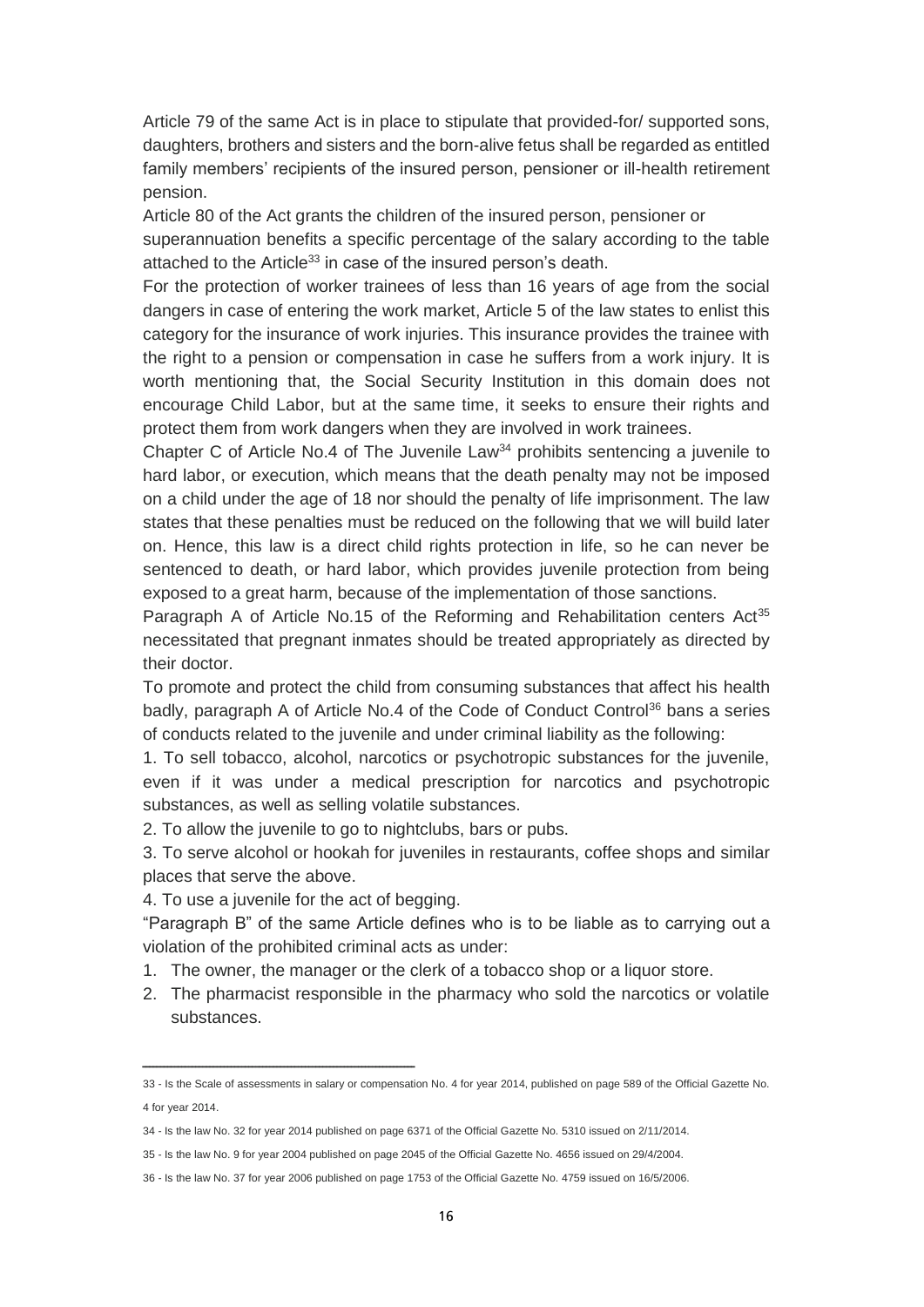Article 79 of the same Act is in place to stipulate that provided-for/ supported sons, daughters, brothers and sisters and the born-alive fetus shall be regarded as entitled family members' recipients of the insured person, pensioner or ill-health retirement pension.

Article 80 of the Act grants the children of the insured person, pensioner or superannuation benefits a specific percentage of the salary according to the table attached to the Article<sup>33</sup> in case of the insured person's death.

For the protection of worker trainees of less than 16 years of age from the social dangers in case of entering the work market, Article 5 of the law states to enlist this category for the insurance of work injuries. This insurance provides the trainee with the right to a pension or compensation in case he suffers from a work injury. It is worth mentioning that, the Social Security Institution in this domain does not encourage Child Labor, but at the same time, it seeks to ensure their rights and protect them from work dangers when they are involved in work trainees.

Chapter C of Article No.4 of The Juvenile Law<sup>34</sup> prohibits sentencing a juvenile to hard labor, or execution, which means that the death penalty may not be imposed on a child under the age of 18 nor should the penalty of life imprisonment. The law states that these penalties must be reduced on the following that we will build later on. Hence, this law is a direct child rights protection in life, so he can never be sentenced to death, or hard labor, which provides juvenile protection from being exposed to a great harm, because of the implementation of those sanctions.

Paragraph A of Article No.15 of the Reforming and Rehabilitation centers  $Act^{35}$ necessitated that pregnant inmates should be treated appropriately as directed by their doctor.

To promote and protect the child from consuming substances that affect his health badly, paragraph A of Article No.4 of the Code of Conduct Control<sup>36</sup> bans a series of conducts related to the juvenile and under criminal liability as the following:

1. To sell tobacco, alcohol, narcotics or psychotropic substances for the juvenile, even if it was under a medical prescription for narcotics and psychotropic substances, as well as selling volatile substances.

2. To allow the juvenile to go to nightclubs, bars or pubs.

3. To serve alcohol or hookah for juveniles in restaurants, coffee shops and similar places that serve the above.

4. To use a juvenile for the act of begging.

ـــــــــــــــــــــــــــــــــــــــــــــــــــــــــــــــــــــــــــــ

"Paragraph B" of the same Article defines who is to be liable as to carrying out a violation of the prohibited criminal acts as under:

- 1. The owner, the manager or the clerk of a tobacco shop or a liquor store.
- 2. The pharmacist responsible in the pharmacy who sold the narcotics or volatile substances.

<sup>33 -</sup> Is the Scale of assessments in salary or compensation No. 4 for year 2014, published on page 589 of the Official Gazette No. 4 for year 2014.

<sup>34 -</sup> Is the law No. 32 for year 2014 published on page 6371 of the Official Gazette No. 5310 issued on 2/11/2014.

<sup>35 -</sup> Is the law No. 9 for year 2004 published on page 2045 of the Official Gazette No. 4656 issued on 29/4/2004.

<sup>36 -</sup> Is the law No. 37 for year 2006 published on page 1753 of the Official Gazette No. 4759 issued on 16/5/2006.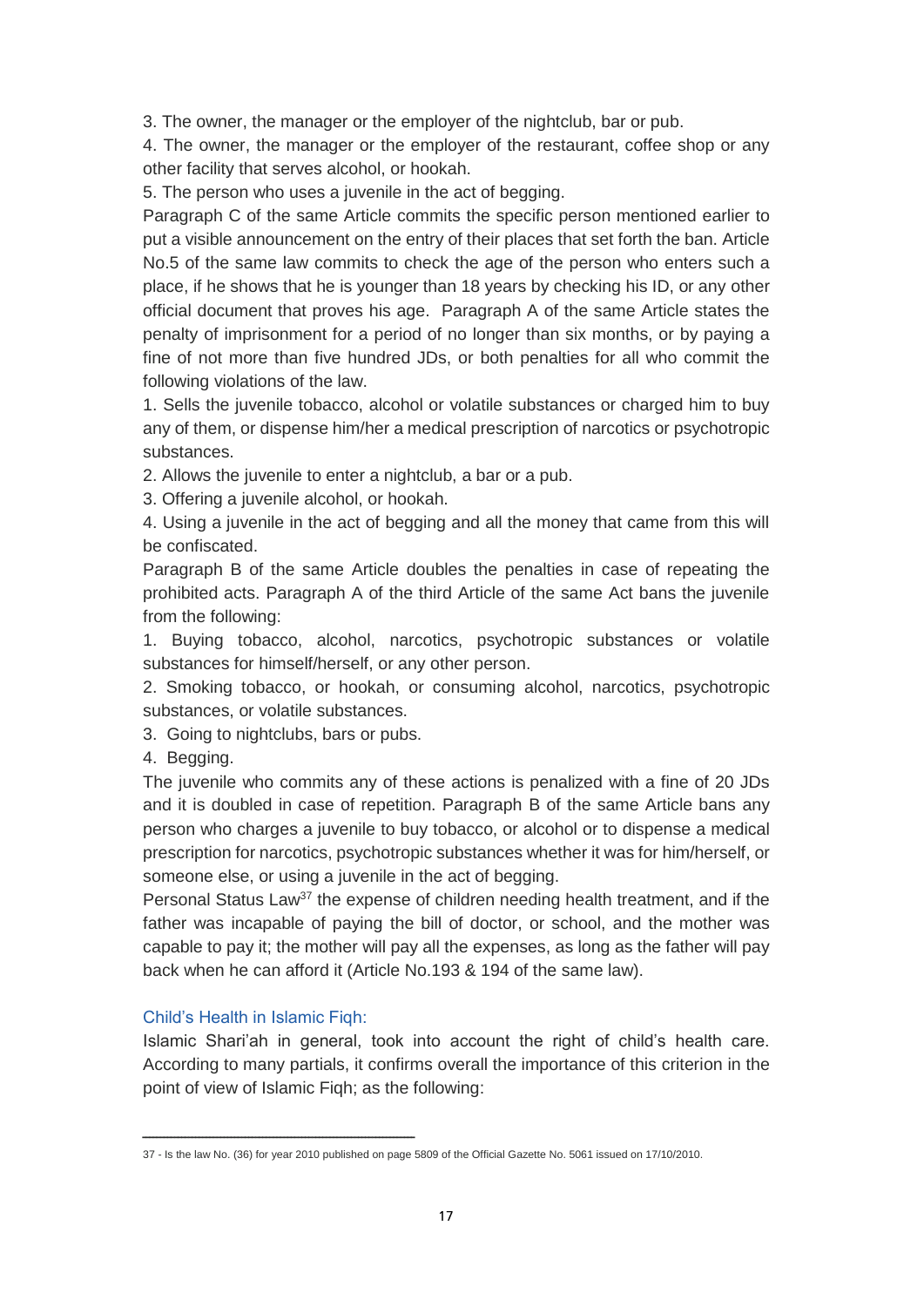3. The owner, the manager or the employer of the nightclub, bar or pub.

4. The owner, the manager or the employer of the restaurant, coffee shop or any other facility that serves alcohol, or hookah.

5. The person who uses a juvenile in the act of begging.

Paragraph C of the same Article commits the specific person mentioned earlier to put a visible announcement on the entry of their places that set forth the ban. Article No.5 of the same law commits to check the age of the person who enters such a place, if he shows that he is younger than 18 years by checking his ID, or any other official document that proves his age. Paragraph A of the same Article states the penalty of imprisonment for a period of no longer than six months, or by paying a fine of not more than five hundred JDs, or both penalties for all who commit the following violations of the law.

1. Sells the juvenile tobacco, alcohol or volatile substances or charged him to buy any of them, or dispense him/her a medical prescription of narcotics or psychotropic substances.

2. Allows the juvenile to enter a nightclub, a bar or a pub.

3. Offering a juvenile alcohol, or hookah.

4. Using a juvenile in the act of begging and all the money that came from this will be confiscated.

Paragraph B of the same Article doubles the penalties in case of repeating the prohibited acts. Paragraph A of the third Article of the same Act bans the juvenile from the following:

1. Buying tobacco, alcohol, narcotics, psychotropic substances or volatile substances for himself/herself, or any other person.

2. Smoking tobacco, or hookah, or consuming alcohol, narcotics, psychotropic substances, or volatile substances.

3. Going to nightclubs, bars or pubs.

4. Begging.

The juvenile who commits any of these actions is penalized with a fine of 20 JDs and it is doubled in case of repetition. Paragraph B of the same Article bans any person who charges a juvenile to buy tobacco, or alcohol or to dispense a medical prescription for narcotics, psychotropic substances whether it was for him/herself, or someone else, or using a juvenile in the act of begging.

Personal Status Law<sup>37</sup> the expense of children needing health treatment, and if the father was incapable of paying the bill of doctor, or school, and the mother was capable to pay it; the mother will pay all the expenses, as long as the father will pay back when he can afford it (Article No.193 & 194 of the same law).

# Child's Health in Islamic Fiqh:

ـــــــــــــــــــــــــــــــــــــــــــــــــــــــــــــــــــــــــــــ

Islamic Shari'ah in general, took into account the right of child's health care. According to many partials, it confirms overall the importance of this criterion in the point of view of Islamic Fiqh; as the following:

<sup>37 -</sup> Is the law No. (36) for year 2010 published on page 5809 of the Official Gazette No. 5061 issued on 17/10/2010.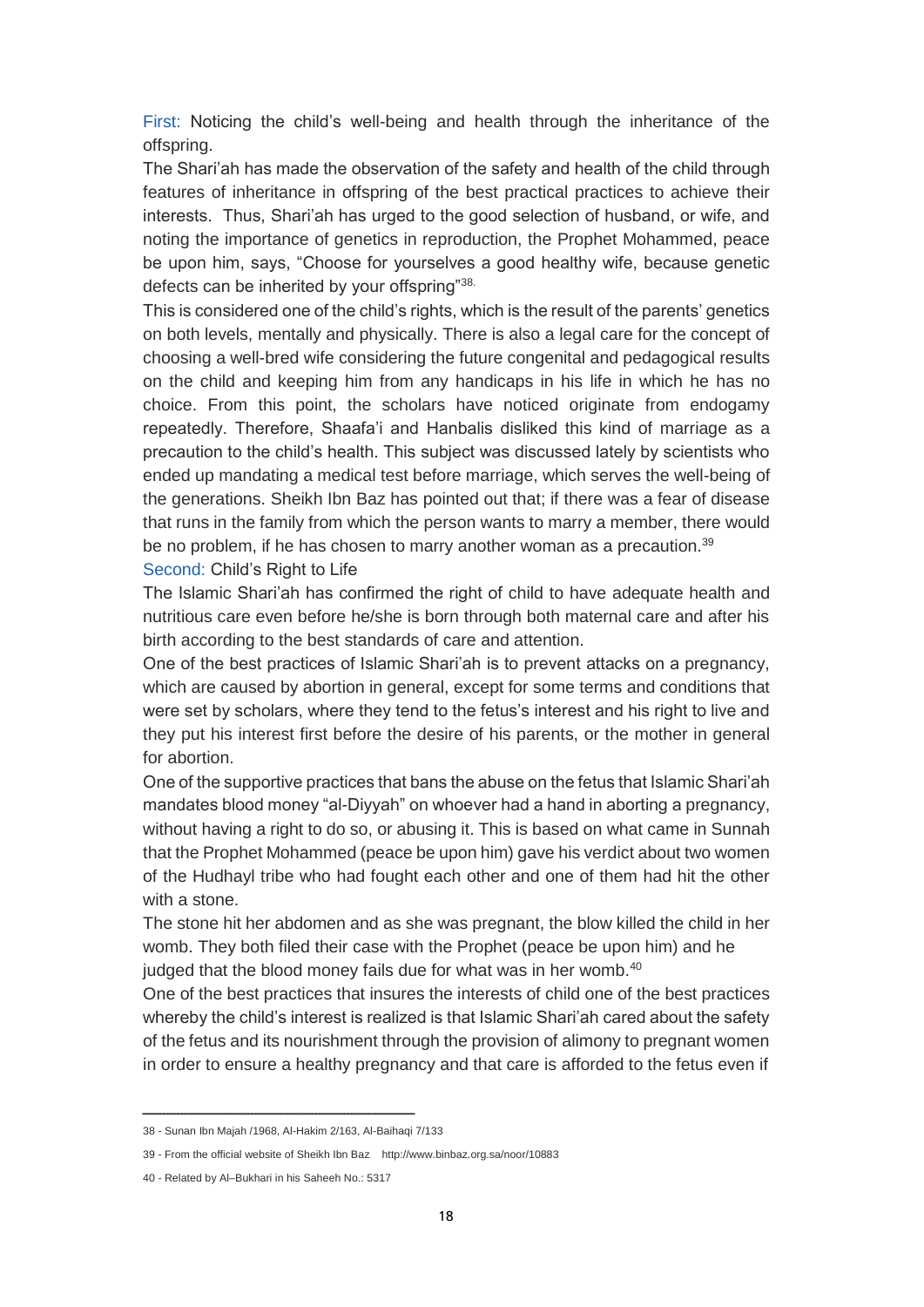First: Noticing the child's well-being and health through the inheritance of the offspring.

The Shari'ah has made the observation of the safety and health of the child through features of inheritance in offspring of the best practical practices to achieve their interests. Thus, Shari'ah has urged to the good selection of husband, or wife, and noting the importance of genetics in reproduction, the Prophet Mohammed, peace be upon him, says, "Choose for yourselves a good healthy wife, because genetic defects can be inherited by your offspring"38.

This is considered one of the child's rights, which is the result of the parents' genetics on both levels, mentally and physically. There is also a legal care for the concept of choosing a well-bred wife considering the future congenital and pedagogical results on the child and keeping him from any handicaps in his life in which he has no choice. From this point, the scholars have noticed originate from endogamy repeatedly. Therefore, Shaafa'i and Hanbalis disliked this kind of marriage as a precaution to the child's health. This subject was discussed lately by scientists who ended up mandating a medical test before marriage, which serves the well-being of the generations. Sheikh Ibn Baz has pointed out that; if there was a fear of disease that runs in the family from which the person wants to marry a member, there would be no problem, if he has chosen to marry another woman as a precaution.<sup>39</sup>

### Second: Child's Right to Life

The Islamic Shari'ah has confirmed the right of child to have adequate health and nutritious care even before he/she is born through both maternal care and after his birth according to the best standards of care and attention.

One of the best practices of Islamic Shari'ah is to prevent attacks on a pregnancy, which are caused by abortion in general, except for some terms and conditions that were set by scholars, where they tend to the fetus's interest and his right to live and they put his interest first before the desire of his parents, or the mother in general for abortion.

One of the supportive practices that bans the abuse on the fetus that Islamic Shari'ah mandates blood money "al-Diyyah" on whoever had a hand in aborting a pregnancy, without having a right to do so, or abusing it. This is based on what came in Sunnah that the Prophet Mohammed (peace be upon him) gave his verdict about two women of the Hudhayl tribe who had fought each other and one of them had hit the other with a stone.

The stone hit her abdomen and as she was pregnant, the blow killed the child in her womb. They both filed their case with the Prophet (peace be upon him) and he judged that the blood money fails due for what was in her womb.<sup>40</sup>

One of the best practices that insures the interests of child one of the best practices whereby the child's interest is realized is that Islamic Shari'ah cared about the safety of the fetus and its nourishment through the provision of alimony to pregnant women in order to ensure a healthy pregnancy and that care is afforded to the fetus even if

<sup>38 -</sup> Sunan Ibn Majah /1968, Al-Hakim 2/163, Al-Baihaqi 7/133

<sup>39 -</sup> From the official website of Sheikh Ibn Baz <http://www.binbaz.org.sa/noor/10883>

<sup>40 -</sup> Related by Al–Bukhari in his Saheeh No.: 5317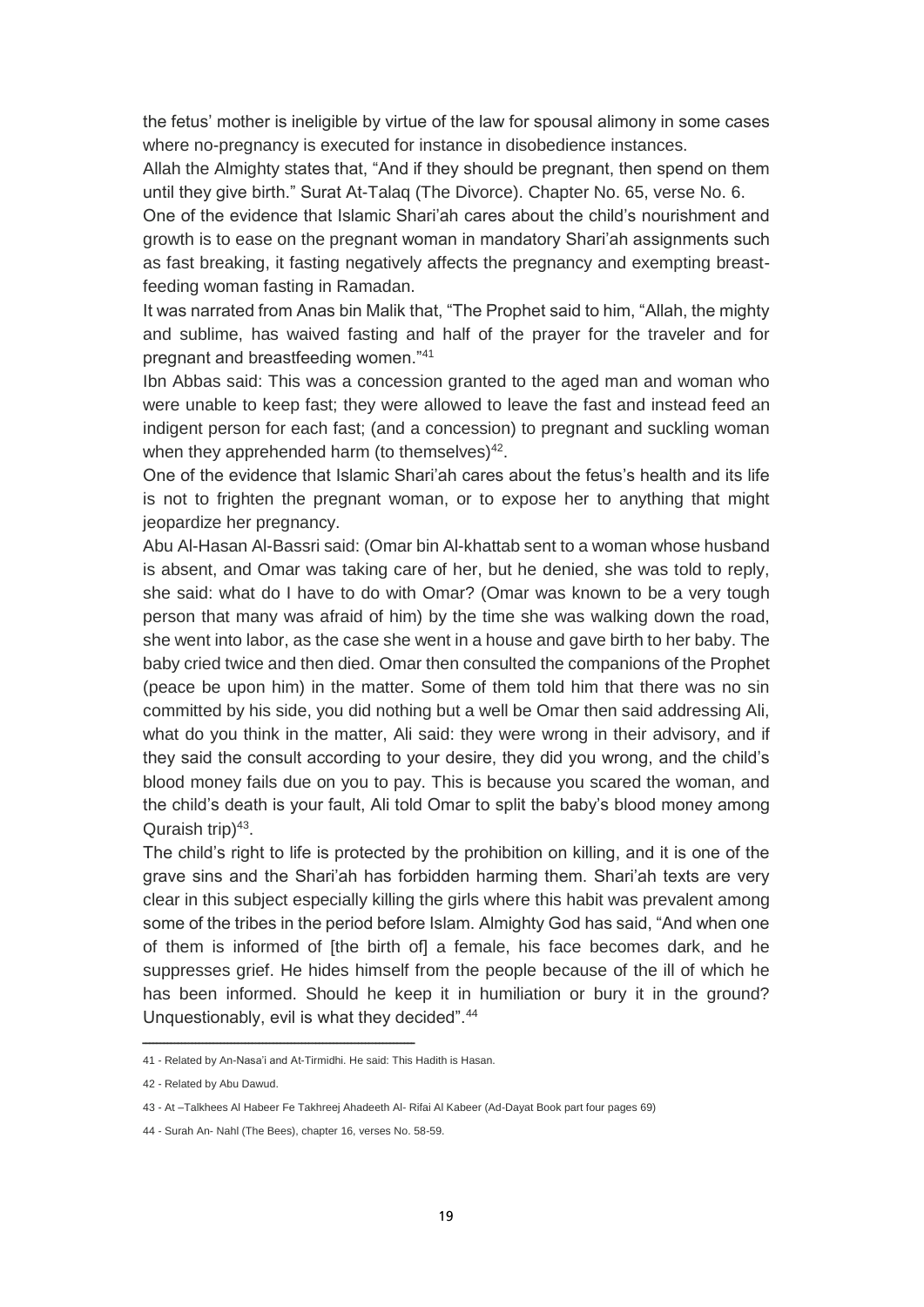the fetus' mother is ineligible by virtue of the law for spousal alimony in some cases where no-pregnancy is executed for instance in disobedience instances.

Allah the Almighty states that, "And if they should be pregnant, then spend on them until they give birth." Surat At-Talaq (The Divorce). Chapter No. 65, verse No. 6.

One of the evidence that Islamic Shari'ah cares about the child's nourishment and growth is to ease on the pregnant woman in mandatory Shari'ah assignments such as fast breaking, it fasting negatively affects the pregnancy and exempting breastfeeding woman fasting in Ramadan.

It was narrated from Anas bin Malik that, "The Prophet said to him, "Allah, the mighty and sublime, has waived fasting and half of the prayer for the traveler and for pregnant and breastfeeding women."<sup>41</sup>

Ibn Abbas said: This was a concession granted to the aged man and woman who were unable to keep fast; they were allowed to leave the fast and instead feed an indigent person for each fast; (and a concession) to pregnant and suckling woman when they apprehended harm (to themselves) $42$ .

One of the evidence that Islamic Shari'ah cares about the fetus's health and its life is not to frighten the pregnant woman, or to expose her to anything that might jeopardize her pregnancy.

Abu Al-Hasan Al-Bassri said: (Omar bin Al-khattab sent to a woman whose husband is absent, and Omar was taking care of her, but he denied, she was told to reply, she said: what do I have to do with Omar? (Omar was known to be a very tough person that many was afraid of him) by the time she was walking down the road, she went into labor, as the case she went in a house and gave birth to her baby. The baby cried twice and then died. Omar then consulted the companions of the Prophet (peace be upon him) in the matter. Some of them told him that there was no sin committed by his side, you did nothing but a well be Omar then said addressing Ali, what do you think in the matter, Ali said: they were wrong in their advisory, and if they said the consult according to your desire, they did you wrong, and the child's blood money fails due on you to pay. This is because you scared the woman, and the child's death is your fault, Ali told Omar to split the baby's blood money among Quraish trip $)^{43}$ .

The child's right to life is protected by the prohibition on killing, and it is one of the grave sins and the Shari'ah has forbidden harming them. Shari'ah texts are very clear in this subject especially killing the girls where this habit was prevalent among some of the tribes in the period before Islam. Almighty God has said, "And when one of them is informed of [the birth of] a female, his face becomes dark, and he suppresses grief. He hides himself from the people because of the ill of which he has been informed. Should he keep it in humiliation or bury it in the ground? Unquestionably, evil is what they decided".<sup>44</sup>

<sup>41 -</sup> Related by An-Nasa'i and At-Tirmidhi. He said: This Hadith is Hasan.

<sup>42 -</sup> Related by Abu Dawud.

<sup>43 -</sup> At –Talkhees Al Habeer Fe Takhreej Ahadeeth Al- Rifai Al Kabeer (Ad-Dayat Book part four pages 69)

<sup>44 -</sup> Surah An- Nahl (The Bees), chapter 16, verses No. 58-59.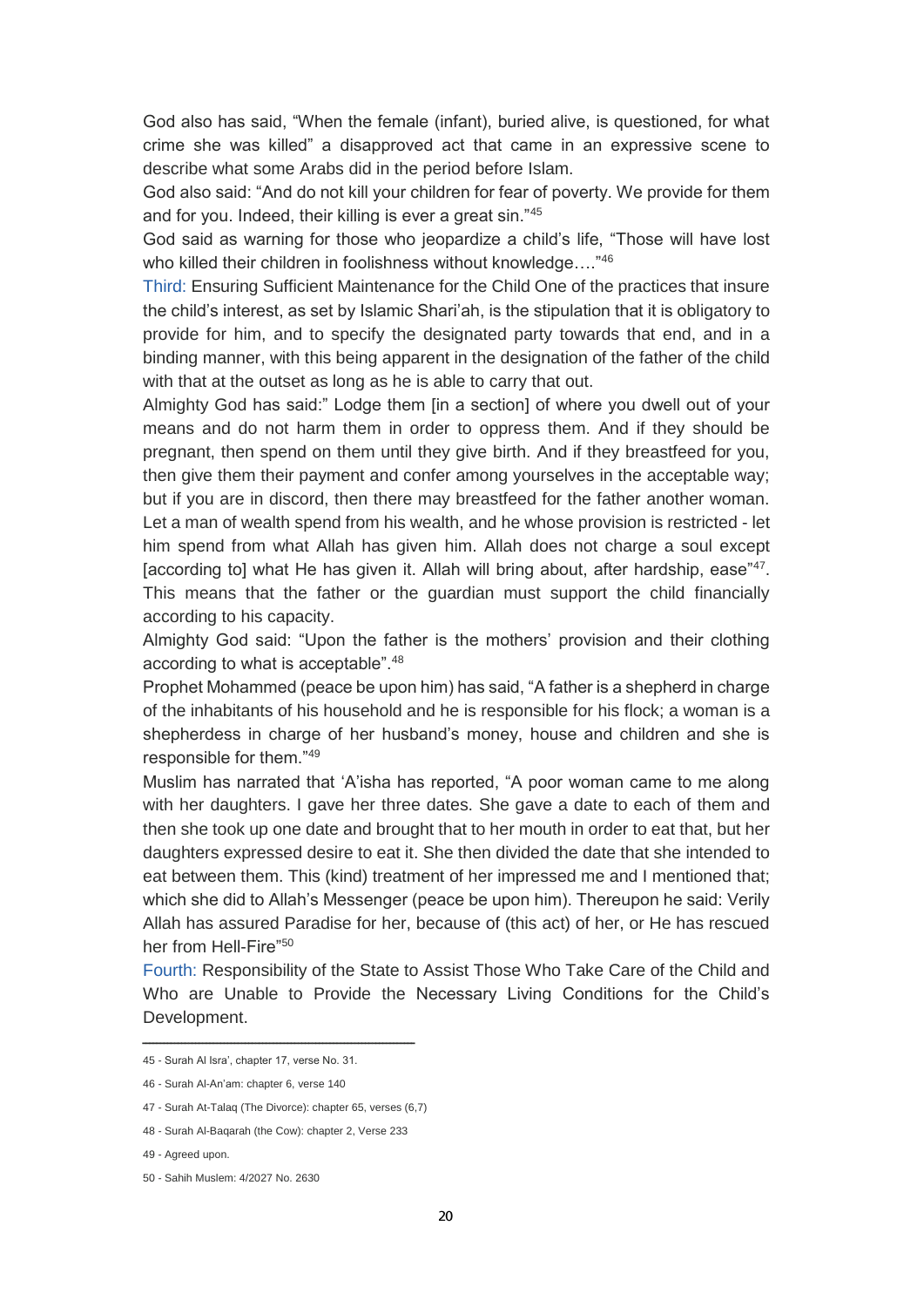God also has said, "When the female (infant), buried alive, is questioned, for what crime she was killed" a disapproved act that came in an expressive scene to describe what some Arabs did in the period before Islam.

God also said: "And do not kill your children for fear of poverty. We provide for them and for you. Indeed, their killing is ever a great sin."<sup>45</sup>

God said as warning for those who jeopardize a child's life, "Those will have lost who killed their children in foolishness without knowledge...."<sup>46</sup>

Third: Ensuring Sufficient Maintenance for the Child One of the practices that insure the child's interest, as set by Islamic Shari'ah, is the stipulation that it is obligatory to provide for him, and to specify the designated party towards that end, and in a binding manner, with this being apparent in the designation of the father of the child with that at the outset as long as he is able to carry that out.

Almighty God has said:" Lodge them [in a section] of where you dwell out of your means and do not harm them in order to oppress them. And if they should be pregnant, then spend on them until they give birth. And if they breastfeed for you, then give them their payment and confer among yourselves in the acceptable way; but if you are in discord, then there may breastfeed for the father another woman. Let a man of wealth spend from his wealth, and he whose provision is restricted - let him spend from what Allah has given him. Allah does not charge a soul except [according to] what He has given it. Allah will bring about, after hardship, ease<sup>"47</sup>. This means that the father or the guardian must support the child financially according to his capacity.

Almighty God said: "Upon the father is the mothers' provision and their clothing according to what is acceptable".<sup>48</sup>

Prophet Mohammed (peace be upon him) has said, "A father is a shepherd in charge of the inhabitants of his household and he is responsible for his flock; a woman is a shepherdess in charge of her husband's money, house and children and she is responsible for them."<sup>49</sup>

Muslim has narrated that 'A'isha has reported, "A poor woman came to me along with her daughters. I gave her three dates. She gave a date to each of them and then she took up one date and brought that to her mouth in order to eat that, but her daughters expressed desire to eat it. She then divided the date that she intended to eat between them. This (kind) treatment of her impressed me and I mentioned that; which she did to Allah's Messenger (peace be upon him). Thereupon he said: Verily Allah has assured Paradise for her, because of (this act) of her, or He has rescued her from Hell-Fire"<sup>50</sup>

Fourth: Responsibility of the State to Assist Those Who Take Care of the Child and Who are Unable to Provide the Necessary Living Conditions for the Child's Development.

<sup>45 -</sup> Surah Al Isra', chapter 17, verse No. 31.

<sup>46 -</sup> Surah Al-An'am: chapter 6, verse 140

<sup>47 -</sup> Surah At-Talaq (The Divorce): chapter 65, verses (6,7)

<sup>48 -</sup> Surah Al-Baqarah (the Cow): chapter 2, Verse 233

<sup>49 -</sup> Agreed upon.

<sup>50 -</sup> Sahih Muslem: 4/2027 No. 2630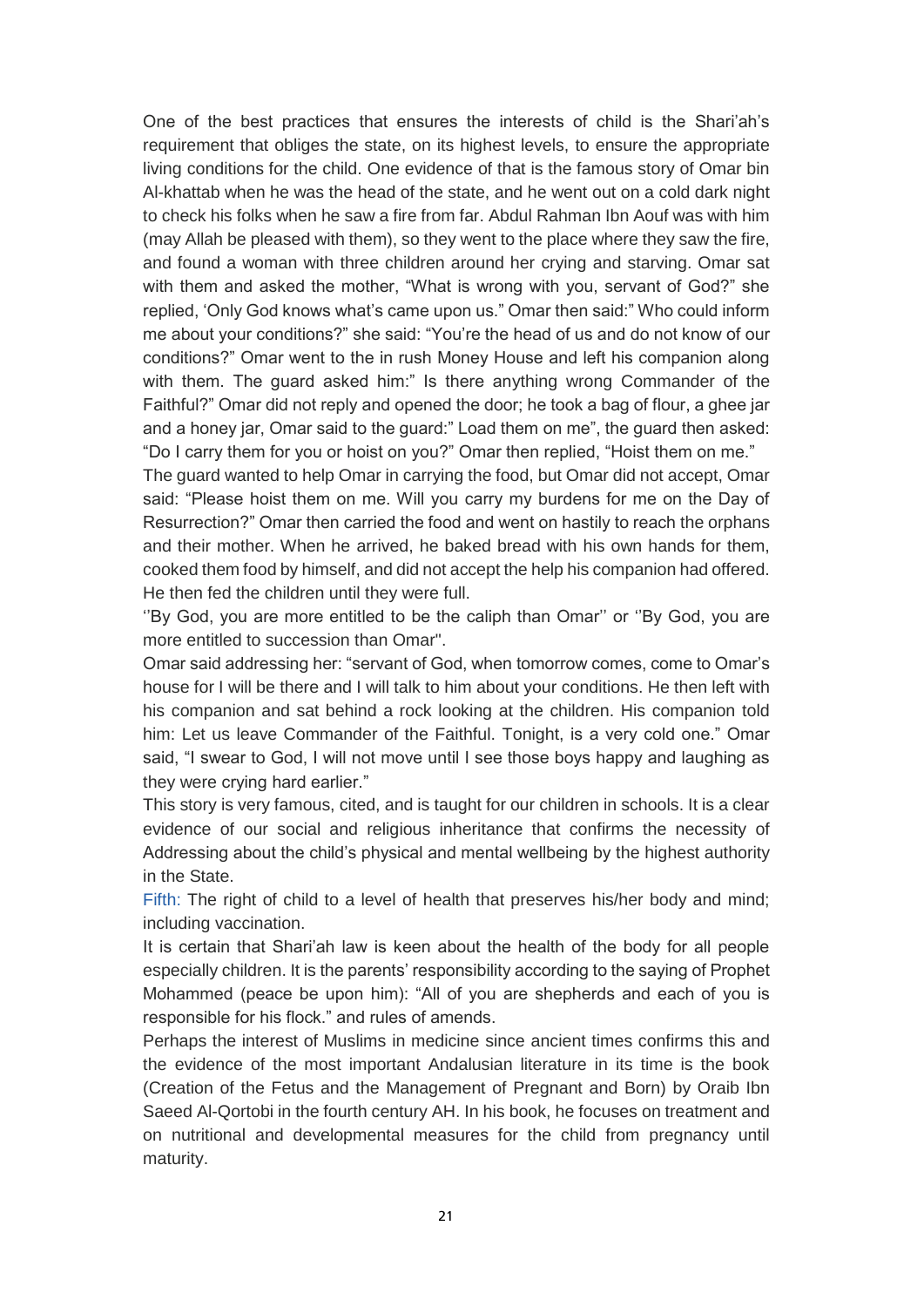One of the best practices that ensures the interests of child is the Shari'ah's requirement that obliges the state, on its highest levels, to ensure the appropriate living conditions for the child. One evidence of that is the famous story of Omar bin Al-khattab when he was the head of the state, and he went out on a cold dark night to check his folks when he saw a fire from far. Abdul Rahman Ibn Aouf was with him (may Allah be pleased with them), so they went to the place where they saw the fire, and found a woman with three children around her crying and starving. Omar sat with them and asked the mother, "What is wrong with you, servant of God?" she replied, 'Only God knows what's came upon us." Omar then said:" Who could inform me about your conditions?" she said: "You're the head of us and do not know of our conditions?" Omar went to the in rush Money House and left his companion along with them. The guard asked him:" Is there anything wrong Commander of the Faithful?" Omar did not reply and opened the door; he took a bag of flour, a ghee jar and a honey jar, Omar said to the guard:" Load them on me", the guard then asked: "Do I carry them for you or hoist on you?" Omar then replied, "Hoist them on me."

The guard wanted to help Omar in carrying the food, but Omar did not accept, Omar said: "Please hoist them on me. Will you carry my burdens for me on the Day of Resurrection?" Omar then carried the food and went on hastily to reach the orphans and their mother. When he arrived, he baked bread with his own hands for them, cooked them food by himself, and did not accept the help his companion had offered. He then fed the children until they were full.

''By God, you are more entitled to be the caliph than Omar'' or ''By God, you are more entitled to succession than Omar".

Omar said addressing her: "servant of God, when tomorrow comes, come to Omar's house for I will be there and I will talk to him about your conditions. He then left with his companion and sat behind a rock looking at the children. His companion told him: Let us leave Commander of the Faithful. Tonight, is a very cold one." Omar said, "I swear to God, I will not move until I see those boys happy and laughing as they were crying hard earlier."

This story is very famous, cited, and is taught for our children in schools. It is a clear evidence of our social and religious inheritance that confirms the necessity of Addressing about the child's physical and mental wellbeing by the highest authority in the State.

Fifth: The right of child to a level of health that preserves his/her body and mind; including vaccination.

It is certain that Shari'ah law is keen about the health of the body for all people especially children. It is the parents' responsibility according to the saying of Prophet Mohammed (peace be upon him): "All of you are shepherds and each of you is responsible for his flock." and rules of amends.

Perhaps the interest of Muslims in medicine since ancient times confirms this and the evidence of the most important Andalusian literature in its time is the book (Creation of the Fetus and the Management of Pregnant and Born) by Oraib Ibn Saeed Al-Qortobi in the fourth century AH. In his book, he focuses on treatment and on nutritional and developmental measures for the child from pregnancy until maturity.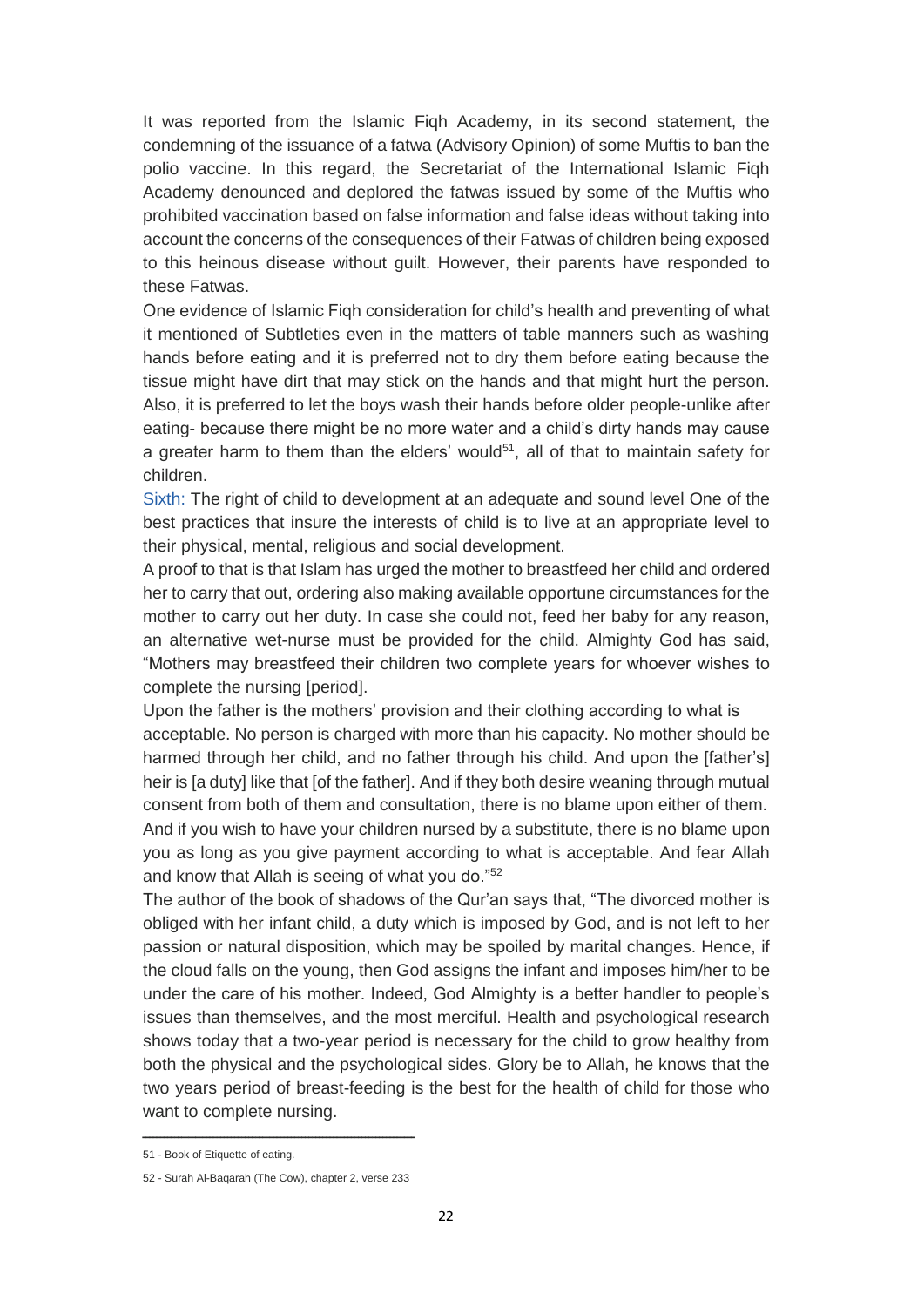It was reported from the Islamic Fiqh Academy, in its second statement, the condemning of the issuance of a fatwa (Advisory Opinion) of some Muftis to ban the polio vaccine. In this regard, the Secretariat of the International Islamic Fiqh Academy denounced and deplored the fatwas issued by some of the Muftis who prohibited vaccination based on false information and false ideas without taking into account the concerns of the consequences of their Fatwas of children being exposed to this heinous disease without guilt. However, their parents have responded to these Fatwas.

One evidence of Islamic Fiqh consideration for child's health and preventing of what it mentioned of Subtleties even in the matters of table manners such as washing hands before eating and it is preferred not to dry them before eating because the tissue might have dirt that may stick on the hands and that might hurt the person. Also, it is preferred to let the boys wash their hands before older people-unlike after eating- because there might be no more water and a child's dirty hands may cause a greater harm to them than the elders' would<sup>51</sup>, all of that to maintain safety for children.

Sixth: The right of child to development at an adequate and sound level One of the best practices that insure the interests of child is to live at an appropriate level to their physical, mental, religious and social development.

A proof to that is that Islam has urged the mother to breastfeed her child and ordered her to carry that out, ordering also making available opportune circumstances for the mother to carry out her duty. In case she could not, feed her baby for any reason, an alternative wet-nurse must be provided for the child. Almighty God has said, "Mothers may breastfeed their children two complete years for whoever wishes to complete the nursing [period].

Upon the father is the mothers' provision and their clothing according to what is acceptable. No person is charged with more than his capacity. No mother should be harmed through her child, and no father through his child. And upon the [father's] heir is [a duty] like that [of the father]. And if they both desire weaning through mutual consent from both of them and consultation, there is no blame upon either of them. And if you wish to have your children nursed by a substitute, there is no blame upon you as long as you give payment according to what is acceptable. And fear Allah and know that Allah is seeing of what you do."<sup>52</sup>

The author of the book of shadows of the Qur'an says that, "The divorced mother is obliged with her infant child, a duty which is imposed by God, and is not left to her passion or natural disposition, which may be spoiled by marital changes. Hence, if the cloud falls on the young, then God assigns the infant and imposes him/her to be under the care of his mother. Indeed, God Almighty is a better handler to people's issues than themselves, and the most merciful. Health and psychological research shows today that a two-year period is necessary for the child to grow healthy from both the physical and the psychological sides. Glory be to Allah, he knows that the two years period of breast-feeding is the best for the health of child for those who want to complete nursing.

<sup>51 -</sup> Book of Etiquette of eating.

<sup>52 -</sup> Surah Al-Baqarah (The Cow), chapter 2, verse 233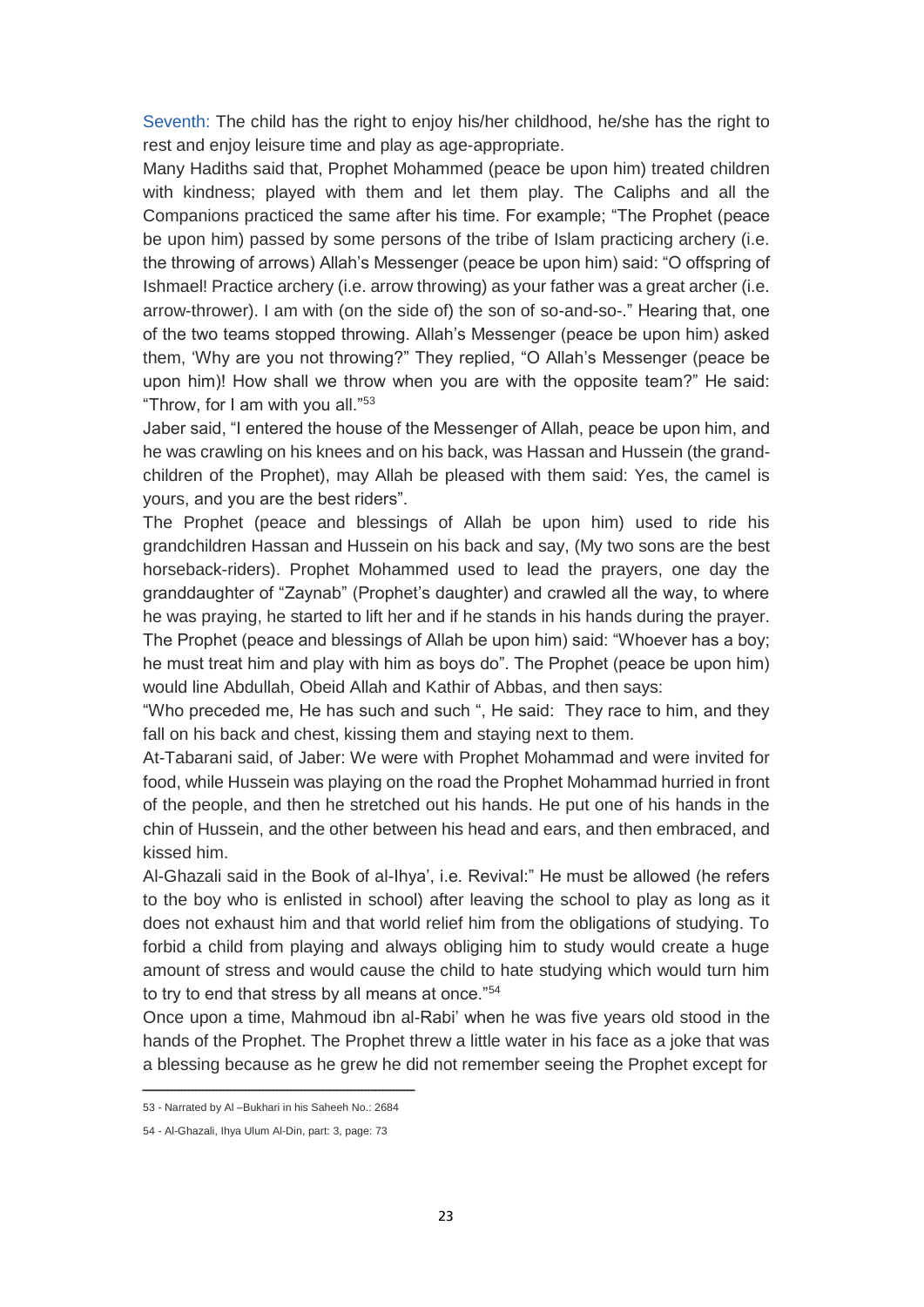Seventh: The child has the right to enjoy his/her childhood, he/she has the right to rest and enjoy leisure time and play as age-appropriate.

Many Hadiths said that, Prophet Mohammed (peace be upon him) treated children with kindness; played with them and let them play. The Caliphs and all the Companions practiced the same after his time. For example; "The Prophet (peace be upon him) passed by some persons of the tribe of Islam practicing archery (i.e. the throwing of arrows) Allah's Messenger (peace be upon him) said: "O offspring of Ishmael! Practice archery (i.e. arrow throwing) as your father was a great archer (i.e. arrow-thrower). I am with (on the side of) the son of so-and-so-." Hearing that, one of the two teams stopped throwing. Allah's Messenger (peace be upon him) asked them, 'Why are you not throwing?" They replied, "O Allah's Messenger (peace be upon him)! How shall we throw when you are with the opposite team?" He said: "Throw, for I am with you all."<sup>53</sup>

Jaber said, "I entered the house of the Messenger of Allah, peace be upon him, and he was crawling on his knees and on his back, was Hassan and Hussein (the grandchildren of the Prophet), may Allah be pleased with them said: Yes, the camel is yours, and you are the best riders".

The Prophet (peace and blessings of Allah be upon him) used to ride his grandchildren Hassan and Hussein on his back and say, (My two sons are the best horseback-riders). Prophet Mohammed used to lead the prayers, one day the granddaughter of "Zaynab" (Prophet's daughter) and crawled all the way, to where he was praying, he started to lift her and if he stands in his hands during the prayer. The Prophet (peace and blessings of Allah be upon him) said: "Whoever has a boy; he must treat him and play with him as boys do". The Prophet (peace be upon him) would line Abdullah, Obeid Allah and Kathir of Abbas, and then says:

"Who preceded me, He has such and such ", He said: They race to him, and they fall on his back and chest, kissing them and staying next to them.

At-Tabarani said, of Jaber: We were with Prophet Mohammad and were invited for food, while Hussein was playing on the road the Prophet Mohammad hurried in front of the people, and then he stretched out his hands. He put one of his hands in the chin of Hussein, and the other between his head and ears, and then embraced, and kissed him.

Al-Ghazali said in the Book of al-Ihya', i.e. Revival:" He must be allowed (he refers to the boy who is enlisted in school) after leaving the school to play as long as it does not exhaust him and that world relief him from the obligations of studying. To forbid a child from playing and always obliging him to study would create a huge amount of stress and would cause the child to hate studying which would turn him to try to end that stress by all means at once."<sup>54</sup>

Once upon a time, Mahmoud ibn al-Rabi' when he was five years old stood in the hands of the Prophet. The Prophet threw a little water in his face as a joke that was a blessing because as he grew he did not remember seeing the Prophet except for

ـــــــــــــــــــــــــــــــــــــــــــــــــــــــــــــــــــــــــــــ 53 - Narrated by Al –Bukhari in his Saheeh No.: 2684

<sup>54 -</sup> Al-Ghazali, Ihya Ulum Al-Din, part: 3, page: 73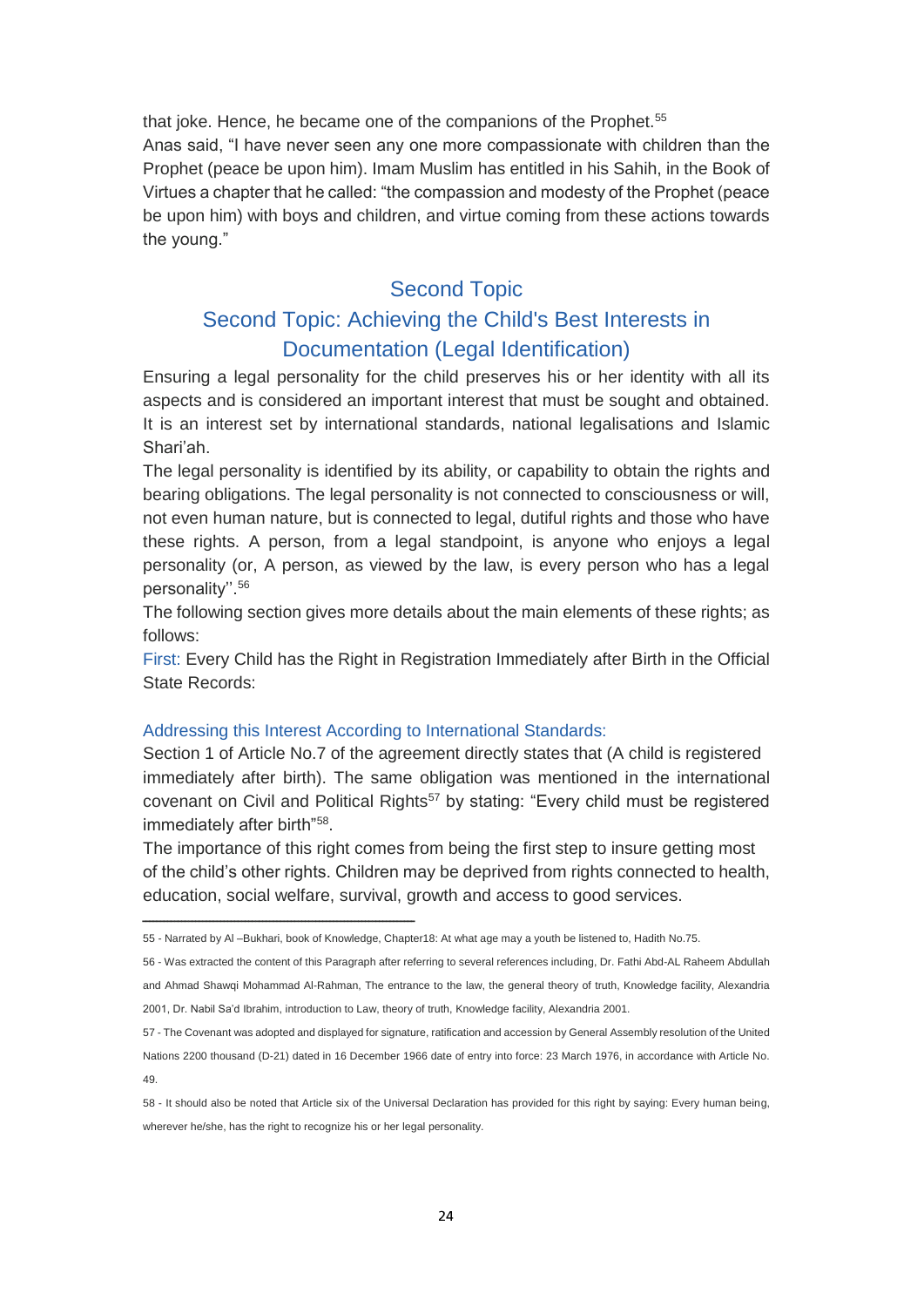that joke. Hence, he became one of the companions of the Prophet.<sup>55</sup> Anas said, "I have never seen any one more compassionate with children than the Prophet (peace be upon him). Imam Muslim has entitled in his Sahih, in the Book of Virtues a chapter that he called: "the compassion and modesty of the Prophet (peace be upon him) with boys and children, and virtue coming from these actions towards the young."

# Second Topic

# Second Topic: Achieving the Child's Best Interests in Documentation (Legal Identification)

Ensuring a legal personality for the child preserves his or her identity with all its aspects and is considered an important interest that must be sought and obtained. It is an interest set by international standards, national legalisations and Islamic Shari'ah.

The legal personality is identified by its ability, or capability to obtain the rights and bearing obligations. The legal personality is not connected to consciousness or will, not even human nature, but is connected to legal, dutiful rights and those who have these rights. A person, from a legal standpoint, is anyone who enjoys a legal personality (or, A person, as viewed by the law, is every person who has a legal personality''.<sup>56</sup>

The following section gives more details about the main elements of these rights; as follows:

First: Every Child has the Right in Registration Immediately after Birth in the Official State Records:

### Addressing this Interest According to International Standards:

ـــــــــــــــــــــــــــــــــــــــــــــــــــــــــــــــــــــــــــــ

Section 1 of Article No.7 of the agreement directly states that (A child is registered immediately after birth). The same obligation was mentioned in the international covenant on Civil and Political Rights<sup>57</sup> by stating: "Every child must be registered immediately after birth"<sup>58</sup>.

The importance of this right comes from being the first step to insure getting most of the child's other rights. Children may be deprived from rights connected to health, education, social welfare, survival, growth and access to good services.

57 - The Covenant was adopted and displayed for signature, ratification and accession by General Assembly resolution of the United Nations 2200 thousand (D-21) dated in 16 December 1966 date of entry into force: 23 March 1976, in accordance with Article No. 49.

58 - It should also be noted that Article six of the Universal Declaration has provided for this right by saying: Every human being, wherever he/she, has the right to recognize his or her legal personality.

<sup>55 -</sup> Narrated by Al –Bukhari, book of Knowledge, Chapter18: At what age may a youth be listened to, Hadith No.75.

<sup>56 -</sup> Was extracted the content of this Paragraph after referring to several references including, Dr. Fathi Abd-AL Raheem Abdullah and Ahmad Shawqi Mohammad Al-Rahman. The entrance to the law, the general theory of truth, Knowledge facility, Alexandria 2001, Dr. Nabil Sa'd Ibrahim, introduction to Law, theory of truth, Knowledge facility, Alexandria 2001.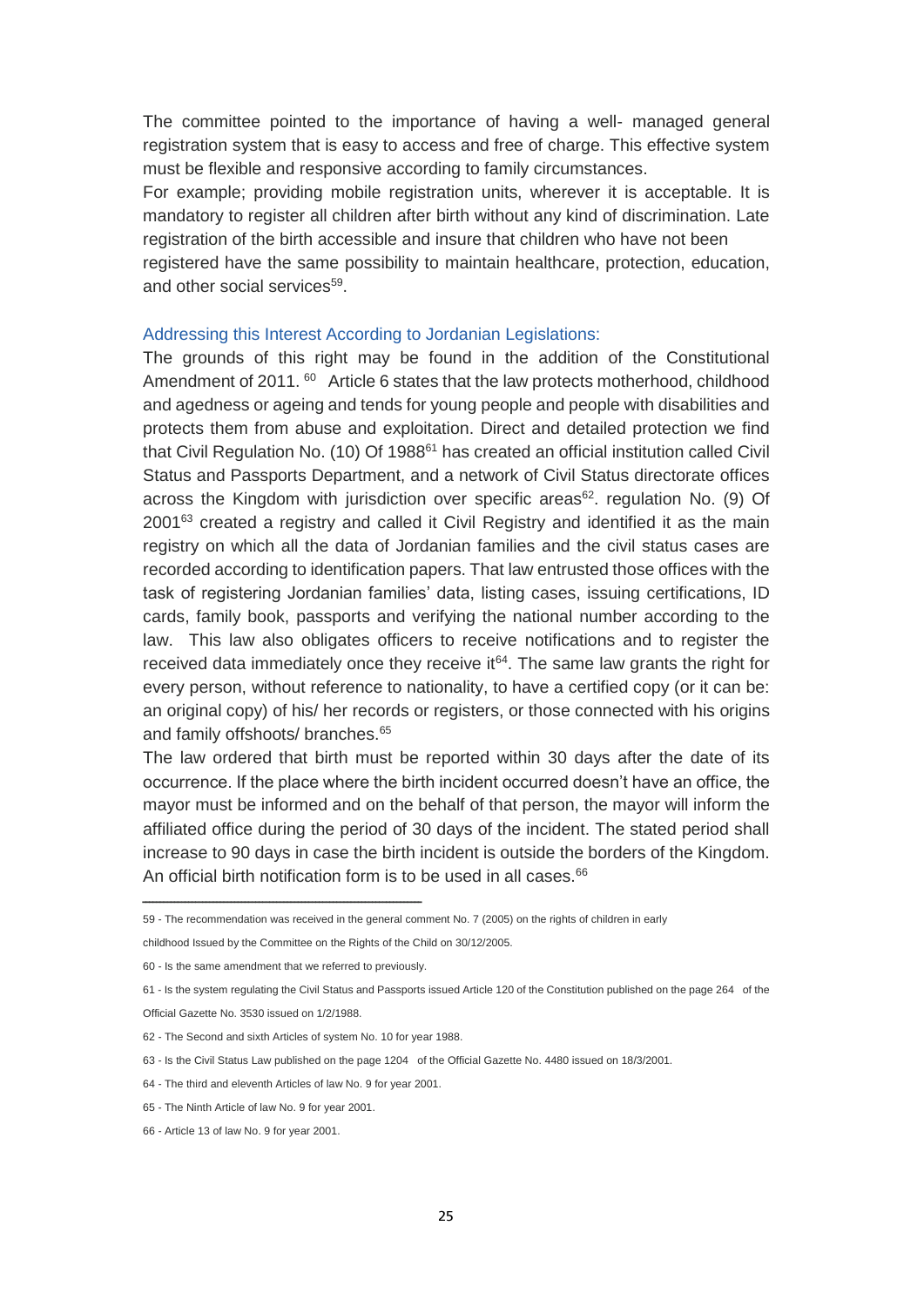The committee pointed to the importance of having a well- managed general registration system that is easy to access and free of charge. This effective system must be flexible and responsive according to family circumstances.

For example; providing mobile registration units, wherever it is acceptable. It is mandatory to register all children after birth without any kind of discrimination. Late registration of the birth accessible and insure that children who have not been

registered have the same possibility to maintain healthcare, protection, education, and other social services<sup>59</sup>.

### Addressing this Interest According to Jordanian Legislations:

The grounds of this right may be found in the addition of the Constitutional Amendment of 2011. <sup>60</sup> Article 6 states that the law protects motherhood, childhood and agedness or ageing and tends for young people and people with disabilities and protects them from abuse and exploitation. Direct and detailed protection we find that Civil Regulation No. (10) Of 1988<sup>61</sup> has created an official institution called Civil Status and Passports Department, and a network of Civil Status directorate offices across the Kingdom with jurisdiction over specific areas<sup>62</sup>. regulation No. (9) Of  $2001^{63}$  created a registry and called it Civil Registry and identified it as the main registry on which all the data of Jordanian families and the civil status cases are recorded according to identification papers. That law entrusted those offices with the task of registering Jordanian families' data, listing cases, issuing certifications, ID cards, family book, passports and verifying the national number according to the law. This law also obligates officers to receive notifications and to register the received data immediately once they receive it<sup> $64$ </sup>. The same law grants the right for every person, without reference to nationality, to have a certified copy (or it can be: an original copy) of his/ her records or registers, or those connected with his origins and family offshoots/ branches.<sup>65</sup>

The law ordered that birth must be reported within 30 days after the date of its occurrence. If the place where the birth incident occurred doesn't have an office, the mayor must be informed and on the behalf of that person, the mayor will inform the affiliated office during the period of 30 days of the incident. The stated period shall increase to 90 days in case the birth incident is outside the borders of the Kingdom. An official birth notification form is to be used in all cases.<sup>66</sup>

<sup>59 -</sup> The recommendation was received in the general comment No. 7 (2005) on the rights of children in early childhood Issued by the Committee on the Rights of the Child on 30/12/2005.

<sup>60 -</sup> Is the same amendment that we referred to previously.

<sup>61 -</sup> Is the system regulating the Civil Status and Passports issued Article 120 of the Constitution published on the page 264 of the Official Gazette No. 3530 issued on 1/2/1988.

<sup>62 -</sup> The Second and sixth Articles of system No. 10 for year 1988.

<sup>63 -</sup> Is the Civil Status Law published on the page 1204 of the Official Gazette No. 4480 issued on 18/3/2001.

<sup>64 -</sup> The third and eleventh Articles of law No. 9 for year 2001.

<sup>65 -</sup> The Ninth Article of law No. 9 for year 2001.

<sup>66 -</sup> Article 13 of law No. 9 for year 2001.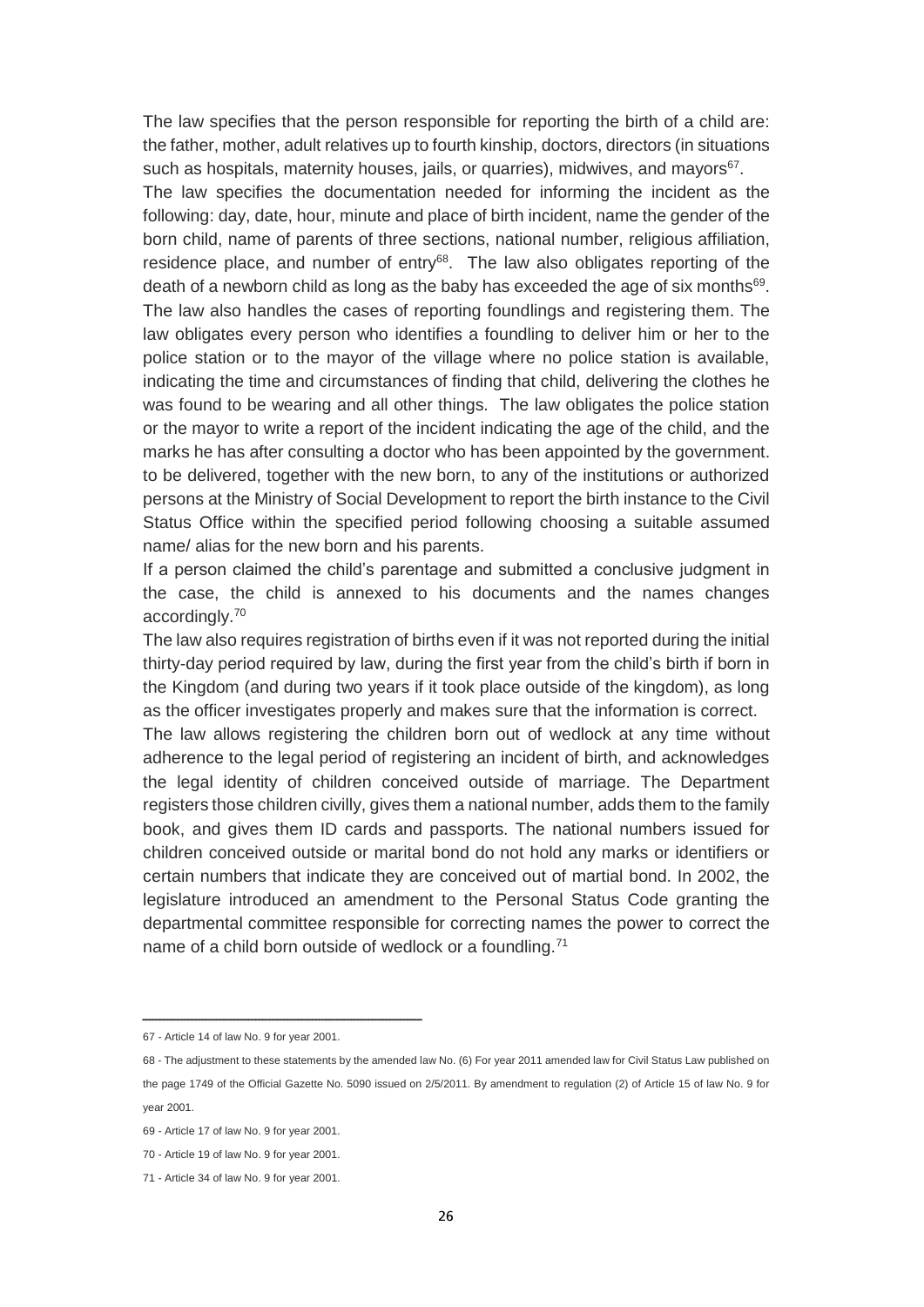The law specifies that the person responsible for reporting the birth of a child are: the father, mother, adult relatives up to fourth kinship, doctors, directors (in situations such as hospitals, maternity houses, jails, or quarries), midwives, and mayors<sup>67</sup>. The law specifies the documentation needed for informing the incident as the following: day, date, hour, minute and place of birth incident, name the gender of the born child, name of parents of three sections, national number, religious affiliation, residence place, and number of entry $68$ . The law also obligates reporting of the death of a newborn child as long as the baby has exceeded the age of six months $69$ . The law also handles the cases of reporting foundlings and registering them. The law obligates every person who identifies a foundling to deliver him or her to the police station or to the mayor of the village where no police station is available, indicating the time and circumstances of finding that child, delivering the clothes he was found to be wearing and all other things. The law obligates the police station or the mayor to write a report of the incident indicating the age of the child, and the marks he has after consulting a doctor who has been appointed by the government. to be delivered, together with the new born, to any of the institutions or authorized persons at the Ministry of Social Development to report the birth instance to the Civil Status Office within the specified period following choosing a suitable assumed name/ alias for the new born and his parents.

If a person claimed the child's parentage and submitted a conclusive judgment in the case, the child is annexed to his documents and the names changes accordingly.<sup>70</sup>

The law also requires registration of births even if it was not reported during the initial thirty-day period required by law, during the first year from the child's birth if born in the Kingdom (and during two years if it took place outside of the kingdom), as long as the officer investigates properly and makes sure that the information is correct.

The law allows registering the children born out of wedlock at any time without adherence to the legal period of registering an incident of birth, and acknowledges the legal identity of children conceived outside of marriage. The Department registers those children civilly, gives them a national number, adds them to the family book, and gives them ID cards and passports. The national numbers issued for children conceived outside or marital bond do not hold any marks or identifiers or certain numbers that indicate they are conceived out of martial bond. In 2002, the legislature introduced an amendment to the Personal Status Code granting the departmental committee responsible for correcting names the power to correct the name of a child born outside of wedlock or a foundling.<sup>71</sup>

<sup>67 -</sup> Article 14 of law No. 9 for year 2001.

<sup>68 -</sup> The adjustment to these statements by the amended law No. (6) For year 2011 amended law for Civil Status Law published on the page 1749 of the Official Gazette No. 5090 issued on 2/5/2011. By amendment to regulation (2) of Article 15 of law No. 9 for year 2001.

<sup>69 -</sup> Article 17 of law No. 9 for year 2001.

<sup>70 -</sup> Article 19 of law No. 9 for year 2001.

<sup>71 -</sup> Article 34 of law No. 9 for year 2001.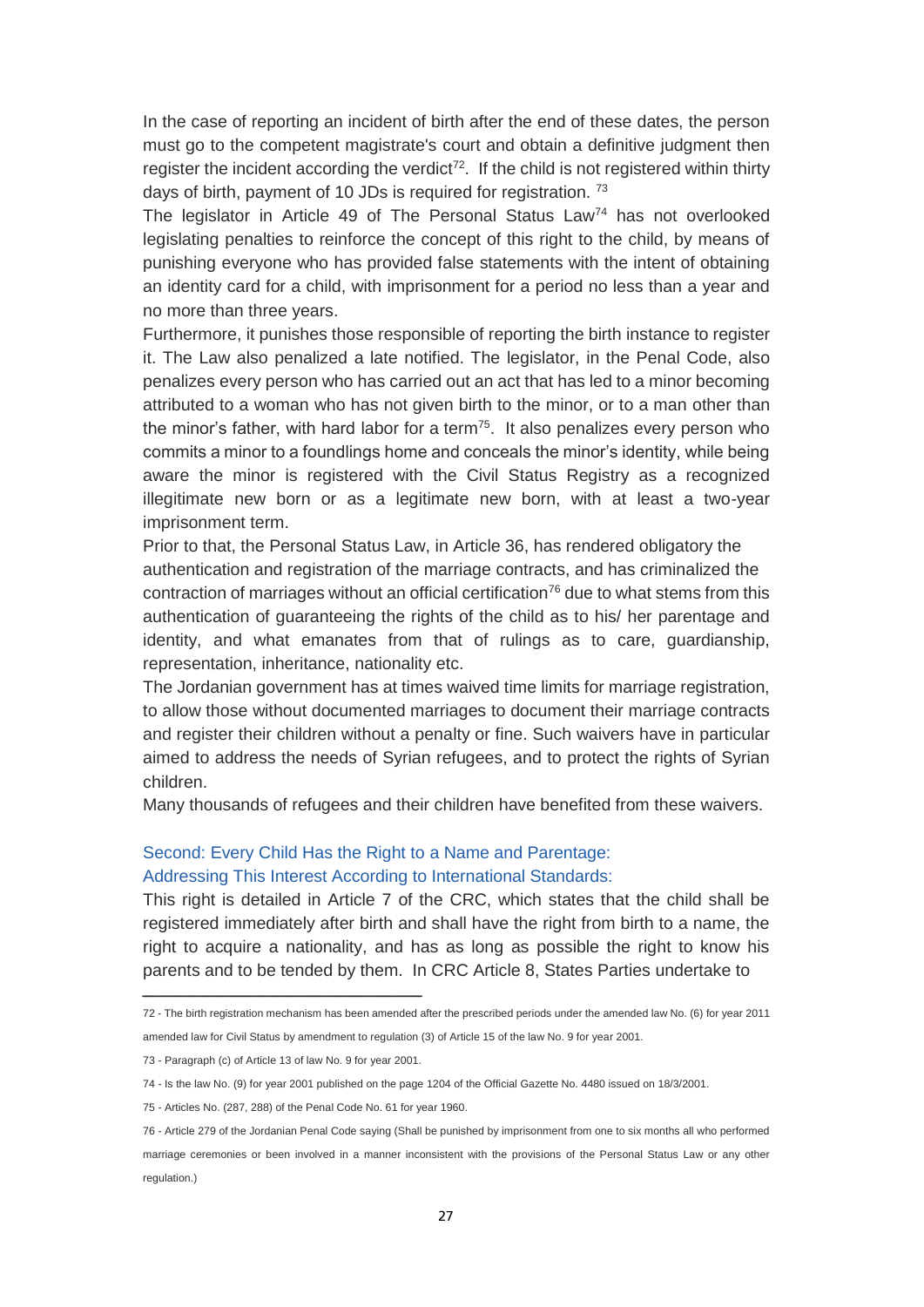In the case of reporting an incident of birth after the end of these dates, the person must go to the competent magistrate's court and obtain a definitive judgment then register the incident according the verdict<sup>72</sup>. If the child is not registered within thirty days of birth, payment of 10 JDs is required for registration. <sup>73</sup>

The legislator in Article 49 of The Personal Status Law<sup>74</sup> has not overlooked legislating penalties to reinforce the concept of this right to the child, by means of punishing everyone who has provided false statements with the intent of obtaining an identity card for a child, with imprisonment for a period no less than a year and no more than three years.

Furthermore, it punishes those responsible of reporting the birth instance to register it. The Law also penalized a late notified. The legislator, in the Penal Code, also penalizes every person who has carried out an act that has led to a minor becoming attributed to a woman who has not given birth to the minor, or to a man other than the minor's father, with hard labor for a term<sup>75</sup>. It also penalizes every person who commits a minor to a foundlings home and conceals the minor's identity, while being aware the minor is registered with the Civil Status Registry as a recognized illegitimate new born or as a legitimate new born, with at least a two-year imprisonment term.

Prior to that, the Personal Status Law, in Article 36, has rendered obligatory the authentication and registration of the marriage contracts, and has criminalized the contraction of marriages without an official certification<sup>76</sup> due to what stems from this authentication of guaranteeing the rights of the child as to his/ her parentage and identity, and what emanates from that of rulings as to care, guardianship, representation, inheritance, nationality etc.

The Jordanian government has at times waived time limits for marriage registration, to allow those without documented marriages to document their marriage contracts and register their children without a penalty or fine. Such waivers have in particular aimed to address the needs of Syrian refugees, and to protect the rights of Syrian children.

Many thousands of refugees and their children have benefited from these waivers.

# Second: Every Child Has the Right to a Name and Parentage: Addressing This Interest According to International Standards:

This right is detailed in Article 7 of the CRC, which states that the child shall be registered immediately after birth and shall have the right from birth to a name, the right to acquire a nationality, and has as long as possible the right to know his parents and to be tended by them. In CRC Article 8, States Parties undertake to

<sup>72 -</sup> The birth registration mechanism has been amended after the prescribed periods under the amended law No. (6) for year 2011 amended law for Civil Status by amendment to regulation (3) of Article 15 of the law No. 9 for year 2001.

<sup>73 -</sup> Paragraph (c) of Article 13 of law No. 9 for year 2001.

<sup>74 -</sup> Is the law No. (9) for year 2001 published on the page 1204 of the Official Gazette No. 4480 issued on 18/3/2001.

<sup>75 -</sup> Articles No. (287, 288) of the Penal Code No. 61 for year 1960.

<sup>76 -</sup> Article 279 of the Jordanian Penal Code saying (Shall be punished by imprisonment from one to six months all who performed

marriage ceremonies or been involved in a manner inconsistent with the provisions of the Personal Status Law or any other regulation.)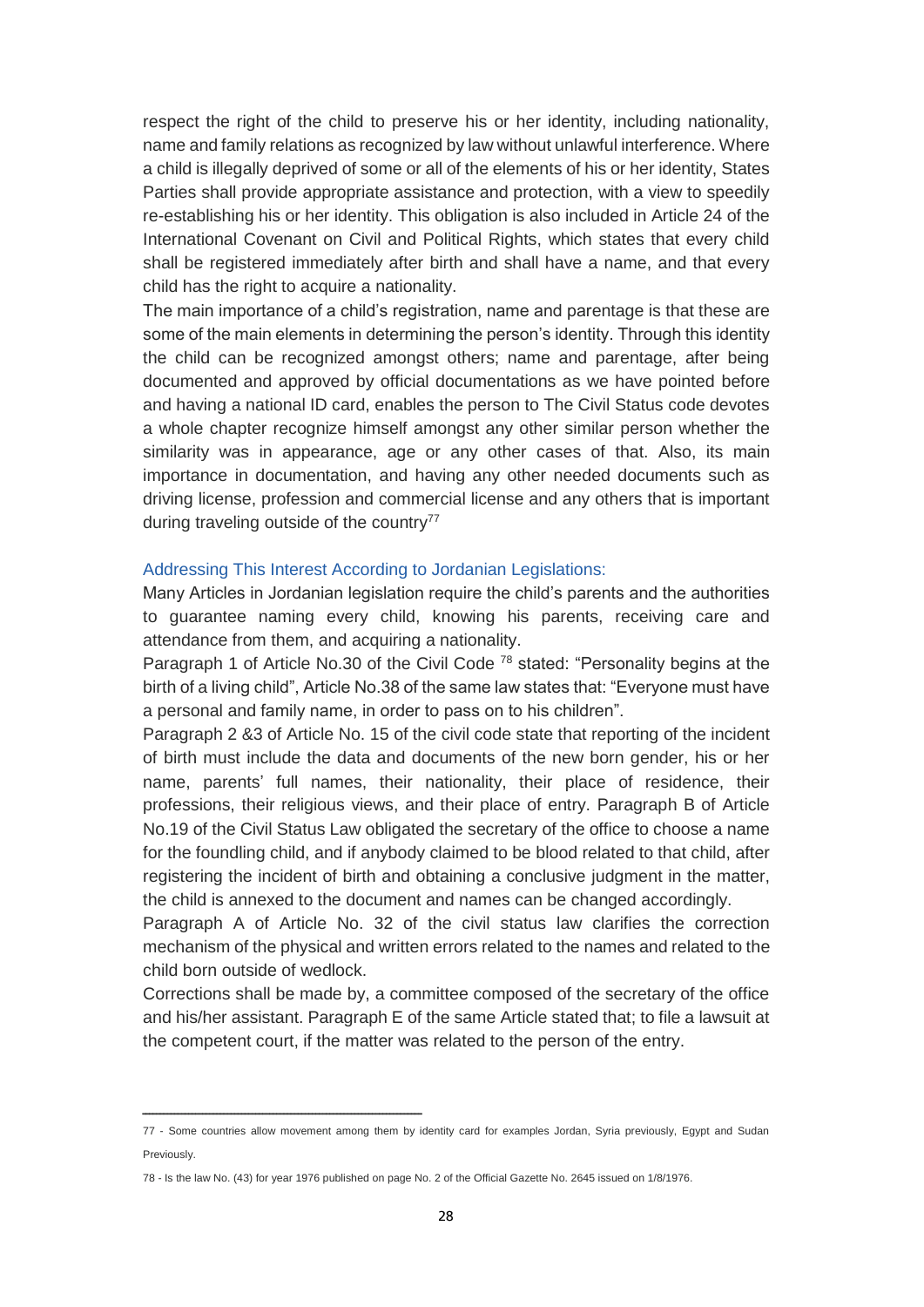respect the right of the child to preserve his or her identity, including nationality, name and family relations as recognized by law without unlawful interference. Where a child is illegally deprived of some or all of the elements of his or her identity, States Parties shall provide appropriate assistance and protection, with a view to speedily re-establishing his or her identity. This obligation is also included in Article 24 of the International Covenant on Civil and Political Rights, which states that every child shall be registered immediately after birth and shall have a name, and that every child has the right to acquire a nationality.

The main importance of a child's registration, name and parentage is that these are some of the main elements in determining the person's identity. Through this identity the child can be recognized amongst others; name and parentage, after being documented and approved by official documentations as we have pointed before and having a national ID card, enables the person to The Civil Status code devotes a whole chapter recognize himself amongst any other similar person whether the similarity was in appearance, age or any other cases of that. Also, its main importance in documentation, and having any other needed documents such as driving license, profession and commercial license and any others that is important during traveling outside of the country $77$ 

### Addressing This Interest According to Jordanian Legislations:

Many Articles in Jordanian legislation require the child's parents and the authorities to guarantee naming every child, knowing his parents, receiving care and attendance from them, and acquiring a nationality.

Paragraph 1 of Article No.30 of the Civil Code<sup>78</sup> stated: "Personality begins at the birth of a living child", Article No.38 of the same law states that: "Everyone must have a personal and family name, in order to pass on to his children".

Paragraph 2 &3 of Article No. 15 of the civil code state that reporting of the incident of birth must include the data and documents of the new born gender, his or her name, parents' full names, their nationality, their place of residence, their professions, their religious views, and their place of entry. Paragraph B of Article No.19 of the Civil Status Law obligated the secretary of the office to choose a name for the foundling child, and if anybody claimed to be blood related to that child, after registering the incident of birth and obtaining a conclusive judgment in the matter, the child is annexed to the document and names can be changed accordingly.

Paragraph A of Article No. 32 of the civil status law clarifies the correction mechanism of the physical and written errors related to the names and related to the child born outside of wedlock.

Corrections shall be made by, a committee composed of the secretary of the office and his/her assistant. Paragraph E of the same Article stated that; to file a lawsuit at the competent court, if the matter was related to the person of the entry.

<sup>77 -</sup> Some countries allow movement among them by identity card for examples Jordan, Syria previously, Egypt and Sudan Previously.

<sup>78 -</sup> Is the law No. (43) for year 1976 published on page No. 2 of the Official Gazette No. 2645 issued on 1/8/1976.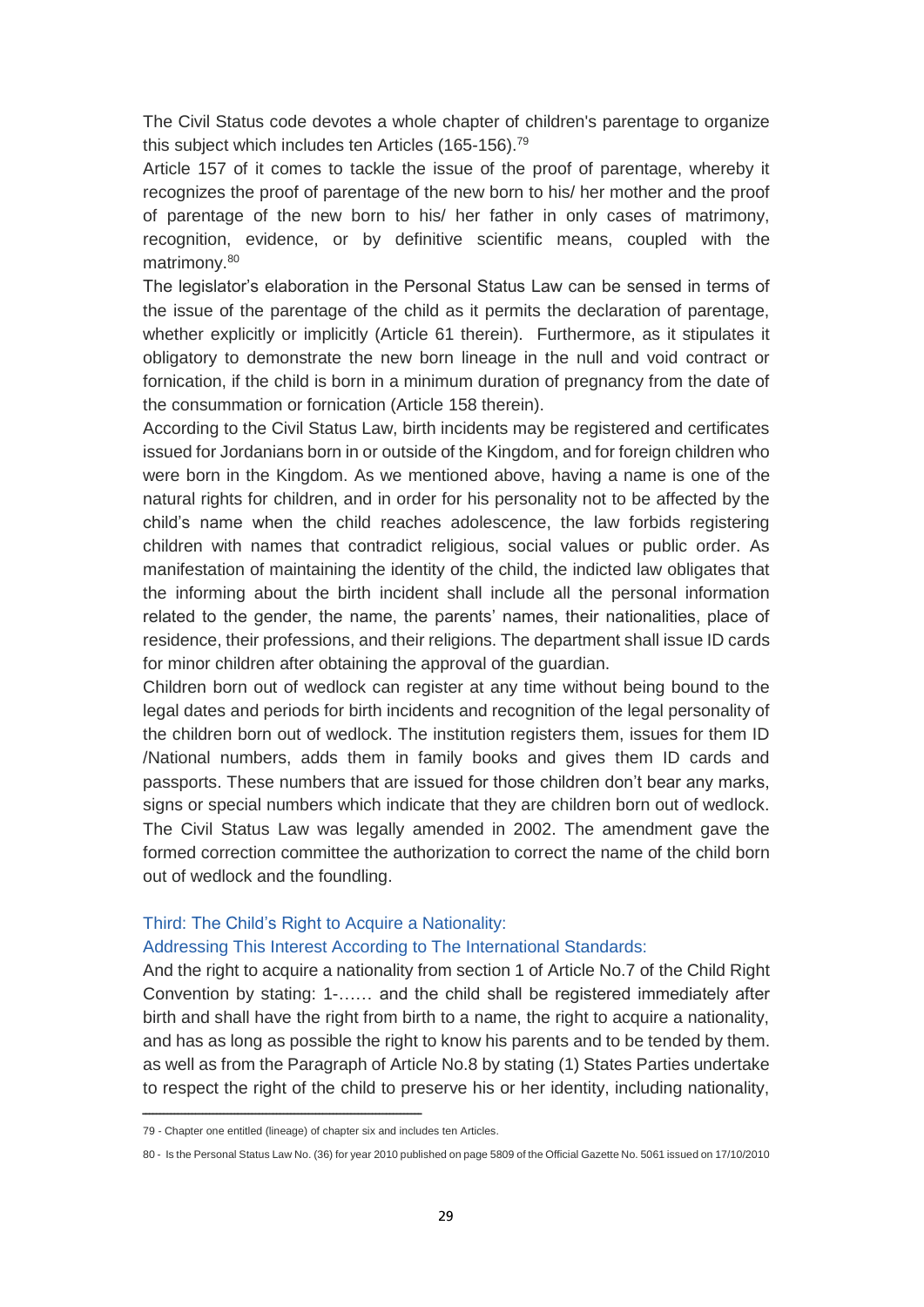The Civil Status code devotes a whole chapter of children's parentage to organize this subject which includes ten Articles (165-156).<sup>79</sup>

Article 157 of it comes to tackle the issue of the proof of parentage, whereby it recognizes the proof of parentage of the new born to his/ her mother and the proof of parentage of the new born to his/ her father in only cases of matrimony, recognition, evidence, or by definitive scientific means, coupled with the matrimony.<sup>80</sup>

The legislator's elaboration in the Personal Status Law can be sensed in terms of the issue of the parentage of the child as it permits the declaration of parentage, whether explicitly or implicitly (Article 61 therein). Furthermore, as it stipulates it obligatory to demonstrate the new born lineage in the null and void contract or fornication, if the child is born in a minimum duration of pregnancy from the date of the consummation or fornication (Article 158 therein).

According to the Civil Status Law, birth incidents may be registered and certificates issued for Jordanians born in or outside of the Kingdom, and for foreign children who were born in the Kingdom. As we mentioned above, having a name is one of the natural rights for children, and in order for his personality not to be affected by the child's name when the child reaches adolescence, the law forbids registering children with names that contradict religious, social values or public order. As manifestation of maintaining the identity of the child, the indicted law obligates that the informing about the birth incident shall include all the personal information related to the gender, the name, the parents' names, their nationalities, place of residence, their professions, and their religions. The department shall issue ID cards for minor children after obtaining the approval of the guardian.

Children born out of wedlock can register at any time without being bound to the legal dates and periods for birth incidents and recognition of the legal personality of the children born out of wedlock. The institution registers them, issues for them ID /National numbers, adds them in family books and gives them ID cards and passports. These numbers that are issued for those children don't bear any marks, signs or special numbers which indicate that they are children born out of wedlock. The Civil Status Law was legally amended in 2002. The amendment gave the formed correction committee the authorization to correct the name of the child born out of wedlock and the foundling.

### Third: The Child's Right to Acquire a Nationality:

## Addressing This Interest According to The International Standards:

And the right to acquire a nationality from section 1 of Article No.7 of the Child Right Convention by stating: 1-…… and the child shall be registered immediately after birth and shall have the right from birth to a name, the right to acquire a nationality, and has as long as possible the right to know his parents and to be tended by them. as well as from the Paragraph of Article No.8 by stating (1) States Parties undertake to respect the right of the child to preserve his or her identity, including nationality,

<sup>79 -</sup> Chapter one entitled (lineage) of chapter six and includes ten Articles.

<sup>80 -</sup> Is the Personal Status Law No. (36) for year 2010 published on page 5809 of the Official Gazette No. 5061 issued on 17/10/2010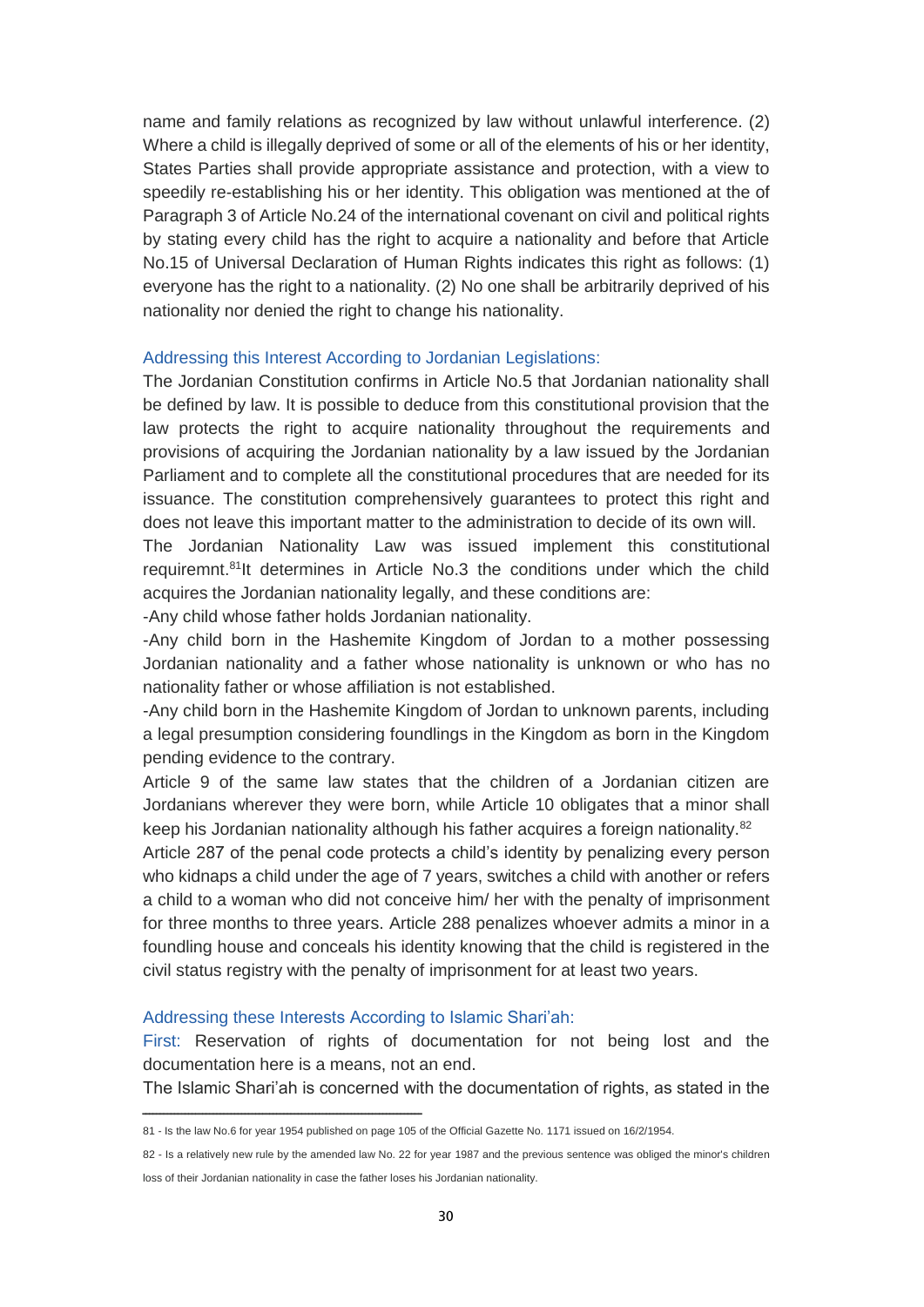name and family relations as recognized by law without unlawful interference. (2) Where a child is illegally deprived of some or all of the elements of his or her identity, States Parties shall provide appropriate assistance and protection, with a view to speedily re-establishing his or her identity. This obligation was mentioned at the of Paragraph 3 of Article No.24 of the international covenant on civil and political rights by stating every child has the right to acquire a nationality and before that Article No.15 of Universal Declaration of Human Rights indicates this right as follows: (1) everyone has the right to a nationality. (2) No one shall be arbitrarily deprived of his nationality nor denied the right to change his nationality.

#### Addressing this Interest According to Jordanian Legislations:

The Jordanian Constitution confirms in Article No.5 that Jordanian nationality shall be defined by law. It is possible to deduce from this constitutional provision that the law protects the right to acquire nationality throughout the requirements and provisions of acquiring the Jordanian nationality by a law issued by the Jordanian Parliament and to complete all the constitutional procedures that are needed for its issuance. The constitution comprehensively guarantees to protect this right and does not leave this important matter to the administration to decide of its own will.

The Jordanian Nationality Law was issued implement this constitutional requiremnt.<sup>81</sup>It determines in Article No.3 the conditions under which the child acquires the Jordanian nationality legally, and these conditions are:

-Any child whose father holds Jordanian nationality.

-Any child born in the Hashemite Kingdom of Jordan to a mother possessing Jordanian nationality and a father whose nationality is unknown or who has no nationality father or whose affiliation is not established.

-Any child born in the Hashemite Kingdom of Jordan to unknown parents, including a legal presumption considering foundlings in the Kingdom as born in the Kingdom pending evidence to the contrary.

Article 9 of the same law states that the children of a Jordanian citizen are Jordanians wherever they were born, while Article 10 obligates that a minor shall keep his Jordanian nationality although his father acquires a foreign nationality.<sup>82</sup>

Article 287 of the penal code protects a child's identity by penalizing every person who kidnaps a child under the age of 7 years, switches a child with another or refers a child to a woman who did not conceive him/ her with the penalty of imprisonment for three months to three years. Article 288 penalizes whoever admits a minor in a foundling house and conceals his identity knowing that the child is registered in the civil status registry with the penalty of imprisonment for at least two years.

#### Addressing these Interests According to Islamic Shari'ah:

ـــــــــــــــــــــــــــــــــــــــــــــــــــــــــــــــــــــــــــــــ

First: Reservation of rights of documentation for not being lost and the documentation here is a means, not an end.

The Islamic Shari'ah is concerned with the documentation of rights, as stated in the

<sup>81 -</sup> Is the law No.6 for year 1954 published on page 105 of the Official Gazette No. 1171 issued on 16/2/1954.

<sup>82 -</sup> Is a relatively new rule by the amended law No. 22 for year 1987 and the previous sentence was obliged the minor's children loss of their Jordanian nationality in case the father loses his Jordanian nationality.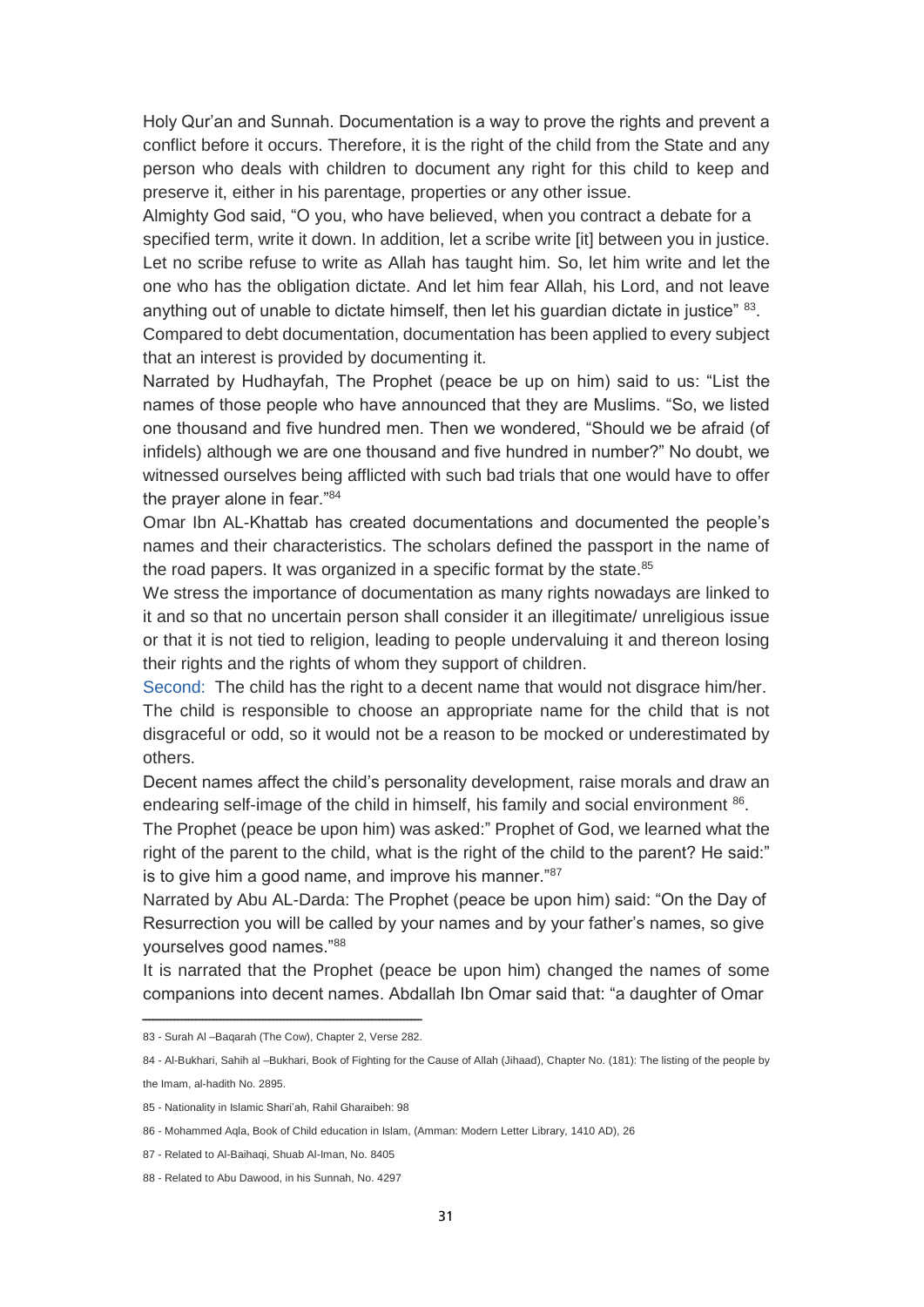Holy Qur'an and Sunnah. Documentation is a way to prove the rights and prevent a conflict before it occurs. Therefore, it is the right of the child from the State and any person who deals with children to document any right for this child to keep and preserve it, either in his parentage, properties or any other issue.

Almighty God said, "O you, who have believed, when you contract a debate for a specified term, write it down. In addition, let a scribe write [it] between you in justice. Let no scribe refuse to write as Allah has taught him. So, let him write and let the one who has the obligation dictate. And let him fear Allah, his Lord, and not leave anything out of unable to dictate himself, then let his guardian dictate in justice" 83.

Compared to debt documentation, documentation has been applied to every subject that an interest is provided by documenting it.

Narrated by Hudhayfah, The Prophet (peace be up on him) said to us: "List the names of those people who have announced that they are Muslims. "So, we listed one thousand and five hundred men. Then we wondered, "Should we be afraid (of infidels) although we are one thousand and five hundred in number?" No doubt, we witnessed ourselves being afflicted with such bad trials that one would have to offer the prayer alone in fear."<sup>84</sup>

Omar Ibn AL-Khattab has created documentations and documented the people's names and their characteristics. The scholars defined the passport in the name of the road papers. It was organized in a specific format by the state.<sup>85</sup>

We stress the importance of documentation as many rights nowadays are linked to it and so that no uncertain person shall consider it an illegitimate/ unreligious issue or that it is not tied to religion, leading to people undervaluing it and thereon losing their rights and the rights of whom they support of children.

Second: The child has the right to a decent name that would not disgrace him/her. The child is responsible to choose an appropriate name for the child that is not disgraceful or odd, so it would not be a reason to be mocked or underestimated by others.

Decent names affect the child's personality development, raise morals and draw an endearing self-image of the child in himself, his family and social environment <sup>86</sup>.

The Prophet (peace be upon him) was asked:" Prophet of God, we learned what the right of the parent to the child, what is the right of the child to the parent? He said:" is to give him a good name, and improve his manner."<sup>87</sup>

Narrated by Abu AL-Darda: The Prophet (peace be upon him) said: "On the Day of Resurrection you will be called by your names and by your father's names, so give yourselves good names."<sup>88</sup>

It is narrated that the Prophet (peace be upon him) changed the names of some companions into decent names. Abdallah Ibn Omar said that: "a daughter of Omar

ـــــــــــــــــــــــــــــــــــــــــــــــــــــــــــــــــــــــــــــــ 83 - Surah Al –Baqarah (The Cow), Chapter 2, Verse 282.

<sup>84 -</sup> Al-Bukhari, Sahih al –Bukhari, Book of Fighting for the Cause of Allah (Jihaad), Chapter No. (181): The listing of the people by the Imam, al-hadith No. 2895.

<sup>85 -</sup> Nationality in Islamic Shari'ah, Rahil Gharaibeh: 98

<sup>86 -</sup> Mohammed Aqla, Book of Child education in Islam, (Amman: Modern Letter Library, 1410 AD), 26

<sup>87 -</sup> Related to Al-Baihaqi, Shuab Al-Iman, No. 8405

<sup>88 -</sup> Related to Abu Dawood, in his Sunnah, No. 4297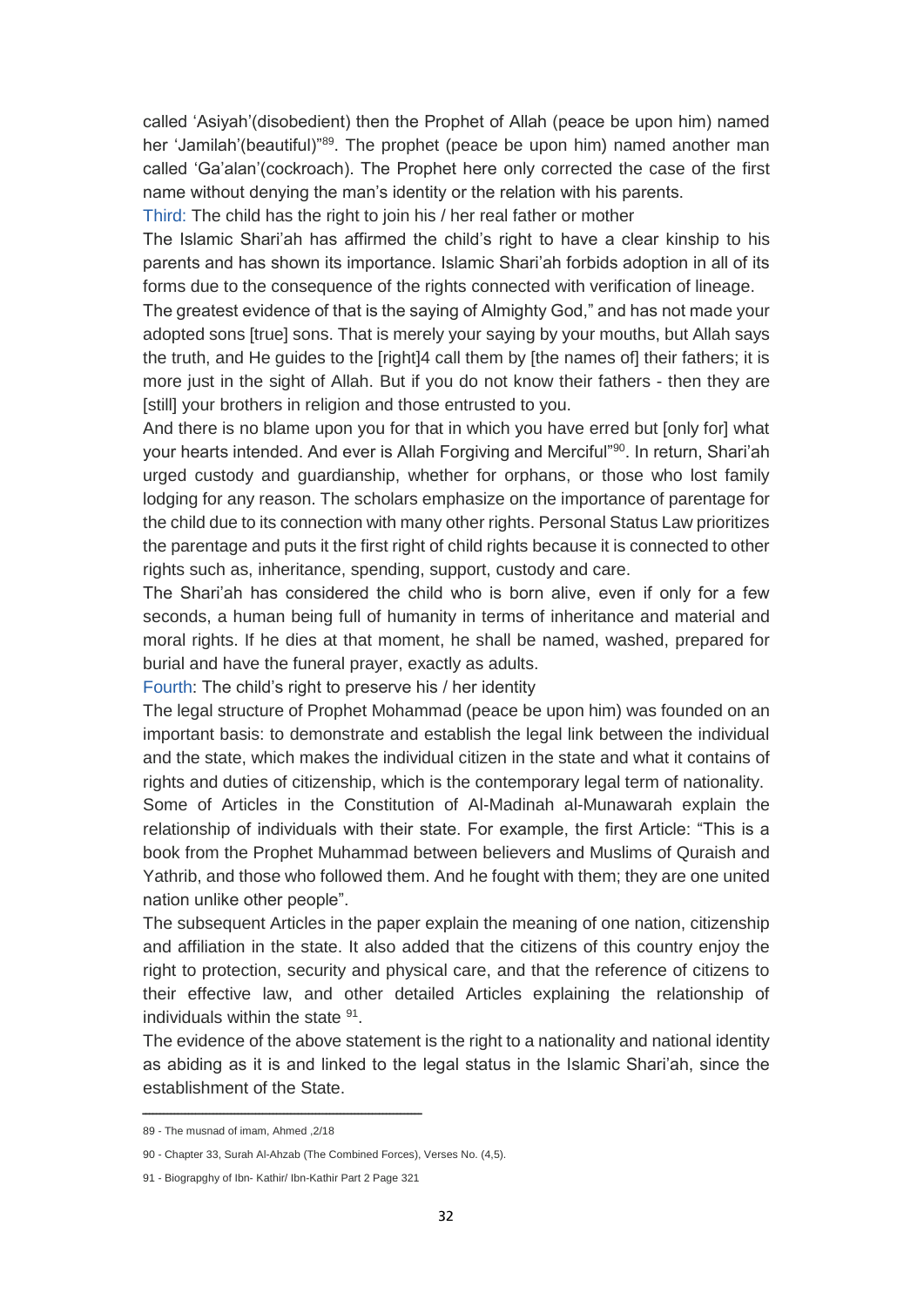called 'Asiyah'(disobedient) then the Prophet of Allah (peace be upon him) named her 'Jamilah'(beautiful)"89. The prophet (peace be upon him) named another man called 'Ga'alan'(cockroach). The Prophet here only corrected the case of the first name without denying the man's identity or the relation with his parents.

Third: The child has the right to join his / her real father or mother

The Islamic Shari'ah has affirmed the child's right to have a clear kinship to his parents and has shown its importance. Islamic Shari'ah forbids adoption in all of its forms due to the consequence of the rights connected with verification of lineage.

The greatest evidence of that is the saying of Almighty God," and has not made your adopted sons [true] sons. That is merely your saying by your mouths, but Allah says the truth, and He guides to the [right]4 call them by [the names of] their fathers; it is more just in the sight of Allah. But if you do not know their fathers - then they are [still] your brothers in religion and those entrusted to you.

And there is no blame upon you for that in which you have erred but [only for] what your hearts intended. And ever is Allah Forgiving and Merciful"<sup>90</sup>. In return, Shari'ah urged custody and guardianship, whether for orphans, or those who lost family lodging for any reason. The scholars emphasize on the importance of parentage for the child due to its connection with many other rights. Personal Status Law prioritizes the parentage and puts it the first right of child rights because it is connected to other rights such as, inheritance, spending, support, custody and care.

The Shari'ah has considered the child who is born alive, even if only for a few seconds, a human being full of humanity in terms of inheritance and material and moral rights. If he dies at that moment, he shall be named, washed, prepared for burial and have the funeral prayer, exactly as adults.

Fourth: The child's right to preserve his / her identity

The legal structure of Prophet Mohammad (peace be upon him) was founded on an important basis: to demonstrate and establish the legal link between the individual and the state, which makes the individual citizen in the state and what it contains of rights and duties of citizenship, which is the contemporary legal term of nationality.

Some of Articles in the Constitution of Al-Madinah al-Munawarah explain the relationship of individuals with their state. For example, the first Article: "This is a book from the Prophet Muhammad between believers and Muslims of Quraish and Yathrib, and those who followed them. And he fought with them; they are one united nation unlike other people".

The subsequent Articles in the paper explain the meaning of one nation, citizenship and affiliation in the state. It also added that the citizens of this country enjoy the right to protection, security and physical care, and that the reference of citizens to their effective law, and other detailed Articles explaining the relationship of individuals within the state <sup>91</sup>.

The evidence of the above statement is the right to a nationality and national identity as abiding as it is and linked to the legal status in the Islamic Shari'ah, since the establishment of the State.

<sup>89 -</sup> The musnad of imam, Ahmed ,2/18

<sup>90 -</sup> Chapter 33, Surah Al-Ahzab (The Combined Forces), Verses No. (4,5).

<sup>91 -</sup> Biograpghy of Ibn- Kathir/ Ibn-Kathir Part 2 Page 321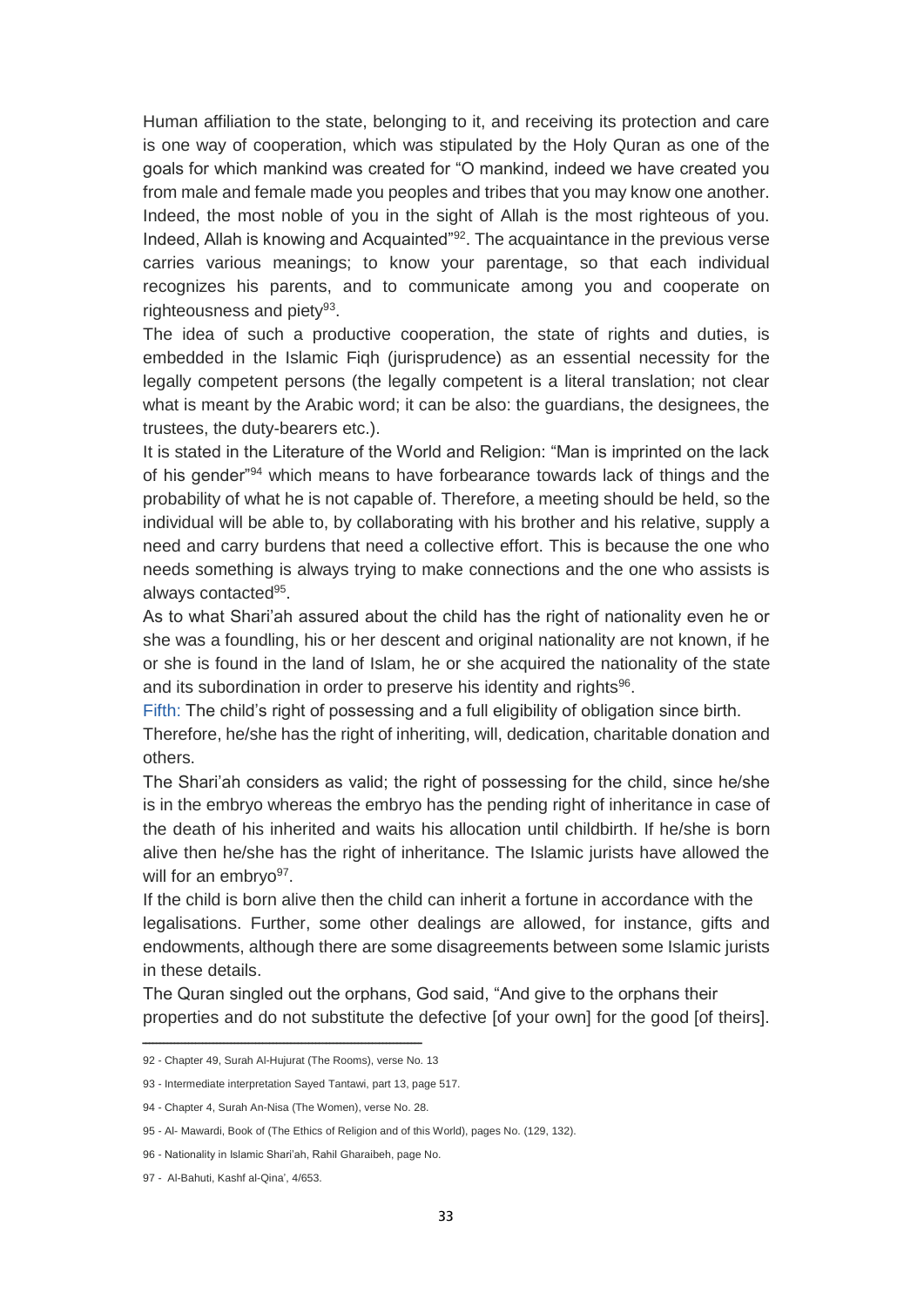Human affiliation to the state, belonging to it, and receiving its protection and care is one way of cooperation, which was stipulated by the Holy Quran as one of the goals for which mankind was created for "O mankind, indeed we have created you from male and female made you peoples and tribes that you may know one another. Indeed, the most noble of you in the sight of Allah is the most righteous of you. Indeed, Allah is knowing and Acquainted"<sup>92</sup>. The acquaintance in the previous verse carries various meanings; to know your parentage, so that each individual recognizes his parents, and to communicate among you and cooperate on righteousness and piety<sup>93</sup>.

The idea of such a productive cooperation, the state of rights and duties, is embedded in the Islamic Fiqh (jurisprudence) as an essential necessity for the legally competent persons (the legally competent is a literal translation; not clear what is meant by the Arabic word; it can be also: the guardians, the designees, the trustees, the duty-bearers etc.).

It is stated in the Literature of the World and Religion: "Man is imprinted on the lack of his gender"<sup>94</sup> which means to have forbearance towards lack of things and the probability of what he is not capable of. Therefore, a meeting should be held, so the individual will be able to, by collaborating with his brother and his relative, supply a need and carry burdens that need a collective effort. This is because the one who needs something is always trying to make connections and the one who assists is always contacted<sup>95</sup>.

As to what Shari'ah assured about the child has the right of nationality even he or she was a foundling, his or her descent and original nationality are not known, if he or she is found in the land of Islam, he or she acquired the nationality of the state and its subordination in order to preserve his identity and rights $96$ .

Fifth: The child's right of possessing and a full eligibility of obligation since birth.

Therefore, he/she has the right of inheriting, will, dedication, charitable donation and others.

The Shari'ah considers as valid; the right of possessing for the child, since he/she is in the embryo whereas the embryo has the pending right of inheritance in case of the death of his inherited and waits his allocation until childbirth. If he/she is born alive then he/she has the right of inheritance. The Islamic jurists have allowed the will for an embryo<sup>97</sup>.

If the child is born alive then the child can inherit a fortune in accordance with the legalisations. Further, some other dealings are allowed, for instance, gifts and endowments, although there are some disagreements between some Islamic jurists in these details.

The Quran singled out the orphans, God said, "And give to the orphans their properties and do not substitute the defective [of your own] for the good [of theirs].

ـــــــــــــــــــــــــــــــــــــــــــــــــــــــــــــــــــــــــــــــ 92 - Chapter 49, Surah Al-Hujurat (The Rooms), verse No. 13

<sup>93 -</sup> Intermediate interpretation Sayed Tantawi, part 13, page 517.

<sup>94 -</sup> Chapter 4, Surah An-Nisa (The Women), verse No. 28.

<sup>95 -</sup> Al- Mawardi, Book of (The Ethics of Religion and of this World), pages No. (129, 132).

<sup>96 -</sup> Nationality in Islamic Shari'ah, Rahil Gharaibeh, page No.

<sup>97 -</sup> Al-Bahuti, Kashf al-Qina', 4/653.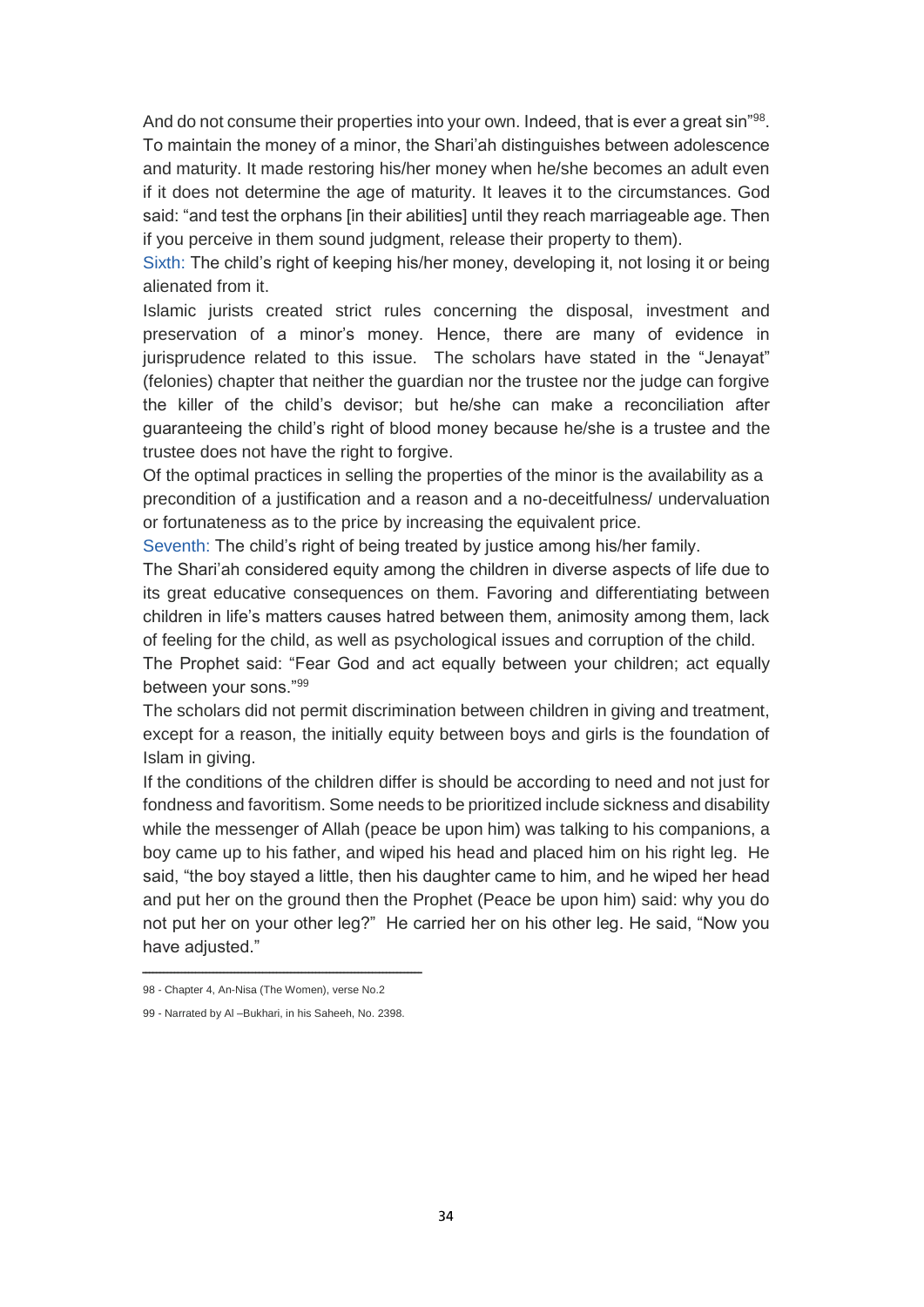And do not consume their properties into your own. Indeed, that is ever a great sin<sup>"98</sup>. To maintain the money of a minor, the Shari'ah distinguishes between adolescence and maturity. It made restoring his/her money when he/she becomes an adult even if it does not determine the age of maturity. It leaves it to the circumstances. God said: "and test the orphans [in their abilities] until they reach marriageable age. Then if you perceive in them sound judgment, release their property to them).

Sixth: The child's right of keeping his/her money, developing it, not losing it or being alienated from it.

Islamic jurists created strict rules concerning the disposal, investment and preservation of a minor's money. Hence, there are many of evidence in jurisprudence related to this issue. The scholars have stated in the "Jenayat" (felonies) chapter that neither the guardian nor the trustee nor the judge can forgive the killer of the child's devisor; but he/she can make a reconciliation after guaranteeing the child's right of blood money because he/she is a trustee and the trustee does not have the right to forgive.

Of the optimal practices in selling the properties of the minor is the availability as a precondition of a justification and a reason and a no-deceitfulness/ undervaluation or fortunateness as to the price by increasing the equivalent price.

Seventh: The child's right of being treated by justice among his/her family.

The Shari'ah considered equity among the children in diverse aspects of life due to its great educative consequences on them. Favoring and differentiating between children in life's matters causes hatred between them, animosity among them, lack of feeling for the child, as well as psychological issues and corruption of the child.

The Prophet said: "Fear God and act equally between your children; act equally between your sons."<sup>99</sup>

The scholars did not permit discrimination between children in giving and treatment, except for a reason, the initially equity between boys and girls is the foundation of Islam in giving.

If the conditions of the children differ is should be according to need and not just for fondness and favoritism. Some needs to be prioritized include sickness and disability while the messenger of Allah (peace be upon him) was talking to his companions, a boy came up to his father, and wiped his head and placed him on his right leg. He said, "the boy stayed a little, then his daughter came to him, and he wiped her head and put her on the ground then the Prophet (Peace be upon him) said: why you do not put her on your other leg?" He carried her on his other leg. He said, "Now you have adjusted."

<sup>98 -</sup> Chapter 4, An-Nisa (The Women), verse No.2

<sup>99 -</sup> Narrated by Al –Bukhari, in his Saheeh, No. 2398.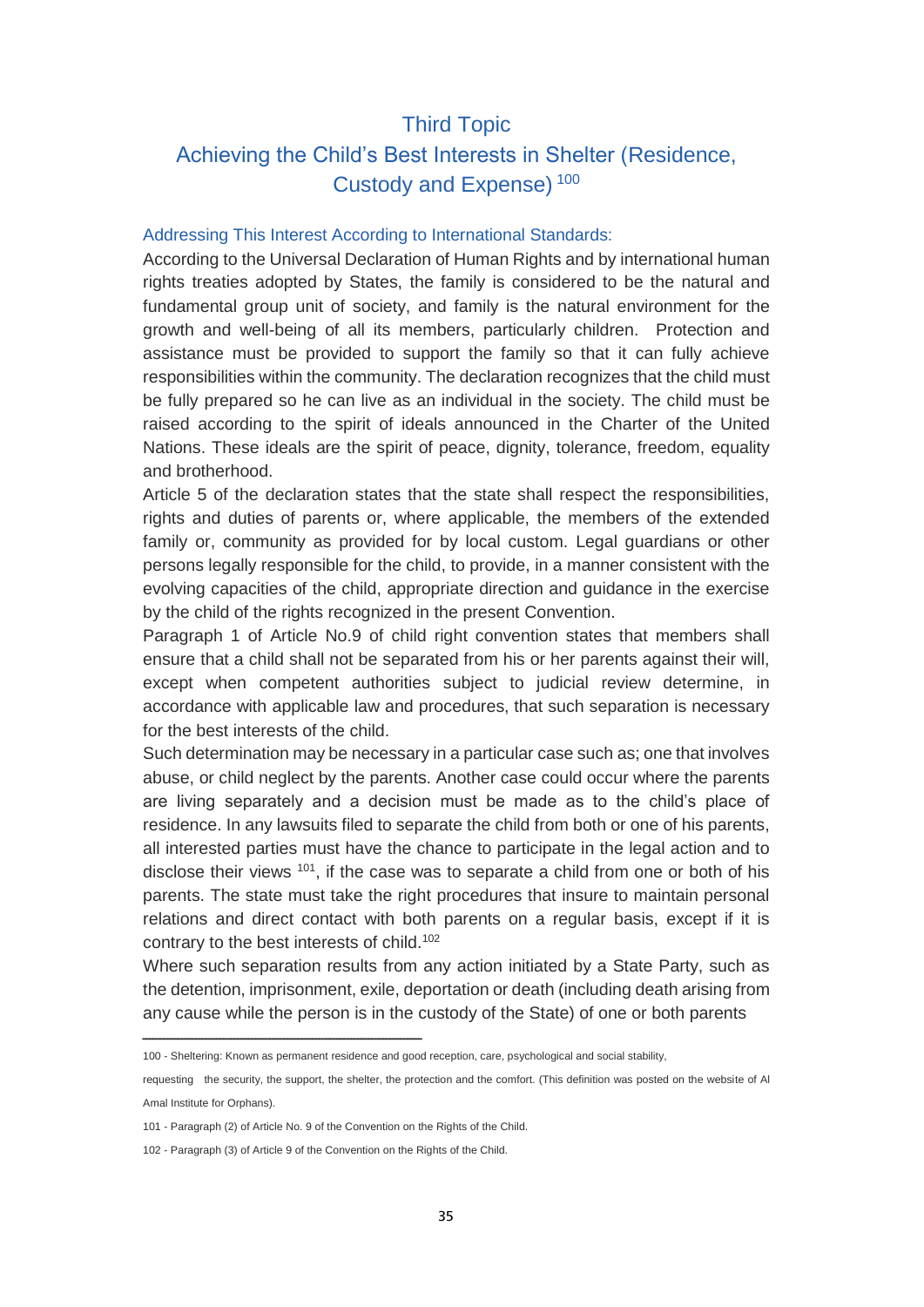# Third Topic

# Achieving the Child's Best Interests in Shelter (Residence, Custody and Expense)<sup>100</sup>

### Addressing This Interest According to International Standards:

According to the Universal Declaration of Human Rights and by international human rights treaties adopted by States, the family is considered to be the natural and fundamental group unit of society, and family is the natural environment for the growth and well-being of all its members, particularly children. Protection and assistance must be provided to support the family so that it can fully achieve responsibilities within the community. The declaration recognizes that the child must be fully prepared so he can live as an individual in the society. The child must be raised according to the spirit of ideals announced in the Charter of the United Nations. These ideals are the spirit of peace, dignity, tolerance, freedom, equality and brotherhood.

Article 5 of the declaration states that the state shall respect the responsibilities, rights and duties of parents or, where applicable, the members of the extended family or, community as provided for by local custom. Legal guardians or other persons legally responsible for the child, to provide, in a manner consistent with the evolving capacities of the child, appropriate direction and guidance in the exercise by the child of the rights recognized in the present Convention.

Paragraph 1 of Article No.9 of child right convention states that members shall ensure that a child shall not be separated from his or her parents against their will, except when competent authorities subject to judicial review determine, in accordance with applicable law and procedures, that such separation is necessary for the best interests of the child.

Such determination may be necessary in a particular case such as; one that involves abuse, or child neglect by the parents. Another case could occur where the parents are living separately and a decision must be made as to the child's place of residence. In any lawsuits filed to separate the child from both or one of his parents, all interested parties must have the chance to participate in the legal action and to disclose their views <sup>101</sup>, if the case was to separate a child from one or both of his parents. The state must take the right procedures that insure to maintain personal relations and direct contact with both parents on a regular basis, except if it is contrary to the best interests of child.<sup>102</sup>

Where such separation results from any action initiated by a State Party, such as the detention, imprisonment, exile, deportation or death (including death arising from any cause while the person is in the custody of the State) of one or both parents

<sup>100 -</sup> Sheltering: Known as permanent residence and good reception, care, psychological and social stability,

requesting the security, the support, the shelter, the protection and the comfort. (This definition was posted on the website of Al Amal Institute for Orphans).

<sup>101 -</sup> Paragraph (2) of Article No. 9 of the Convention on the Rights of the Child.

<sup>102 -</sup> Paragraph (3) of Article 9 of the Convention on the Rights of the Child.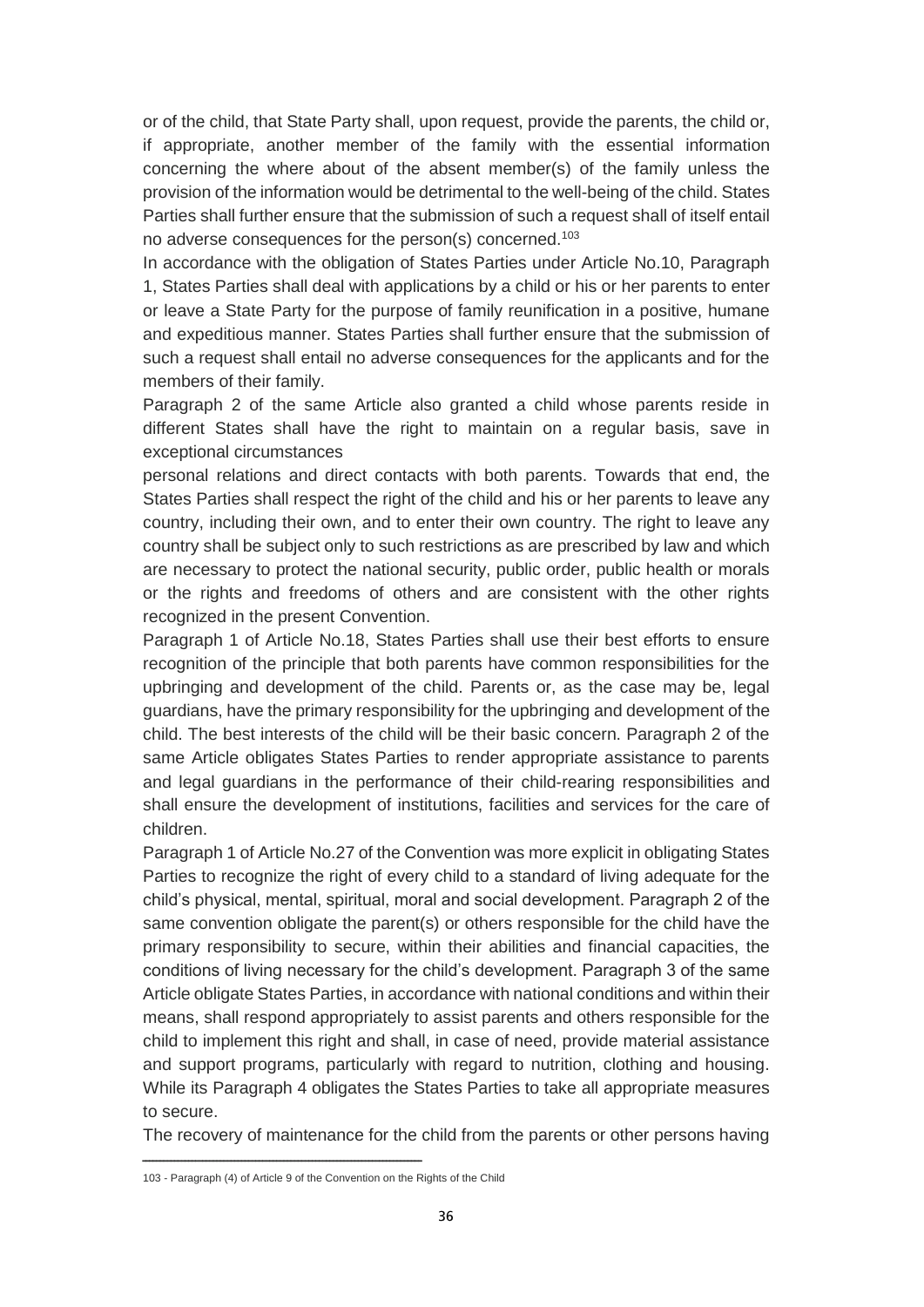or of the child, that State Party shall, upon request, provide the parents, the child or, if appropriate, another member of the family with the essential information concerning the where about of the absent member(s) of the family unless the provision of the information would be detrimental to the well-being of the child. States Parties shall further ensure that the submission of such a request shall of itself entail no adverse consequences for the person(s) concerned.<sup>103</sup>

In accordance with the obligation of States Parties under Article No.10, Paragraph 1, States Parties shall deal with applications by a child or his or her parents to enter or leave a State Party for the purpose of family reunification in a positive, humane and expeditious manner. States Parties shall further ensure that the submission of such a request shall entail no adverse consequences for the applicants and for the members of their family.

Paragraph 2 of the same Article also granted a child whose parents reside in different States shall have the right to maintain on a regular basis, save in exceptional circumstances

personal relations and direct contacts with both parents. Towards that end, the States Parties shall respect the right of the child and his or her parents to leave any country, including their own, and to enter their own country. The right to leave any country shall be subject only to such restrictions as are prescribed by law and which are necessary to protect the national security, public order, public health or morals or the rights and freedoms of others and are consistent with the other rights recognized in the present Convention.

Paragraph 1 of Article No.18, States Parties shall use their best efforts to ensure recognition of the principle that both parents have common responsibilities for the upbringing and development of the child. Parents or, as the case may be, legal guardians, have the primary responsibility for the upbringing and development of the child. The best interests of the child will be their basic concern. Paragraph 2 of the same Article obligates States Parties to render appropriate assistance to parents and legal guardians in the performance of their child-rearing responsibilities and shall ensure the development of institutions, facilities and services for the care of children.

Paragraph 1 of Article No.27 of the Convention was more explicit in obligating States Parties to recognize the right of every child to a standard of living adequate for the child's physical, mental, spiritual, moral and social development. Paragraph 2 of the same convention obligate the parent(s) or others responsible for the child have the primary responsibility to secure, within their abilities and financial capacities, the conditions of living necessary for the child's development. Paragraph 3 of the same Article obligate States Parties, in accordance with national conditions and within their means, shall respond appropriately to assist parents and others responsible for the child to implement this right and shall, in case of need, provide material assistance and support programs, particularly with regard to nutrition, clothing and housing. While its Paragraph 4 obligates the States Parties to take all appropriate measures to secure.

The recovery of maintenance for the child from the parents or other persons having

<sup>103 -</sup> Paragraph (4) of Article 9 of the Convention on the Rights of the Child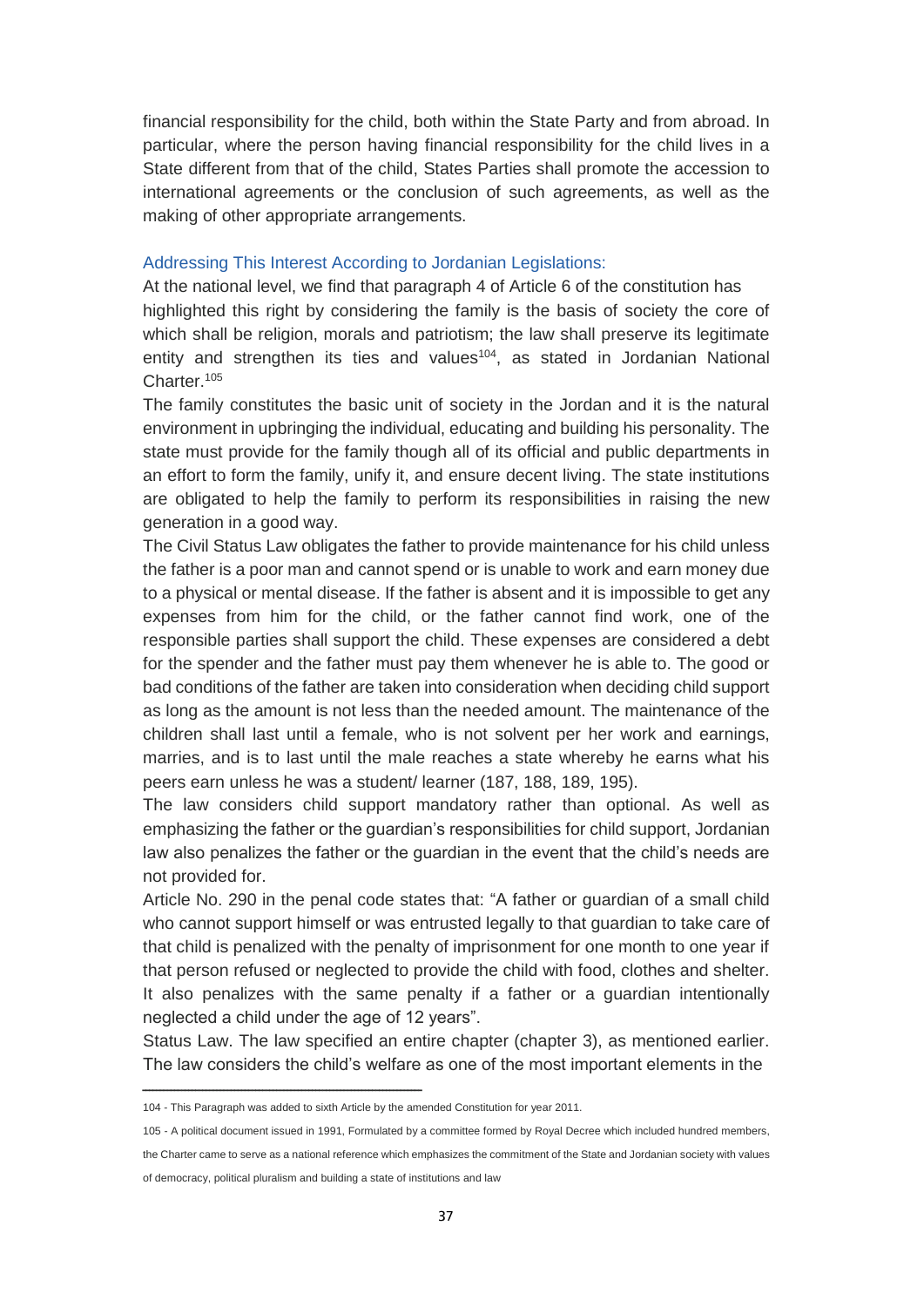financial responsibility for the child, both within the State Party and from abroad. In particular, where the person having financial responsibility for the child lives in a State different from that of the child, States Parties shall promote the accession to international agreements or the conclusion of such agreements, as well as the making of other appropriate arrangements.

### Addressing This Interest According to Jordanian Legislations:

At the national level, we find that paragraph 4 of Article 6 of the constitution has highlighted this right by considering the family is the basis of society the core of which shall be religion, morals and patriotism; the law shall preserve its legitimate entity and strengthen its ties and values<sup>104</sup>, as stated in Jordanian National Charter.<sup>105</sup>

The family constitutes the basic unit of society in the Jordan and it is the natural environment in upbringing the individual, educating and building his personality. The state must provide for the family though all of its official and public departments in an effort to form the family, unify it, and ensure decent living. The state institutions are obligated to help the family to perform its responsibilities in raising the new generation in a good way.

The Civil Status Law obligates the father to provide maintenance for his child unless the father is a poor man and cannot spend or is unable to work and earn money due to a physical or mental disease. If the father is absent and it is impossible to get any expenses from him for the child, or the father cannot find work, one of the responsible parties shall support the child. These expenses are considered a debt for the spender and the father must pay them whenever he is able to. The good or bad conditions of the father are taken into consideration when deciding child support as long as the amount is not less than the needed amount. The maintenance of the children shall last until a female, who is not solvent per her work and earnings, marries, and is to last until the male reaches a state whereby he earns what his peers earn unless he was a student/ learner (187, 188, 189, 195).

The law considers child support mandatory rather than optional. As well as emphasizing the father or the guardian's responsibilities for child support, Jordanian law also penalizes the father or the guardian in the event that the child's needs are not provided for.

Article No. 290 in the penal code states that: "A father or guardian of a small child who cannot support himself or was entrusted legally to that guardian to take care of that child is penalized with the penalty of imprisonment for one month to one year if that person refused or neglected to provide the child with food, clothes and shelter. It also penalizes with the same penalty if a father or a guardian intentionally neglected a child under the age of 12 years".

Status Law. The law specified an entire chapter (chapter 3), as mentioned earlier. The law considers the child's welfare as one of the most important elements in the

<sup>104 -</sup> This Paragraph was added to sixth Article by the amended Constitution for year 2011.

<sup>105 -</sup> A political document issued in 1991, Formulated by a committee formed by Royal Decree which included hundred members,

the Charter came to serve as a national reference which emphasizes the commitment of the State and Jordanian society with values of democracy, political pluralism and building a state of institutions and law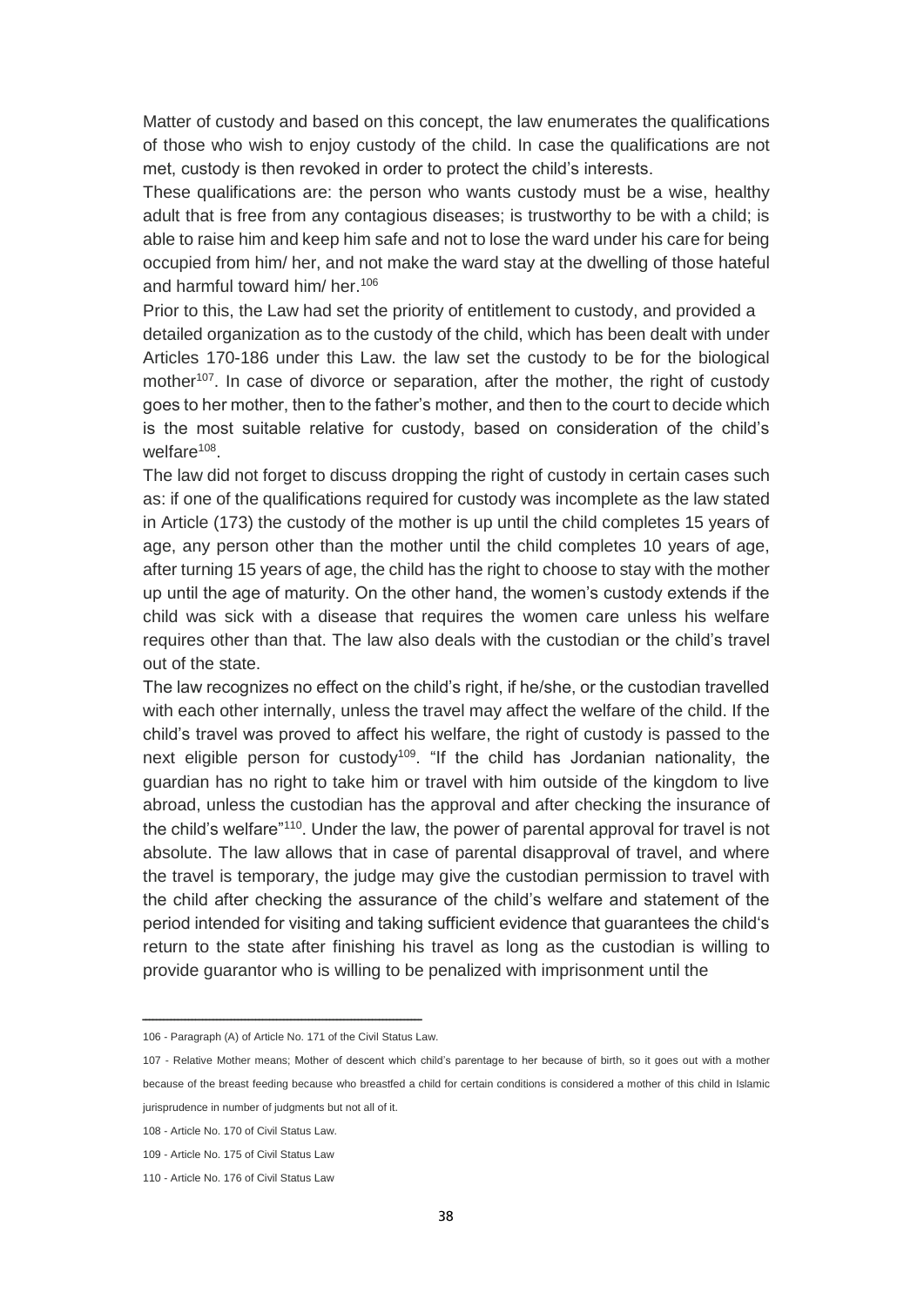Matter of custody and based on this concept, the law enumerates the qualifications of those who wish to enjoy custody of the child. In case the qualifications are not met, custody is then revoked in order to protect the child's interests.

These qualifications are: the person who wants custody must be a wise, healthy adult that is free from any contagious diseases; is trustworthy to be with a child; is able to raise him and keep him safe and not to lose the ward under his care for being occupied from him/ her, and not make the ward stay at the dwelling of those hateful and harmful toward him/ her.<sup>106</sup>

Prior to this, the Law had set the priority of entitlement to custody, and provided a detailed organization as to the custody of the child, which has been dealt with under Articles 170-186 under this Law. the law set the custody to be for the biological mother<sup>107</sup>. In case of divorce or separation, after the mother, the right of custody goes to her mother, then to the father's mother, and then to the court to decide which is the most suitable relative for custody, based on consideration of the child's welfare<sup>108</sup>.

The law did not forget to discuss dropping the right of custody in certain cases such as: if one of the qualifications required for custody was incomplete as the law stated in Article (173) the custody of the mother is up until the child completes 15 years of age, any person other than the mother until the child completes 10 years of age, after turning 15 years of age, the child has the right to choose to stay with the mother up until the age of maturity. On the other hand, the women's custody extends if the child was sick with a disease that requires the women care unless his welfare requires other than that. The law also deals with the custodian or the child's travel out of the state.

The law recognizes no effect on the child's right, if he/she, or the custodian travelled with each other internally, unless the travel may affect the welfare of the child. If the child's travel was proved to affect his welfare, the right of custody is passed to the next eligible person for custody<sup>109</sup>. "If the child has Jordanian nationality, the guardian has no right to take him or travel with him outside of the kingdom to live abroad, unless the custodian has the approval and after checking the insurance of the child's welfare"<sup>110</sup>. Under the law, the power of parental approval for travel is not absolute. The law allows that in case of parental disapproval of travel, and where the travel is temporary, the judge may give the custodian permission to travel with the child after checking the assurance of the child's welfare and statement of the period intended for visiting and taking sufficient evidence that guarantees the child's return to the state after finishing his travel as long as the custodian is willing to provide guarantor who is willing to be penalized with imprisonment until the

ـــــــــــــــــــــــــــــــــــــــــــــــــــــــــــــــــــــــــــــــ 106 - Paragraph (A) of Article No. 171 of the Civil Status Law.

<sup>107 -</sup> Relative Mother means; Mother of descent which child's parentage to her because of birth, so it goes out with a mother because of the breast feeding because who breastfed a child for certain conditions is considered a mother of this child in Islamic jurisprudence in number of judgments but not all of it.

<sup>108 -</sup> Article No. 170 of Civil Status Law.

<sup>109 -</sup> Article No. 175 of Civil Status Law

<sup>110 -</sup> Article No. 176 of Civil Status Law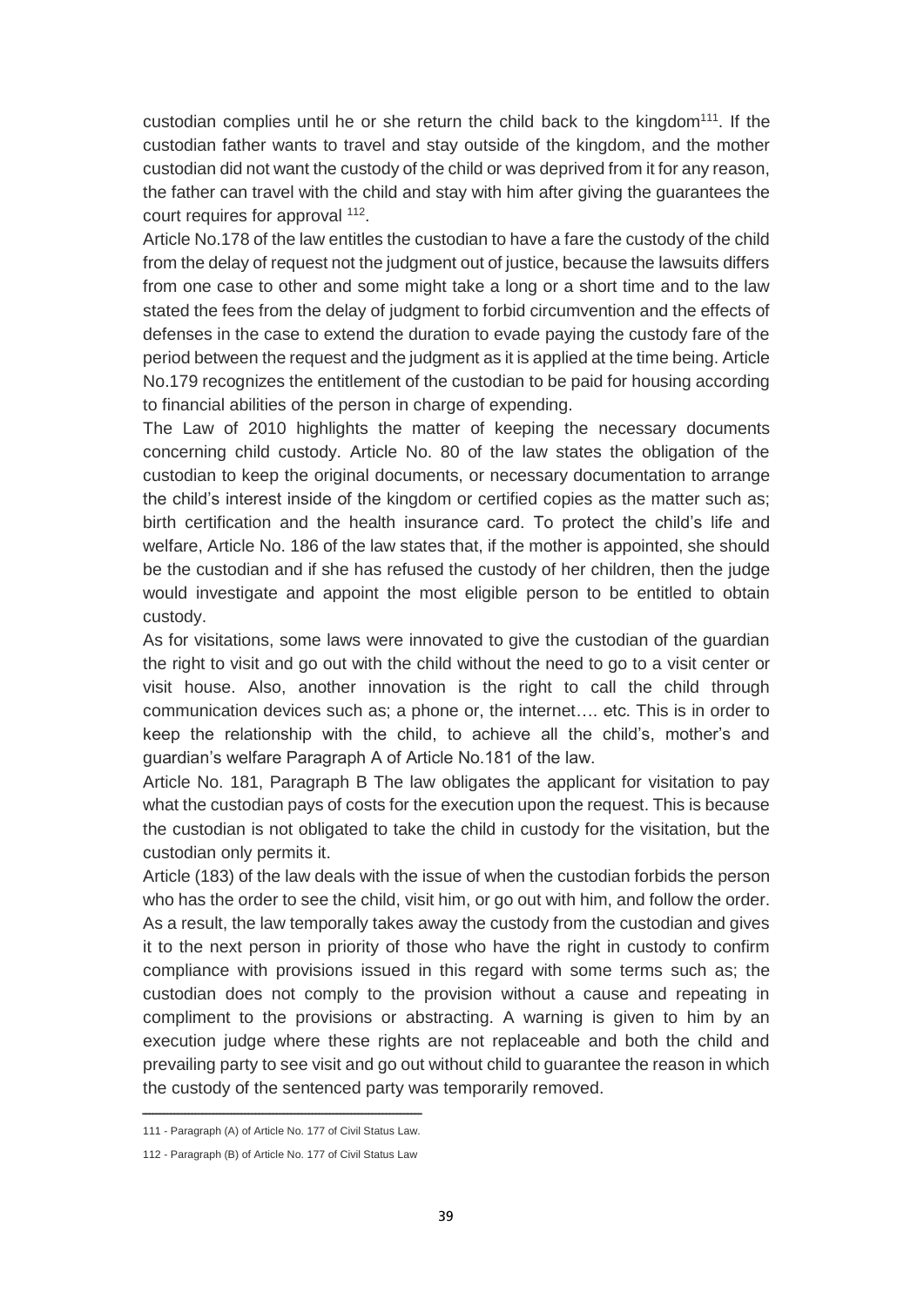custodian complies until he or she return the child back to the kingdom<sup>111</sup>. If the custodian father wants to travel and stay outside of the kingdom, and the mother custodian did not want the custody of the child or was deprived from it for any reason, the father can travel with the child and stay with him after giving the guarantees the court requires for approval <sup>112</sup>.

Article No.178 of the law entitles the custodian to have a fare the custody of the child from the delay of request not the judgment out of justice, because the lawsuits differs from one case to other and some might take a long or a short time and to the law stated the fees from the delay of judgment to forbid circumvention and the effects of defenses in the case to extend the duration to evade paying the custody fare of the period between the request and the judgment as it is applied at the time being. Article No.179 recognizes the entitlement of the custodian to be paid for housing according to financial abilities of the person in charge of expending.

The Law of 2010 highlights the matter of keeping the necessary documents concerning child custody. Article No. 80 of the law states the obligation of the custodian to keep the original documents, or necessary documentation to arrange the child's interest inside of the kingdom or certified copies as the matter such as; birth certification and the health insurance card. To protect the child's life and welfare, Article No. 186 of the law states that, if the mother is appointed, she should be the custodian and if she has refused the custody of her children, then the judge would investigate and appoint the most eligible person to be entitled to obtain custody.

As for visitations, some laws were innovated to give the custodian of the guardian the right to visit and go out with the child without the need to go to a visit center or visit house. Also, another innovation is the right to call the child through communication devices such as; a phone or, the internet…. etc. This is in order to keep the relationship with the child, to achieve all the child's, mother's and guardian's welfare Paragraph A of Article No.181 of the law.

Article No. 181, Paragraph B The law obligates the applicant for visitation to pay what the custodian pays of costs for the execution upon the request. This is because the custodian is not obligated to take the child in custody for the visitation, but the custodian only permits it.

Article (183) of the law deals with the issue of when the custodian forbids the person who has the order to see the child, visit him, or go out with him, and follow the order. As a result, the law temporally takes away the custody from the custodian and gives it to the next person in priority of those who have the right in custody to confirm compliance with provisions issued in this regard with some terms such as; the custodian does not comply to the provision without a cause and repeating in compliment to the provisions or abstracting. A warning is given to him by an execution judge where these rights are not replaceable and both the child and prevailing party to see visit and go out without child to guarantee the reason in which the custody of the sentenced party was temporarily removed.

ـــــــــــــــــــــــــــــــــــــــــــــــــــــــــــــــــــــــــــــــ 111 - Paragraph (A) of Article No. 177 of Civil Status Law.

<sup>112 -</sup> Paragraph (B) of Article No. 177 of Civil Status Law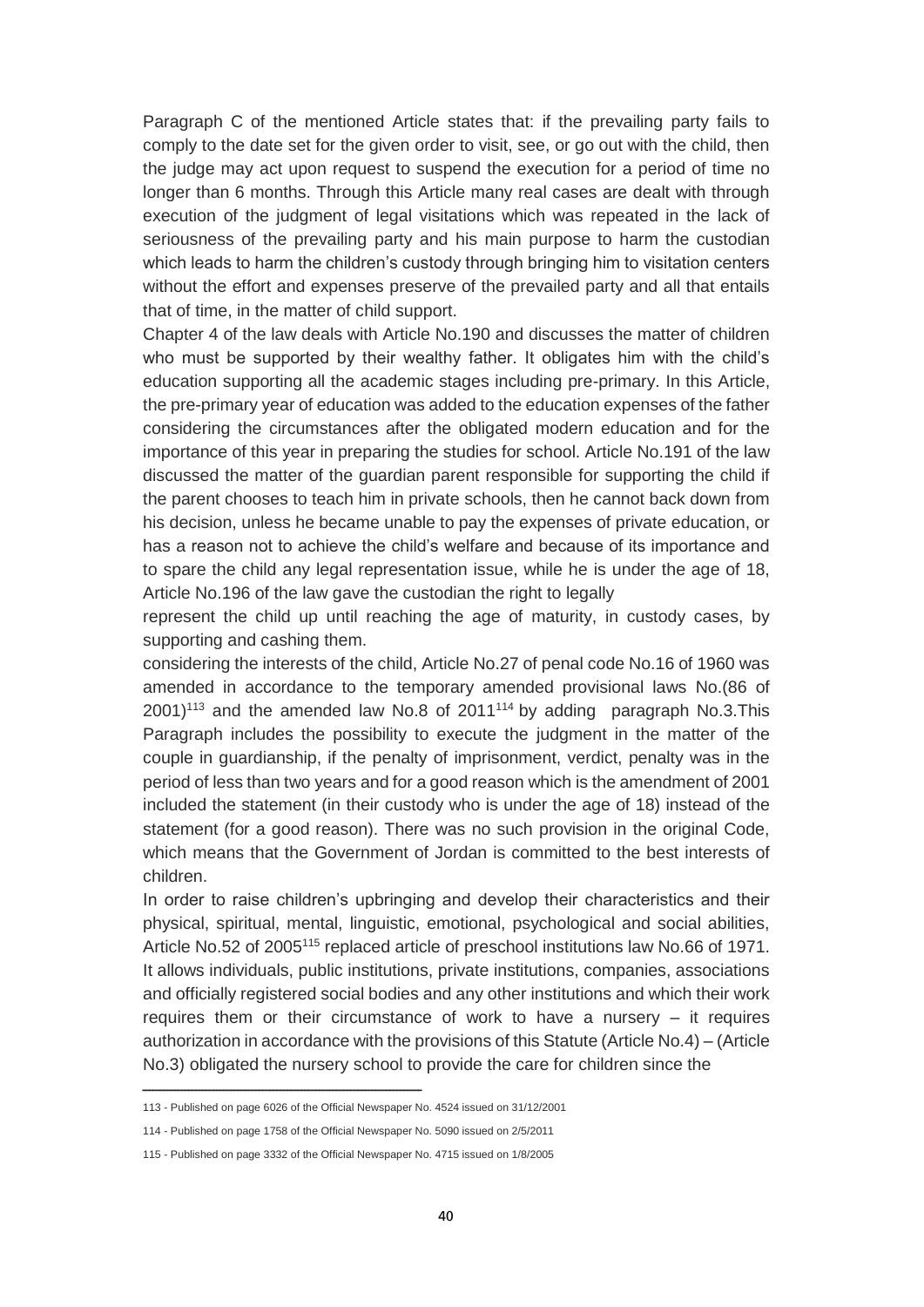Paragraph C of the mentioned Article states that: if the prevailing party fails to comply to the date set for the given order to visit, see, or go out with the child, then the judge may act upon request to suspend the execution for a period of time no longer than 6 months. Through this Article many real cases are dealt with through execution of the judgment of legal visitations which was repeated in the lack of seriousness of the prevailing party and his main purpose to harm the custodian which leads to harm the children's custody through bringing him to visitation centers without the effort and expenses preserve of the prevailed party and all that entails that of time, in the matter of child support.

Chapter 4 of the law deals with Article No.190 and discusses the matter of children who must be supported by their wealthy father. It obligates him with the child's education supporting all the academic stages including pre-primary. In this Article, the pre-primary year of education was added to the education expenses of the father considering the circumstances after the obligated modern education and for the importance of this year in preparing the studies for school. Article No.191 of the law discussed the matter of the guardian parent responsible for supporting the child if the parent chooses to teach him in private schools, then he cannot back down from his decision, unless he became unable to pay the expenses of private education, or has a reason not to achieve the child's welfare and because of its importance and to spare the child any legal representation issue, while he is under the age of 18, Article No.196 of the law gave the custodian the right to legally

represent the child up until reaching the age of maturity, in custody cases, by supporting and cashing them.

considering the interests of the child, Article No.27 of penal code No.16 of 1960 was amended in accordance to the temporary amended provisional laws No.(86 of  $2001$ <sup>113</sup> and the amended law No.8 of  $2011^{114}$  by adding paragraph No.3. This Paragraph includes the possibility to execute the judgment in the matter of the couple in guardianship, if the penalty of imprisonment, verdict, penalty was in the period of less than two years and for a good reason which is the amendment of 2001 included the statement (in their custody who is under the age of 18) instead of the statement (for a good reason). There was no such provision in the original Code, which means that the Government of Jordan is committed to the best interests of children.

In order to raise children's upbringing and develop their characteristics and their physical, spiritual, mental, linguistic, emotional, psychological and social abilities, Article No.52 of 2005<sup>115</sup> replaced article of preschool institutions law No.66 of 1971. It allows individuals, public institutions, private institutions, companies, associations and officially registered social bodies and any other institutions and which their work requires them or their circumstance of work to have a nursery – it requires authorization in accordance with the provisions of this Statute (Article No.4) – (Article No.3) obligated the nursery school to provide the care for children since the

<sup>113 -</sup> Published on page 6026 of the Official Newspaper No. 4524 issued on 31/12/2001

<sup>114 -</sup> Published on page 1758 of the Official Newspaper No. 5090 issued on 2/5/2011

<sup>115 -</sup> Published on page 3332 of the Official Newspaper No. 4715 issued on 1/8/2005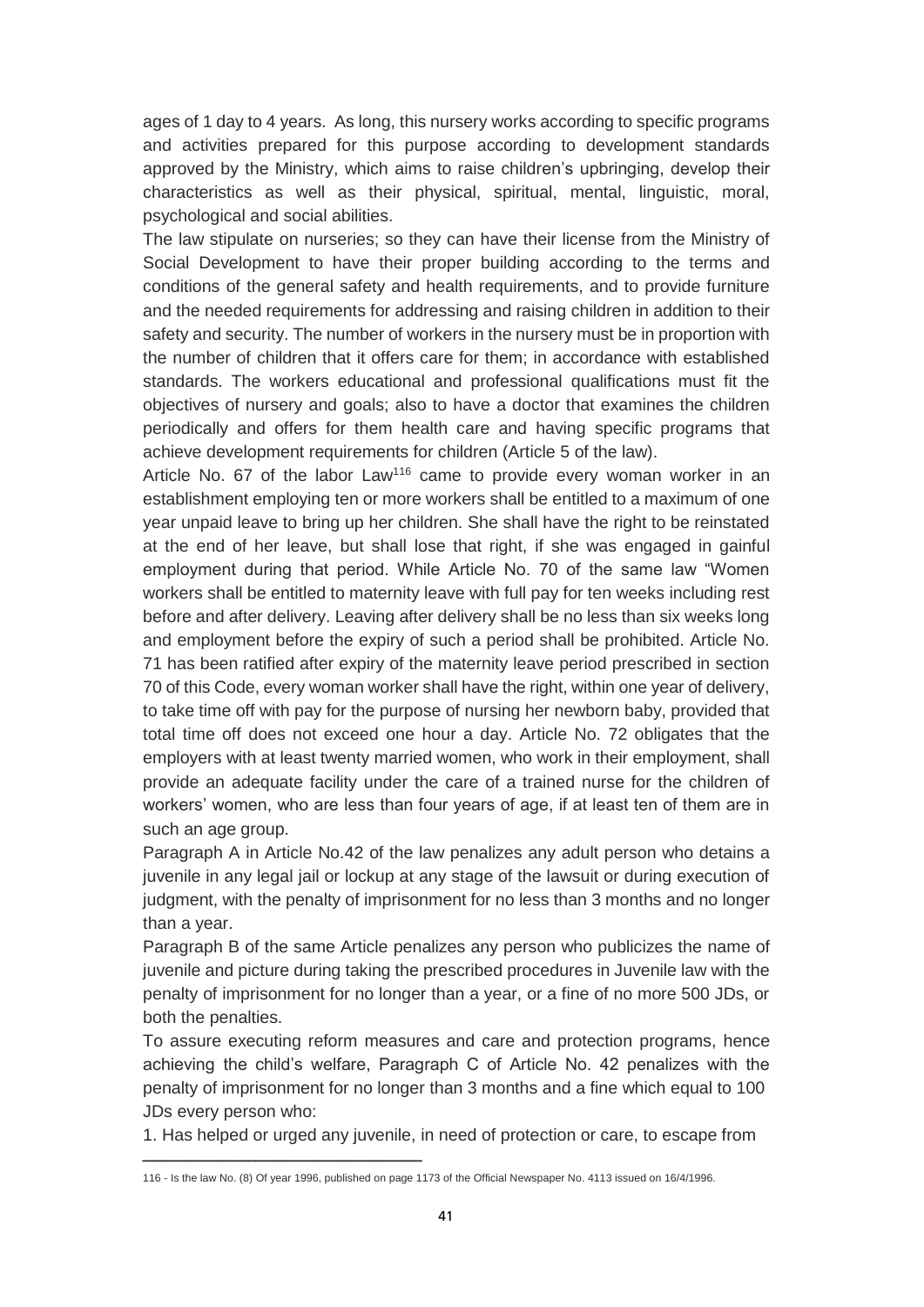ages of 1 day to 4 years. As long, this nursery works according to specific programs and activities prepared for this purpose according to development standards approved by the Ministry, which aims to raise children's upbringing, develop their characteristics as well as their physical, spiritual, mental, linguistic, moral, psychological and social abilities.

The law stipulate on nurseries; so they can have their license from the Ministry of Social Development to have their proper building according to the terms and conditions of the general safety and health requirements, and to provide furniture and the needed requirements for addressing and raising children in addition to their safety and security. The number of workers in the nursery must be in proportion with the number of children that it offers care for them; in accordance with established standards. The workers educational and professional qualifications must fit the objectives of nursery and goals; also to have a doctor that examines the children periodically and offers for them health care and having specific programs that achieve development requirements for children (Article 5 of the law).

Article No. 67 of the labor  $Law<sup>116</sup>$  came to provide every woman worker in an establishment employing ten or more workers shall be entitled to a maximum of one year unpaid leave to bring up her children. She shall have the right to be reinstated at the end of her leave, but shall lose that right, if she was engaged in gainful employment during that period. While Article No. 70 of the same law "Women workers shall be entitled to maternity leave with full pay for ten weeks including rest before and after delivery. Leaving after delivery shall be no less than six weeks long and employment before the expiry of such a period shall be prohibited. Article No. 71 has been ratified after expiry of the maternity leave period prescribed in section 70 of this Code, every woman worker shall have the right, within one year of delivery, to take time off with pay for the purpose of nursing her newborn baby, provided that total time off does not exceed one hour a day. Article No. 72 obligates that the employers with at least twenty married women, who work in their employment, shall provide an adequate facility under the care of a trained nurse for the children of workers' women, who are less than four years of age, if at least ten of them are in such an age group.

Paragraph A in Article No.42 of the law penalizes any adult person who detains a juvenile in any legal jail or lockup at any stage of the lawsuit or during execution of judgment, with the penalty of imprisonment for no less than 3 months and no longer than a year.

Paragraph B of the same Article penalizes any person who publicizes the name of juvenile and picture during taking the prescribed procedures in Juvenile law with the penalty of imprisonment for no longer than a year, or a fine of no more 500 JDs, or both the penalties.

To assure executing reform measures and care and protection programs, hence achieving the child's welfare, Paragraph C of Article No. 42 penalizes with the penalty of imprisonment for no longer than 3 months and a fine which equal to 100 JDs every person who:

1. Has helped or urged any juvenile, in need of protection or care, to escape from

<sup>116 -</sup> Is the law No. (8) Of year 1996, published on page 1173 of the Official Newspaper No. 4113 issued on 16/4/1996.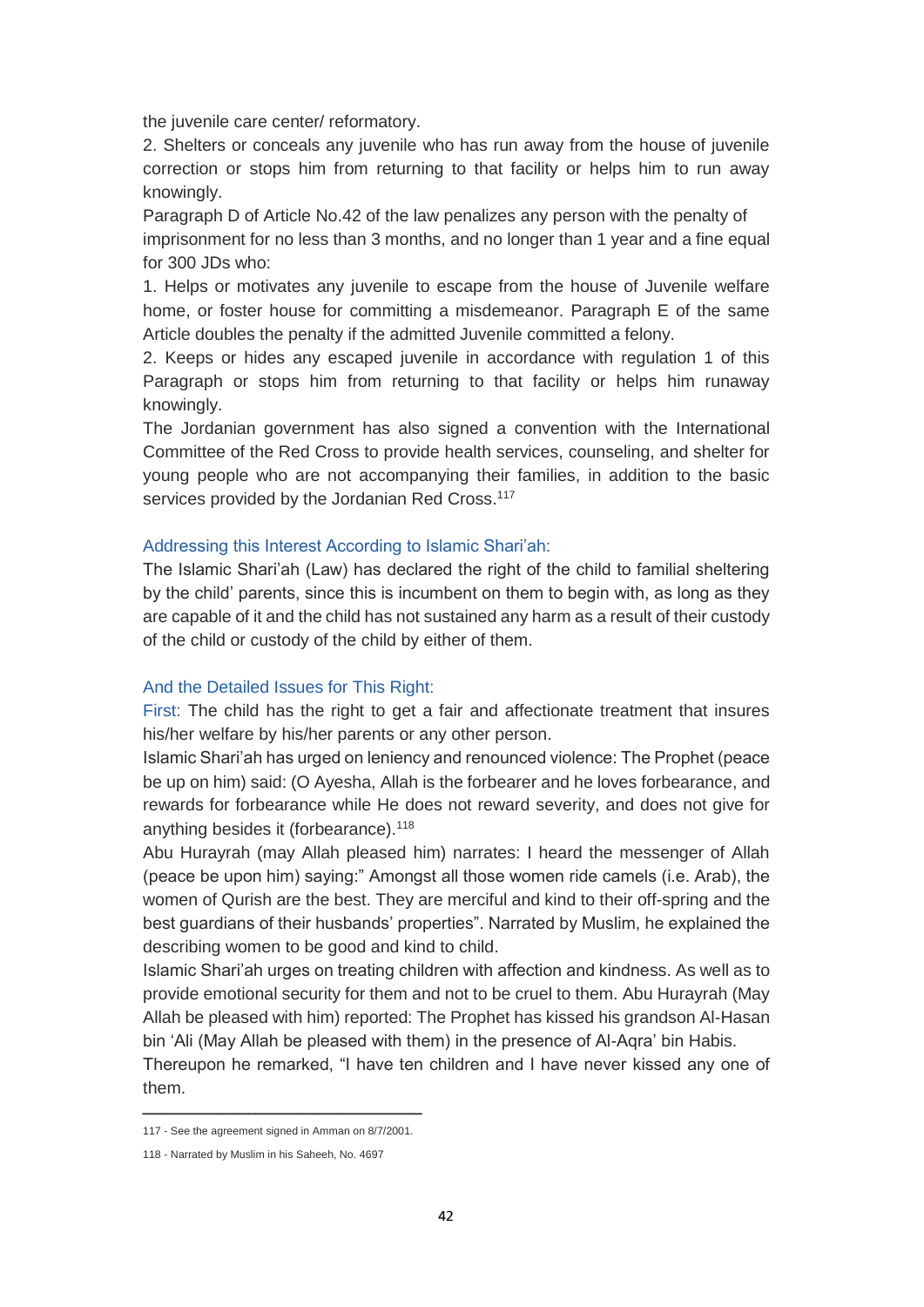the juvenile care center/ reformatory.

2. Shelters or conceals any juvenile who has run away from the house of juvenile correction or stops him from returning to that facility or helps him to run away knowingly.

Paragraph D of Article No.42 of the law penalizes any person with the penalty of imprisonment for no less than 3 months, and no longer than 1 year and a fine equal for 300 JDs who:

1. Helps or motivates any juvenile to escape from the house of Juvenile welfare home, or foster house for committing a misdemeanor. Paragraph E of the same Article doubles the penalty if the admitted Juvenile committed a felony.

2. Keeps or hides any escaped juvenile in accordance with regulation 1 of this Paragraph or stops him from returning to that facility or helps him runaway knowingly.

The Jordanian government has also signed a convention with the International Committee of the Red Cross to provide health services, counseling, and shelter for young people who are not accompanying their families, in addition to the basic services provided by the Jordanian Red Cross.<sup>117</sup>

#### Addressing this Interest According to Islamic Shari'ah:

The Islamic Shari'ah (Law) has declared the right of the child to familial sheltering by the child' parents, since this is incumbent on them to begin with, as long as they are capable of it and the child has not sustained any harm as a result of their custody of the child or custody of the child by either of them.

### And the Detailed Issues for This Right:

First: The child has the right to get a fair and affectionate treatment that insures his/her welfare by his/her parents or any other person.

Islamic Shari'ah has urged on leniency and renounced violence: The Prophet (peace be up on him) said: (O Ayesha, Allah is the forbearer and he loves forbearance, and rewards for forbearance while He does not reward severity, and does not give for anything besides it (forbearance).<sup>118</sup>

Abu Hurayrah (may Allah pleased him) narrates: I heard the messenger of Allah (peace be upon him) saying:" Amongst all those women ride camels (i.e. Arab), the women of Qurish are the best. They are merciful and kind to their off-spring and the best guardians of their husbands' properties". Narrated by Muslim, he explained the describing women to be good and kind to child.

Islamic Shari'ah urges on treating children with affection and kindness. As well as to provide emotional security for them and not to be cruel to them. Abu Hurayrah (May Allah be pleased with him) reported: The Prophet has kissed his grandson Al-Hasan bin 'Ali (May Allah be pleased with them) in the presence of Al-Aqra' bin Habis.

Thereupon he remarked, "I have ten children and I have never kissed any one of them.

ـــــــــــــــــــــــــــــــــــــــــــــــــــــــــــــــــــــــــــــــ 117 - See the agreement signed in Amman on 8/7/2001.

<sup>118 -</sup> Narrated by Muslim in his Saheeh, No. 4697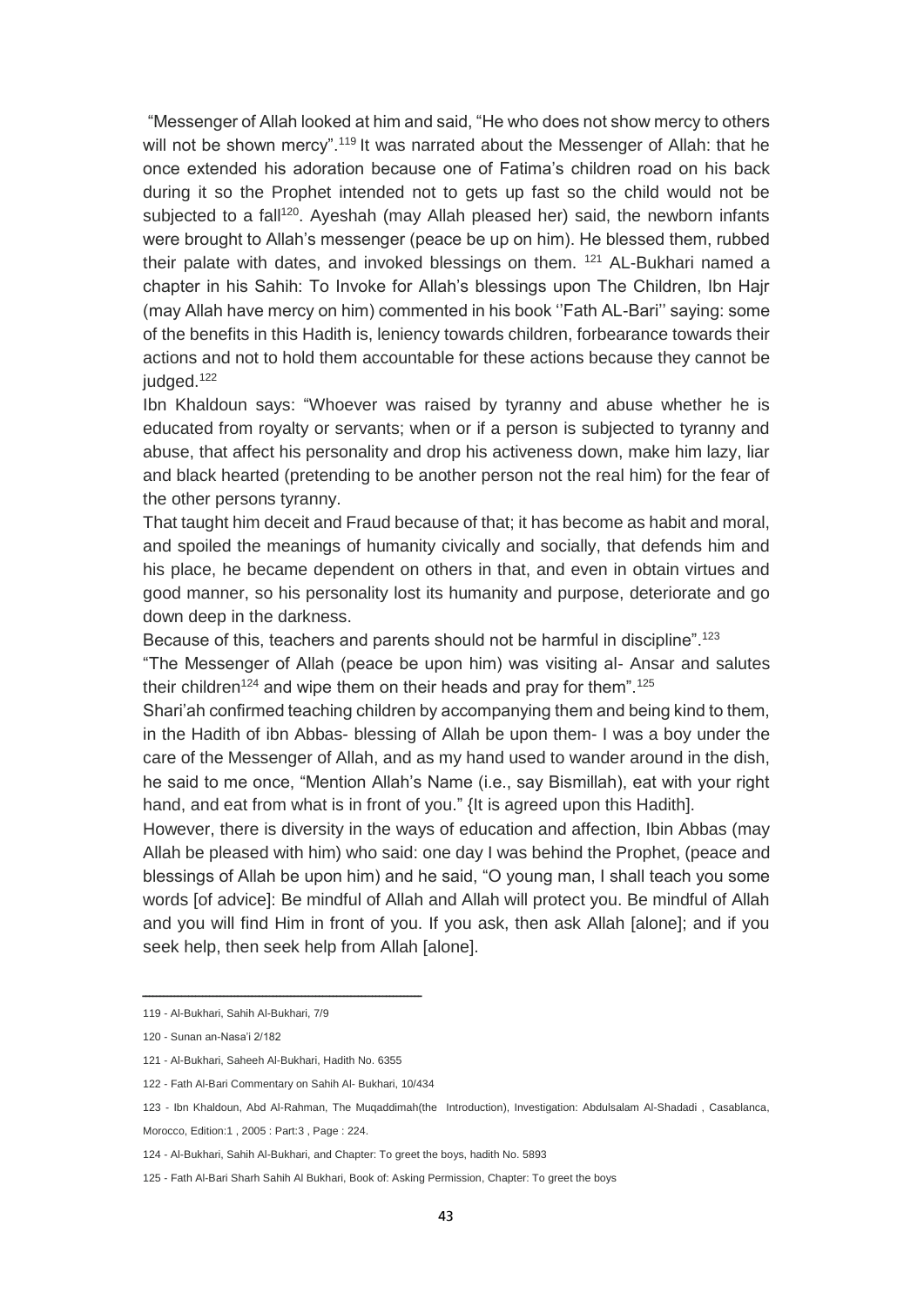"Messenger of Allah looked at him and said, "He who does not show mercy to others will not be shown mercy".<sup>119</sup> It was narrated about the Messenger of Allah: that he once extended his adoration because one of Fatima's children road on his back during it so the Prophet intended not to gets up fast so the child would not be subjected to a fall<sup>120</sup>. Ayeshah (may Allah pleased her) said, the newborn infants were brought to Allah's messenger (peace be up on him). He blessed them, rubbed their palate with dates, and invoked blessings on them. <sup>121</sup> AL-Bukhari named a chapter in his Sahih: To Invoke for Allah's blessings upon The Children, Ibn Hajr (may Allah have mercy on him) commented in his book ''Fath AL-Bari'' saying: some of the benefits in this Hadith is, leniency towards children, forbearance towards their actions and not to hold them accountable for these actions because they cannot be judged.<sup>122</sup>

Ibn Khaldoun says: "Whoever was raised by tyranny and abuse whether he is educated from royalty or servants; when or if a person is subjected to tyranny and abuse, that affect his personality and drop his activeness down, make him lazy, liar and black hearted (pretending to be another person not the real him) for the fear of the other persons tyranny.

That taught him deceit and Fraud because of that; it has become as habit and moral, and spoiled the meanings of humanity civically and socially, that defends him and his place, he became dependent on others in that, and even in obtain virtues and good manner, so his personality lost its humanity and purpose, deteriorate and go down deep in the darkness.

Because of this, teachers and parents should not be harmful in discipline".<sup>123</sup>

"The Messenger of Allah (peace be upon him) was visiting al- Ansar and salutes their children<sup>124</sup> and wipe them on their heads and pray for them".<sup>125</sup>

Shari'ah confirmed teaching children by accompanying them and being kind to them, in the Hadith of ibn Abbas- blessing of Allah be upon them- I was a boy under the care of the Messenger of Allah, and as my hand used to wander around in the dish, he said to me once, "Mention Allah's Name (i.e., say Bismillah), eat with your right hand, and eat from what is in front of you." {It is agreed upon this Hadith].

However, there is diversity in the ways of education and affection, Ibin Abbas (may Allah be pleased with him) who said: one day I was behind the Prophet, (peace and blessings of Allah be upon him) and he said, "O young man, I shall teach you some words [of advice]: Be mindful of Allah and Allah will protect you. Be mindful of Allah and you will find Him in front of you. If you ask, then ask Allah [alone]; and if you seek help, then seek help from Allah [alone].

<sup>119 -</sup> Al-Bukhari, Sahih Al-Bukhari, 7/9

<sup>120 -</sup> Sunan an-Nasa'i 2/182

<sup>121 -</sup> Al-Bukhari, Saheeh Al-Bukhari, Hadith No. 6355

<sup>122 -</sup> Fath Al-Bari Commentary on Sahih Al- Bukhari, 10/434

<sup>123 -</sup> Ibn Khaldoun, Abd Al-Rahman, The Muqaddimah(the Introduction), Investigation: Abdulsalam Al-Shadadi , Casablanca,

Morocco, Edition:1 , 2005 : Part:3 , Page : 224.

<sup>124 -</sup> Al-Bukhari, Sahih Al-Bukhari, and Chapter: To greet the boys, hadith No. 5893

<sup>125 -</sup> Fath Al-Bari Sharh Sahih Al Bukhari, Book of: Asking Permission, Chapter: To greet the boys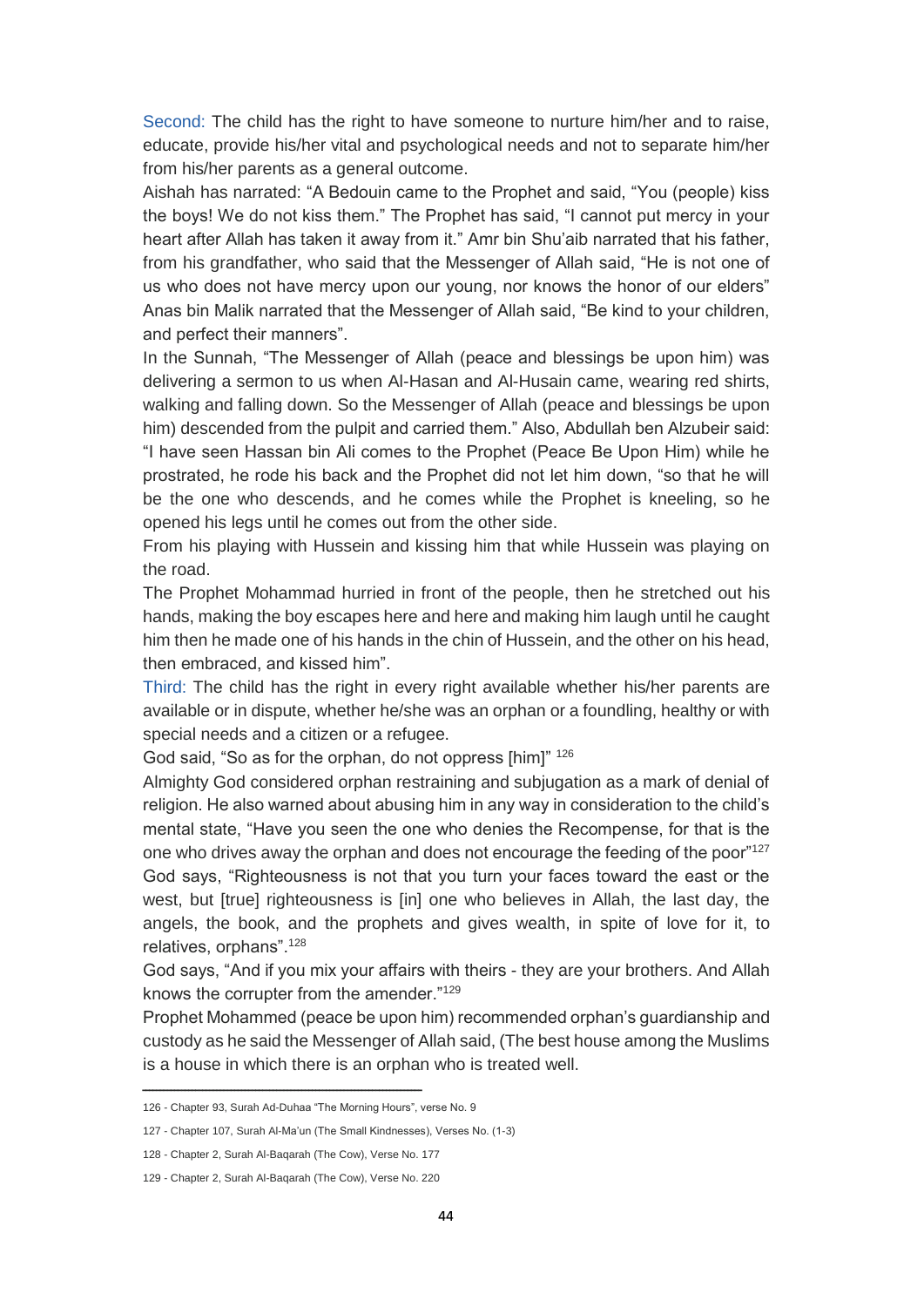Second: The child has the right to have someone to nurture him/her and to raise, educate, provide his/her vital and psychological needs and not to separate him/her from his/her parents as a general outcome.

Aishah has narrated: "A Bedouin came to the Prophet and said, "You (people) kiss the boys! We do not kiss them." The Prophet has said, "I cannot put mercy in your heart after Allah has taken it away from it." Amr bin Shu'aib narrated that his father, from his grandfather, who said that the Messenger of Allah said, "He is not one of us who does not have mercy upon our young, nor knows the honor of our elders" Anas bin Malik narrated that the Messenger of Allah said, "Be kind to your children, and perfect their manners".

In the Sunnah, "The Messenger of Allah (peace and blessings be upon him) was delivering a sermon to us when Al-Hasan and Al-Husain came, wearing red shirts, walking and falling down. So the Messenger of Allah (peace and blessings be upon him) descended from the pulpit and carried them." Also, Abdullah ben Alzubeir said: "I have seen Hassan bin Ali comes to the Prophet (Peace Be Upon Him) while he prostrated, he rode his back and the Prophet did not let him down, "so that he will be the one who descends, and he comes while the Prophet is kneeling, so he opened his legs until he comes out from the other side.

From his playing with Hussein and kissing him that while Hussein was playing on the road.

The Prophet Mohammad hurried in front of the people, then he stretched out his hands, making the boy escapes here and here and making him laugh until he caught him then he made one of his hands in the chin of Hussein, and the other on his head, then embraced, and kissed him".

Third: The child has the right in every right available whether his/her parents are available or in dispute, whether he/she was an orphan or a foundling, healthy or with special needs and a citizen or a refugee.

God said, "So as for the orphan, do not oppress [him]" <sup>126</sup>

Almighty God considered orphan restraining and subjugation as a mark of denial of religion. He also warned about abusing him in any way in consideration to the child's mental state, "Have you seen the one who denies the Recompense, for that is the one who drives away the orphan and does not encourage the feeding of the poor" $127$ God says, "Righteousness is not that you turn your faces toward the east or the west, but [true] righteousness is [in] one who believes in Allah, the last day, the angels, the book, and the prophets and gives wealth, in spite of love for it, to relatives, orphans".<sup>128</sup>

God says, "And if you mix your affairs with theirs - they are your brothers. And Allah knows the corrupter from the amender."<sup>129</sup>

Prophet Mohammed (peace be upon him) recommended orphan's guardianship and custody as he said the Messenger of Allah said, (The best house among the Muslims is a house in which there is an orphan who is treated well.

<sup>126 -</sup> Chapter 93, Surah Ad-Duhaa "The Morning Hours", verse No. 9

<sup>127 -</sup> Chapter 107, Surah Al-Ma'un (The Small Kindnesses), Verses No. (1-3)

<sup>128 -</sup> Chapter 2, Surah Al-Baqarah (The Cow), Verse No. 177

<sup>129 -</sup> Chapter 2, Surah Al-Baqarah (The Cow), Verse No. 220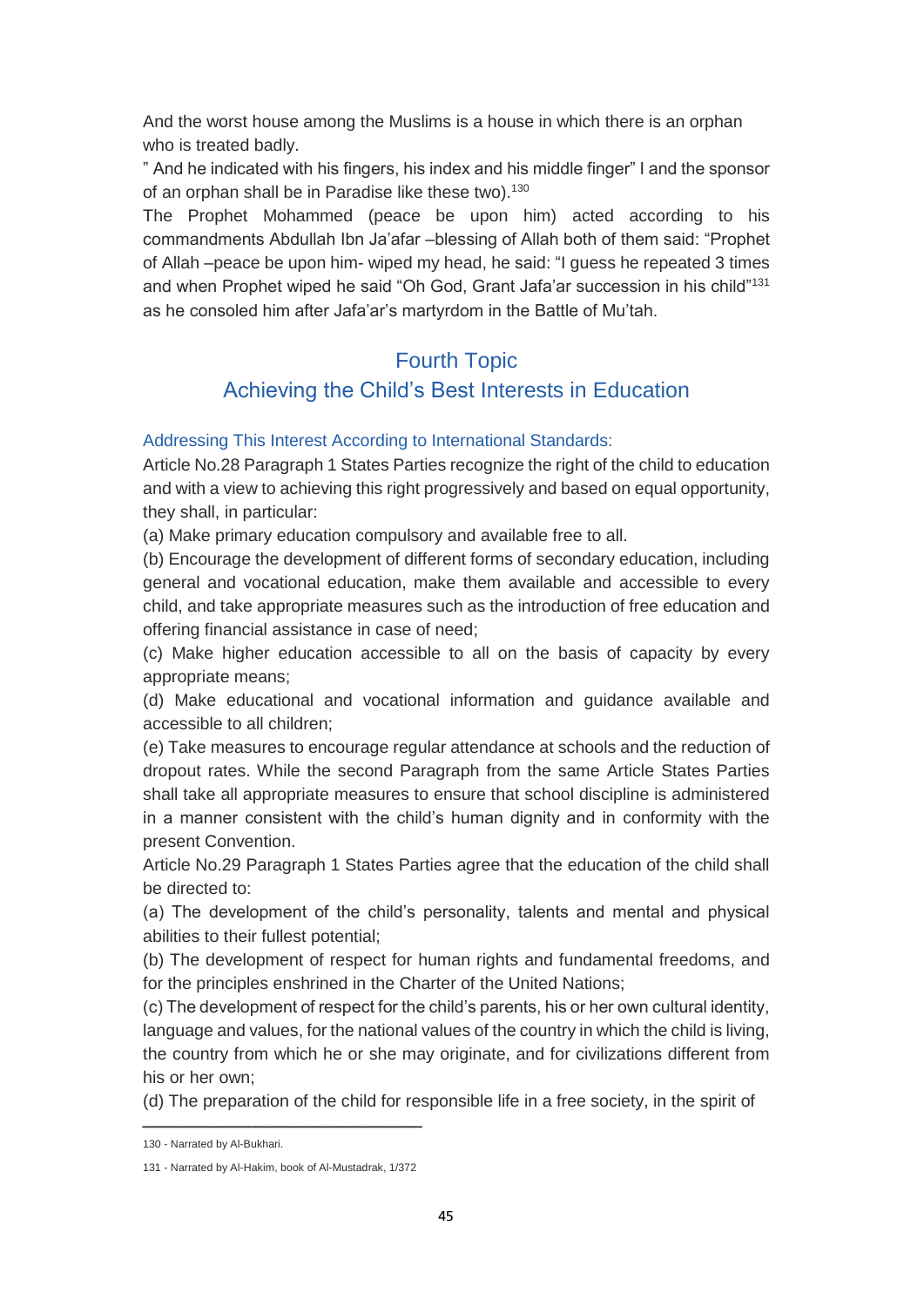And the worst house among the Muslims is a house in which there is an orphan who is treated badly.

" And he indicated with his fingers, his index and his middle finger" I and the sponsor of an orphan shall be in Paradise like these two).<sup>130</sup>

The Prophet Mohammed (peace be upon him) acted according to his commandments Abdullah Ibn Ja'afar –blessing of Allah both of them said: "Prophet of Allah –peace be upon him- wiped my head, he said: "I guess he repeated 3 times and when Prophet wiped he said "Oh God, Grant Jafa'ar succession in his child"<sup>131</sup> as he consoled him after Jafa'ar's martyrdom in the Battle of Mu'tah.

# Fourth Topic

# Achieving the Child's Best Interests in Education

### Addressing This Interest According to International Standards:

Article No.28 Paragraph 1 States Parties recognize the right of the child to education and with a view to achieving this right progressively and based on equal opportunity, they shall, in particular:

(a) Make primary education compulsory and available free to all.

(b) Encourage the development of different forms of secondary education, including general and vocational education, make them available and accessible to every child, and take appropriate measures such as the introduction of free education and offering financial assistance in case of need;

(c) Make higher education accessible to all on the basis of capacity by every appropriate means;

(d) Make educational and vocational information and guidance available and accessible to all children;

(e) Take measures to encourage regular attendance at schools and the reduction of dropout rates. While the second Paragraph from the same Article States Parties shall take all appropriate measures to ensure that school discipline is administered in a manner consistent with the child's human dignity and in conformity with the present Convention.

Article No.29 Paragraph 1 States Parties agree that the education of the child shall be directed to:

(a) The development of the child's personality, talents and mental and physical abilities to their fullest potential;

(b) The development of respect for human rights and fundamental freedoms, and for the principles enshrined in the Charter of the United Nations;

(c) The development of respect for the child's parents, his or her own cultural identity, language and values, for the national values of the country in which the child is living, the country from which he or she may originate, and for civilizations different from his or her own;

(d) The preparation of the child for responsible life in a free society, in the spirit of

<sup>130 -</sup> Narrated by Al-Bukhari.

<sup>131 -</sup> Narrated by Al-Hakim, book of Al-Mustadrak, 1/372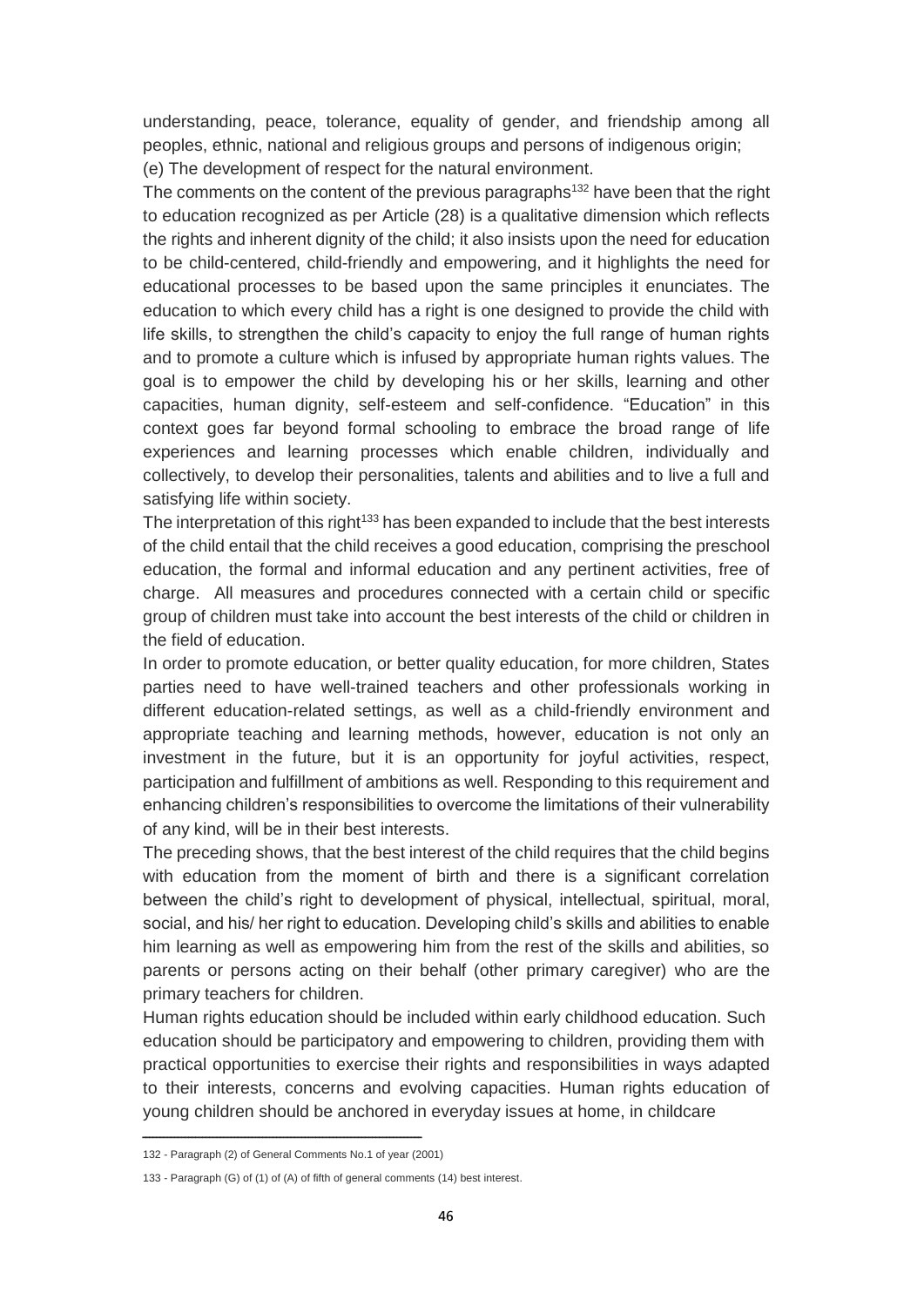understanding, peace, tolerance, equality of gender, and friendship among all peoples, ethnic, national and religious groups and persons of indigenous origin; (e) The development of respect for the natural environment.

The comments on the content of the previous paragraphs<sup>132</sup> have been that the right to education recognized as per Article (28) is a qualitative dimension which reflects the rights and inherent dignity of the child; it also insists upon the need for education to be child-centered, child-friendly and empowering, and it highlights the need for educational processes to be based upon the same principles it enunciates. The education to which every child has a right is one designed to provide the child with life skills, to strengthen the child's capacity to enjoy the full range of human rights and to promote a culture which is infused by appropriate human rights values. The goal is to empower the child by developing his or her skills, learning and other capacities, human dignity, self-esteem and self-confidence. "Education" in this context goes far beyond formal schooling to embrace the broad range of life experiences and learning processes which enable children, individually and collectively, to develop their personalities, talents and abilities and to live a full and satisfying life within society.

The interpretation of this right $133$  has been expanded to include that the best interests of the child entail that the child receives a good education, comprising the preschool education, the formal and informal education and any pertinent activities, free of charge. All measures and procedures connected with a certain child or specific group of children must take into account the best interests of the child or children in the field of education.

In order to promote education, or better quality education, for more children, States parties need to have well-trained teachers and other professionals working in different education-related settings, as well as a child-friendly environment and appropriate teaching and learning methods, however, education is not only an investment in the future, but it is an opportunity for joyful activities, respect, participation and fulfillment of ambitions as well. Responding to this requirement and enhancing children's responsibilities to overcome the limitations of their vulnerability of any kind, will be in their best interests.

The preceding shows, that the best interest of the child requires that the child begins with education from the moment of birth and there is a significant correlation between the child's right to development of physical, intellectual, spiritual, moral, social, and his/ her right to education. Developing child's skills and abilities to enable him learning as well as empowering him from the rest of the skills and abilities, so parents or persons acting on their behalf (other primary caregiver) who are the primary teachers for children.

Human rights education should be included within early childhood education. Such education should be participatory and empowering to children, providing them with practical opportunities to exercise their rights and responsibilities in ways adapted to their interests, concerns and evolving capacities. Human rights education of young children should be anchored in everyday issues at home, in childcare

<sup>132 -</sup> Paragraph (2) of General Comments No.1 of year (2001)

<sup>133 -</sup> Paragraph (G) of (1) of (A) of fifth of general comments (14) best interest.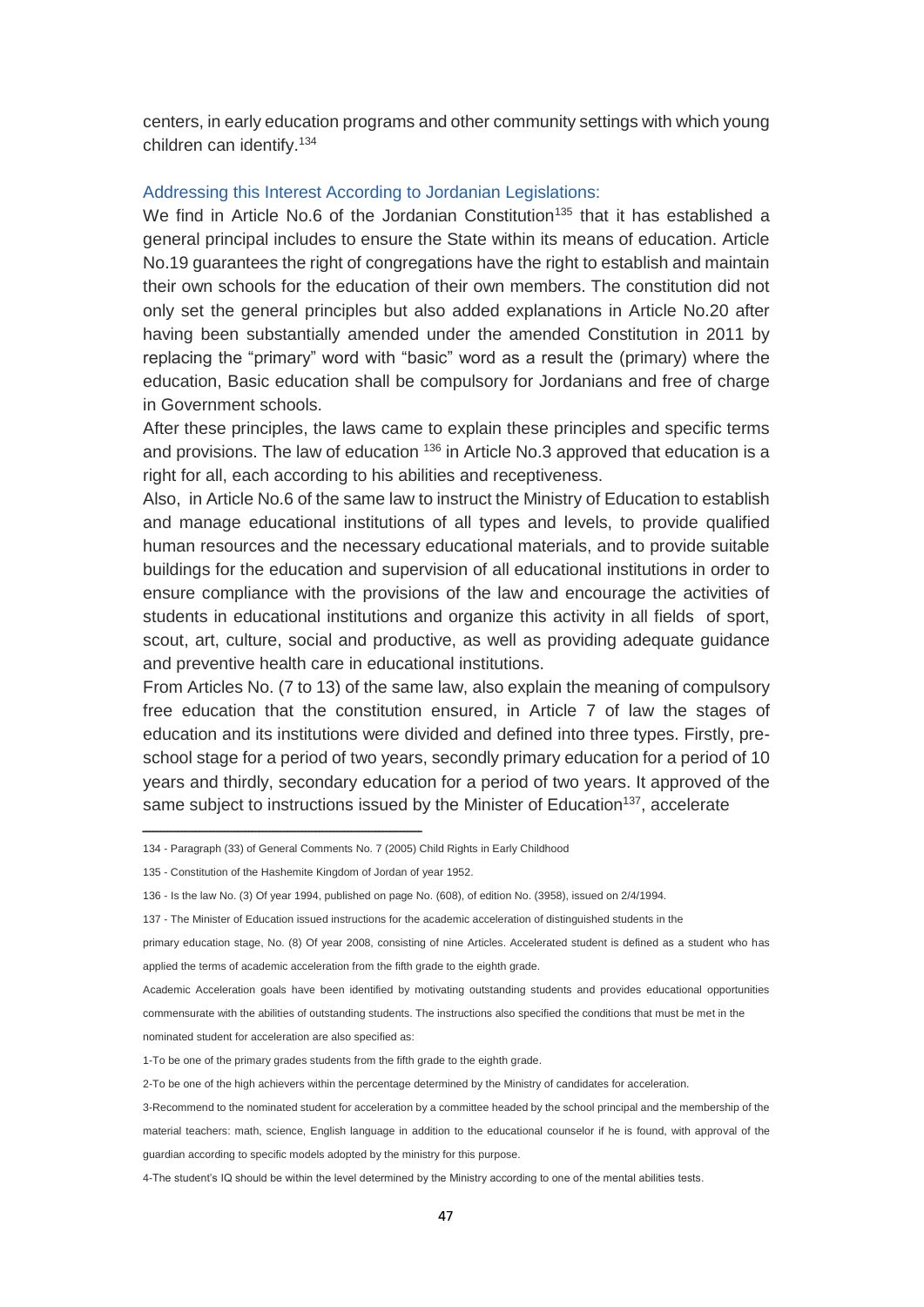centers, in early education programs and other community settings with which young children can identify.<sup>134</sup>

#### Addressing this Interest According to Jordanian Legislations:

We find in Article No.6 of the Jordanian Constitution<sup>135</sup> that it has established a general principal includes to ensure the State within its means of education. Article No.19 guarantees the right of congregations have the right to establish and maintain their own schools for the education of their own members. The constitution did not only set the general principles but also added explanations in Article No.20 after having been substantially amended under the amended Constitution in 2011 by replacing the "primary" word with "basic" word as a result the (primary) where the education, Basic education shall be compulsory for Jordanians and free of charge in Government schools.

After these principles, the laws came to explain these principles and specific terms and provisions. The law of education <sup>136</sup> in Article No.3 approved that education is a right for all, each according to his abilities and receptiveness.

Also, in Article No.6 of the same law to instruct the Ministry of Education to establish and manage educational institutions of all types and levels, to provide qualified human resources and the necessary educational materials, and to provide suitable buildings for the education and supervision of all educational institutions in order to ensure compliance with the provisions of the law and encourage the activities of students in educational institutions and organize this activity in all fields of sport, scout, art, culture, social and productive, as well as providing adequate guidance and preventive health care in educational institutions.

From Articles No. (7 to 13) of the same law, also explain the meaning of compulsory free education that the constitution ensured, in Article 7 of law the stages of education and its institutions were divided and defined into three types. Firstly, preschool stage for a period of two years, secondly primary education for a period of 10 years and thirdly, secondary education for a period of two years. It approved of the same subject to instructions issued by the Minister of Education<sup>137</sup>, accelerate

<sup>134 -</sup> Paragraph (33) of General Comments No. 7 (2005) Child Rights in Early Childhood

<sup>135 -</sup> Constitution of the Hashemite Kingdom of Jordan of year 1952.

<sup>136 -</sup> Is the law No. (3) Of year 1994, published on page No. (608), of edition No. (3958), issued on 2/4/1994.

<sup>137 -</sup> The Minister of Education issued instructions for the academic acceleration of distinguished students in the

primary education stage, No. (8) Of year 2008, consisting of nine Articles. Accelerated student is defined as a student who has applied the terms of academic acceleration from the fifth grade to the eighth grade.

Academic Acceleration goals have been identified by motivating outstanding students and provides educational opportunities commensurate with the abilities of outstanding students. The instructions also specified the conditions that must be met in the nominated student for acceleration are also specified as:

<sup>1-</sup>To be one of the primary grades students from the fifth grade to the eighth grade.

<sup>2-</sup>To be one of the high achievers within the percentage determined by the Ministry of candidates for acceleration.

<sup>3-</sup>Recommend to the nominated student for acceleration by a committee headed by the school principal and the membership of the material teachers: math, science, English language in addition to the educational counselor if he is found, with approval of the guardian according to specific models adopted by the ministry for this purpose.

<sup>4-</sup>The student's IQ should be within the level determined by the Ministry according to one of the mental abilities tests.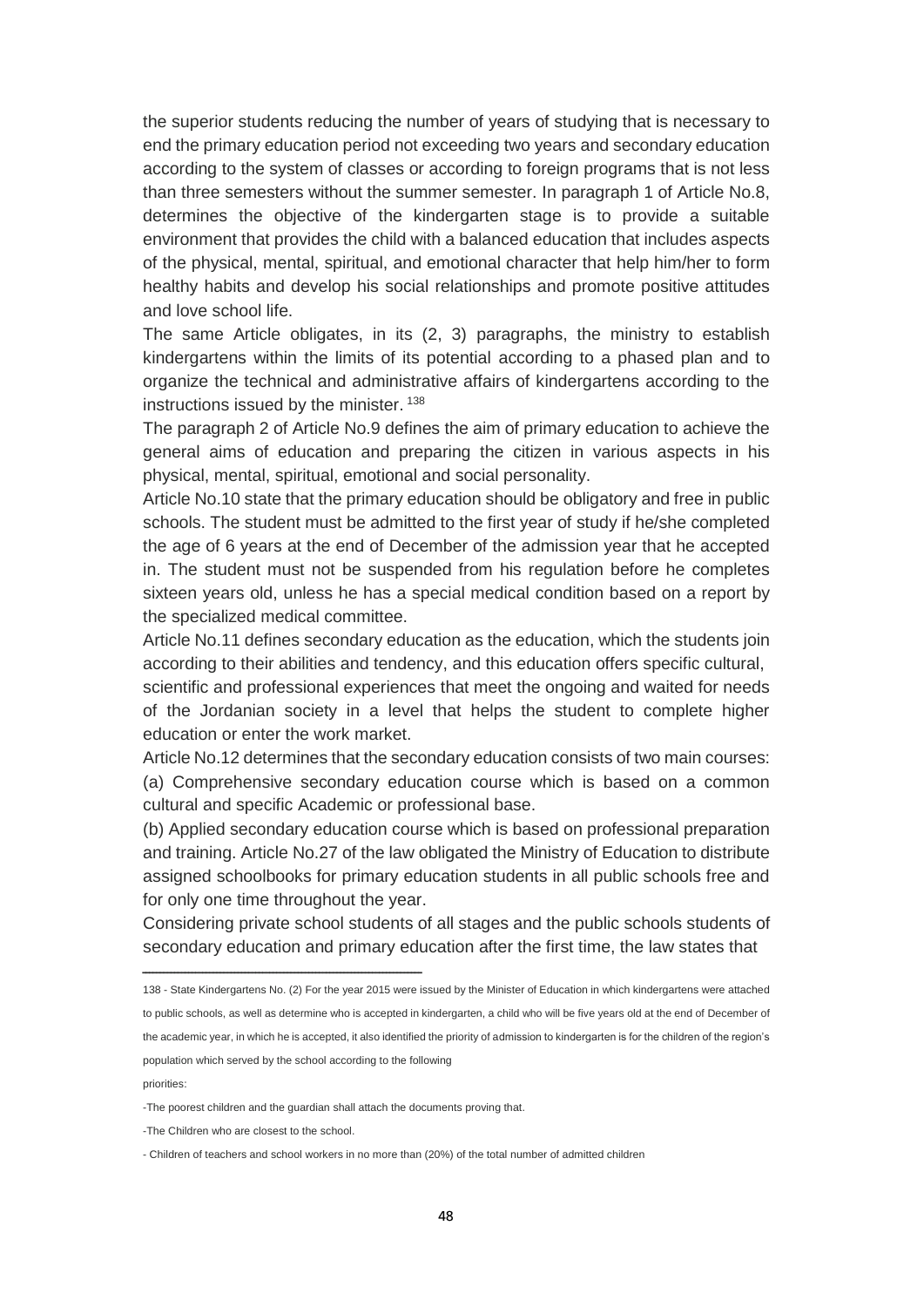the superior students reducing the number of years of studying that is necessary to end the primary education period not exceeding two years and secondary education according to the system of classes or according to foreign programs that is not less than three semesters without the summer semester. In paragraph 1 of Article No.8, determines the objective of the kindergarten stage is to provide a suitable environment that provides the child with a balanced education that includes aspects of the physical, mental, spiritual, and emotional character that help him/her to form healthy habits and develop his social relationships and promote positive attitudes and love school life.

The same Article obligates, in its (2, 3) paragraphs, the ministry to establish kindergartens within the limits of its potential according to a phased plan and to organize the technical and administrative affairs of kindergartens according to the instructions issued by the minister. <sup>138</sup>

The paragraph 2 of Article No.9 defines the aim of primary education to achieve the general aims of education and preparing the citizen in various aspects in his physical, mental, spiritual, emotional and social personality.

Article No.10 state that the primary education should be obligatory and free in public schools. The student must be admitted to the first year of study if he/she completed the age of 6 years at the end of December of the admission year that he accepted in. The student must not be suspended from his regulation before he completes sixteen years old, unless he has a special medical condition based on a report by the specialized medical committee.

Article No.11 defines secondary education as the education, which the students join according to their abilities and tendency, and this education offers specific cultural, scientific and professional experiences that meet the ongoing and waited for needs

of the Jordanian society in a level that helps the student to complete higher education or enter the work market.

Article No.12 determines that the secondary education consists of two main courses: (a) Comprehensive secondary education course which is based on a common cultural and specific Academic or professional base.

(b) Applied secondary education course which is based on professional preparation and training. Article No.27 of the law obligated the Ministry of Education to distribute assigned schoolbooks for primary education students in all public schools free and for only one time throughout the year.

Considering private school students of all stages and the public schools students of secondary education and primary education after the first time, the law states that

<sup>138 -</sup> State Kindergartens No. (2) For the year 2015 were issued by the Minister of Education in which kindergartens were attached to public schools, as well as determine who is accepted in kindergarten, a child who will be five years old at the end of December of the academic year, in which he is accepted, it also identified the priority of admission to kindergarten is for the children of the region's population which served by the school according to the following

priorities:

<sup>-</sup>The poorest children and the guardian shall attach the documents proving that.

<sup>-</sup>The Children who are closest to the school.

<sup>-</sup> Children of teachers and school workers in no more than (20%) of the total number of admitted children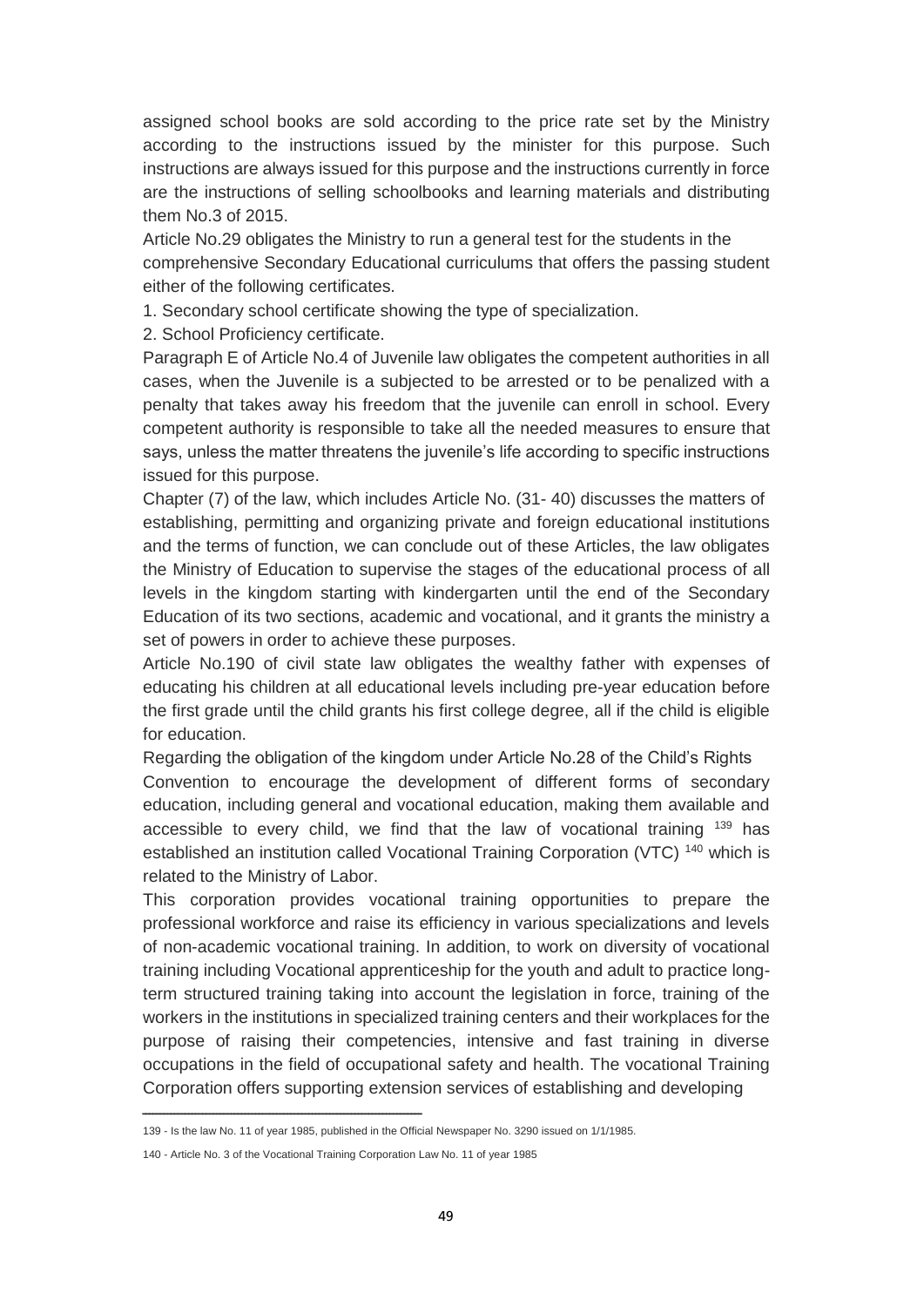assigned school books are sold according to the price rate set by the Ministry according to the instructions issued by the minister for this purpose. Such instructions are always issued for this purpose and the instructions currently in force are the instructions of selling schoolbooks and learning materials and distributing them No.3 of 2015.

Article No.29 obligates the Ministry to run a general test for the students in the comprehensive Secondary Educational curriculums that offers the passing student either of the following certificates.

1. Secondary school certificate showing the type of specialization.

2. School Proficiency certificate.

Paragraph E of Article No.4 of Juvenile law obligates the competent authorities in all cases, when the Juvenile is a subjected to be arrested or to be penalized with a penalty that takes away his freedom that the juvenile can enroll in school. Every competent authority is responsible to take all the needed measures to ensure that says, unless the matter threatens the juvenile's life according to specific instructions issued for this purpose.

Chapter (7) of the law, which includes Article No. (31- 40) discusses the matters of establishing, permitting and organizing private and foreign educational institutions and the terms of function, we can conclude out of these Articles, the law obligates the Ministry of Education to supervise the stages of the educational process of all levels in the kingdom starting with kindergarten until the end of the Secondary Education of its two sections, academic and vocational, and it grants the ministry a set of powers in order to achieve these purposes.

Article No.190 of civil state law obligates the wealthy father with expenses of educating his children at all educational levels including pre-year education before the first grade until the child grants his first college degree, all if the child is eligible for education.

Regarding the obligation of the kingdom under Article No.28 of the Child's Rights Convention to encourage the development of different forms of secondary education, including general and vocational education, making them available and accessible to every child, we find that the law of vocational training  $139$  has established an institution called Vocational Training Corporation (VTC)<sup>140</sup> which is related to the Ministry of Labor.

This corporation provides vocational training opportunities to prepare the professional workforce and raise its efficiency in various specializations and levels of non-academic vocational training. In addition, to work on diversity of vocational training including Vocational apprenticeship for the youth and adult to practice longterm structured training taking into account the legislation in force, training of the workers in the institutions in specialized training centers and their workplaces for the purpose of raising their competencies, intensive and fast training in diverse occupations in the field of occupational safety and health. The vocational Training Corporation offers supporting extension services of establishing and developing

<sup>139 -</sup> Is the law No. 11 of year 1985, published in the Official Newspaper No. 3290 issued on 1/1/1985.

<sup>140 -</sup> Article No. 3 of the Vocational Training Corporation Law No. 11 of year 1985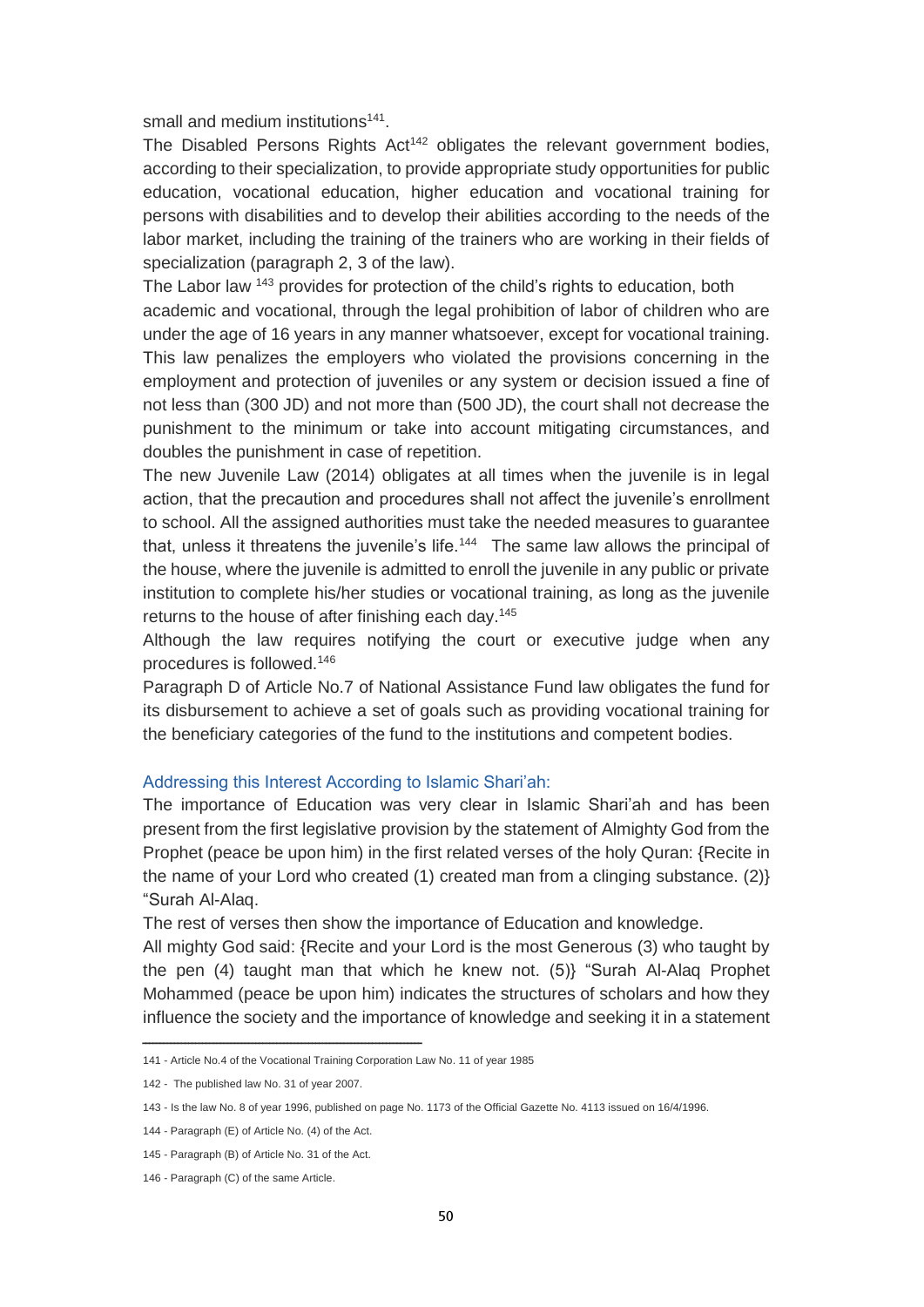small and medium institutions<sup>141</sup>.

The Disabled Persons Rights Act<sup>142</sup> obligates the relevant government bodies, according to their specialization, to provide appropriate study opportunities for public education, vocational education, higher education and vocational training for persons with disabilities and to develop their abilities according to the needs of the labor market, including the training of the trainers who are working in their fields of specialization (paragraph 2, 3 of the law).

The Labor law <sup>143</sup> provides for protection of the child's rights to education, both academic and vocational, through the legal prohibition of labor of children who are under the age of 16 years in any manner whatsoever, except for vocational training. This law penalizes the employers who violated the provisions concerning in the employment and protection of juveniles or any system or decision issued a fine of not less than (300 JD) and not more than (500 JD), the court shall not decrease the punishment to the minimum or take into account mitigating circumstances, and doubles the punishment in case of repetition.

The new Juvenile Law (2014) obligates at all times when the juvenile is in legal action, that the precaution and procedures shall not affect the juvenile's enrollment to school. All the assigned authorities must take the needed measures to guarantee that, unless it threatens the juvenile's life.<sup>144</sup> The same law allows the principal of the house, where the juvenile is admitted to enroll the juvenile in any public or private institution to complete his/her studies or vocational training, as long as the juvenile returns to the house of after finishing each day.<sup>145</sup>

Although the law requires notifying the court or executive judge when any procedures is followed.<sup>146</sup>

Paragraph D of Article No.7 of National Assistance Fund law obligates the fund for its disbursement to achieve a set of goals such as providing vocational training for the beneficiary categories of the fund to the institutions and competent bodies.

### Addressing this Interest According to Islamic Shari'ah:

The importance of Education was very clear in Islamic Shari'ah and has been present from the first legislative provision by the statement of Almighty God from the Prophet (peace be upon him) in the first related verses of the holy Quran: {Recite in the name of your Lord who created (1) created man from a clinging substance. (2)} "Surah Al-Alaq.

The rest of verses then show the importance of Education and knowledge.

All mighty God said: {Recite and your Lord is the most Generous (3) who taught by the pen (4) taught man that which he knew not. (5)} "Surah Al-Alaq Prophet Mohammed (peace be upon him) indicates the structures of scholars and how they influence the society and the importance of knowledge and seeking it in a statement

<sup>141 -</sup> Article No.4 of the Vocational Training Corporation Law No. 11 of year 1985

<sup>142 -</sup> The published law No. 31 of year 2007.

<sup>143 -</sup> Is the law No. 8 of year 1996, published on page No. 1173 of the Official Gazette No. 4113 issued on 16/4/1996.

<sup>144 -</sup> Paragraph (E) of Article No. (4) of the Act.

<sup>145 -</sup> Paragraph (B) of Article No. 31 of the Act.

<sup>146 -</sup> Paragraph (C) of the same Article.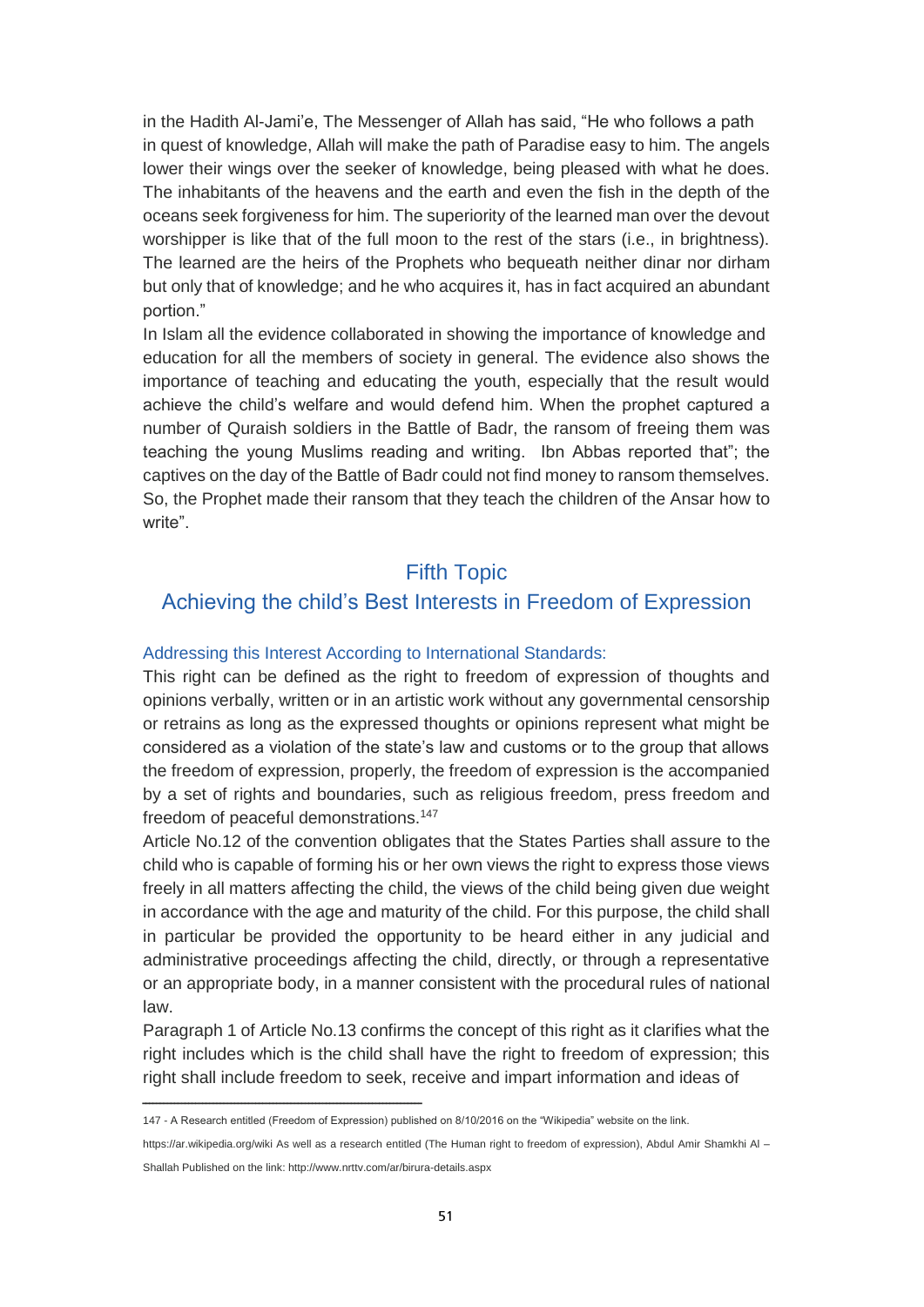in the Hadith Al-Jami'e, The Messenger of Allah has said, "He who follows a path in quest of knowledge, Allah will make the path of Paradise easy to him. The angels lower their wings over the seeker of knowledge, being pleased with what he does. The inhabitants of the heavens and the earth and even the fish in the depth of the oceans seek forgiveness for him. The superiority of the learned man over the devout worshipper is like that of the full moon to the rest of the stars (i.e., in brightness). The learned are the heirs of the Prophets who bequeath neither dinar nor dirham but only that of knowledge; and he who acquires it, has in fact acquired an abundant portion."

In Islam all the evidence collaborated in showing the importance of knowledge and education for all the members of society in general. The evidence also shows the importance of teaching and educating the youth, especially that the result would achieve the child's welfare and would defend him. When the prophet captured a number of Quraish soldiers in the Battle of Badr, the ransom of freeing them was teaching the young Muslims reading and writing. Ibn Abbas reported that"; the captives on the day of the Battle of Badr could not find money to ransom themselves. So, the Prophet made their ransom that they teach the children of the Ansar how to write".

## Fifth Topic

### Achieving the child's Best Interests in Freedom of Expression

### Addressing this Interest According to International Standards:

This right can be defined as the right to freedom of expression of thoughts and opinions verbally, written or in an artistic work without any governmental censorship or retrains as long as the expressed thoughts or opinions represent what might be considered as a violation of the state's law and customs or to the group that allows the freedom of expression, properly, the freedom of expression is the accompanied by a set of rights and boundaries, such as religious freedom, press freedom and freedom of peaceful demonstrations.<sup>147</sup>

Article No.12 of the convention obligates that the States Parties shall assure to the child who is capable of forming his or her own views the right to express those views freely in all matters affecting the child, the views of the child being given due weight in accordance with the age and maturity of the child. For this purpose, the child shall in particular be provided the opportunity to be heard either in any judicial and administrative proceedings affecting the child, directly, or through a representative or an appropriate body, in a manner consistent with the procedural rules of national law.

Paragraph 1 of Article No.13 confirms the concept of this right as it clarifies what the right includes which is the child shall have the right to freedom of expression; this right shall include freedom to seek, receive and impart information and ideas of

<sup>147 -</sup> A Research entitled (Freedom of Expression) published on 8/10/2016 on the "Wikipedia" website on the link.

https://ar.wikipedia.org/wiki As well as a research entitled (The Human right to freedom of expression), Abdul Amir Shamkhi Al – Shallah Published on the link: http://www.nrttv.com/ar/birura-details.aspx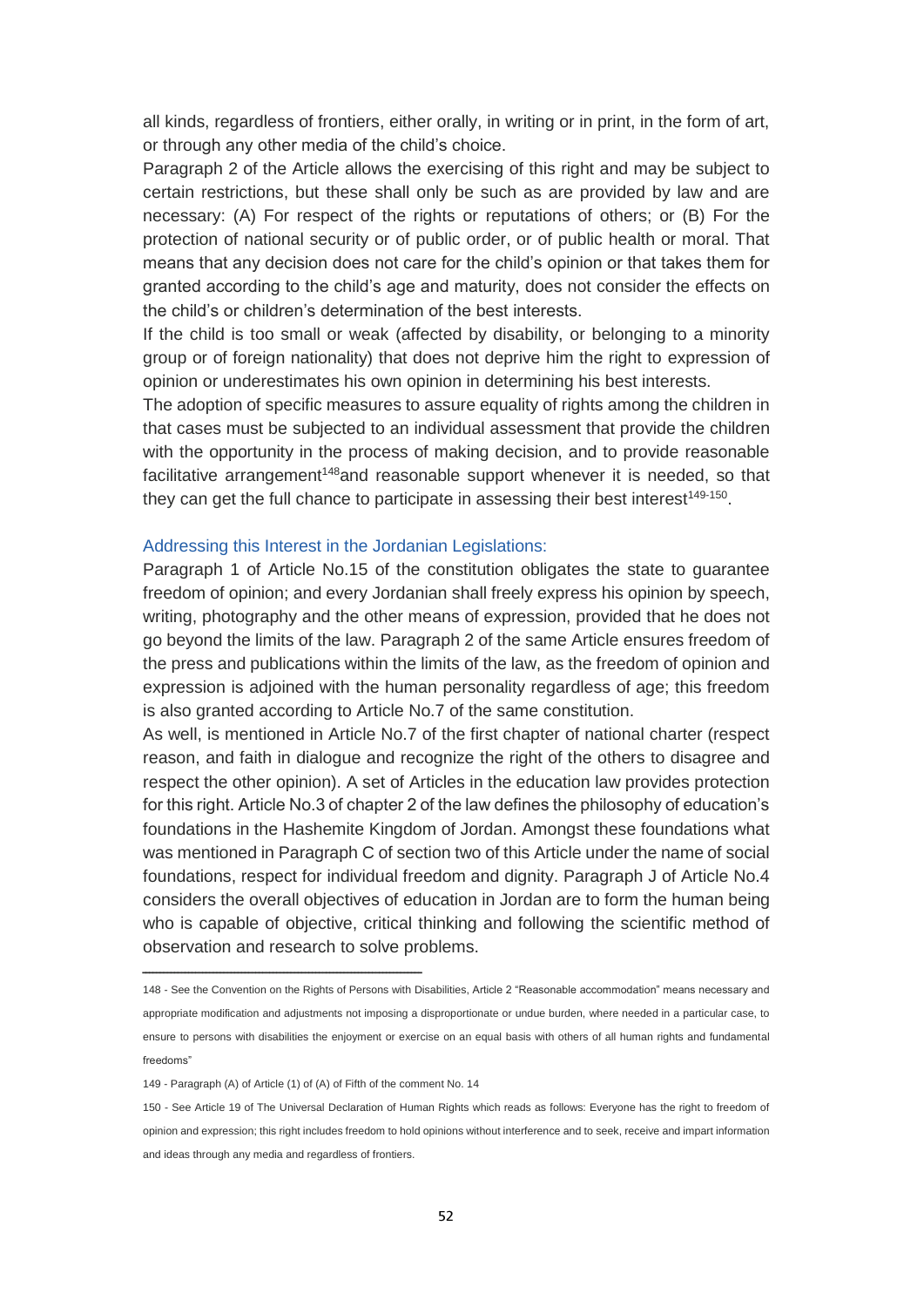all kinds, regardless of frontiers, either orally, in writing or in print, in the form of art, or through any other media of the child's choice.

Paragraph 2 of the Article allows the exercising of this right and may be subject to certain restrictions, but these shall only be such as are provided by law and are necessary: (A) For respect of the rights or reputations of others; or (B) For the protection of national security or of public order, or of public health or moral. That means that any decision does not care for the child's opinion or that takes them for granted according to the child's age and maturity, does not consider the effects on the child's or children's determination of the best interests.

If the child is too small or weak (affected by disability, or belonging to a minority group or of foreign nationality) that does not deprive him the right to expression of opinion or underestimates his own opinion in determining his best interests.

The adoption of specific measures to assure equality of rights among the children in that cases must be subjected to an individual assessment that provide the children with the opportunity in the process of making decision, and to provide reasonable facilitative arrangement<sup>148</sup>and reasonable support whenever it is needed, so that they can get the full chance to participate in assessing their best interest<sup>149-150</sup>.

#### Addressing this Interest in the Jordanian Legislations:

Paragraph 1 of Article No.15 of the constitution obligates the state to guarantee freedom of opinion; and every Jordanian shall freely express his opinion by speech, writing, photography and the other means of expression, provided that he does not go beyond the limits of the law. Paragraph 2 of the same Article ensures freedom of the press and publications within the limits of the law, as the freedom of opinion and expression is adjoined with the human personality regardless of age; this freedom is also granted according to Article No.7 of the same constitution.

As well, is mentioned in Article No.7 of the first chapter of national charter (respect reason, and faith in dialogue and recognize the right of the others to disagree and respect the other opinion). A set of Articles in the education law provides protection for this right. Article No.3 of chapter 2 of the law defines the philosophy of education's foundations in the Hashemite Kingdom of Jordan. Amongst these foundations what was mentioned in Paragraph C of section two of this Article under the name of social foundations, respect for individual freedom and dignity. Paragraph J of Article No.4 considers the overall objectives of education in Jordan are to form the human being who is capable of objective, critical thinking and following the scientific method of observation and research to solve problems.

<sup>148 -</sup> See the Convention on the Rights of Persons with Disabilities, Article 2 "Reasonable accommodation" means necessary and appropriate modification and adjustments not imposing a disproportionate or undue burden, where needed in a particular case, to ensure to persons with disabilities the enjoyment or exercise on an equal basis with others of all human rights and fundamental freedoms"

<sup>149 -</sup> Paragraph (A) of Article (1) of (A) of Fifth of the comment No. 14

<sup>150 -</sup> See Article 19 of The Universal Declaration of Human Rights which reads as follows: Everyone has the right to freedom of opinion and expression; this right includes freedom to hold opinions without interference and to seek, receive and impart information and ideas through any media and regardless of frontiers.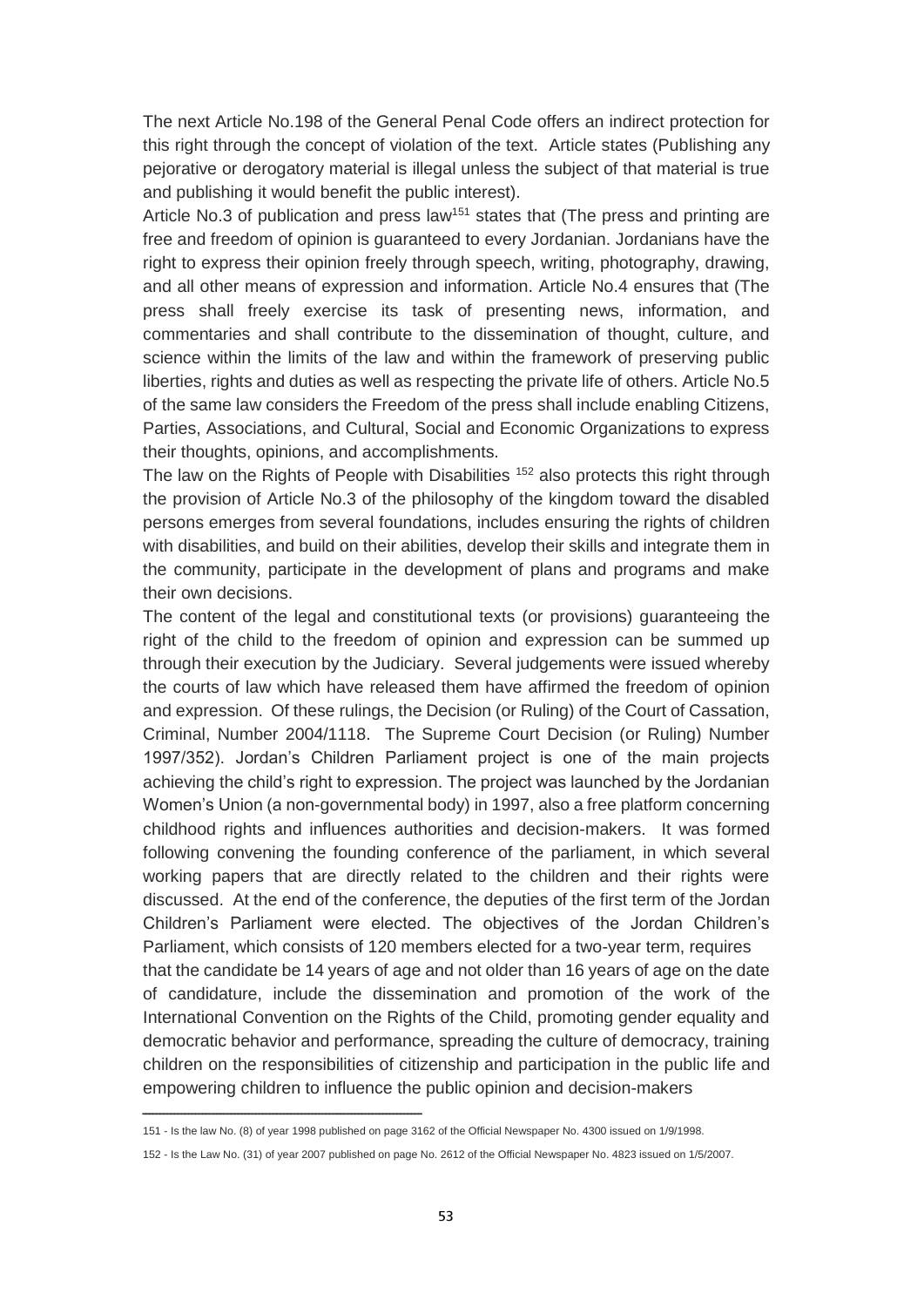The next Article No.198 of the General Penal Code offers an indirect protection for this right through the concept of violation of the text. Article states (Publishing any pejorative or derogatory material is illegal unless the subject of that material is true and publishing it would benefit the public interest).

Article No.3 of publication and press law<sup>151</sup> states that (The press and printing are free and freedom of opinion is guaranteed to every Jordanian. Jordanians have the right to express their opinion freely through speech, writing, photography, drawing, and all other means of expression and information. Article No.4 ensures that (The press shall freely exercise its task of presenting news, information, and commentaries and shall contribute to the dissemination of thought, culture, and science within the limits of the law and within the framework of preserving public liberties, rights and duties as well as respecting the private life of others. Article No.5 of the same law considers the Freedom of the press shall include enabling Citizens, Parties, Associations, and Cultural, Social and Economic Organizations to express their thoughts, opinions, and accomplishments.

The law on the Rights of People with Disabilities <sup>152</sup> also protects this right through the provision of Article No.3 of the philosophy of the kingdom toward the disabled persons emerges from several foundations, includes ensuring the rights of children with disabilities, and build on their abilities, develop their skills and integrate them in the community, participate in the development of plans and programs and make their own decisions.

The content of the legal and constitutional texts (or provisions) guaranteeing the right of the child to the freedom of opinion and expression can be summed up through their execution by the Judiciary. Several judgements were issued whereby the courts of law which have released them have affirmed the freedom of opinion and expression. Of these rulings, the Decision (or Ruling) of the Court of Cassation, Criminal, Number 2004/1118. The Supreme Court Decision (or Ruling) Number 1997/352). Jordan's Children Parliament project is one of the main projects achieving the child's right to expression. The project was launched by the Jordanian Women's Union (a non-governmental body) in 1997, also a free platform concerning childhood rights and influences authorities and decision-makers. It was formed following convening the founding conference of the parliament, in which several working papers that are directly related to the children and their rights were discussed. At the end of the conference, the deputies of the first term of the Jordan Children's Parliament were elected. The objectives of the Jordan Children's Parliament, which consists of 120 members elected for a two-year term, requires that the candidate be 14 years of age and not older than 16 years of age on the date of candidature, include the dissemination and promotion of the work of the International Convention on the Rights of the Child, promoting gender equality and democratic behavior and performance, spreading the culture of democracy, training children on the responsibilities of citizenship and participation in the public life and empowering children to influence the public opinion and decision-makers

<sup>151 -</sup> Is the law No. (8) of year 1998 published on page 3162 of the Official Newspaper No. 4300 issued on 1/9/1998.

<sup>152 -</sup> Is the Law No. (31) of year 2007 published on page No. 2612 of the Official Newspaper No. 4823 issued on 1/5/2007.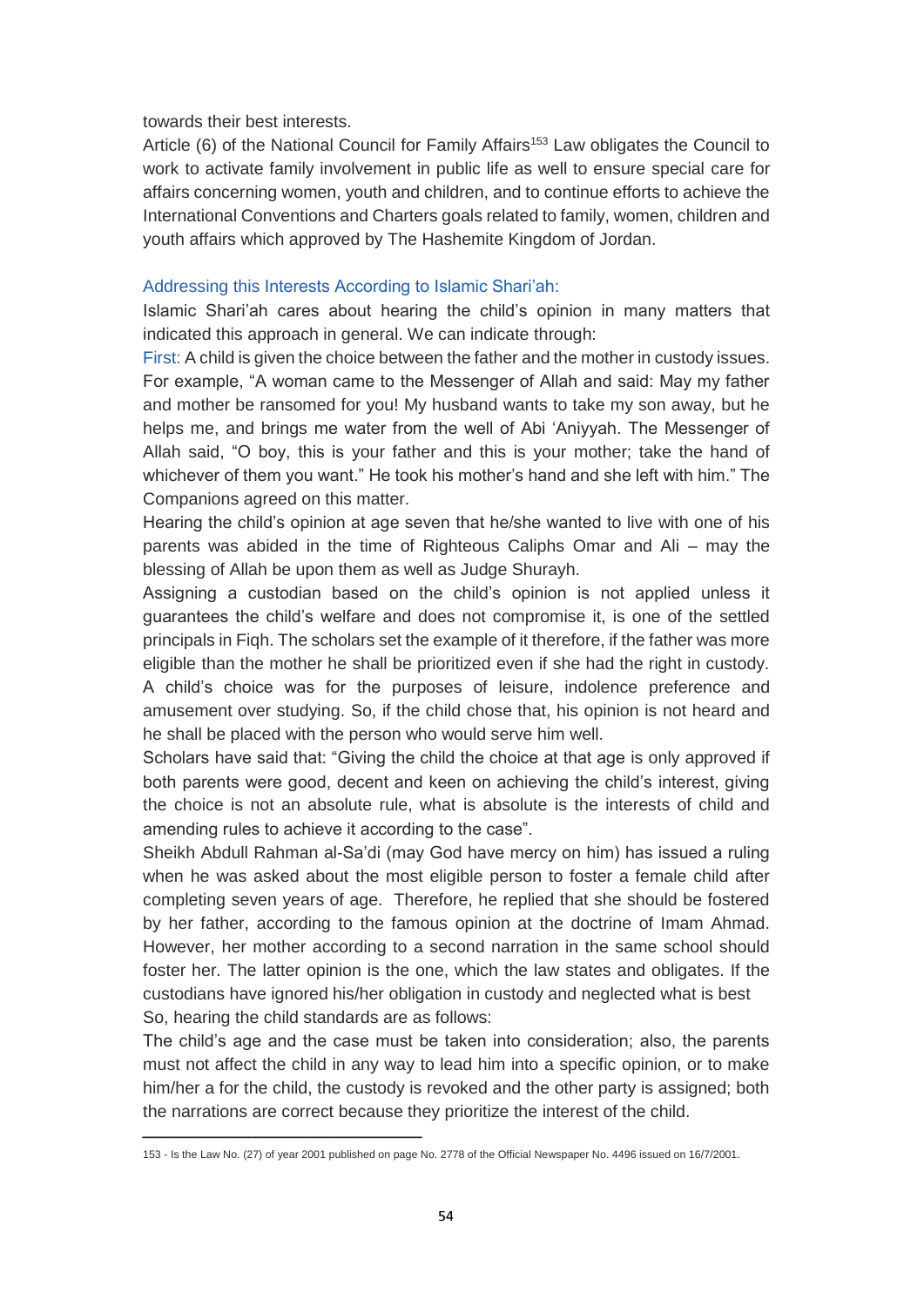towards their best interests.

Article (6) of the National Council for Family Affairs<sup>153</sup> Law obligates the Council to work to activate family involvement in public life as well to ensure special care for affairs concerning women, youth and children, and to continue efforts to achieve the International Conventions and Charters goals related to family, women, children and youth affairs which approved by The Hashemite Kingdom of Jordan.

### Addressing this Interests According to Islamic Shari'ah:

Islamic Shari'ah cares about hearing the child's opinion in many matters that indicated this approach in general. We can indicate through:

First: A child is given the choice between the father and the mother in custody issues. For example, "A woman came to the Messenger of Allah and said: May my father and mother be ransomed for you! My husband wants to take my son away, but he helps me, and brings me water from the well of Abi 'Aniyyah. The Messenger of Allah said, "O boy, this is your father and this is your mother; take the hand of whichever of them you want." He took his mother's hand and she left with him." The Companions agreed on this matter.

Hearing the child's opinion at age seven that he/she wanted to live with one of his parents was abided in the time of Righteous Caliphs Omar and Ali – may the blessing of Allah be upon them as well as Judge Shurayh.

Assigning a custodian based on the child's opinion is not applied unless it guarantees the child's welfare and does not compromise it, is one of the settled principals in Fiqh. The scholars set the example of it therefore, if the father was more eligible than the mother he shall be prioritized even if she had the right in custody. A child's choice was for the purposes of leisure, indolence preference and amusement over studying. So, if the child chose that, his opinion is not heard and he shall be placed with the person who would serve him well.

Scholars have said that: "Giving the child the choice at that age is only approved if both parents were good, decent and keen on achieving the child's interest, giving the choice is not an absolute rule, what is absolute is the interests of child and amending rules to achieve it according to the case".

Sheikh Abdull Rahman al-Sa'di (may God have mercy on him) has issued a ruling when he was asked about the most eligible person to foster a female child after completing seven years of age. Therefore, he replied that she should be fostered by her father, according to the famous opinion at the doctrine of Imam Ahmad. However, her mother according to a second narration in the same school should foster her. The latter opinion is the one, which the law states and obligates. If the custodians have ignored his/her obligation in custody and neglected what is best So, hearing the child standards are as follows:

The child's age and the case must be taken into consideration; also, the parents must not affect the child in any way to lead him into a specific opinion, or to make him/her a for the child, the custody is revoked and the other party is assigned; both the narrations are correct because they prioritize the interest of the child.

<sup>153 -</sup> Is the Law No. (27) of year 2001 published on page No. 2778 of the Official Newspaper No. 4496 issued on 16/7/2001.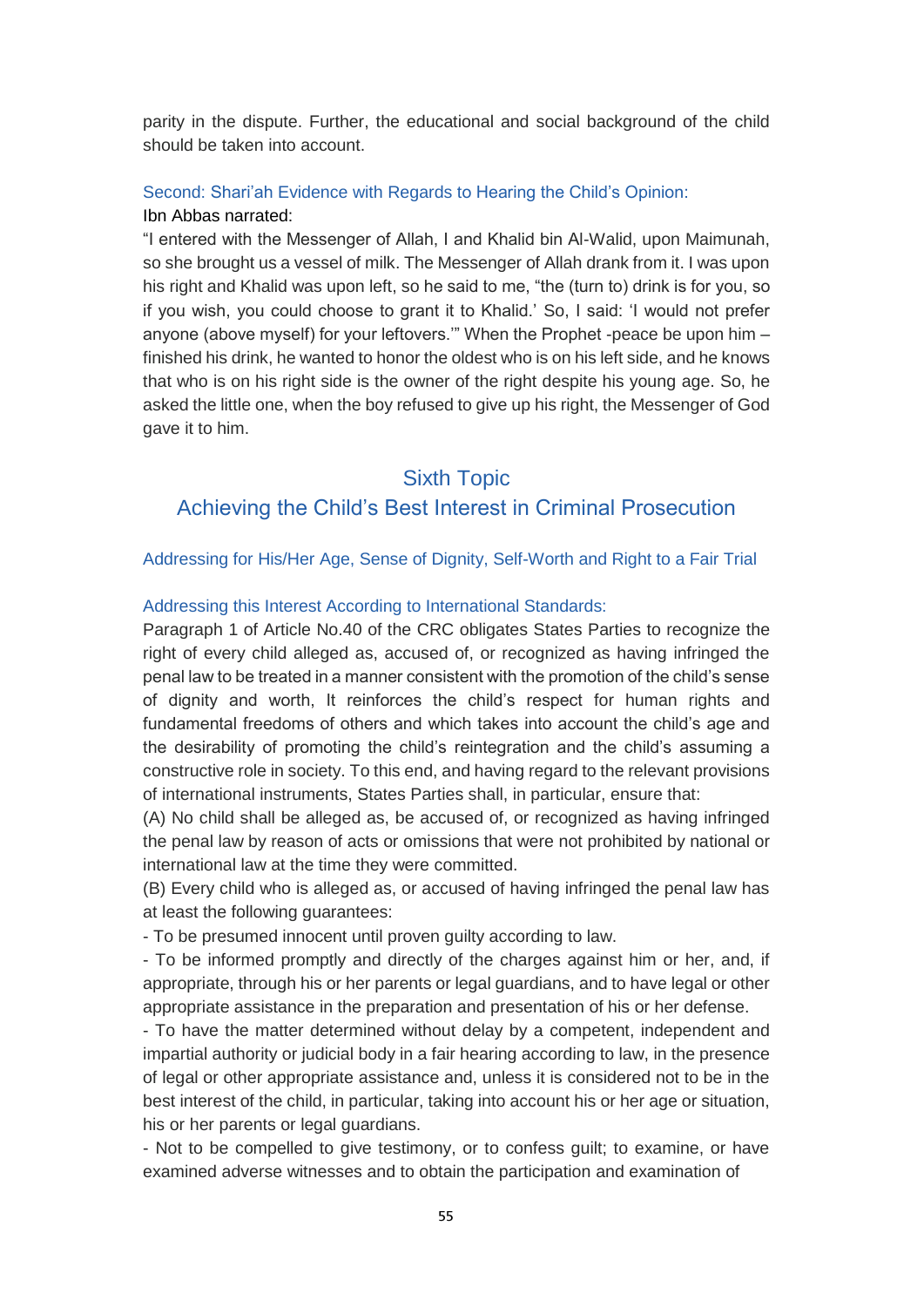parity in the dispute. Further, the educational and social background of the child should be taken into account.

# Second: Shari'ah Evidence with Regards to Hearing the Child's Opinion:

### Ibn Abbas narrated:

"I entered with the Messenger of Allah, I and Khalid bin Al-Walid, upon Maimunah, so she brought us a vessel of milk. The Messenger of Allah drank from it. I was upon his right and Khalid was upon left, so he said to me, "the (turn to) drink is for you, so if you wish, you could choose to grant it to Khalid.' So, I said: 'I would not prefer anyone (above myself) for your leftovers.'" When the Prophet -peace be upon him – finished his drink, he wanted to honor the oldest who is on his left side, and he knows that who is on his right side is the owner of the right despite his young age. So, he asked the little one, when the boy refused to give up his right, the Messenger of God gave it to him.

## Sixth Topic

## Achieving the Child's Best Interest in Criminal Prosecution

### Addressing for His/Her Age, Sense of Dignity, Self-Worth and Right to a Fair Trial

### Addressing this Interest According to International Standards:

Paragraph 1 of Article No.40 of the CRC obligates States Parties to recognize the right of every child alleged as, accused of, or recognized as having infringed the penal law to be treated in a manner consistent with the promotion of the child's sense of dignity and worth, It reinforces the child's respect for human rights and fundamental freedoms of others and which takes into account the child's age and the desirability of promoting the child's reintegration and the child's assuming a constructive role in society. To this end, and having regard to the relevant provisions of international instruments, States Parties shall, in particular, ensure that:

(A) No child shall be alleged as, be accused of, or recognized as having infringed the penal law by reason of acts or omissions that were not prohibited by national or international law at the time they were committed.

(B) Every child who is alleged as, or accused of having infringed the penal law has at least the following guarantees:

- To be presumed innocent until proven guilty according to law.

- To be informed promptly and directly of the charges against him or her, and, if appropriate, through his or her parents or legal guardians, and to have legal or other appropriate assistance in the preparation and presentation of his or her defense.

- To have the matter determined without delay by a competent, independent and impartial authority or judicial body in a fair hearing according to law, in the presence of legal or other appropriate assistance and, unless it is considered not to be in the best interest of the child, in particular, taking into account his or her age or situation, his or her parents or legal guardians.

- Not to be compelled to give testimony, or to confess guilt; to examine, or have examined adverse witnesses and to obtain the participation and examination of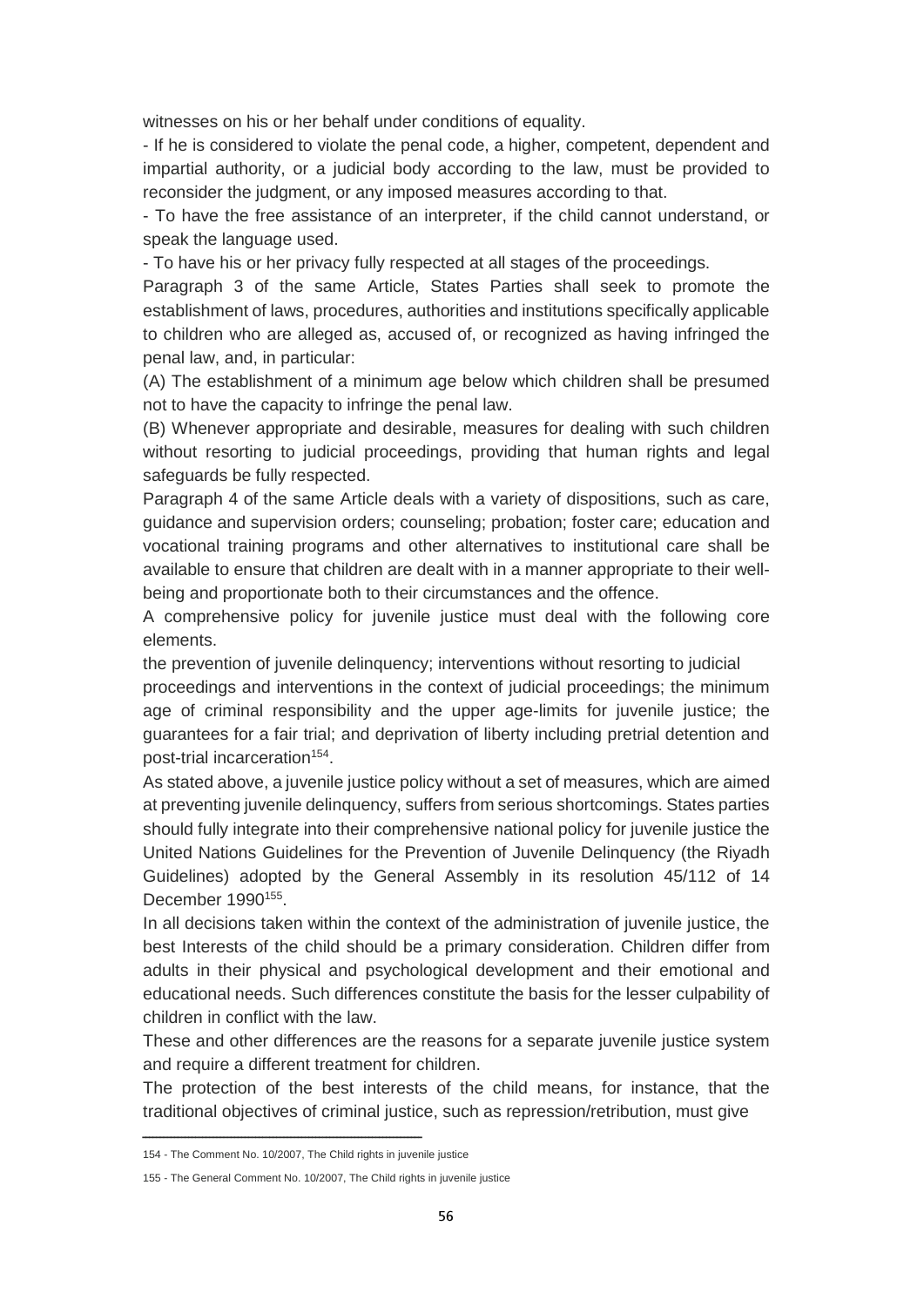witnesses on his or her behalf under conditions of equality.

- If he is considered to violate the penal code, a higher, competent, dependent and impartial authority, or a judicial body according to the law, must be provided to reconsider the judgment, or any imposed measures according to that.

- To have the free assistance of an interpreter, if the child cannot understand, or speak the language used.

- To have his or her privacy fully respected at all stages of the proceedings.

Paragraph 3 of the same Article, States Parties shall seek to promote the establishment of laws, procedures, authorities and institutions specifically applicable to children who are alleged as, accused of, or recognized as having infringed the penal law, and, in particular:

(A) The establishment of a minimum age below which children shall be presumed not to have the capacity to infringe the penal law.

(B) Whenever appropriate and desirable, measures for dealing with such children without resorting to judicial proceedings, providing that human rights and legal safeguards be fully respected.

Paragraph 4 of the same Article deals with a variety of dispositions, such as care, guidance and supervision orders; counseling; probation; foster care; education and vocational training programs and other alternatives to institutional care shall be available to ensure that children are dealt with in a manner appropriate to their wellbeing and proportionate both to their circumstances and the offence.

A comprehensive policy for juvenile justice must deal with the following core elements.

the prevention of juvenile delinquency; interventions without resorting to judicial proceedings and interventions in the context of judicial proceedings; the minimum age of criminal responsibility and the upper age-limits for juvenile justice; the guarantees for a fair trial; and deprivation of liberty including pretrial detention and post-trial incarceration<sup>154</sup>.

As stated above, a juvenile justice policy without a set of measures, which are aimed at preventing juvenile delinquency, suffers from serious shortcomings. States parties should fully integrate into their comprehensive national policy for juvenile justice the United Nations Guidelines for the Prevention of Juvenile Delinquency (the Riyadh Guidelines) adopted by the General Assembly in its resolution 45/112 of 14 December 1990<sup>155</sup>.

In all decisions taken within the context of the administration of juvenile justice, the best Interests of the child should be a primary consideration. Children differ from adults in their physical and psychological development and their emotional and educational needs. Such differences constitute the basis for the lesser culpability of children in conflict with the law.

These and other differences are the reasons for a separate juvenile justice system and require a different treatment for children.

The protection of the best interests of the child means, for instance, that the traditional objectives of criminal justice, such as repression/retribution, must give

<sup>154 -</sup> The Comment No. 10/2007, The Child rights in juvenile justice

<sup>155 -</sup> The General Comment No. 10/2007, The Child rights in juvenile justice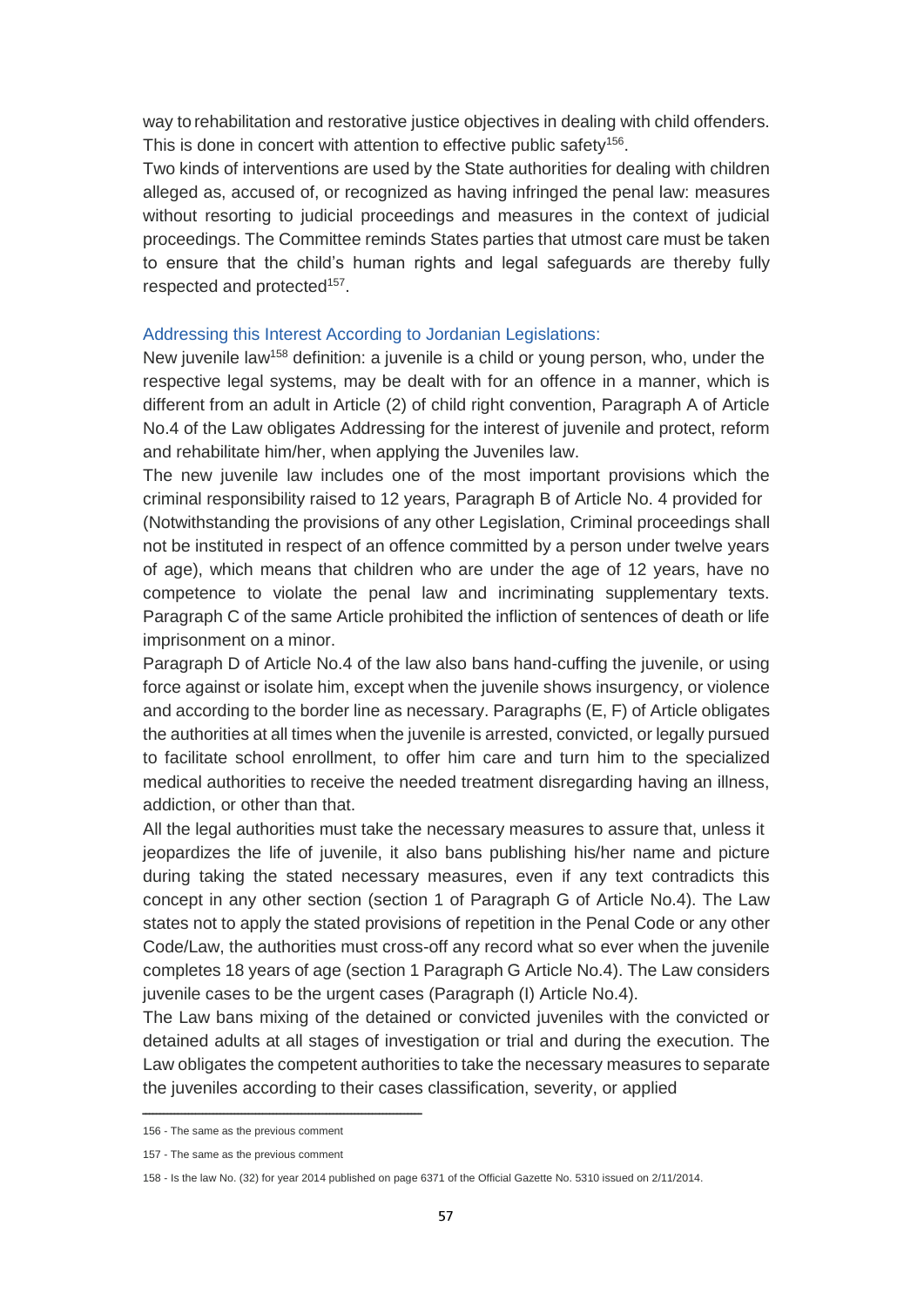way to rehabilitation and restorative justice objectives in dealing with child offenders. This is done in concert with attention to effective public safety<sup>156</sup>.

Two kinds of interventions are used by the State authorities for dealing with children alleged as, accused of, or recognized as having infringed the penal law: measures without resorting to judicial proceedings and measures in the context of judicial proceedings. The Committee reminds States parties that utmost care must be taken to ensure that the child's human rights and legal safeguards are thereby fully respected and protected<sup>157</sup>.

### Addressing this Interest According to Jordanian Legislations:

New juvenile law<sup>158</sup> definition: a juvenile is a child or young person, who, under the respective legal systems, may be dealt with for an offence in a manner, which is different from an adult in Article (2) of child right convention, Paragraph A of Article No.4 of the Law obligates Addressing for the interest of juvenile and protect, reform and rehabilitate him/her, when applying the Juveniles law.

The new juvenile law includes one of the most important provisions which the criminal responsibility raised to 12 years, Paragraph B of Article No. 4 provided for (Notwithstanding the provisions of any other Legislation, Criminal proceedings shall not be instituted in respect of an offence committed by a person under twelve years of age), which means that children who are under the age of 12 years, have no competence to violate the penal law and incriminating supplementary texts. Paragraph C of the same Article prohibited the infliction of sentences of death or life imprisonment on a minor.

Paragraph D of Article No.4 of the law also bans hand-cuffing the juvenile, or using force against or isolate him, except when the juvenile shows insurgency, or violence and according to the border line as necessary. Paragraphs (E, F) of Article obligates the authorities at all times when the juvenile is arrested, convicted, or legally pursued to facilitate school enrollment, to offer him care and turn him to the specialized medical authorities to receive the needed treatment disregarding having an illness, addiction, or other than that.

All the legal authorities must take the necessary measures to assure that, unless it jeopardizes the life of juvenile, it also bans publishing his/her name and picture during taking the stated necessary measures, even if any text contradicts this concept in any other section (section 1 of Paragraph G of Article No.4). The Law states not to apply the stated provisions of repetition in the Penal Code or any other Code/Law, the authorities must cross-off any record what so ever when the juvenile completes 18 years of age (section 1 Paragraph G Article No.4). The Law considers juvenile cases to be the urgent cases (Paragraph (I) Article No.4).

The Law bans mixing of the detained or convicted juveniles with the convicted or detained adults at all stages of investigation or trial and during the execution. The Law obligates the competent authorities to take the necessary measures to separate the juveniles according to their cases classification, severity, or applied

<sup>156 -</sup> The same as the previous comment

<sup>157 -</sup> The same as the previous comment

<sup>158 -</sup> Is the law No. (32) for year 2014 published on page 6371 of the Official Gazette No. 5310 issued on 2/11/2014.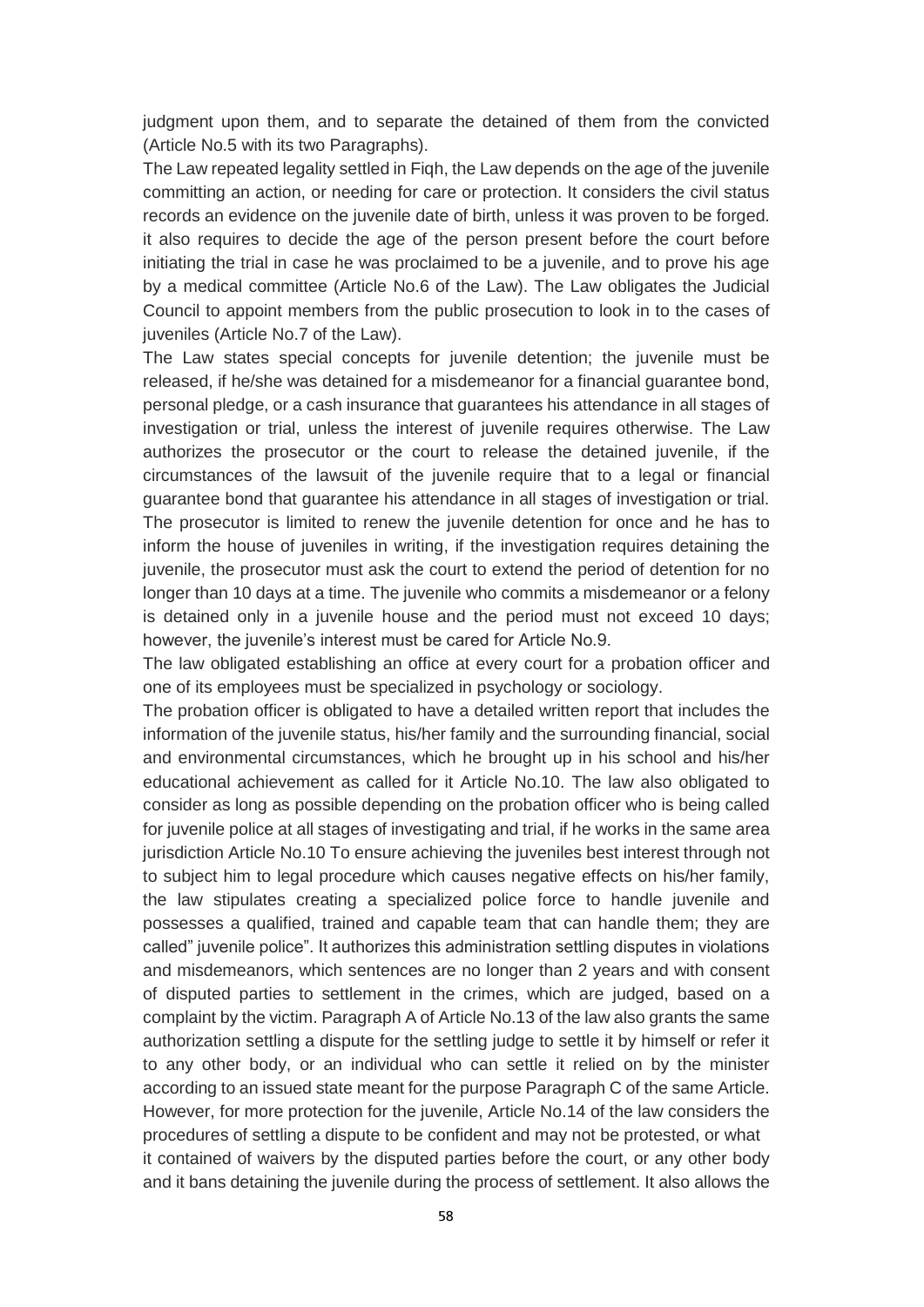judgment upon them, and to separate the detained of them from the convicted (Article No.5 with its two Paragraphs).

The Law repeated legality settled in Fiqh, the Law depends on the age of the juvenile committing an action, or needing for care or protection. It considers the civil status records an evidence on the juvenile date of birth, unless it was proven to be forged. it also requires to decide the age of the person present before the court before initiating the trial in case he was proclaimed to be a juvenile, and to prove his age by a medical committee (Article No.6 of the Law). The Law obligates the Judicial Council to appoint members from the public prosecution to look in to the cases of juveniles (Article No.7 of the Law).

The Law states special concepts for juvenile detention; the juvenile must be released, if he/she was detained for a misdemeanor for a financial guarantee bond, personal pledge, or a cash insurance that guarantees his attendance in all stages of investigation or trial, unless the interest of juvenile requires otherwise. The Law authorizes the prosecutor or the court to release the detained juvenile, if the circumstances of the lawsuit of the juvenile require that to a legal or financial guarantee bond that guarantee his attendance in all stages of investigation or trial. The prosecutor is limited to renew the juvenile detention for once and he has to inform the house of juveniles in writing, if the investigation requires detaining the juvenile, the prosecutor must ask the court to extend the period of detention for no longer than 10 days at a time. The juvenile who commits a misdemeanor or a felony is detained only in a juvenile house and the period must not exceed 10 days; however, the juvenile's interest must be cared for Article No.9.

The law obligated establishing an office at every court for a probation officer and one of its employees must be specialized in psychology or sociology.

The probation officer is obligated to have a detailed written report that includes the information of the juvenile status, his/her family and the surrounding financial, social and environmental circumstances, which he brought up in his school and his/her educational achievement as called for it Article No.10. The law also obligated to consider as long as possible depending on the probation officer who is being called for juvenile police at all stages of investigating and trial, if he works in the same area jurisdiction Article No.10 To ensure achieving the juveniles best interest through not to subject him to legal procedure which causes negative effects on his/her family, the law stipulates creating a specialized police force to handle juvenile and possesses a qualified, trained and capable team that can handle them; they are called" juvenile police". It authorizes this administration settling disputes in violations and misdemeanors, which sentences are no longer than 2 years and with consent of disputed parties to settlement in the crimes, which are judged, based on a complaint by the victim. Paragraph A of Article No.13 of the law also grants the same authorization settling a dispute for the settling judge to settle it by himself or refer it to any other body, or an individual who can settle it relied on by the minister according to an issued state meant for the purpose Paragraph C of the same Article. However, for more protection for the juvenile, Article No.14 of the law considers the procedures of settling a dispute to be confident and may not be protested, or what it contained of waivers by the disputed parties before the court, or any other body and it bans detaining the juvenile during the process of settlement. It also allows the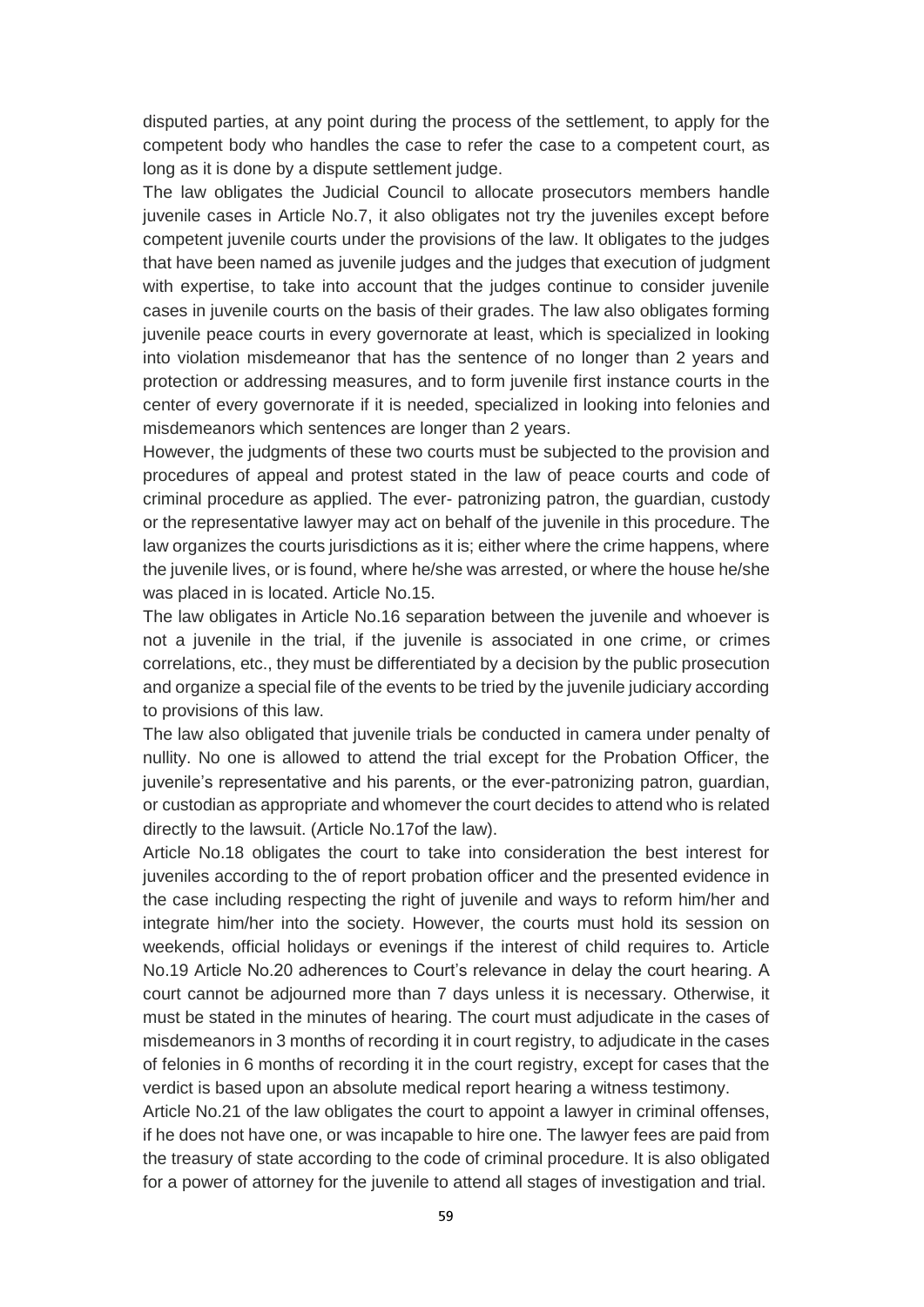disputed parties, at any point during the process of the settlement, to apply for the competent body who handles the case to refer the case to a competent court, as long as it is done by a dispute settlement judge.

The law obligates the Judicial Council to allocate prosecutors members handle juvenile cases in Article No.7, it also obligates not try the juveniles except before competent juvenile courts under the provisions of the law. It obligates to the judges that have been named as juvenile judges and the judges that execution of judgment with expertise, to take into account that the judges continue to consider juvenile cases in juvenile courts on the basis of their grades. The law also obligates forming juvenile peace courts in every governorate at least, which is specialized in looking into violation misdemeanor that has the sentence of no longer than 2 years and protection or addressing measures, and to form juvenile first instance courts in the center of every governorate if it is needed, specialized in looking into felonies and misdemeanors which sentences are longer than 2 years.

However, the judgments of these two courts must be subjected to the provision and procedures of appeal and protest stated in the law of peace courts and code of criminal procedure as applied. The ever- patronizing patron, the guardian, custody or the representative lawyer may act on behalf of the juvenile in this procedure. The law organizes the courts jurisdictions as it is; either where the crime happens, where the juvenile lives, or is found, where he/she was arrested, or where the house he/she was placed in is located. Article No.15.

The law obligates in Article No.16 separation between the juvenile and whoever is not a juvenile in the trial, if the juvenile is associated in one crime, or crimes correlations, etc., they must be differentiated by a decision by the public prosecution and organize a special file of the events to be tried by the juvenile judiciary according to provisions of this law.

The law also obligated that juvenile trials be conducted in camera under penalty of nullity. No one is allowed to attend the trial except for the Probation Officer, the juvenile's representative and his parents, or the ever-patronizing patron, guardian, or custodian as appropriate and whomever the court decides to attend who is related directly to the lawsuit. (Article No.17of the law).

Article No.18 obligates the court to take into consideration the best interest for juveniles according to the of report probation officer and the presented evidence in the case including respecting the right of juvenile and ways to reform him/her and integrate him/her into the society. However, the courts must hold its session on weekends, official holidays or evenings if the interest of child requires to. Article No.19 Article No.20 adherences to Court's relevance in delay the court hearing. A court cannot be adjourned more than 7 days unless it is necessary. Otherwise, it must be stated in the minutes of hearing. The court must adjudicate in the cases of misdemeanors in 3 months of recording it in court registry, to adjudicate in the cases of felonies in 6 months of recording it in the court registry, except for cases that the verdict is based upon an absolute medical report hearing a witness testimony.

Article No.21 of the law obligates the court to appoint a lawyer in criminal offenses, if he does not have one, or was incapable to hire one. The lawyer fees are paid from the treasury of state according to the code of criminal procedure. It is also obligated for a power of attorney for the juvenile to attend all stages of investigation and trial.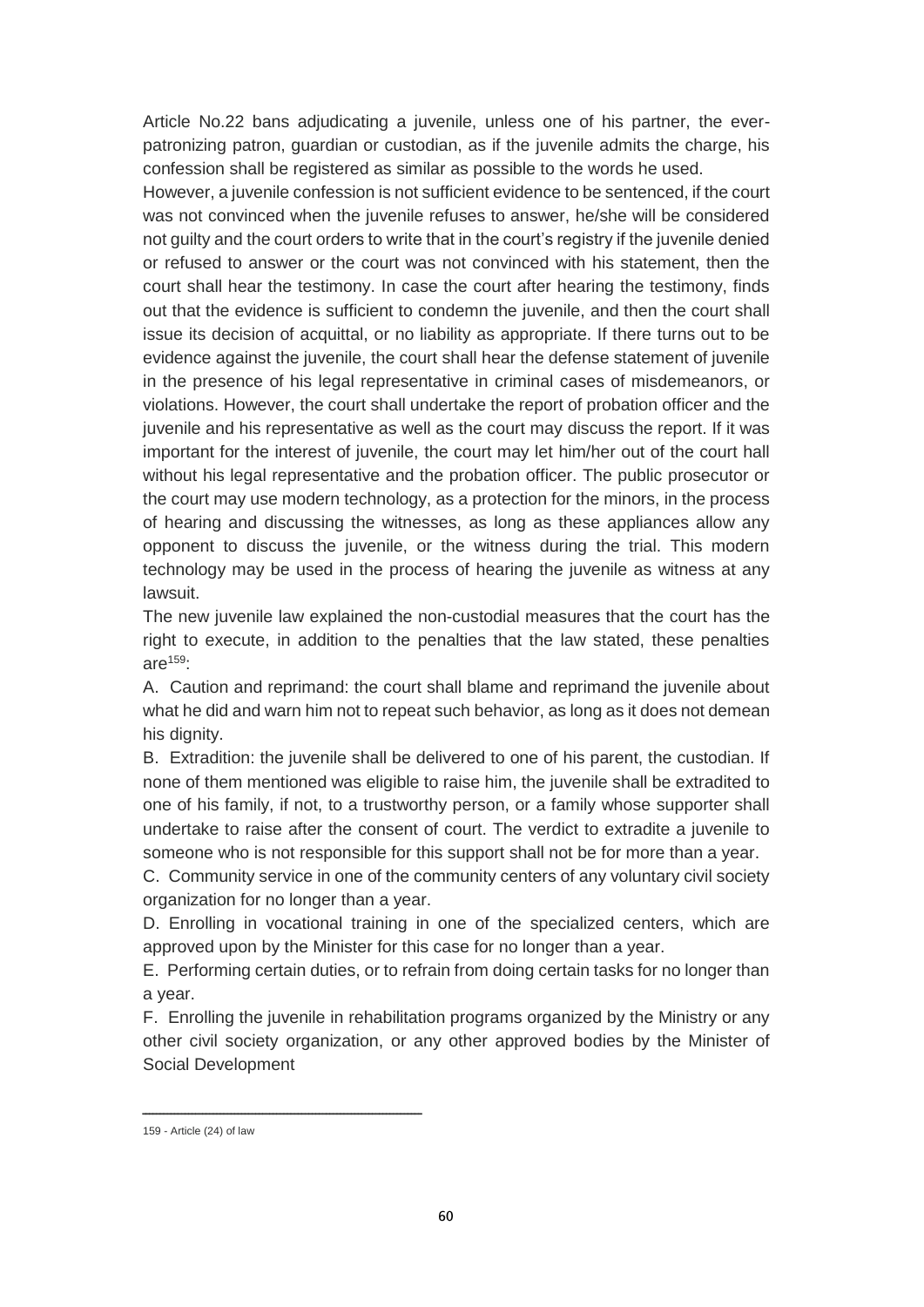Article No.22 bans adjudicating a juvenile, unless one of his partner, the everpatronizing patron, guardian or custodian, as if the juvenile admits the charge, his confession shall be registered as similar as possible to the words he used.

However, a juvenile confession is not sufficient evidence to be sentenced, if the court was not convinced when the juvenile refuses to answer, he/she will be considered not guilty and the court orders to write that in the court's registry if the juvenile denied or refused to answer or the court was not convinced with his statement, then the court shall hear the testimony. In case the court after hearing the testimony, finds out that the evidence is sufficient to condemn the juvenile, and then the court shall issue its decision of acquittal, or no liability as appropriate. If there turns out to be evidence against the juvenile, the court shall hear the defense statement of juvenile in the presence of his legal representative in criminal cases of misdemeanors, or violations. However, the court shall undertake the report of probation officer and the juvenile and his representative as well as the court may discuss the report. If it was important for the interest of juvenile, the court may let him/her out of the court hall without his legal representative and the probation officer. The public prosecutor or the court may use modern technology, as a protection for the minors, in the process of hearing and discussing the witnesses, as long as these appliances allow any opponent to discuss the juvenile, or the witness during the trial. This modern technology may be used in the process of hearing the juvenile as witness at any lawsuit.

The new juvenile law explained the non-custodial measures that the court has the right to execute, in addition to the penalties that the law stated, these penalties are $159$ :

A. Caution and reprimand: the court shall blame and reprimand the juvenile about what he did and warn him not to repeat such behavior, as long as it does not demean his dignity.

B. Extradition: the juvenile shall be delivered to one of his parent, the custodian. If none of them mentioned was eligible to raise him, the juvenile shall be extradited to one of his family, if not, to a trustworthy person, or a family whose supporter shall undertake to raise after the consent of court. The verdict to extradite a juvenile to someone who is not responsible for this support shall not be for more than a year.

C. Community service in one of the community centers of any voluntary civil society organization for no longer than a year.

D. Enrolling in vocational training in one of the specialized centers, which are approved upon by the Minister for this case for no longer than a year.

E. Performing certain duties, or to refrain from doing certain tasks for no longer than a year.

F. Enrolling the juvenile in rehabilitation programs organized by the Ministry or any other civil society organization, or any other approved bodies by the Minister of Social Development

<sup>159 -</sup> Article (24) of law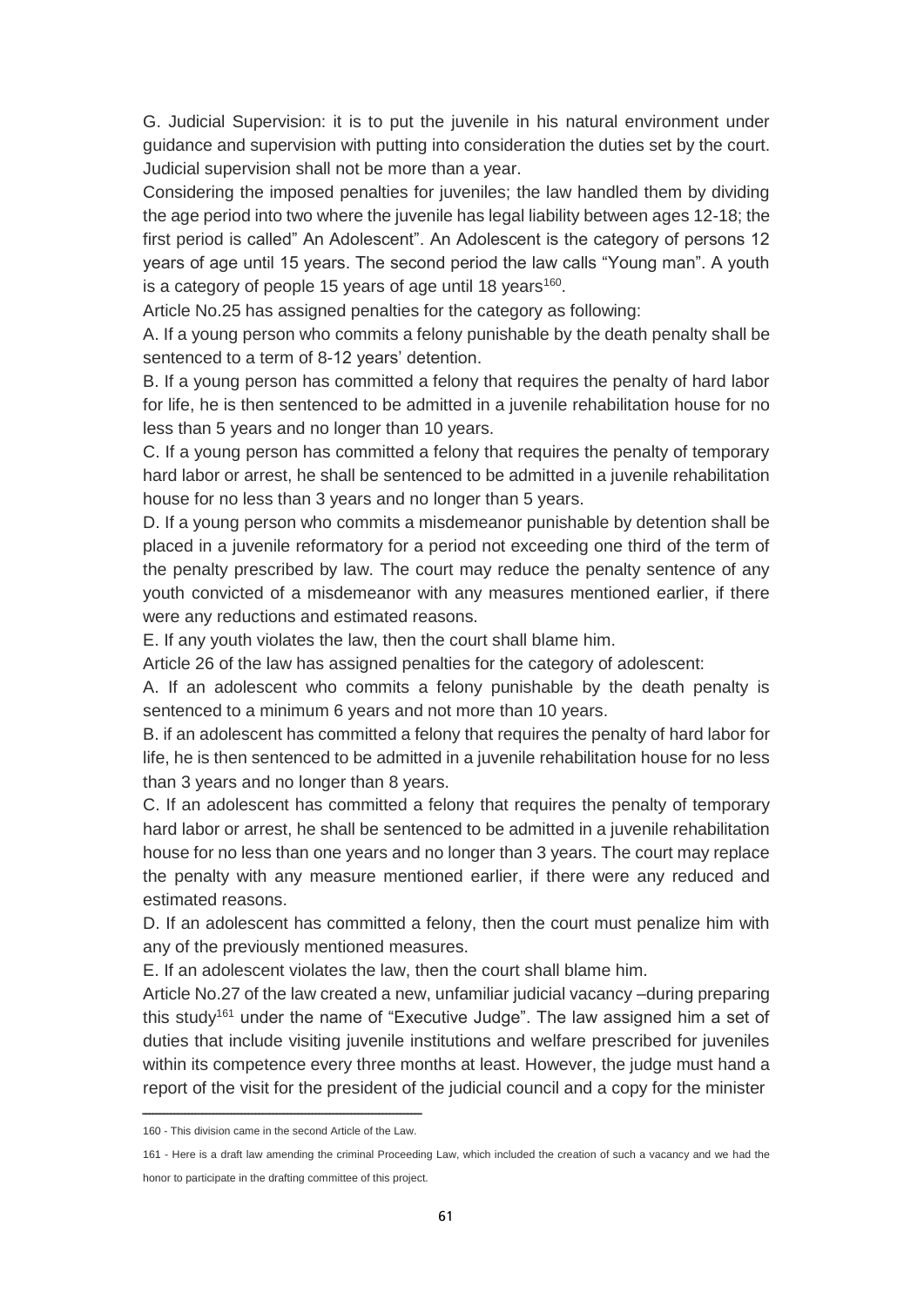G. Judicial Supervision: it is to put the juvenile in his natural environment under guidance and supervision with putting into consideration the duties set by the court. Judicial supervision shall not be more than a year.

Considering the imposed penalties for juveniles; the law handled them by dividing the age period into two where the juvenile has legal liability between ages 12-18; the first period is called" An Adolescent". An Adolescent is the category of persons 12 years of age until 15 years. The second period the law calls "Young man". A youth is a category of people 15 years of age until 18 years<sup>160</sup>.

Article No.25 has assigned penalties for the category as following:

A. If a young person who commits a felony punishable by the death penalty shall be sentenced to a term of 8-12 years' detention.

B. If a young person has committed a felony that requires the penalty of hard labor for life, he is then sentenced to be admitted in a juvenile rehabilitation house for no less than 5 years and no longer than 10 years.

C. If a young person has committed a felony that requires the penalty of temporary hard labor or arrest, he shall be sentenced to be admitted in a juvenile rehabilitation house for no less than 3 years and no longer than 5 years.

D. If a young person who commits a misdemeanor punishable by detention shall be placed in a juvenile reformatory for a period not exceeding one third of the term of the penalty prescribed by law. The court may reduce the penalty sentence of any youth convicted of a misdemeanor with any measures mentioned earlier, if there were any reductions and estimated reasons.

E. If any youth violates the law, then the court shall blame him.

Article 26 of the law has assigned penalties for the category of adolescent:

A. If an adolescent who commits a felony punishable by the death penalty is sentenced to a minimum 6 years and not more than 10 years.

B. if an adolescent has committed a felony that requires the penalty of hard labor for life, he is then sentenced to be admitted in a juvenile rehabilitation house for no less than 3 years and no longer than 8 years.

C. If an adolescent has committed a felony that requires the penalty of temporary hard labor or arrest, he shall be sentenced to be admitted in a juvenile rehabilitation house for no less than one years and no longer than 3 years. The court may replace the penalty with any measure mentioned earlier, if there were any reduced and estimated reasons.

D. If an adolescent has committed a felony, then the court must penalize him with any of the previously mentioned measures.

E. If an adolescent violates the law, then the court shall blame him.

Article No.27 of the law created a new, unfamiliar judicial vacancy –during preparing this study<sup>161</sup> under the name of "Executive Judge". The law assigned him a set of duties that include visiting juvenile institutions and welfare prescribed for juveniles within its competence every three months at least. However, the judge must hand a report of the visit for the president of the judicial council and a copy for the minister

ـــــــــــــــــــــــــــــــــــــــــــــــــــــــــــــــــــــــــــــــ 160 - This division came in the second Article of the Law.

<sup>161 -</sup> Here is a draft law amending the criminal Proceeding Law, which included the creation of such a vacancy and we had the honor to participate in the drafting committee of this project.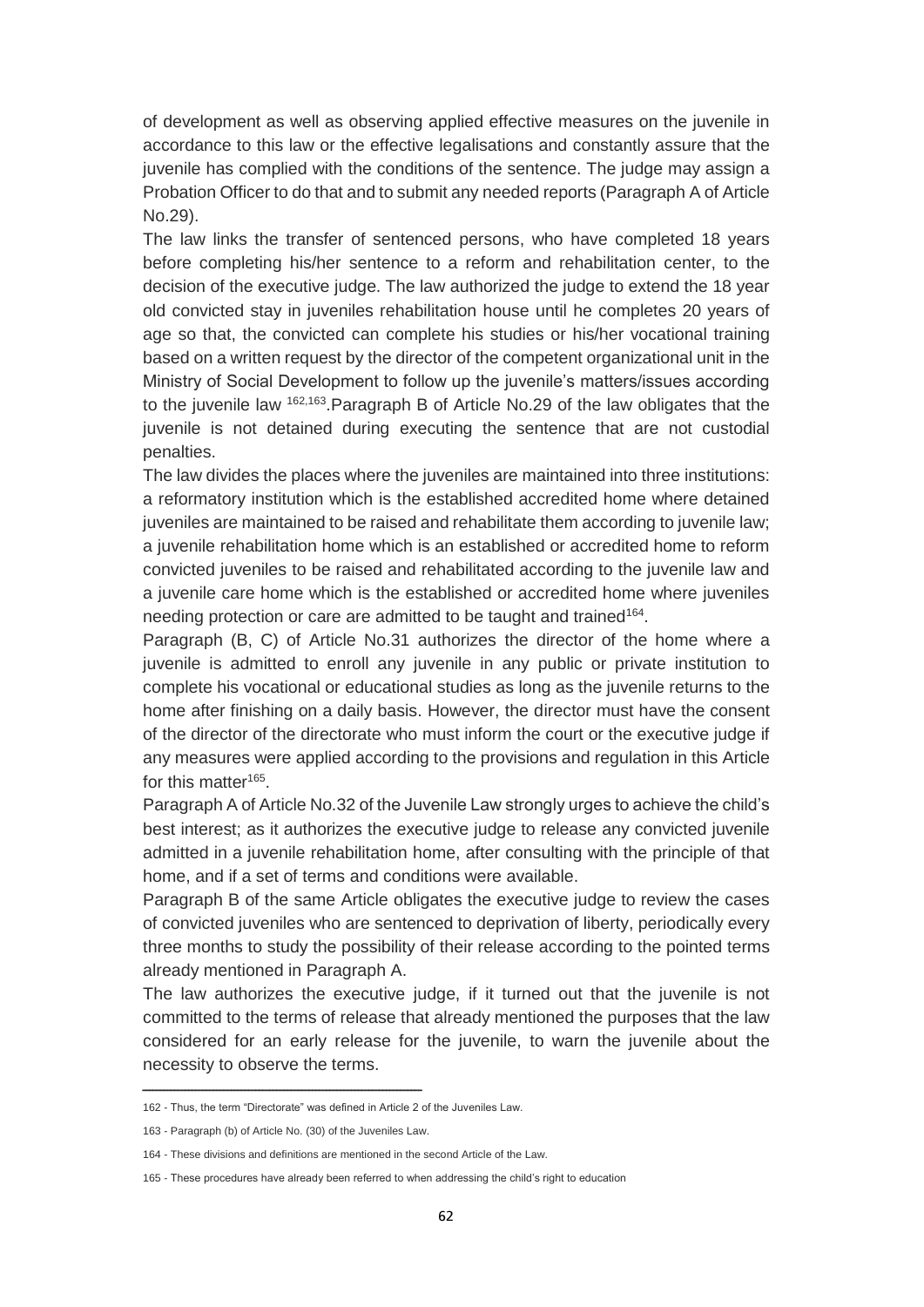of development as well as observing applied effective measures on the juvenile in accordance to this law or the effective legalisations and constantly assure that the juvenile has complied with the conditions of the sentence. The judge may assign a Probation Officer to do that and to submit any needed reports (Paragraph A of Article No.29).

The law links the transfer of sentenced persons, who have completed 18 years before completing his/her sentence to a reform and rehabilitation center, to the decision of the executive judge. The law authorized the judge to extend the 18 year old convicted stay in juveniles rehabilitation house until he completes 20 years of age so that, the convicted can complete his studies or his/her vocational training based on a written request by the director of the competent organizational unit in the Ministry of Social Development to follow up the juvenile's matters/issues according to the juvenile law <sup>162,163</sup>. Paragraph B of Article No.29 of the law obligates that the juvenile is not detained during executing the sentence that are not custodial penalties.

The law divides the places where the juveniles are maintained into three institutions: a reformatory institution which is the established accredited home where detained juveniles are maintained to be raised and rehabilitate them according to juvenile law; a juvenile rehabilitation home which is an established or accredited home to reform convicted juveniles to be raised and rehabilitated according to the juvenile law and a juvenile care home which is the established or accredited home where juveniles needing protection or care are admitted to be taught and trained<sup>164</sup>.

Paragraph (B, C) of Article No.31 authorizes the director of the home where a juvenile is admitted to enroll any juvenile in any public or private institution to complete his vocational or educational studies as long as the juvenile returns to the home after finishing on a daily basis. However, the director must have the consent of the director of the directorate who must inform the court or the executive judge if any measures were applied according to the provisions and regulation in this Article for this matter<sup>165</sup>.

Paragraph A of Article No.32 of the Juvenile Law strongly urges to achieve the child's best interest; as it authorizes the executive judge to release any convicted juvenile admitted in a juvenile rehabilitation home, after consulting with the principle of that home, and if a set of terms and conditions were available.

Paragraph B of the same Article obligates the executive judge to review the cases of convicted juveniles who are sentenced to deprivation of liberty, periodically every three months to study the possibility of their release according to the pointed terms already mentioned in Paragraph A.

The law authorizes the executive judge, if it turned out that the juvenile is not committed to the terms of release that already mentioned the purposes that the law considered for an early release for the juvenile, to warn the juvenile about the necessity to observe the terms.

<sup>162 -</sup> Thus, the term "Directorate" was defined in Article 2 of the Juveniles Law.

<sup>163 -</sup> Paragraph (b) of Article No. (30) of the Juveniles Law.

<sup>164 -</sup> These divisions and definitions are mentioned in the second Article of the Law.

<sup>165 -</sup> These procedures have already been referred to when addressing the child's right to education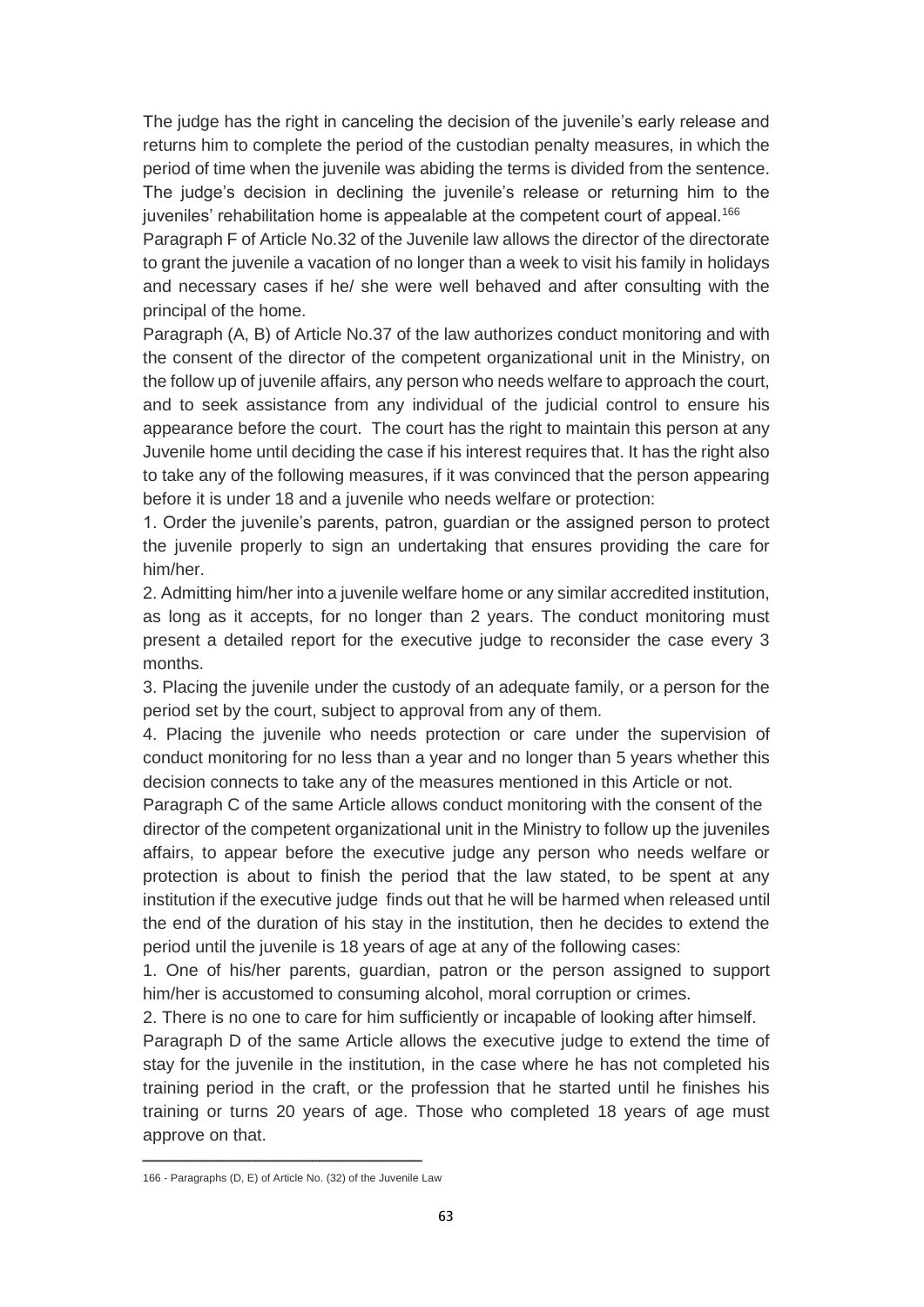The judge has the right in canceling the decision of the juvenile's early release and returns him to complete the period of the custodian penalty measures, in which the period of time when the juvenile was abiding the terms is divided from the sentence. The judge's decision in declining the juvenile's release or returning him to the juveniles' rehabilitation home is appealable at the competent court of appeal.<sup>166</sup>

Paragraph F of Article No.32 of the Juvenile law allows the director of the directorate to grant the juvenile a vacation of no longer than a week to visit his family in holidays and necessary cases if he/ she were well behaved and after consulting with the principal of the home.

Paragraph (A, B) of Article No.37 of the law authorizes conduct monitoring and with the consent of the director of the competent organizational unit in the Ministry, on the follow up of juvenile affairs, any person who needs welfare to approach the court, and to seek assistance from any individual of the judicial control to ensure his appearance before the court. The court has the right to maintain this person at any Juvenile home until deciding the case if his interest requires that. It has the right also to take any of the following measures, if it was convinced that the person appearing before it is under 18 and a juvenile who needs welfare or protection:

1. Order the juvenile's parents, patron, guardian or the assigned person to protect the juvenile properly to sign an undertaking that ensures providing the care for him/her.

2. Admitting him/her into a juvenile welfare home or any similar accredited institution, as long as it accepts, for no longer than 2 years. The conduct monitoring must present a detailed report for the executive judge to reconsider the case every 3 months.

3. Placing the juvenile under the custody of an adequate family, or a person for the period set by the court, subject to approval from any of them.

4. Placing the juvenile who needs protection or care under the supervision of conduct monitoring for no less than a year and no longer than 5 years whether this decision connects to take any of the measures mentioned in this Article or not.

Paragraph C of the same Article allows conduct monitoring with the consent of the director of the competent organizational unit in the Ministry to follow up the juveniles affairs, to appear before the executive judge any person who needs welfare or protection is about to finish the period that the law stated, to be spent at any institution if the executive judge finds out that he will be harmed when released until the end of the duration of his stay in the institution, then he decides to extend the period until the juvenile is 18 years of age at any of the following cases:

1. One of his/her parents, guardian, patron or the person assigned to support him/her is accustomed to consuming alcohol, moral corruption or crimes.

2. There is no one to care for him sufficiently or incapable of looking after himself.

Paragraph D of the same Article allows the executive judge to extend the time of stay for the juvenile in the institution, in the case where he has not completed his training period in the craft, or the profession that he started until he finishes his training or turns 20 years of age. Those who completed 18 years of age must approve on that.

ـــــــــــــــــــــــــــــــــــــــــــــــــــــــــــــــــــــــــــــــ 166 - Paragraphs (D, E) of Article No. (32) of the Juvenile Law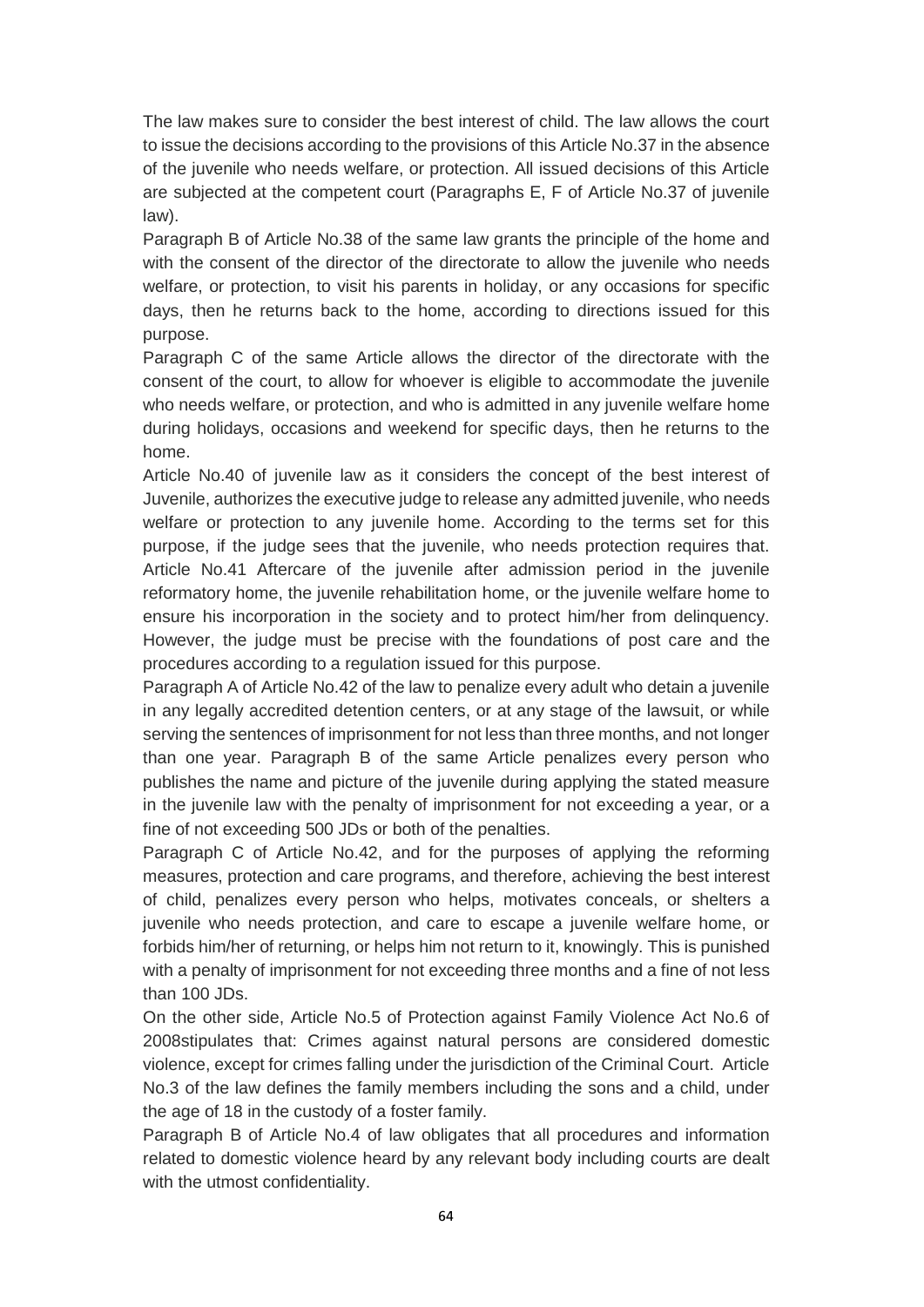The law makes sure to consider the best interest of child. The law allows the court to issue the decisions according to the provisions of this Article No.37 in the absence of the juvenile who needs welfare, or protection. All issued decisions of this Article are subjected at the competent court (Paragraphs E, F of Article No.37 of juvenile law).

Paragraph B of Article No.38 of the same law grants the principle of the home and with the consent of the director of the directorate to allow the juvenile who needs welfare, or protection, to visit his parents in holiday, or any occasions for specific days, then he returns back to the home, according to directions issued for this purpose.

Paragraph C of the same Article allows the director of the directorate with the consent of the court, to allow for whoever is eligible to accommodate the juvenile who needs welfare, or protection, and who is admitted in any juvenile welfare home during holidays, occasions and weekend for specific days, then he returns to the home.

Article No.40 of juvenile law as it considers the concept of the best interest of Juvenile, authorizes the executive judge to release any admitted juvenile, who needs welfare or protection to any juvenile home. According to the terms set for this purpose, if the judge sees that the juvenile, who needs protection requires that. Article No.41 Aftercare of the juvenile after admission period in the juvenile reformatory home, the juvenile rehabilitation home, or the juvenile welfare home to ensure his incorporation in the society and to protect him/her from delinquency. However, the judge must be precise with the foundations of post care and the procedures according to a regulation issued for this purpose.

Paragraph A of Article No.42 of the law to penalize every adult who detain a juvenile in any legally accredited detention centers, or at any stage of the lawsuit, or while serving the sentences of imprisonment for not less than three months, and not longer than one year. Paragraph B of the same Article penalizes every person who publishes the name and picture of the juvenile during applying the stated measure in the juvenile law with the penalty of imprisonment for not exceeding a year, or a fine of not exceeding 500 JDs or both of the penalties.

Paragraph C of Article No.42, and for the purposes of applying the reforming measures, protection and care programs, and therefore, achieving the best interest of child, penalizes every person who helps, motivates conceals, or shelters a juvenile who needs protection, and care to escape a juvenile welfare home, or forbids him/her of returning, or helps him not return to it, knowingly. This is punished with a penalty of imprisonment for not exceeding three months and a fine of not less than 100 JDs.

On the other side, Article No.5 of Protection against Family Violence Act No.6 of 2008stipulates that: Crimes against natural persons are considered domestic violence, except for crimes falling under the jurisdiction of the Criminal Court. Article No.3 of the law defines the family members including the sons and a child, under the age of 18 in the custody of a foster family.

Paragraph B of Article No.4 of law obligates that all procedures and information related to domestic violence heard by any relevant body including courts are dealt with the utmost confidentiality.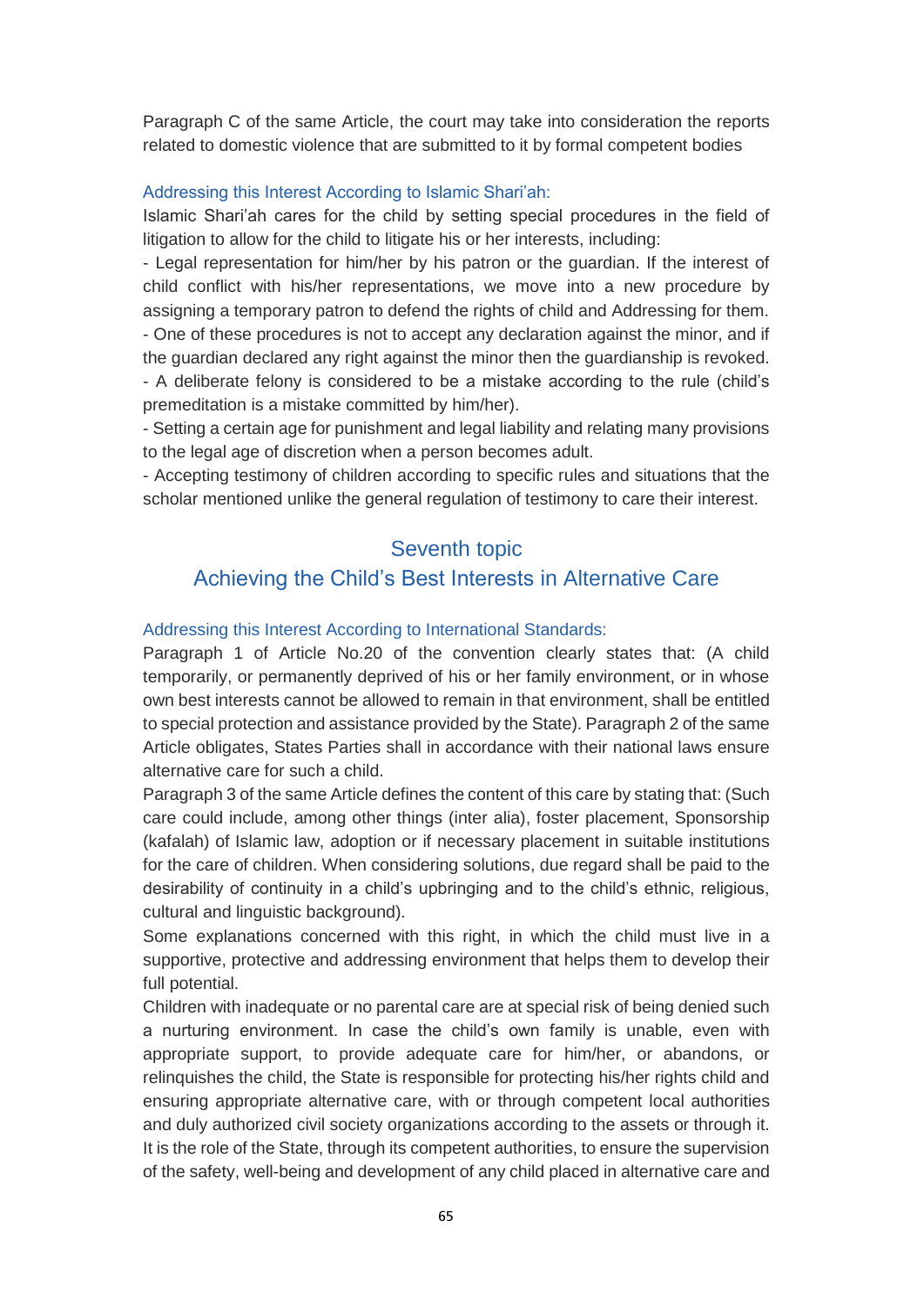Paragraph C of the same Article, the court may take into consideration the reports related to domestic violence that are submitted to it by formal competent bodies

### Addressing this Interest According to Islamic Shari'ah:

Islamic Shari'ah cares for the child by setting special procedures in the field of litigation to allow for the child to litigate his or her interests, including:

- Legal representation for him/her by his patron or the guardian. If the interest of child conflict with his/her representations, we move into a new procedure by assigning a temporary patron to defend the rights of child and Addressing for them. - One of these procedures is not to accept any declaration against the minor, and if the guardian declared any right against the minor then the guardianship is revoked. - A deliberate felony is considered to be a mistake according to the rule (child's premeditation is a mistake committed by him/her).

- Setting a certain age for punishment and legal liability and relating many provisions to the legal age of discretion when a person becomes adult.

- Accepting testimony of children according to specific rules and situations that the scholar mentioned unlike the general regulation of testimony to care their interest.

### Seventh topic

## Achieving the Child's Best Interests in Alternative Care

### Addressing this Interest According to International Standards:

Paragraph 1 of Article No.20 of the convention clearly states that: (A child temporarily, or permanently deprived of his or her family environment, or in whose own best interests cannot be allowed to remain in that environment, shall be entitled to special protection and assistance provided by the State). Paragraph 2 of the same Article obligates, States Parties shall in accordance with their national laws ensure alternative care for such a child.

Paragraph 3 of the same Article defines the content of this care by stating that: (Such care could include, among other things (inter alia), foster placement, Sponsorship (kafalah) of Islamic law, adoption or if necessary placement in suitable institutions for the care of children. When considering solutions, due regard shall be paid to the desirability of continuity in a child's upbringing and to the child's ethnic, religious, cultural and linguistic background).

Some explanations concerned with this right, in which the child must live in a supportive, protective and addressing environment that helps them to develop their full potential.

Children with inadequate or no parental care are at special risk of being denied such a nurturing environment. In case the child's own family is unable, even with appropriate support, to provide adequate care for him/her, or abandons, or relinquishes the child, the State is responsible for protecting his/her rights child and ensuring appropriate alternative care, with or through competent local authorities and duly authorized civil society organizations according to the assets or through it. It is the role of the State, through its competent authorities, to ensure the supervision of the safety, well-being and development of any child placed in alternative care and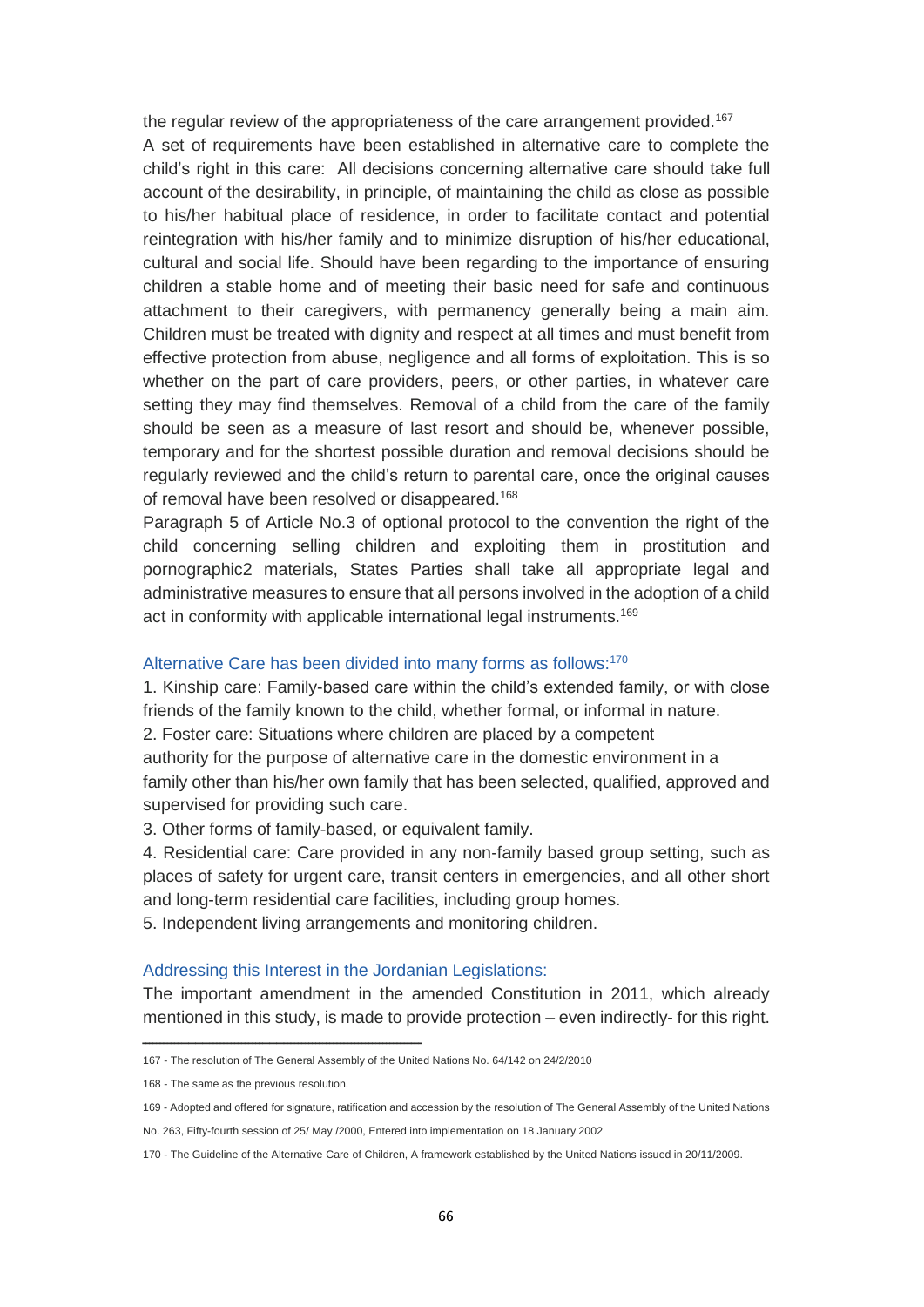the regular review of the appropriateness of the care arrangement provided.<sup>167</sup> A set of requirements have been established in alternative care to complete the child's right in this care: All decisions concerning alternative care should take full account of the desirability, in principle, of maintaining the child as close as possible to his/her habitual place of residence, in order to facilitate contact and potential reintegration with his/her family and to minimize disruption of his/her educational, cultural and social life. Should have been regarding to the importance of ensuring children a stable home and of meeting their basic need for safe and continuous attachment to their caregivers, with permanency generally being a main aim. Children must be treated with dignity and respect at all times and must benefit from effective protection from abuse, negligence and all forms of exploitation. This is so whether on the part of care providers, peers, or other parties, in whatever care setting they may find themselves. Removal of a child from the care of the family should be seen as a measure of last resort and should be, whenever possible, temporary and for the shortest possible duration and removal decisions should be regularly reviewed and the child's return to parental care, once the original causes of removal have been resolved or disappeared.<sup>168</sup>

Paragraph 5 of Article No.3 of optional protocol to the convention the right of the child concerning selling children and exploiting them in prostitution and pornographic2 materials, States Parties shall take all appropriate legal and administrative measures to ensure that all persons involved in the adoption of a child act in conformity with applicable international legal instruments.<sup>169</sup>

#### Alternative Care has been divided into many forms as follows:<sup>170</sup>

1. Kinship care: Family-based care within the child's extended family, or with close friends of the family known to the child, whether formal, or informal in nature.

2. Foster care: Situations where children are placed by a competent

authority for the purpose of alternative care in the domestic environment in a family other than his/her own family that has been selected, qualified, approved and supervised for providing such care.

3. Other forms of family-based, or equivalent family.

4. Residential care: Care provided in any non-family based group setting, such as places of safety for urgent care, transit centers in emergencies, and all other short and long-term residential care facilities, including group homes.

5. Independent living arrangements and monitoring children.

#### Addressing this Interest in the Jordanian Legislations:

The important amendment in the amended Constitution in 2011, which already mentioned in this study, is made to provide protection – even indirectly- for this right.

<sup>167 -</sup> The resolution of The General Assembly of the United Nations No. 64/142 on 24/2/2010

<sup>168 -</sup> The same as the previous resolution.

<sup>169 -</sup> Adopted and offered for signature, ratification and accession by the resolution of The General Assembly of the United Nations

No. 263, Fifty-fourth session of 25/ May /2000, Entered into implementation on 18 January 2002

<sup>170 -</sup> The Guideline of the Alternative Care of Children, A framework established by the United Nations issued in 20/11/2009.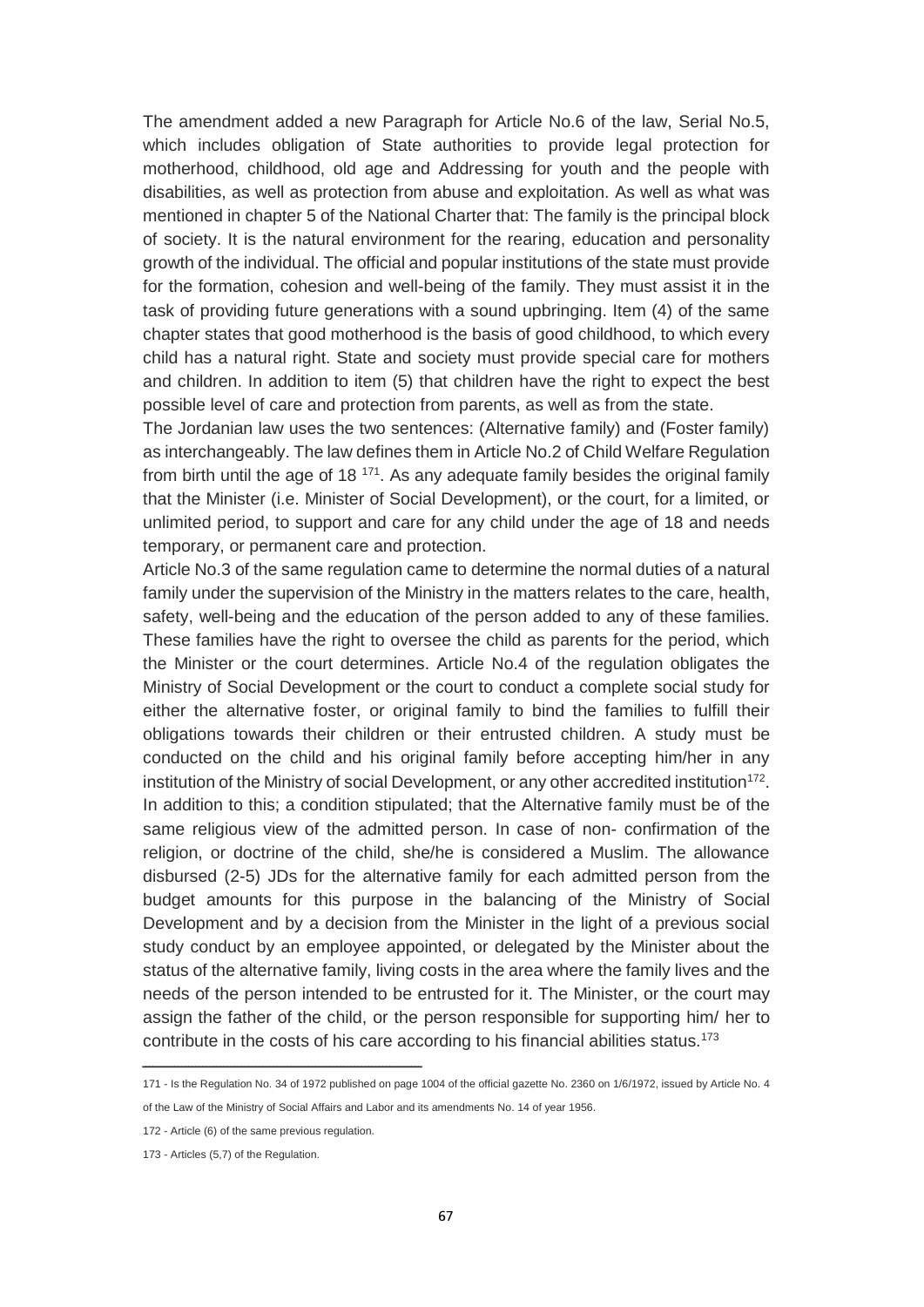The amendment added a new Paragraph for Article No.6 of the law, Serial No.5, which includes obligation of State authorities to provide legal protection for motherhood, childhood, old age and Addressing for youth and the people with disabilities, as well as protection from abuse and exploitation. As well as what was mentioned in chapter 5 of the National Charter that: The family is the principal block of society. It is the natural environment for the rearing, education and personality growth of the individual. The official and popular institutions of the state must provide for the formation, cohesion and well-being of the family. They must assist it in the task of providing future generations with a sound upbringing. Item (4) of the same chapter states that good motherhood is the basis of good childhood, to which every child has a natural right. State and society must provide special care for mothers and children. In addition to item (5) that children have the right to expect the best possible level of care and protection from parents, as well as from the state.

The Jordanian law uses the two sentences: (Alternative family) and (Foster family) as interchangeably. The law defines them in Article No.2 of Child Welfare Regulation from birth until the age of 18 $171$ . As any adequate family besides the original family that the Minister (i.e. Minister of Social Development), or the court, for a limited, or unlimited period, to support and care for any child under the age of 18 and needs temporary, or permanent care and protection.

Article No.3 of the same regulation came to determine the normal duties of a natural family under the supervision of the Ministry in the matters relates to the care, health, safety, well-being and the education of the person added to any of these families. These families have the right to oversee the child as parents for the period, which the Minister or the court determines. Article No.4 of the regulation obligates the Ministry of Social Development or the court to conduct a complete social study for either the alternative foster, or original family to bind the families to fulfill their obligations towards their children or their entrusted children. A study must be conducted on the child and his original family before accepting him/her in any institution of the Ministry of social Development, or any other accredited institution<sup>172</sup>. In addition to this; a condition stipulated; that the Alternative family must be of the same religious view of the admitted person. In case of non- confirmation of the religion, or doctrine of the child, she/he is considered a Muslim. The allowance disbursed (2-5) JDs for the alternative family for each admitted person from the budget amounts for this purpose in the balancing of the Ministry of Social Development and by a decision from the Minister in the light of a previous social study conduct by an employee appointed, or delegated by the Minister about the status of the alternative family, living costs in the area where the family lives and the needs of the person intended to be entrusted for it. The Minister, or the court may assign the father of the child, or the person responsible for supporting him/ her to contribute in the costs of his care according to his financial abilities status.<sup>173</sup>

<sup>171 -</sup> Is the Regulation No. 34 of 1972 published on page 1004 of the official gazette No. 2360 on 1/6/1972, issued by Article No. 4 of the Law of the Ministry of Social Affairs and Labor and its amendments No. 14 of year 1956.

<sup>172 -</sup> Article (6) of the same previous regulation.

<sup>173 -</sup> Articles (5,7) of the Regulation.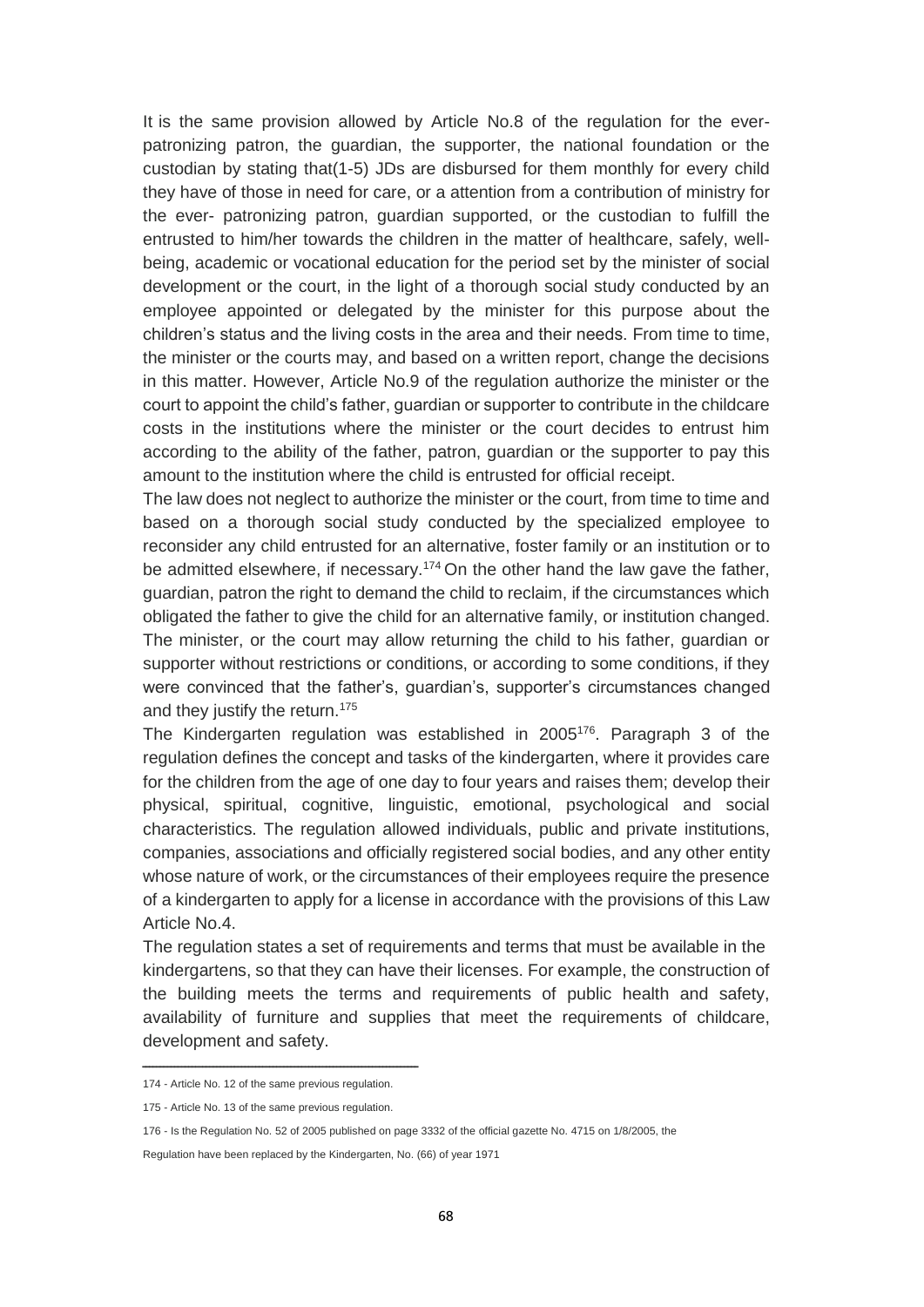It is the same provision allowed by Article No.8 of the regulation for the everpatronizing patron, the guardian, the supporter, the national foundation or the custodian by stating that(1-5) JDs are disbursed for them monthly for every child they have of those in need for care, or a attention from a contribution of ministry for the ever- patronizing patron, guardian supported, or the custodian to fulfill the entrusted to him/her towards the children in the matter of healthcare, safely, wellbeing, academic or vocational education for the period set by the minister of social development or the court, in the light of a thorough social study conducted by an employee appointed or delegated by the minister for this purpose about the children's status and the living costs in the area and their needs. From time to time, the minister or the courts may, and based on a written report, change the decisions in this matter. However, Article No.9 of the regulation authorize the minister or the court to appoint the child's father, guardian or supporter to contribute in the childcare costs in the institutions where the minister or the court decides to entrust him according to the ability of the father, patron, guardian or the supporter to pay this amount to the institution where the child is entrusted for official receipt.

The law does not neglect to authorize the minister or the court, from time to time and based on a thorough social study conducted by the specialized employee to reconsider any child entrusted for an alternative, foster family or an institution or to be admitted elsewhere, if necessary.<sup>174</sup> On the other hand the law gave the father, guardian, patron the right to demand the child to reclaim, if the circumstances which obligated the father to give the child for an alternative family, or institution changed. The minister, or the court may allow returning the child to his father, guardian or supporter without restrictions or conditions, or according to some conditions, if they were convinced that the father's, guardian's, supporter's circumstances changed and they justify the return.<sup>175</sup>

The Kindergarten regulation was established in 2005<sup>176</sup>. Paragraph 3 of the regulation defines the concept and tasks of the kindergarten, where it provides care for the children from the age of one day to four years and raises them; develop their physical, spiritual, cognitive, linguistic, emotional, psychological and social characteristics. The regulation allowed individuals, public and private institutions, companies, associations and officially registered social bodies, and any other entity whose nature of work, or the circumstances of their employees require the presence of a kindergarten to apply for a license in accordance with the provisions of this Law Article No.4.

The regulation states a set of requirements and terms that must be available in the kindergartens, so that they can have their licenses. For example, the construction of the building meets the terms and requirements of public health and safety, availability of furniture and supplies that meet the requirements of childcare, development and safety.

<sup>174 -</sup> Article No. 12 of the same previous regulation.

<sup>175 -</sup> Article No. 13 of the same previous regulation.

<sup>176 -</sup> Is the Regulation No. 52 of 2005 published on page 3332 of the official gazette No. 4715 on 1/8/2005, the

Regulation have been replaced by the Kindergarten, No. (66) of year 1971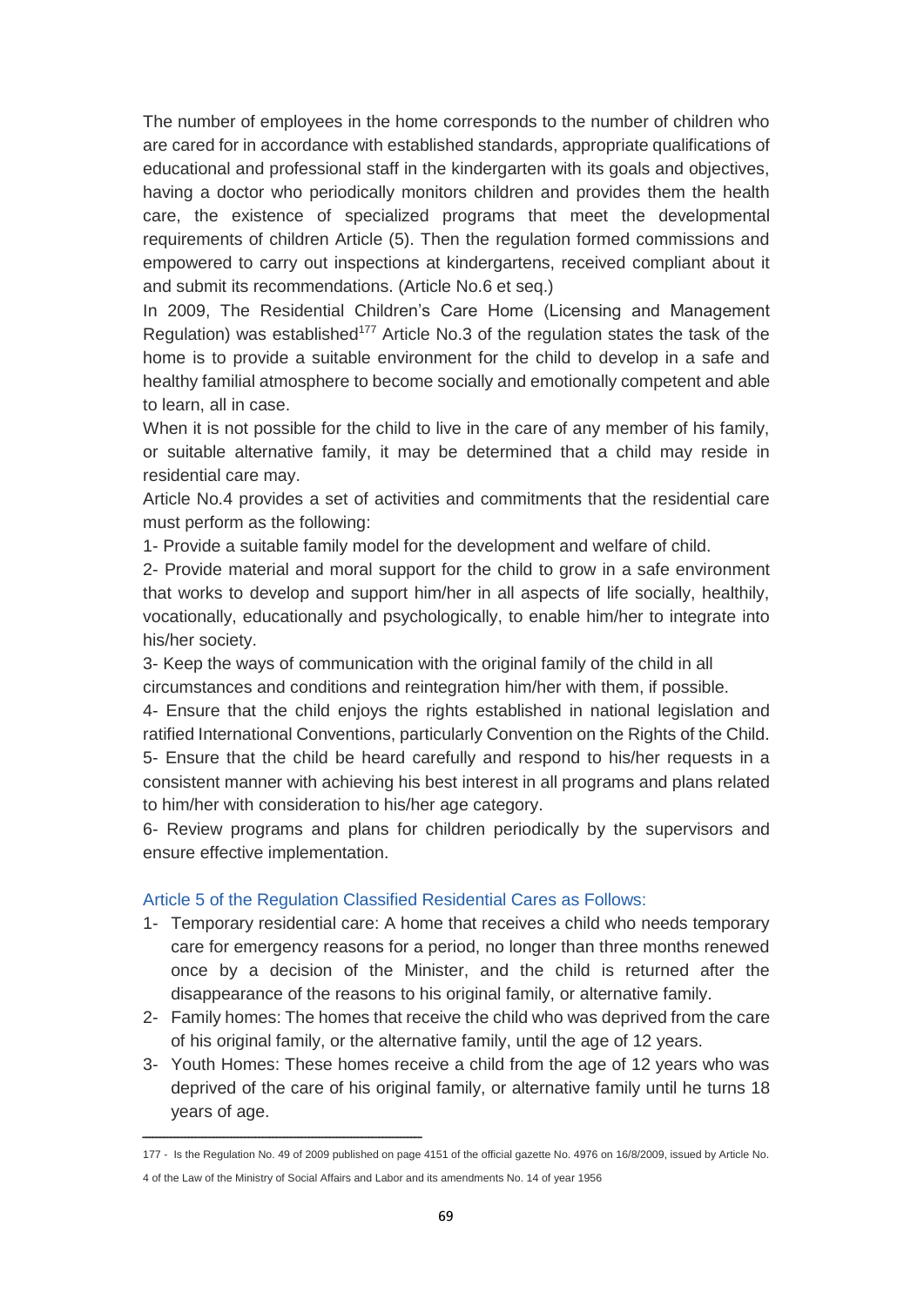The number of employees in the home corresponds to the number of children who are cared for in accordance with established standards, appropriate qualifications of educational and professional staff in the kindergarten with its goals and objectives, having a doctor who periodically monitors children and provides them the health care, the existence of specialized programs that meet the developmental requirements of children Article (5). Then the regulation formed commissions and empowered to carry out inspections at kindergartens, received compliant about it and submit its recommendations. (Article No.6 et seq.)

In 2009, The Residential Children's Care Home (Licensing and Management Regulation) was established<sup>177</sup> Article No.3 of the regulation states the task of the home is to provide a suitable environment for the child to develop in a safe and healthy familial atmosphere to become socially and emotionally competent and able to learn, all in case.

When it is not possible for the child to live in the care of any member of his family, or suitable alternative family, it may be determined that a child may reside in residential care may.

Article No.4 provides a set of activities and commitments that the residential care must perform as the following:

1- Provide a suitable family model for the development and welfare of child.

2- Provide material and moral support for the child to grow in a safe environment that works to develop and support him/her in all aspects of life socially, healthily, vocationally, educationally and psychologically, to enable him/her to integrate into his/her society.

3- Keep the ways of communication with the original family of the child in all circumstances and conditions and reintegration him/her with them, if possible.

4- Ensure that the child enjoys the rights established in national legislation and ratified International Conventions, particularly Convention on the Rights of the Child. 5- Ensure that the child be heard carefully and respond to his/her requests in a consistent manner with achieving his best interest in all programs and plans related to him/her with consideration to his/her age category.

6- Review programs and plans for children periodically by the supervisors and ensure effective implementation.

### Article 5 of the Regulation Classified Residential Cares as Follows:

- 1- Temporary residential care: A home that receives a child who needs temporary care for emergency reasons for a period, no longer than three months renewed once by a decision of the Minister, and the child is returned after the disappearance of the reasons to his original family, or alternative family.
- 2- Family homes: The homes that receive the child who was deprived from the care of his original family, or the alternative family, until the age of 12 years.
- 3- Youth Homes: These homes receive a child from the age of 12 years who was deprived of the care of his original family, or alternative family until he turns 18 years of age.

<sup>177 -</sup> Is the Regulation No. 49 of 2009 published on page 4151 of the official gazette No. 4976 on 16/8/2009, issued by Article No.

<sup>4</sup> of the Law of the Ministry of Social Affairs and Labor and its amendments No. 14 of year 1956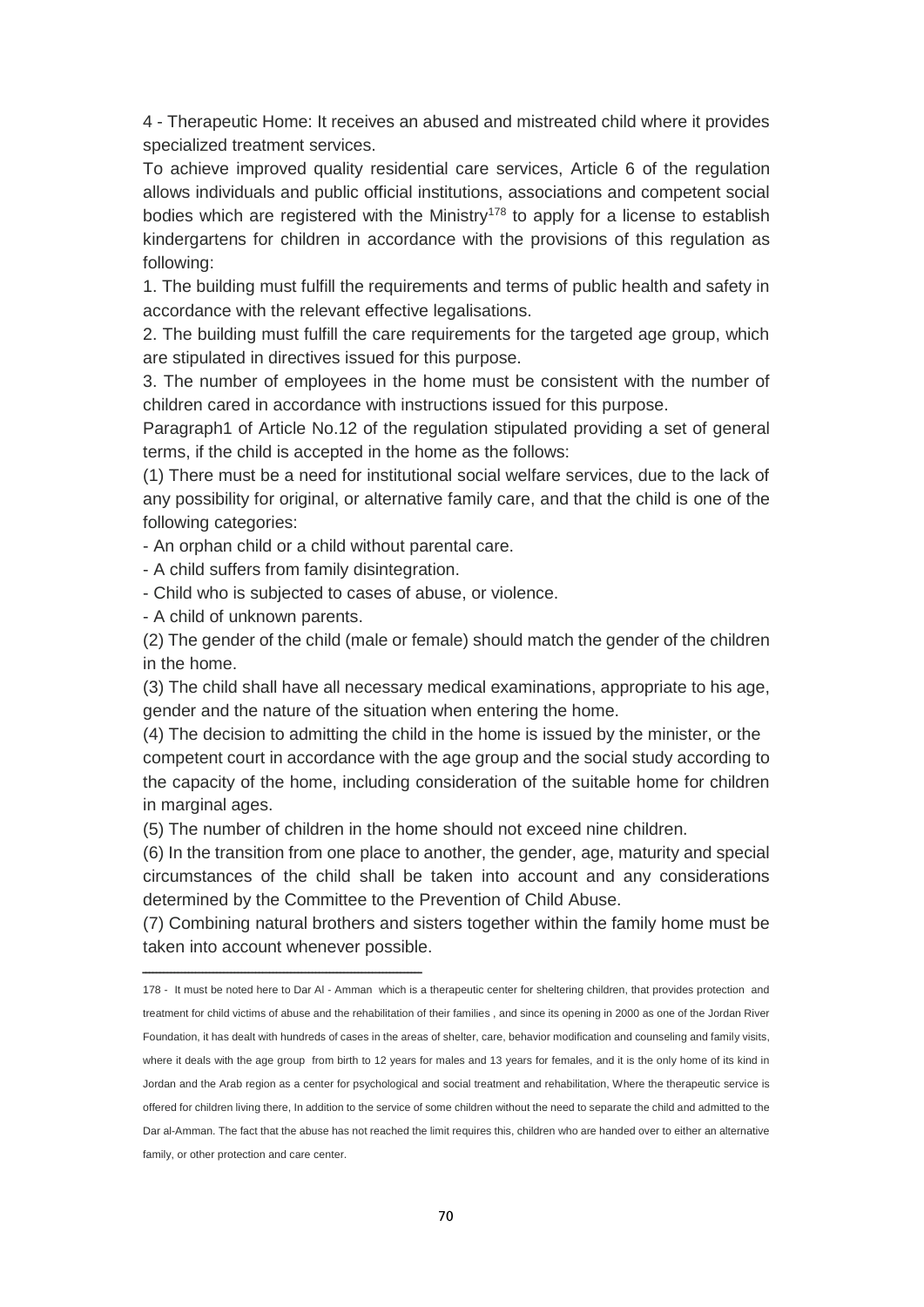4 - Therapeutic Home: It receives an abused and mistreated child where it provides specialized treatment services.

To achieve improved quality residential care services, Article 6 of the regulation allows individuals and public official institutions, associations and competent social bodies which are registered with the Ministry<sup>178</sup> to apply for a license to establish kindergartens for children in accordance with the provisions of this regulation as following:

1. The building must fulfill the requirements and terms of public health and safety in accordance with the relevant effective legalisations.

2. The building must fulfill the care requirements for the targeted age group, which are stipulated in directives issued for this purpose.

3. The number of employees in the home must be consistent with the number of children cared in accordance with instructions issued for this purpose.

Paragraph1 of Article No.12 of the regulation stipulated providing a set of general terms, if the child is accepted in the home as the follows:

(1) There must be a need for institutional social welfare services, due to the lack of any possibility for original, or alternative family care, and that the child is one of the following categories:

- An orphan child or a child without parental care.

- A child suffers from family disintegration.

- Child who is subjected to cases of abuse, or violence.

- A child of unknown parents.

ـــــــــــــــــــــــــــــــــــــــــــــــــــــــــــــــــــــــــــــــ

(2) The gender of the child (male or female) should match the gender of the children in the home.

(3) The child shall have all necessary medical examinations, appropriate to his age, gender and the nature of the situation when entering the home.

(4) The decision to admitting the child in the home is issued by the minister, or the competent court in accordance with the age group and the social study according to the capacity of the home, including consideration of the suitable home for children in marginal ages.

(5) The number of children in the home should not exceed nine children.

(6) In the transition from one place to another, the gender, age, maturity and special circumstances of the child shall be taken into account and any considerations determined by the Committee to the Prevention of Child Abuse.

(7) Combining natural brothers and sisters together within the family home must be taken into account whenever possible.

<sup>178 -</sup> It must be noted here to Dar Al - Amman which is a therapeutic center for sheltering children, that provides protection and treatment for child victims of abuse and the rehabilitation of their families , and since its opening in 2000 as one of the Jordan River Foundation, it has dealt with hundreds of cases in the areas of shelter, care, behavior modification and counseling and family visits, where it deals with the age group from birth to 12 years for males and 13 years for females, and it is the only home of its kind in Jordan and the Arab region as a center for psychological and social treatment and rehabilitation, Where the therapeutic service is offered for children living there, In addition to the service of some children without the need to separate the child and admitted to the Dar al-Amman. The fact that the abuse has not reached the limit requires this, children who are handed over to either an alternative family, or other protection and care center.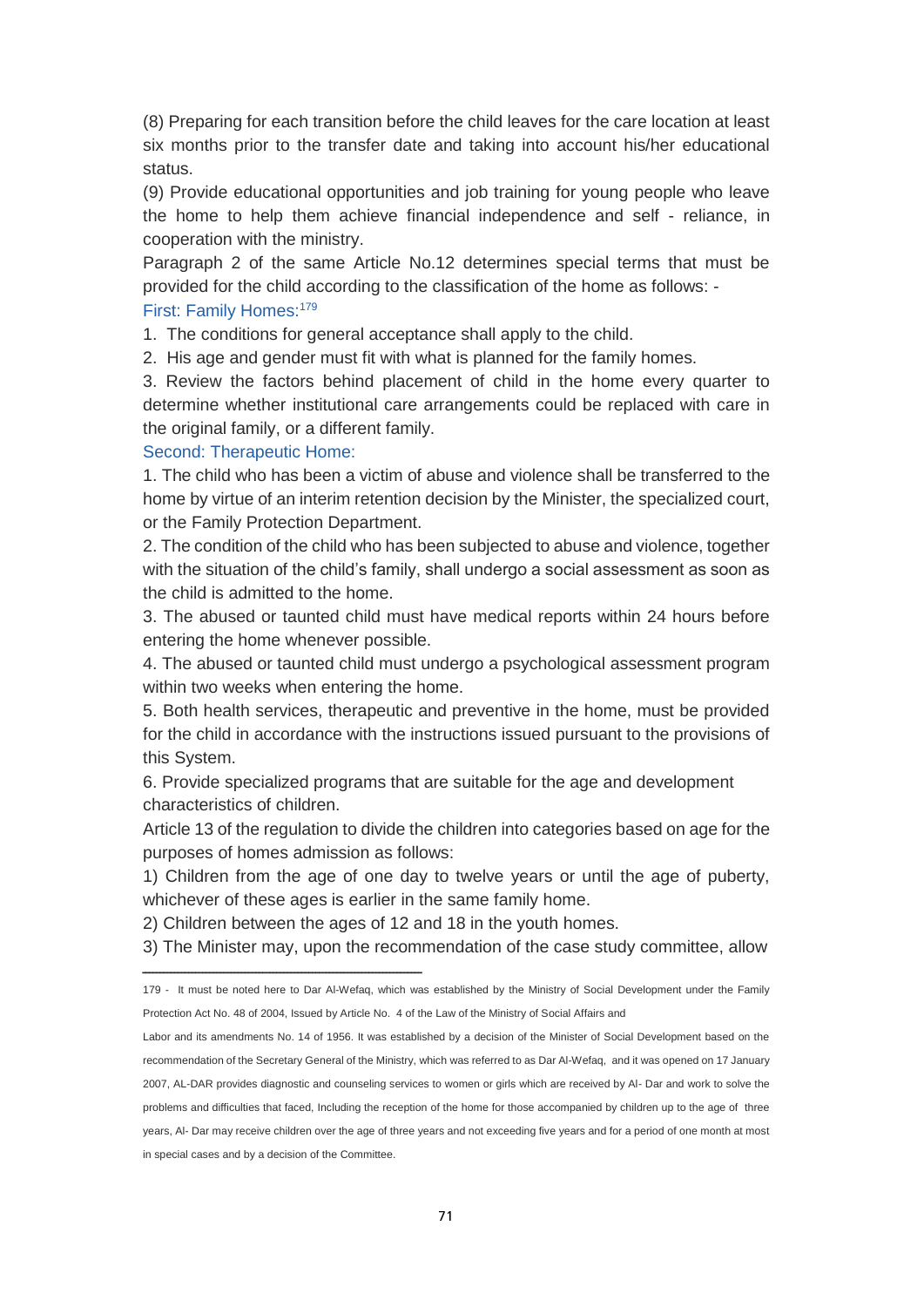(8) Preparing for each transition before the child leaves for the care location at least six months prior to the transfer date and taking into account his/her educational status.

(9) Provide educational opportunities and job training for young people who leave the home to help them achieve financial independence and self - reliance, in cooperation with the ministry.

Paragraph 2 of the same Article No.12 determines special terms that must be provided for the child according to the classification of the home as follows: -

#### First: Family Homes:<sup>179</sup>

1. The conditions for general acceptance shall apply to the child.

2. His age and gender must fit with what is planned for the family homes.

3. Review the factors behind placement of child in the home every quarter to determine whether institutional care arrangements could be replaced with care in the original family, or a different family.

### Second: Therapeutic Home:

1. The child who has been a victim of abuse and violence shall be transferred to the home by virtue of an interim retention decision by the Minister, the specialized court, or the Family Protection Department.

2. The condition of the child who has been subjected to abuse and violence, together with the situation of the child's family, shall undergo a social assessment as soon as the child is admitted to the home.

3. The abused or taunted child must have medical reports within 24 hours before entering the home whenever possible.

4. The abused or taunted child must undergo a psychological assessment program within two weeks when entering the home.

5. Both health services, therapeutic and preventive in the home, must be provided for the child in accordance with the instructions issued pursuant to the provisions of this System.

6. Provide specialized programs that are suitable for the age and development characteristics of children.

Article 13 of the regulation to divide the children into categories based on age for the purposes of homes admission as follows:

1) Children from the age of one day to twelve years or until the age of puberty, whichever of these ages is earlier in the same family home.

2) Children between the ages of 12 and 18 in the youth homes.

ـــــــــــــــــــــــــــــــــــــــــــــــــــــــــــــــــــــــــــــــ

3) The Minister may, upon the recommendation of the case study committee, allow

<sup>179 -</sup> It must be noted here to Dar Al-Wefaq, which was established by the Ministry of Social Development under the Family Protection Act No. 48 of 2004, Issued by Article No. 4 of the Law of the Ministry of Social Affairs and

Labor and its amendments No. 14 of 1956. It was established by a decision of the Minister of Social Development based on the recommendation of the Secretary General of the Ministry, which was referred to as Dar Al-Wefaq, and it was opened on 17 January 2007, AL-DAR provides diagnostic and counseling services to women or girls which are received by Al- Dar and work to solve the problems and difficulties that faced, Including the reception of the home for those accompanied by children up to the age of three years, Al- Dar may receive children over the age of three years and not exceeding five years and for a period of one month at most in special cases and by a decision of the Committee.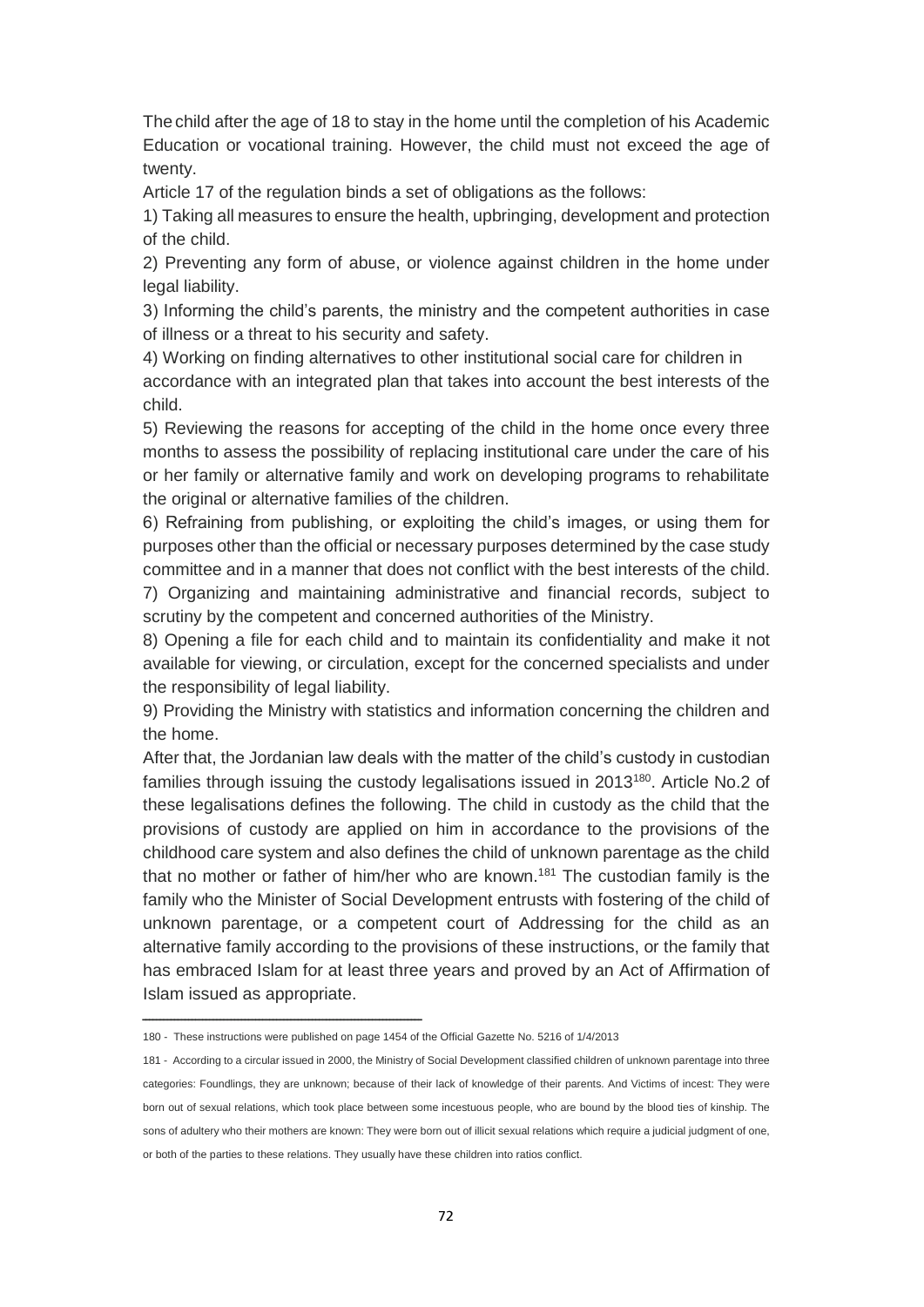The child after the age of 18 to stay in the home until the completion of his Academic Education or vocational training. However, the child must not exceed the age of twenty.

Article 17 of the regulation binds a set of obligations as the follows:

1) Taking all measures to ensure the health, upbringing, development and protection of the child.

2) Preventing any form of abuse, or violence against children in the home under legal liability.

3) Informing the child's parents, the ministry and the competent authorities in case of illness or a threat to his security and safety.

4) Working on finding alternatives to other institutional social care for children in accordance with an integrated plan that takes into account the best interests of the child.

5) Reviewing the reasons for accepting of the child in the home once every three months to assess the possibility of replacing institutional care under the care of his or her family or alternative family and work on developing programs to rehabilitate the original or alternative families of the children.

6) Refraining from publishing, or exploiting the child's images, or using them for purposes other than the official or necessary purposes determined by the case study committee and in a manner that does not conflict with the best interests of the child. 7) Organizing and maintaining administrative and financial records, subject to

scrutiny by the competent and concerned authorities of the Ministry.

8) Opening a file for each child and to maintain its confidentiality and make it not available for viewing, or circulation, except for the concerned specialists and under the responsibility of legal liability.

9) Providing the Ministry with statistics and information concerning the children and the home.

After that, the Jordanian law deals with the matter of the child's custody in custodian families through issuing the custody legalisations issued in  $2013^{180}$ . Article No.2 of these legalisations defines the following. The child in custody as the child that the provisions of custody are applied on him in accordance to the provisions of the childhood care system and also defines the child of unknown parentage as the child that no mother or father of him/her who are known.<sup>181</sup> The custodian family is the family who the Minister of Social Development entrusts with fostering of the child of unknown parentage, or a competent court of Addressing for the child as an alternative family according to the provisions of these instructions, or the family that has embraced Islam for at least three years and proved by an Act of Affirmation of Islam issued as appropriate.

<sup>180 -</sup> These instructions were published on page 1454 of the Official Gazette No. 5216 of 1/4/2013

<sup>181 -</sup> According to a circular issued in 2000, the Ministry of Social Development classified children of unknown parentage into three categories: Foundlings, they are unknown; because of their lack of knowledge of their parents. And Victims of incest: They were born out of sexual relations, which took place between some incestuous people, who are bound by the blood ties of kinship. The sons of adultery who their mothers are known: They were born out of illicit sexual relations which require a judicial judgment of one, or both of the parties to these relations. They usually have these children into ratios conflict.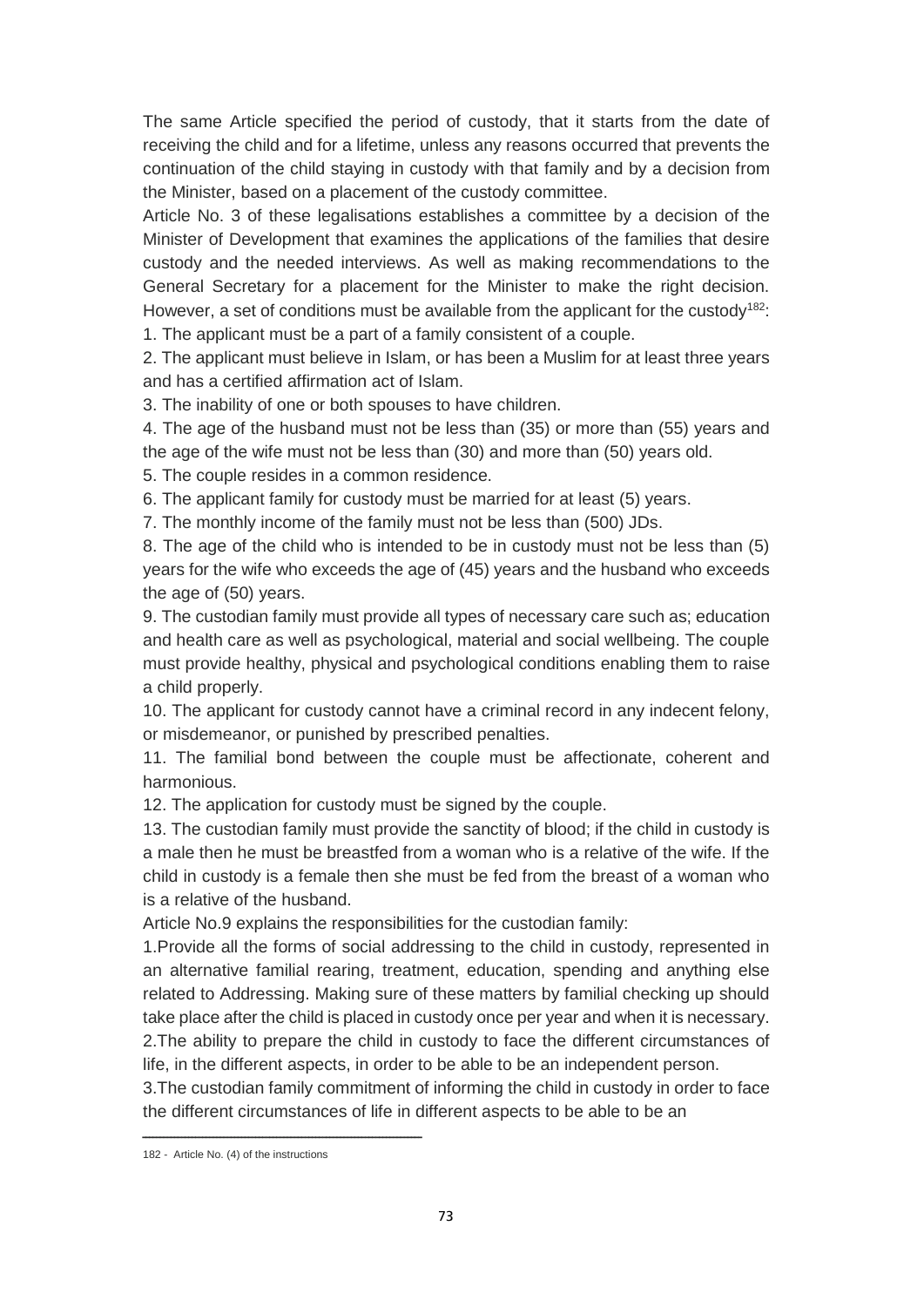The same Article specified the period of custody, that it starts from the date of receiving the child and for a lifetime, unless any reasons occurred that prevents the continuation of the child staying in custody with that family and by a decision from the Minister, based on a placement of the custody committee.

Article No. 3 of these legalisations establishes a committee by a decision of the Minister of Development that examines the applications of the families that desire custody and the needed interviews. As well as making recommendations to the General Secretary for a placement for the Minister to make the right decision. However, a set of conditions must be available from the applicant for the custody<sup>182</sup>:

1. The applicant must be a part of a family consistent of a couple.

2. The applicant must believe in Islam, or has been a Muslim for at least three years and has a certified affirmation act of Islam.

3. The inability of one or both spouses to have children.

4. The age of the husband must not be less than (35) or more than (55) years and the age of the wife must not be less than (30) and more than (50) years old.

5. The couple resides in a common residence.

6. The applicant family for custody must be married for at least (5) years.

7. The monthly income of the family must not be less than (500) JDs.

8. The age of the child who is intended to be in custody must not be less than (5) years for the wife who exceeds the age of (45) years and the husband who exceeds the age of (50) years.

9. The custodian family must provide all types of necessary care such as; education and health care as well as psychological, material and social wellbeing. The couple must provide healthy, physical and psychological conditions enabling them to raise a child properly.

10. The applicant for custody cannot have a criminal record in any indecent felony, or misdemeanor, or punished by prescribed penalties.

11. The familial bond between the couple must be affectionate, coherent and harmonious.

12. The application for custody must be signed by the couple.

13. The custodian family must provide the sanctity of blood; if the child in custody is a male then he must be breastfed from a woman who is a relative of the wife. If the child in custody is a female then she must be fed from the breast of a woman who is a relative of the husband.

Article No.9 explains the responsibilities for the custodian family:

1.Provide all the forms of social addressing to the child in custody, represented in an alternative familial rearing, treatment, education, spending and anything else related to Addressing. Making sure of these matters by familial checking up should take place after the child is placed in custody once per year and when it is necessary. 2.The ability to prepare the child in custody to face the different circumstances of life, in the different aspects, in order to be able to be an independent person.

3.The custodian family commitment of informing the child in custody in order to face the different circumstances of life in different aspects to be able to be an

<sup>182 -</sup> Article No. (4) of the instructions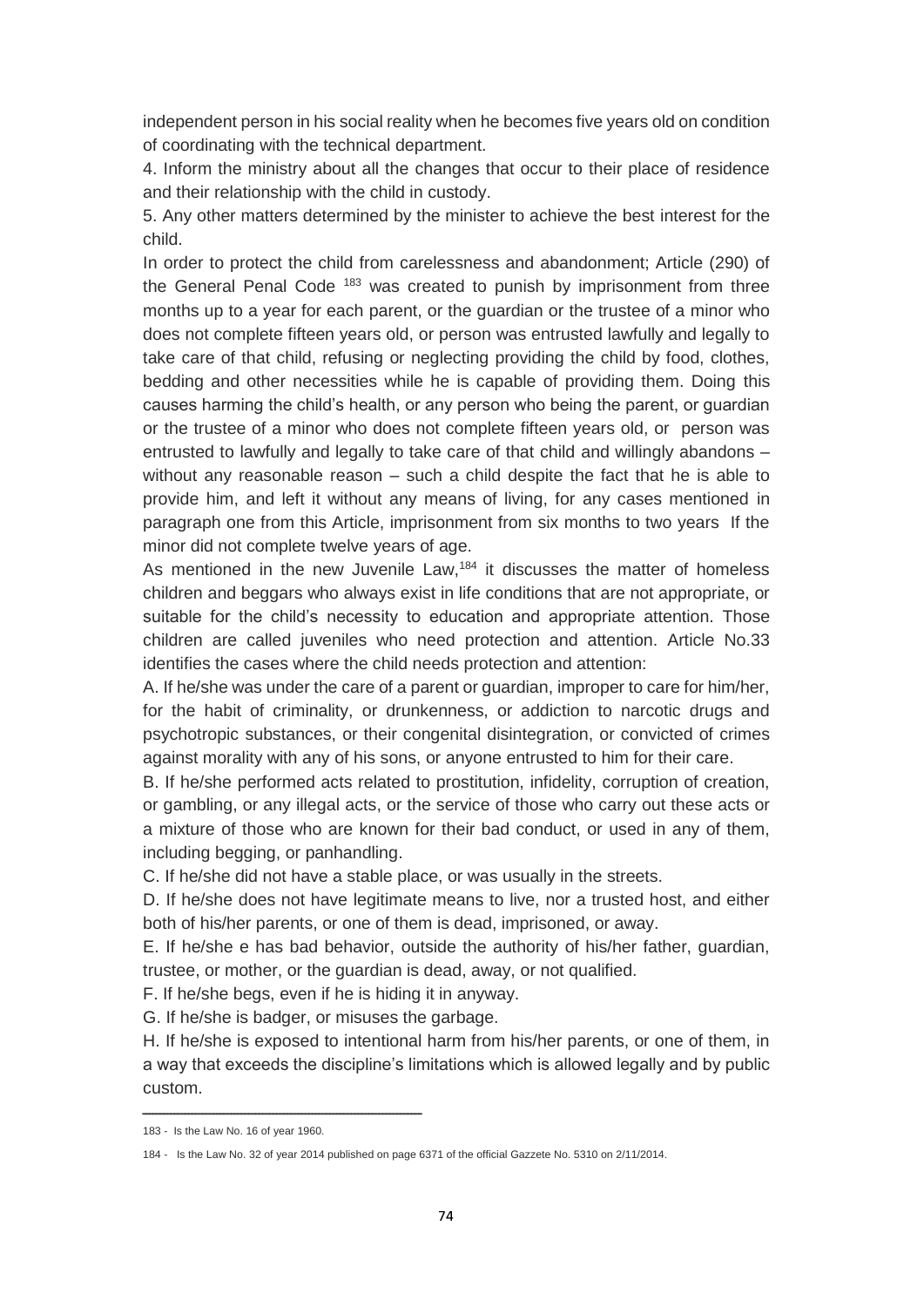independent person in his social reality when he becomes five years old on condition of coordinating with the technical department.

4. Inform the ministry about all the changes that occur to their place of residence and their relationship with the child in custody.

5. Any other matters determined by the minister to achieve the best interest for the child.

In order to protect the child from carelessness and abandonment; Article (290) of the General Penal Code <sup>183</sup> was created to punish by imprisonment from three months up to a year for each parent, or the guardian or the trustee of a minor who does not complete fifteen years old, or person was entrusted lawfully and legally to take care of that child, refusing or neglecting providing the child by food, clothes, bedding and other necessities while he is capable of providing them. Doing this causes harming the child's health, or any person who being the parent, or guardian or the trustee of a minor who does not complete fifteen years old, or person was entrusted to lawfully and legally to take care of that child and willingly abandons – without any reasonable reason – such a child despite the fact that he is able to provide him, and left it without any means of living, for any cases mentioned in paragraph one from this Article, imprisonment from six months to two years If the minor did not complete twelve years of age.

As mentioned in the new Juvenile Law.<sup>184</sup> it discusses the matter of homeless children and beggars who always exist in life conditions that are not appropriate, or suitable for the child's necessity to education and appropriate attention. Those children are called juveniles who need protection and attention. Article No.33 identifies the cases where the child needs protection and attention:

A. If he/she was under the care of a parent or guardian, improper to care for him/her, for the habit of criminality, or drunkenness, or addiction to narcotic drugs and psychotropic substances, or their congenital disintegration, or convicted of crimes against morality with any of his sons, or anyone entrusted to him for their care.

B. If he/she performed acts related to prostitution, infidelity, corruption of creation, or gambling, or any illegal acts, or the service of those who carry out these acts or a mixture of those who are known for their bad conduct, or used in any of them, including begging, or panhandling.

C. If he/she did not have a stable place, or was usually in the streets.

D. If he/she does not have legitimate means to live, nor a trusted host, and either both of his/her parents, or one of them is dead, imprisoned, or away.

E. If he/she e has bad behavior, outside the authority of his/her father, guardian, trustee, or mother, or the guardian is dead, away, or not qualified.

F. If he/she begs, even if he is hiding it in anyway.

G. If he/she is badger, or misuses the garbage.

H. If he/she is exposed to intentional harm from his/her parents, or one of them, in a way that exceeds the discipline's limitations which is allowed legally and by public custom.

<sup>183 -</sup> Is the Law No. 16 of year 1960.

<sup>184 -</sup> Is the Law No. 32 of year 2014 published on page 6371 of the official Gazzete No. 5310 on 2/11/2014.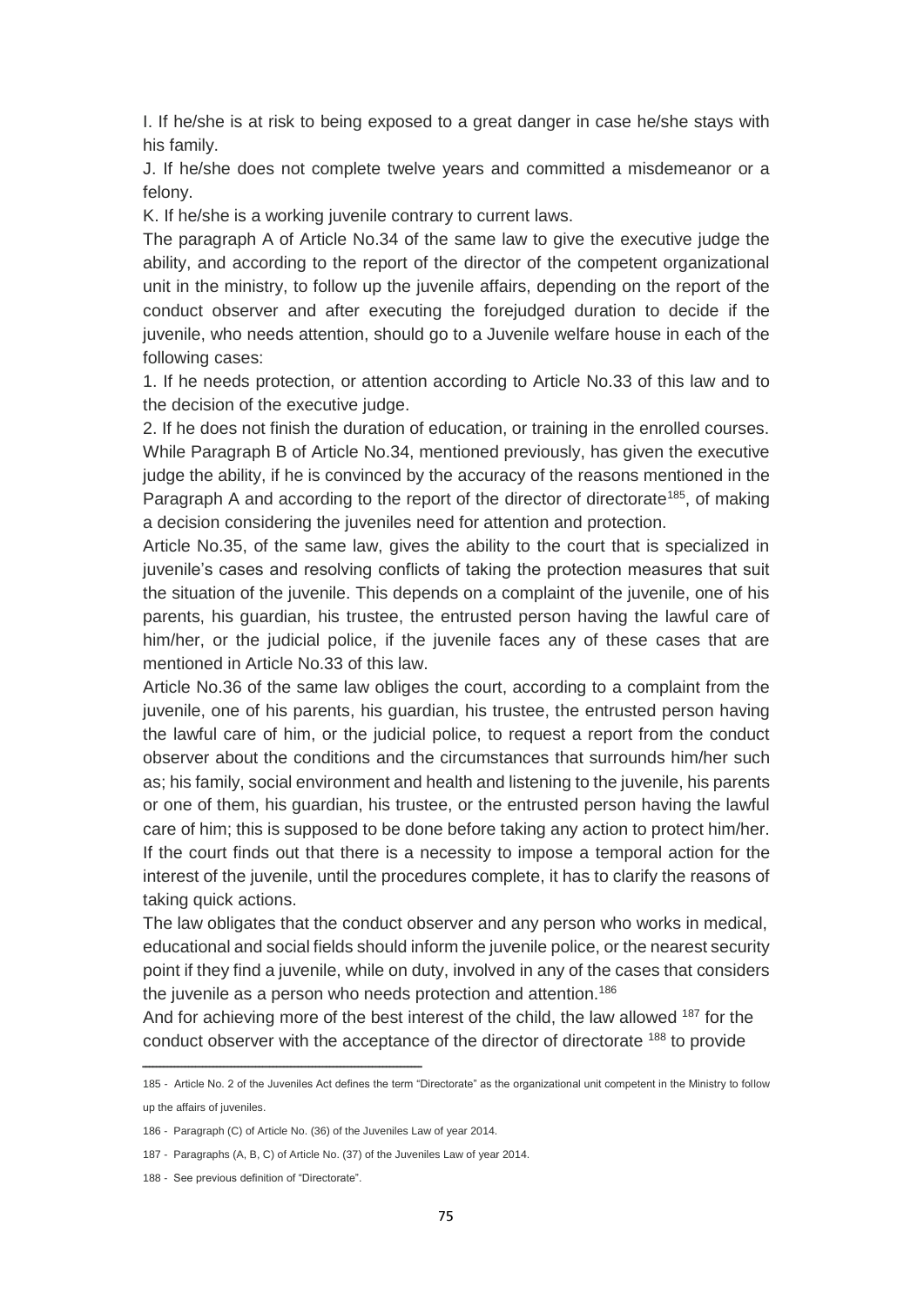I. If he/she is at risk to being exposed to a great danger in case he/she stays with his family.

J. If he/she does not complete twelve years and committed a misdemeanor or a felony.

K. If he/she is a working juvenile contrary to current laws.

The paragraph A of Article No.34 of the same law to give the executive judge the ability, and according to the report of the director of the competent organizational unit in the ministry, to follow up the juvenile affairs, depending on the report of the conduct observer and after executing the forejudged duration to decide if the juvenile, who needs attention, should go to a Juvenile welfare house in each of the following cases:

1. If he needs protection, or attention according to Article No.33 of this law and to the decision of the executive judge.

2. If he does not finish the duration of education, or training in the enrolled courses. While Paragraph B of Article No.34, mentioned previously, has given the executive judge the ability, if he is convinced by the accuracy of the reasons mentioned in the Paragraph A and according to the report of the director of directorate<sup>185</sup>, of making a decision considering the juveniles need for attention and protection.

Article No.35, of the same law, gives the ability to the court that is specialized in juvenile's cases and resolving conflicts of taking the protection measures that suit the situation of the juvenile. This depends on a complaint of the juvenile, one of his parents, his guardian, his trustee, the entrusted person having the lawful care of him/her, or the judicial police, if the juvenile faces any of these cases that are mentioned in Article No.33 of this law.

Article No.36 of the same law obliges the court, according to a complaint from the juvenile, one of his parents, his guardian, his trustee, the entrusted person having the lawful care of him, or the judicial police, to request a report from the conduct observer about the conditions and the circumstances that surrounds him/her such as; his family, social environment and health and listening to the juvenile, his parents or one of them, his guardian, his trustee, or the entrusted person having the lawful care of him; this is supposed to be done before taking any action to protect him/her. If the court finds out that there is a necessity to impose a temporal action for the interest of the juvenile, until the procedures complete, it has to clarify the reasons of taking quick actions.

The law obligates that the conduct observer and any person who works in medical, educational and social fields should inform the juvenile police, or the nearest security point if they find a juvenile, while on duty, involved in any of the cases that considers the juvenile as a person who needs protection and attention.<sup>186</sup>

And for achieving more of the best interest of the child, the law allowed <sup>187</sup> for the conduct observer with the acceptance of the director of directorate <sup>188</sup> to provide

<sup>185 -</sup> Article No. 2 of the Juveniles Act defines the term "Directorate" as the organizational unit competent in the Ministry to follow up the affairs of juveniles.

<sup>186 -</sup> Paragraph (C) of Article No. (36) of the Juveniles Law of year 2014.

<sup>187 -</sup> Paragraphs (A, B, C) of Article No. (37) of the Juveniles Law of year 2014.

<sup>188 -</sup> See previous definition of "Directorate".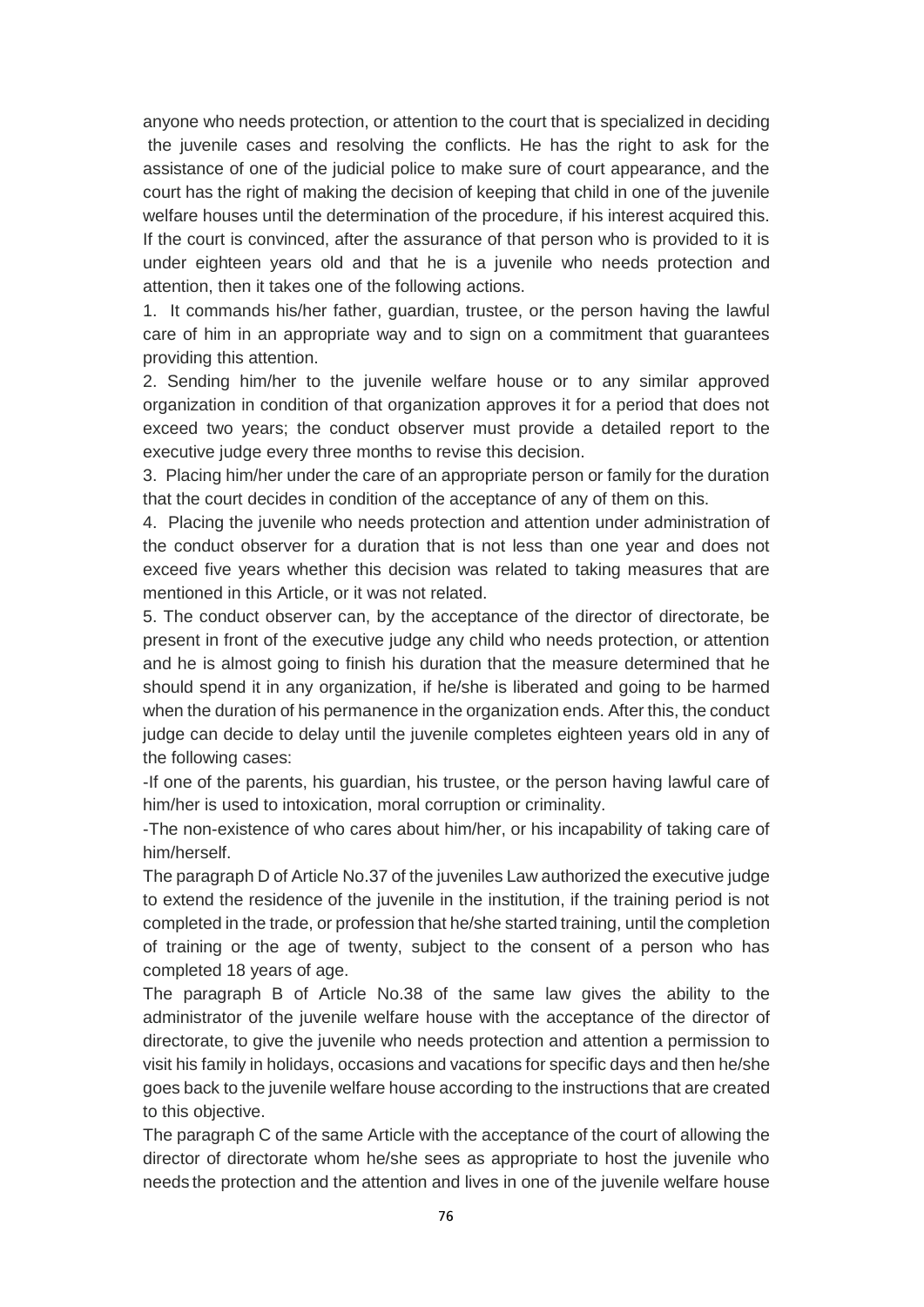anyone who needs protection, or attention to the court that is specialized in deciding the juvenile cases and resolving the conflicts. He has the right to ask for the assistance of one of the judicial police to make sure of court appearance, and the court has the right of making the decision of keeping that child in one of the juvenile welfare houses until the determination of the procedure, if his interest acquired this. If the court is convinced, after the assurance of that person who is provided to it is under eighteen years old and that he is a juvenile who needs protection and attention, then it takes one of the following actions.

1. It commands his/her father, guardian, trustee, or the person having the lawful care of him in an appropriate way and to sign on a commitment that guarantees providing this attention.

2. Sending him/her to the juvenile welfare house or to any similar approved organization in condition of that organization approves it for a period that does not exceed two years; the conduct observer must provide a detailed report to the executive judge every three months to revise this decision.

3. Placing him/her under the care of an appropriate person or family for the duration that the court decides in condition of the acceptance of any of them on this.

4. Placing the juvenile who needs protection and attention under administration of the conduct observer for a duration that is not less than one year and does not exceed five years whether this decision was related to taking measures that are mentioned in this Article, or it was not related.

5. The conduct observer can, by the acceptance of the director of directorate, be present in front of the executive judge any child who needs protection, or attention and he is almost going to finish his duration that the measure determined that he should spend it in any organization, if he/she is liberated and going to be harmed when the duration of his permanence in the organization ends. After this, the conduct judge can decide to delay until the juvenile completes eighteen years old in any of the following cases:

-If one of the parents, his guardian, his trustee, or the person having lawful care of him/her is used to intoxication, moral corruption or criminality.

-The non-existence of who cares about him/her, or his incapability of taking care of him/herself.

The paragraph D of Article No.37 of the juveniles Law authorized the executive judge to extend the residence of the juvenile in the institution, if the training period is not completed in the trade, or profession that he/she started training, until the completion of training or the age of twenty, subject to the consent of a person who has completed 18 years of age.

The paragraph B of Article No.38 of the same law gives the ability to the administrator of the juvenile welfare house with the acceptance of the director of directorate, to give the juvenile who needs protection and attention a permission to visit his family in holidays, occasions and vacations for specific days and then he/she goes back to the juvenile welfare house according to the instructions that are created to this objective.

The paragraph C of the same Article with the acceptance of the court of allowing the director of directorate whom he/she sees as appropriate to host the juvenile who needs the protection and the attention and lives in one of the juvenile welfare house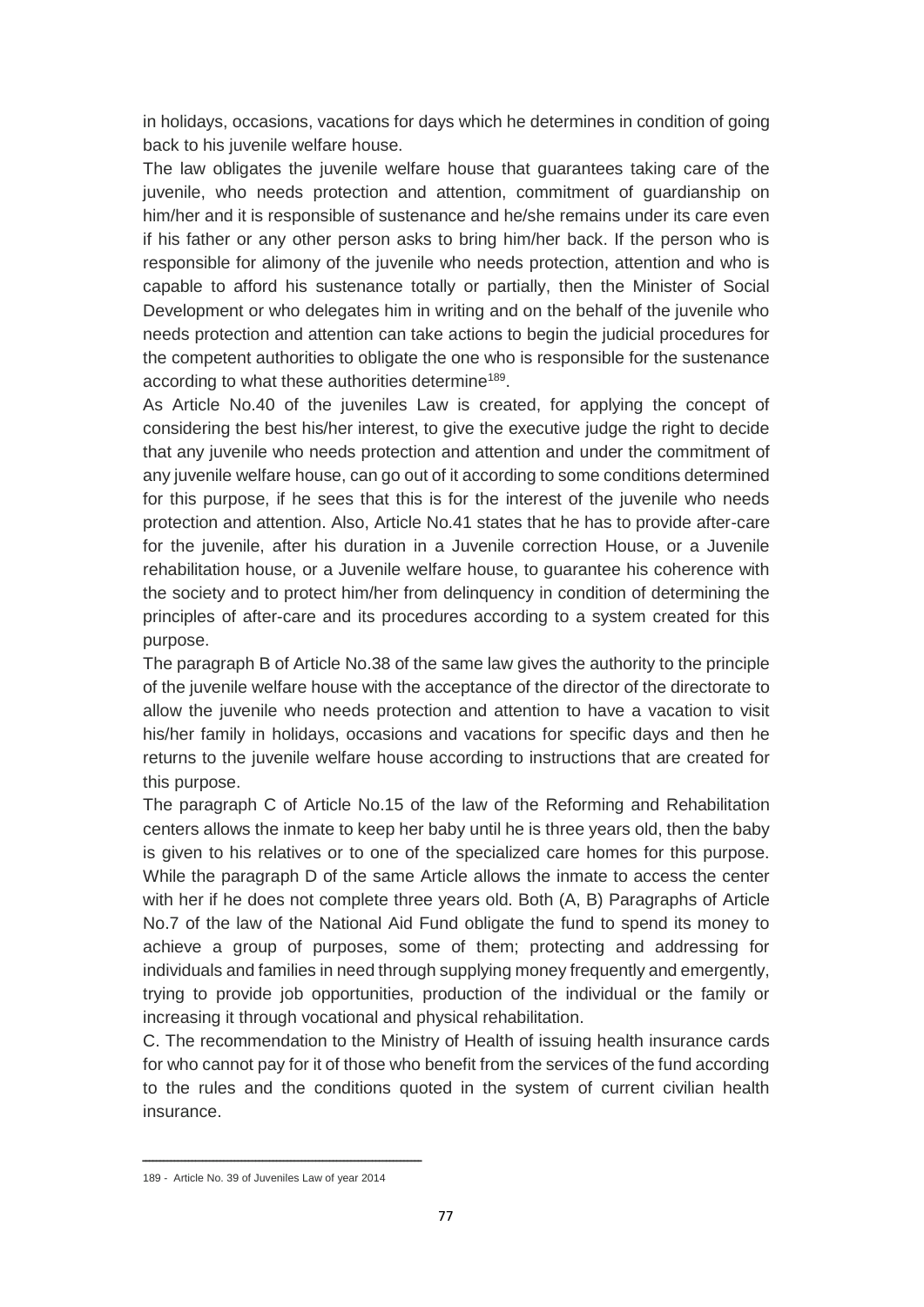in holidays, occasions, vacations for days which he determines in condition of going back to his juvenile welfare house.

The law obligates the juvenile welfare house that guarantees taking care of the juvenile, who needs protection and attention, commitment of guardianship on him/her and it is responsible of sustenance and he/she remains under its care even if his father or any other person asks to bring him/her back. If the person who is responsible for alimony of the juvenile who needs protection, attention and who is capable to afford his sustenance totally or partially, then the Minister of Social Development or who delegates him in writing and on the behalf of the juvenile who needs protection and attention can take actions to begin the judicial procedures for the competent authorities to obligate the one who is responsible for the sustenance according to what these authorities determine<sup>189</sup>.

As Article No.40 of the juveniles Law is created, for applying the concept of considering the best his/her interest, to give the executive judge the right to decide that any juvenile who needs protection and attention and under the commitment of any juvenile welfare house, can go out of it according to some conditions determined for this purpose, if he sees that this is for the interest of the juvenile who needs protection and attention. Also, Article No.41 states that he has to provide after-care for the juvenile, after his duration in a Juvenile correction House, or a Juvenile rehabilitation house, or a Juvenile welfare house, to guarantee his coherence with the society and to protect him/her from delinquency in condition of determining the principles of after-care and its procedures according to a system created for this purpose.

The paragraph B of Article No.38 of the same law gives the authority to the principle of the juvenile welfare house with the acceptance of the director of the directorate to allow the juvenile who needs protection and attention to have a vacation to visit his/her family in holidays, occasions and vacations for specific days and then he returns to the juvenile welfare house according to instructions that are created for this purpose.

The paragraph C of Article No.15 of the law of the Reforming and Rehabilitation centers allows the inmate to keep her baby until he is three years old, then the baby is given to his relatives or to one of the specialized care homes for this purpose. While the paragraph D of the same Article allows the inmate to access the center with her if he does not complete three years old. Both (A, B) Paragraphs of Article No.7 of the law of the National Aid Fund obligate the fund to spend its money to achieve a group of purposes, some of them; protecting and addressing for individuals and families in need through supplying money frequently and emergently, trying to provide job opportunities, production of the individual or the family or increasing it through vocational and physical rehabilitation.

C. The recommendation to the Ministry of Health of issuing health insurance cards for who cannot pay for it of those who benefit from the services of the fund according to the rules and the conditions quoted in the system of current civilian health insurance.

<sup>189 -</sup> Article No. 39 of Juveniles Law of year 2014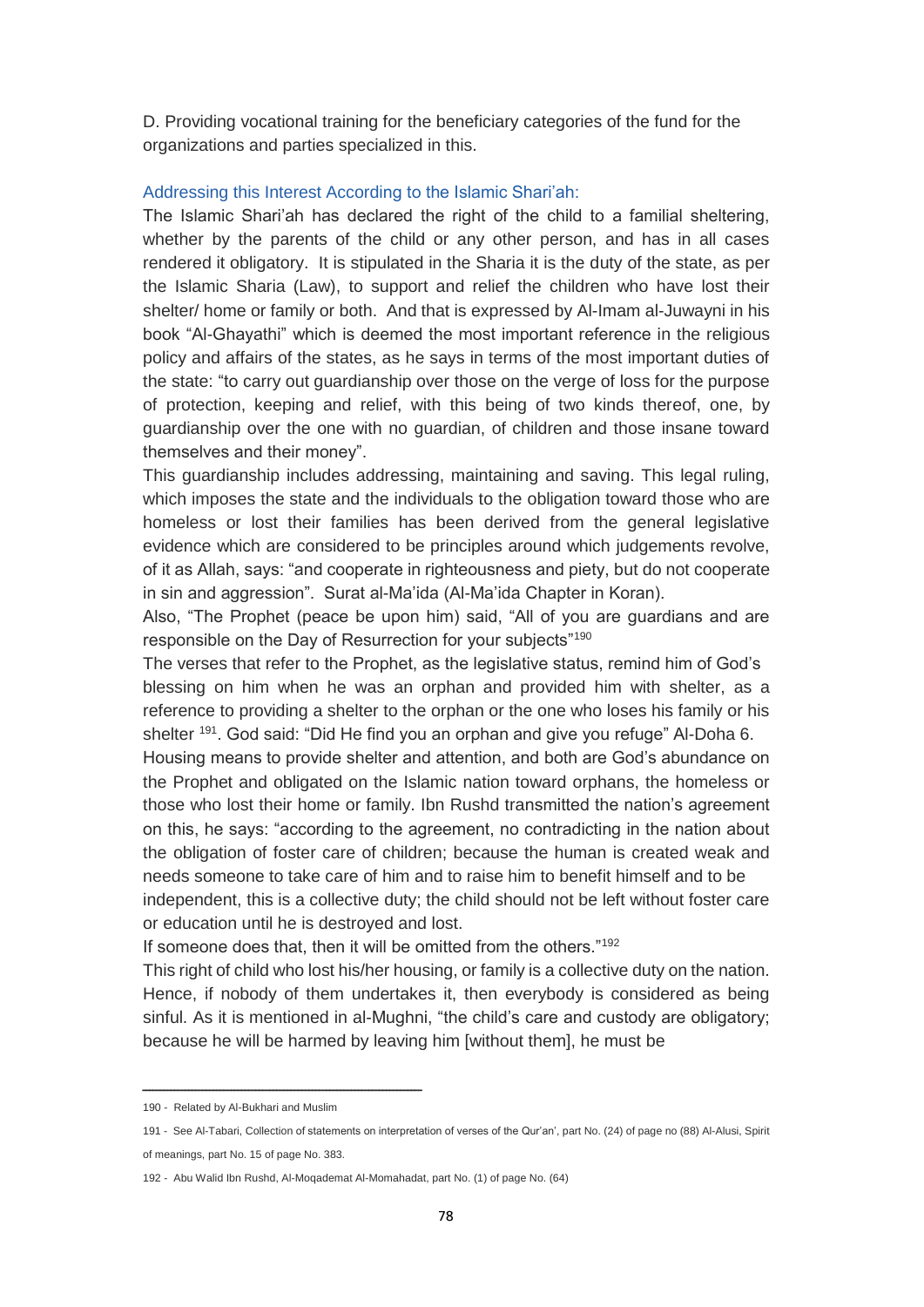D. Providing vocational training for the beneficiary categories of the fund for the organizations and parties specialized in this.

#### Addressing this Interest According to the Islamic Shari'ah:

The Islamic Shari'ah has declared the right of the child to a familial sheltering, whether by the parents of the child or any other person, and has in all cases rendered it obligatory. It is stipulated in the Sharia it is the duty of the state, as per the Islamic Sharia (Law), to support and relief the children who have lost their shelter/ home or family or both. And that is expressed by Al-Imam al-Juwayni in his book "Al-Ghayathi" which is deemed the most important reference in the religious policy and affairs of the states, as he says in terms of the most important duties of the state: "to carry out guardianship over those on the verge of loss for the purpose of protection, keeping and relief, with this being of two kinds thereof, one, by guardianship over the one with no guardian, of children and those insane toward themselves and their money".

This guardianship includes addressing, maintaining and saving. This legal ruling, which imposes the state and the individuals to the obligation toward those who are homeless or lost their families has been derived from the general legislative evidence which are considered to be principles around which judgements revolve, of it as Allah, says: "and cooperate in righteousness and piety, but do not cooperate in sin and aggression". Surat al-Ma'ida (Al-Ma'ida Chapter in Koran).

Also, "The Prophet (peace be upon him) said, "All of you are guardians and are responsible on the Day of Resurrection for your subjects"<sup>190</sup>

The verses that refer to the Prophet, as the legislative status, remind him of God's blessing on him when he was an orphan and provided him with shelter, as a reference to providing a shelter to the orphan or the one who loses his family or his shelter <sup>191</sup>. God said: "Did He find you an orphan and give you refuge" Al-Doha 6.

Housing means to provide shelter and attention, and both are God's abundance on the Prophet and obligated on the Islamic nation toward orphans, the homeless or those who lost their home or family. Ibn Rushd transmitted the nation's agreement on this, he says: "according to the agreement, no contradicting in the nation about the obligation of foster care of children; because the human is created weak and needs someone to take care of him and to raise him to benefit himself and to be independent, this is a collective duty; the child should not be left without foster care or education until he is destroyed and lost.

If someone does that, then it will be omitted from the others."<sup>192</sup>

This right of child who lost his/her housing, or family is a collective duty on the nation. Hence, if nobody of them undertakes it, then everybody is considered as being sinful. As it is mentioned in al-Mughni, "the child's care and custody are obligatory; because he will be harmed by leaving him [without them], he must be

<sup>190 -</sup> Related by Al-Bukhari and Muslim

<sup>191 -</sup> See Al-Tabari, Collection of statements on interpretation of verses of the Qur'an', part No. (24) of page no (88) Al-Alusi, Spirit of meanings, part No. 15 of page No. 383.

<sup>192 -</sup> Abu Walid Ibn Rushd, Al-Moqademat Al-Momahadat, part No. (1) of page No. (64)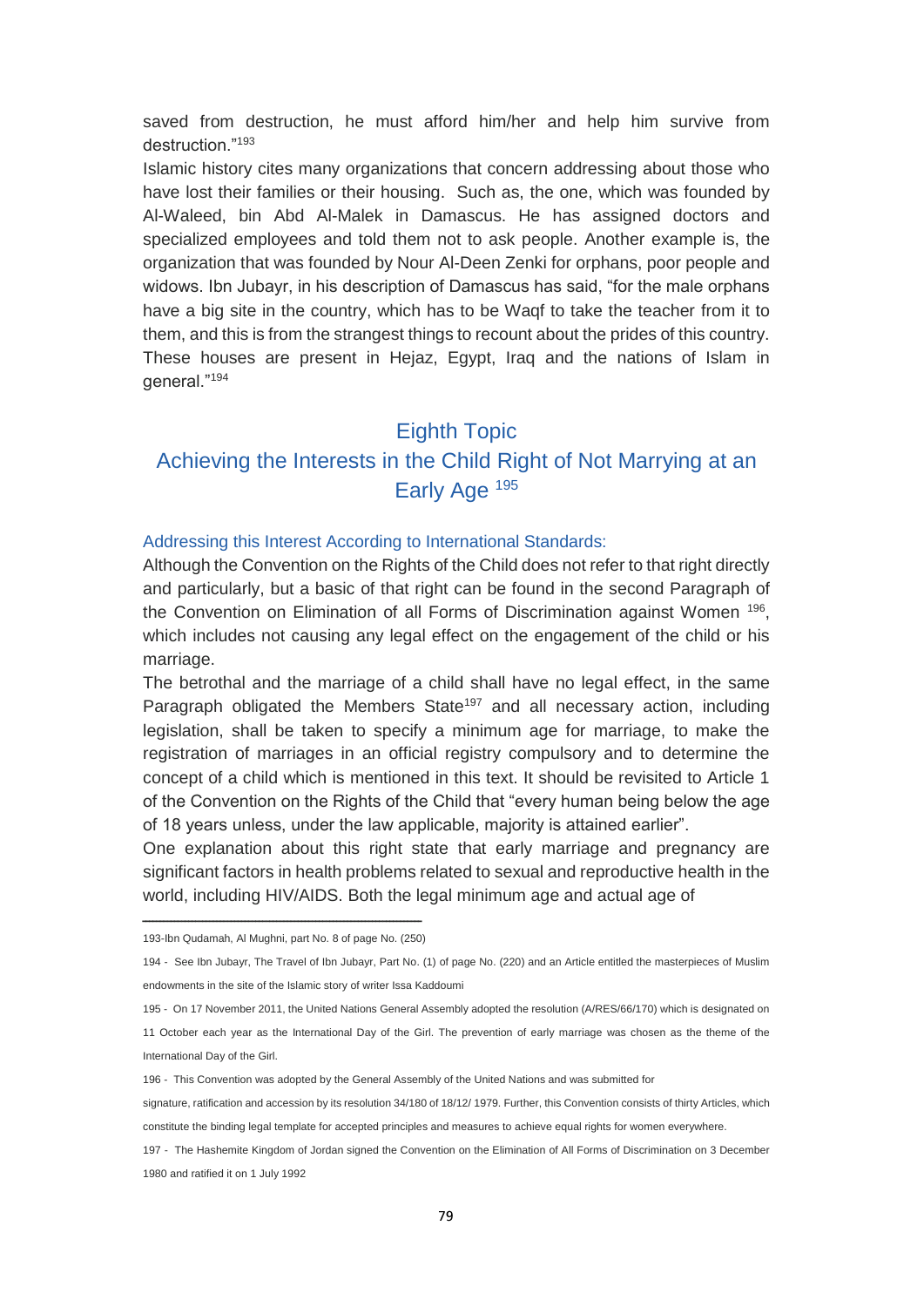saved from destruction, he must afford him/her and help him survive from destruction."<sup>193</sup>

Islamic history cites many organizations that concern addressing about those who have lost their families or their housing. Such as, the one, which was founded by Al-Waleed, bin Abd Al-Malek in Damascus. He has assigned doctors and specialized employees and told them not to ask people. Another example is, the organization that was founded by Nour Al-Deen Zenki for orphans, poor people and widows. Ibn Jubayr, in his description of Damascus has said, "for the male orphans have a big site in the country, which has to be Waqf to take the teacher from it to them, and this is from the strangest things to recount about the prides of this country. These houses are present in Hejaz, Egypt, Iraq and the nations of Islam in general."<sup>194</sup>

# Eighth Topic

# Achieving the Interests in the Child Right of Not Marrying at an Early Age <sup>195</sup>

# Addressing this Interest According to International Standards:

Although the Convention on the Rights of the Child does not refer to that right directly and particularly, but a basic of that right can be found in the second Paragraph of the Convention on Elimination of all Forms of Discrimination against Women <sup>196</sup>, which includes not causing any legal effect on the engagement of the child or his marriage.

The betrothal and the marriage of a child shall have no legal effect, in the same Paragraph obligated the Members State<sup>197</sup> and all necessary action, including legislation, shall be taken to specify a minimum age for marriage, to make the registration of marriages in an official registry compulsory and to determine the concept of a child which is mentioned in this text. It should be revisited to Article 1 of the Convention on the Rights of the Child that "every human being below the age of 18 years unless, under the law applicable, majority is attained earlier".

One explanation about this right state that early marriage and pregnancy are significant factors in health problems related to sexual and reproductive health in the world, including HIV/AIDS. Both the legal minimum age and actual age of

ـــــــــــــــــــــــــــــــــــــــــــــــــــــــــــــــــــــــــــــــ 193-Ibn Qudamah, Al Mughni, part No. 8 of page No. (250)

<sup>194 -</sup> See Ibn Jubayr, The Travel of Ibn Jubayr, Part No. (1) of page No. (220) and an Article entitled the masterpieces of Muslim endowments in the site of the Islamic story of writer Issa Kaddoumi

<sup>195 -</sup> On 17 November 2011, the United Nations General Assembly adopted the resolution (A/RES/66/170) which is designated on

<sup>11</sup> October each year as the International Day of the Girl. The prevention of early marriage was chosen as the theme of the International Day of the Girl.

<sup>196 -</sup> This Convention was adopted by the General Assembly of the United Nations and was submitted for

signature, ratification and accession by its resolution 34/180 of 18/12/ 1979. Further, this Convention consists of thirty Articles, which

constitute the binding legal template for accepted principles and measures to achieve equal rights for women everywhere.

<sup>197 -</sup> The Hashemite Kingdom of Jordan signed the Convention on the Elimination of All Forms of Discrimination on 3 December 1980 and ratified it on 1 July 1992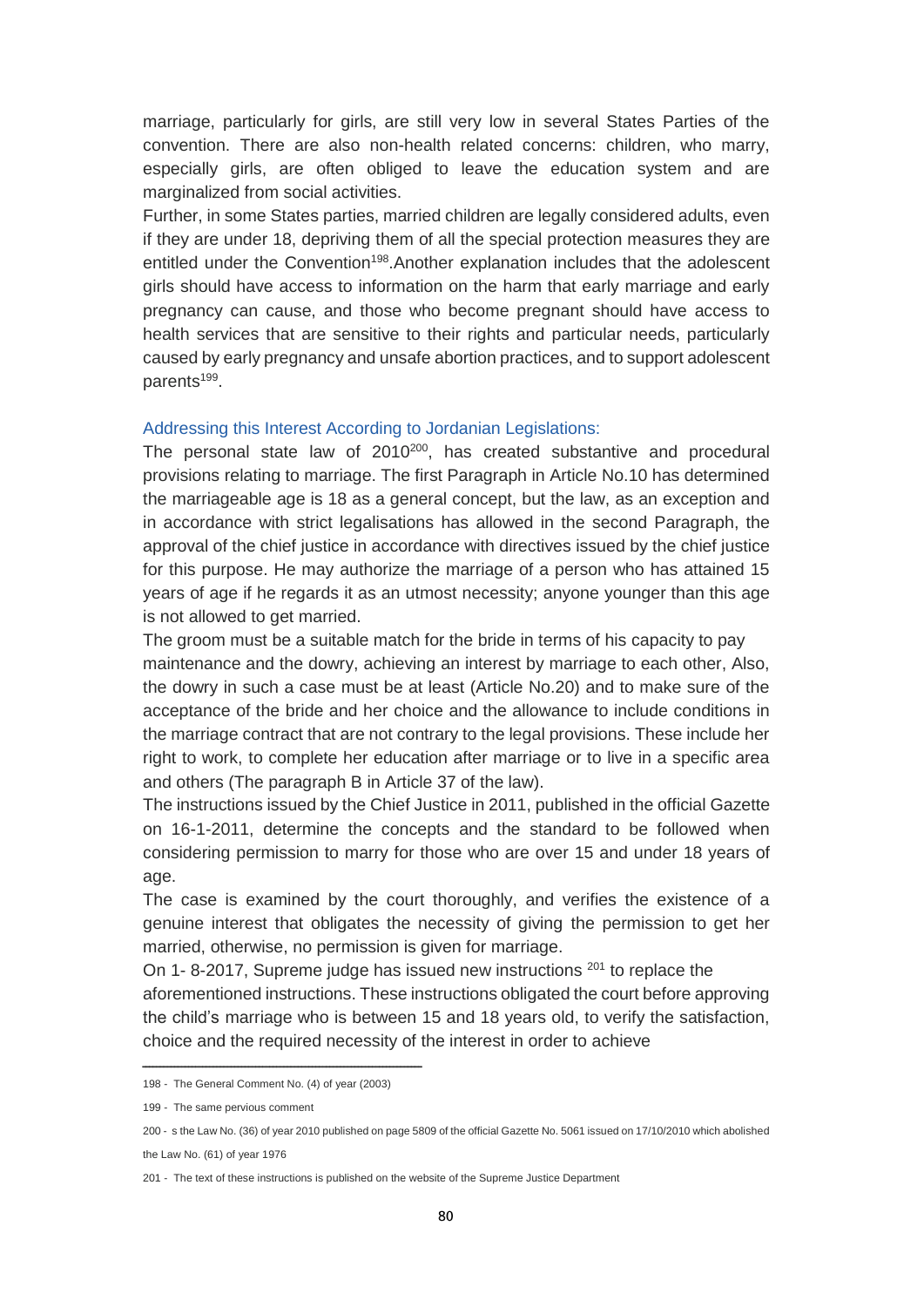marriage, particularly for girls, are still very low in several States Parties of the convention. There are also non-health related concerns: children, who marry, especially girls, are often obliged to leave the education system and are marginalized from social activities.

Further, in some States parties, married children are legally considered adults, even if they are under 18, depriving them of all the special protection measures they are entitled under the Convention<sup>198</sup>. Another explanation includes that the adolescent girls should have access to information on the harm that early marriage and early pregnancy can cause, and those who become pregnant should have access to health services that are sensitive to their rights and particular needs, particularly caused by early pregnancy and unsafe abortion practices, and to support adolescent parents<sup>199</sup>.

#### Addressing this Interest According to Jordanian Legislations:

The personal state law of 2010<sup>200</sup>, has created substantive and procedural provisions relating to marriage. The first Paragraph in Article No.10 has determined the marriageable age is 18 as a general concept, but the law, as an exception and in accordance with strict legalisations has allowed in the second Paragraph, the approval of the chief justice in accordance with directives issued by the chief justice for this purpose. He may authorize the marriage of a person who has attained 15 years of age if he regards it as an utmost necessity; anyone younger than this age is not allowed to get married.

The groom must be a suitable match for the bride in terms of his capacity to pay maintenance and the dowry, achieving an interest by marriage to each other, Also, the dowry in such a case must be at least (Article No.20) and to make sure of the acceptance of the bride and her choice and the allowance to include conditions in the marriage contract that are not contrary to the legal provisions. These include her right to work, to complete her education after marriage or to live in a specific area and others (The paragraph B in Article 37 of the law).

The instructions issued by the Chief Justice in 2011, published in the official Gazette on 16-1-2011, determine the concepts and the standard to be followed when considering permission to marry for those who are over 15 and under 18 years of age.

The case is examined by the court thoroughly, and verifies the existence of a genuine interest that obligates the necessity of giving the permission to get her married, otherwise, no permission is given for marriage.

On 1- 8-2017, Supreme judge has issued new instructions  $^{201}$  to replace the aforementioned instructions. These instructions obligated the court before approving the child's marriage who is between 15 and 18 years old, to verify the satisfaction, choice and the required necessity of the interest in order to achieve

<sup>198 -</sup> The General Comment No. (4) of year (2003)

<sup>199 -</sup> The same pervious comment

<sup>200 -</sup> s the Law No. (36) of year 2010 published on page 5809 of the official Gazette No. 5061 issued on 17/10/2010 which abolished

the Law No. (61) of year 1976

<sup>201 -</sup> The text of these instructions is published on the website of the Supreme Justice Department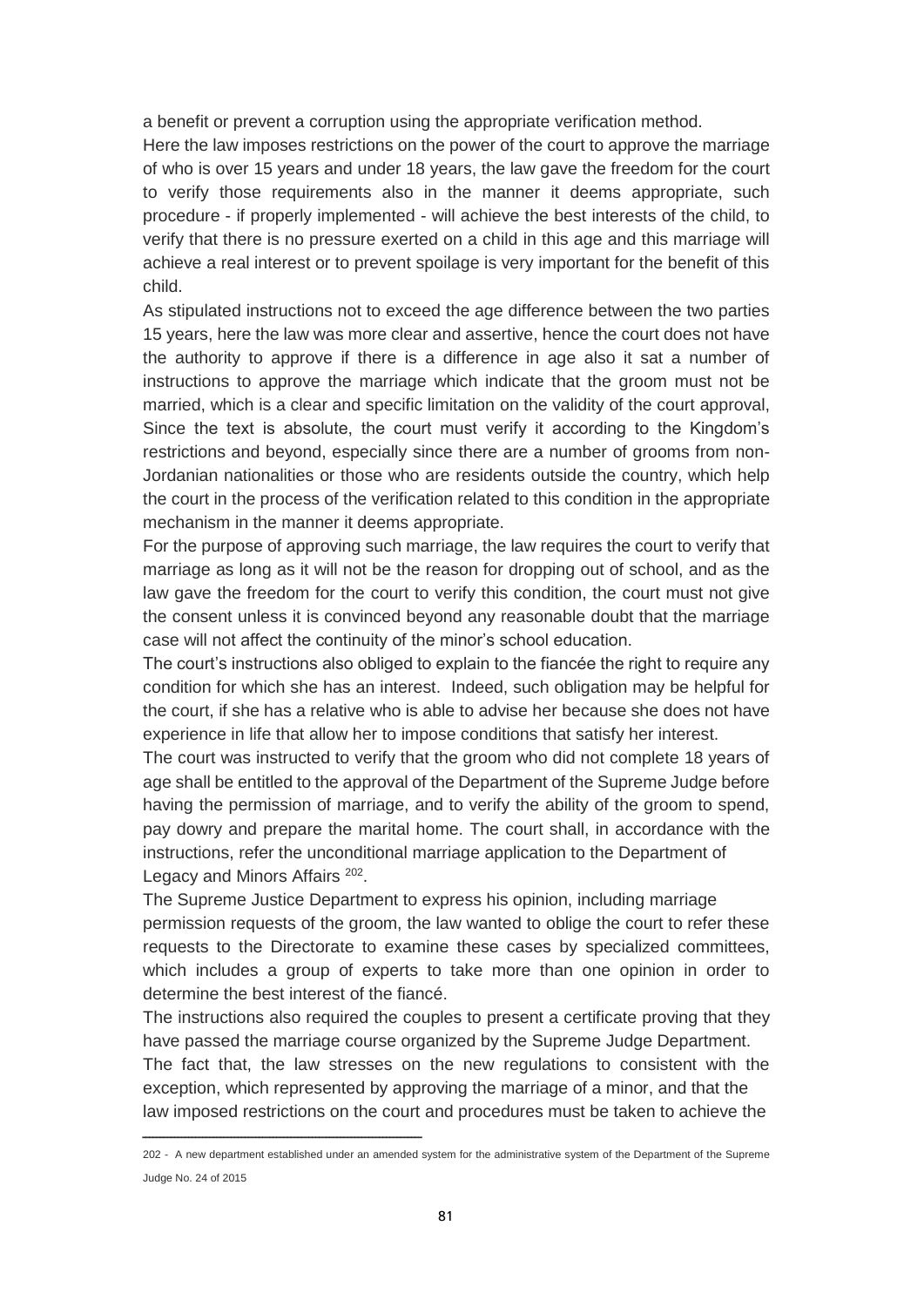a benefit or prevent a corruption using the appropriate verification method.

Here the law imposes restrictions on the power of the court to approve the marriage of who is over 15 years and under 18 years, the law gave the freedom for the court to verify those requirements also in the manner it deems appropriate, such procedure - if properly implemented - will achieve the best interests of the child, to verify that there is no pressure exerted on a child in this age and this marriage will achieve a real interest or to prevent spoilage is very important for the benefit of this child.

As stipulated instructions not to exceed the age difference between the two parties 15 years, here the law was more clear and assertive, hence the court does not have the authority to approve if there is a difference in age also it sat a number of instructions to approve the marriage which indicate that the groom must not be married, which is a clear and specific limitation on the validity of the court approval, Since the text is absolute, the court must verify it according to the Kingdom's restrictions and beyond, especially since there are a number of grooms from non-Jordanian nationalities or those who are residents outside the country, which help the court in the process of the verification related to this condition in the appropriate mechanism in the manner it deems appropriate.

For the purpose of approving such marriage, the law requires the court to verify that marriage as long as it will not be the reason for dropping out of school, and as the law gave the freedom for the court to verify this condition, the court must not give the consent unless it is convinced beyond any reasonable doubt that the marriage case will not affect the continuity of the minor's school education.

The court's instructions also obliged to explain to the fiancée the right to require any condition for which she has an interest. Indeed, such obligation may be helpful for the court, if she has a relative who is able to advise her because she does not have experience in life that allow her to impose conditions that satisfy her interest.

The court was instructed to verify that the groom who did not complete 18 years of age shall be entitled to the approval of the Department of the Supreme Judge before having the permission of marriage, and to verify the ability of the groom to spend, pay dowry and prepare the marital home. The court shall, in accordance with the instructions, refer the unconditional marriage application to the Department of Legacy and Minors Affairs<sup>202</sup>.

The Supreme Justice Department to express his opinion, including marriage permission requests of the groom, the law wanted to oblige the court to refer these requests to the Directorate to examine these cases by specialized committees, which includes a group of experts to take more than one opinion in order to determine the best interest of the fiancé.

The instructions also required the couples to present a certificate proving that they have passed the marriage course organized by the Supreme Judge Department. The fact that, the law stresses on the new regulations to consistent with the exception, which represented by approving the marriage of a minor, and that the law imposed restrictions on the court and procedures must be taken to achieve the

<sup>202 -</sup> A new department established under an amended system for the administrative system of the Department of the Supreme Judge No. 24 of 2015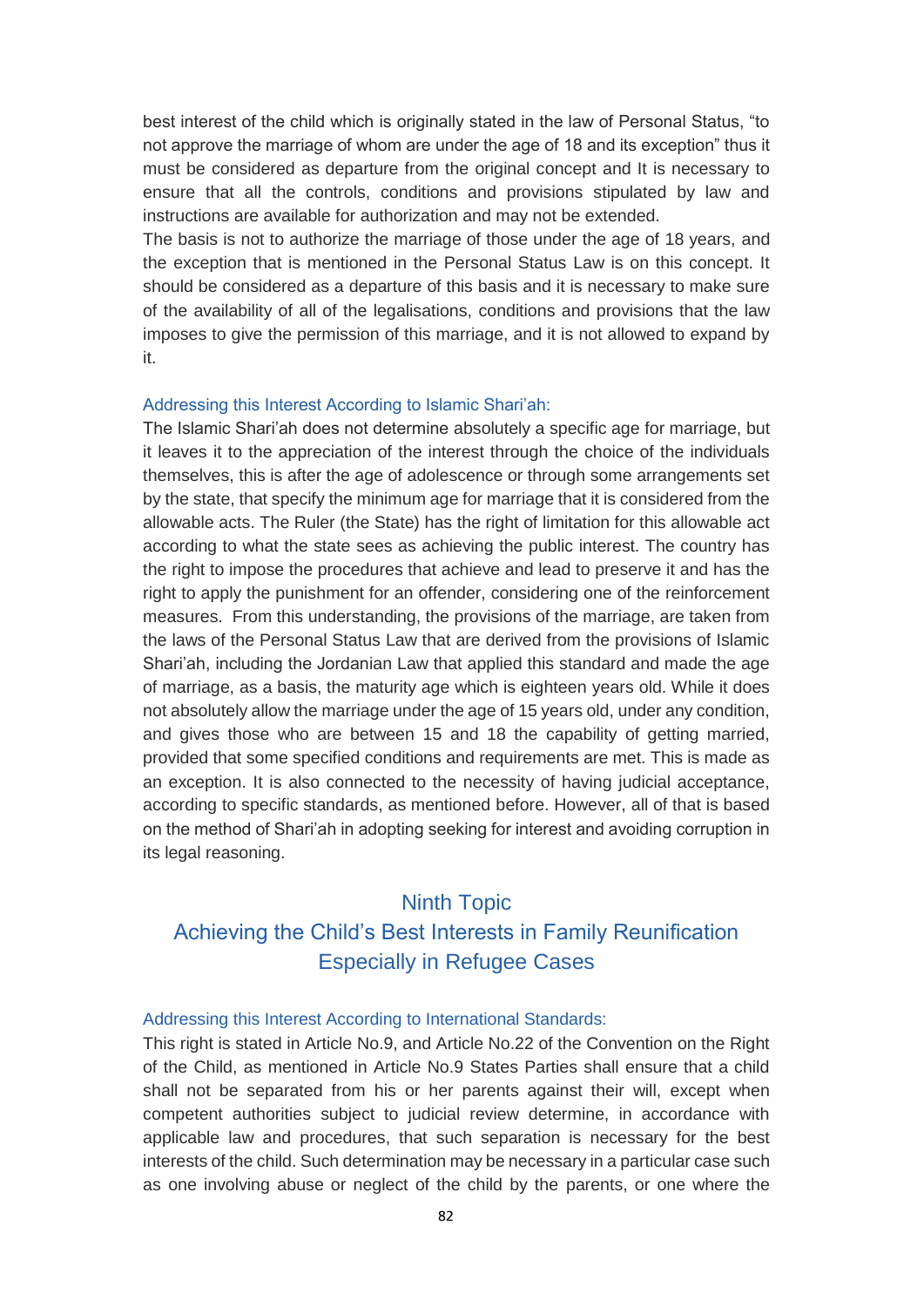best interest of the child which is originally stated in the law of Personal Status, "to not approve the marriage of whom are under the age of 18 and its exception" thus it must be considered as departure from the original concept and It is necessary to ensure that all the controls, conditions and provisions stipulated by law and instructions are available for authorization and may not be extended.

The basis is not to authorize the marriage of those under the age of 18 years, and the exception that is mentioned in the Personal Status Law is on this concept. It should be considered as a departure of this basis and it is necessary to make sure of the availability of all of the legalisations, conditions and provisions that the law imposes to give the permission of this marriage, and it is not allowed to expand by it.

# Addressing this Interest According to Islamic Shari'ah:

The Islamic Shari'ah does not determine absolutely a specific age for marriage, but it leaves it to the appreciation of the interest through the choice of the individuals themselves, this is after the age of adolescence or through some arrangements set by the state, that specify the minimum age for marriage that it is considered from the allowable acts. The Ruler (the State) has the right of limitation for this allowable act according to what the state sees as achieving the public interest. The country has the right to impose the procedures that achieve and lead to preserve it and has the right to apply the punishment for an offender, considering one of the reinforcement measures. From this understanding, the provisions of the marriage, are taken from the laws of the Personal Status Law that are derived from the provisions of Islamic Shari'ah, including the Jordanian Law that applied this standard and made the age of marriage, as a basis, the maturity age which is eighteen years old. While it does not absolutely allow the marriage under the age of 15 years old, under any condition, and gives those who are between 15 and 18 the capability of getting married, provided that some specified conditions and requirements are met. This is made as an exception. It is also connected to the necessity of having judicial acceptance, according to specific standards, as mentioned before. However, all of that is based on the method of Shari'ah in adopting seeking for interest and avoiding corruption in its legal reasoning.

# Ninth Topic Achieving the Child's Best Interests in Family Reunification Especially in Refugee Cases

### Addressing this Interest According to International Standards:

This right is stated in Article No.9, and Article No.22 of the Convention on the Right of the Child, as mentioned in Article No.9 States Parties shall ensure that a child shall not be separated from his or her parents against their will, except when competent authorities subject to judicial review determine, in accordance with applicable law and procedures, that such separation is necessary for the best interests of the child. Such determination may be necessary in a particular case such as one involving abuse or neglect of the child by the parents, or one where the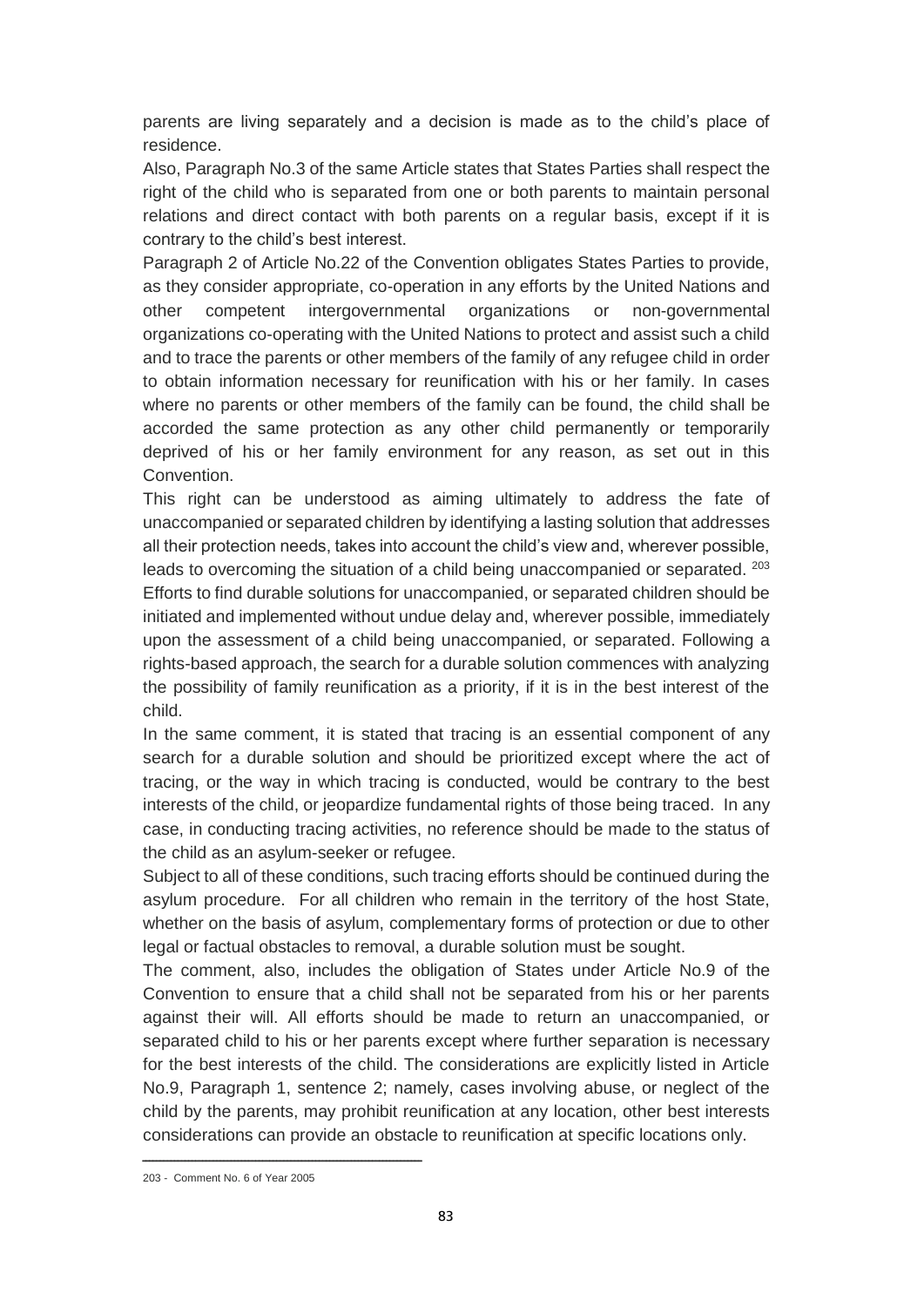parents are living separately and a decision is made as to the child's place of residence.

Also, Paragraph No.3 of the same Article states that States Parties shall respect the right of the child who is separated from one or both parents to maintain personal relations and direct contact with both parents on a regular basis, except if it is contrary to the child's best interest.

Paragraph 2 of Article No.22 of the Convention obligates States Parties to provide, as they consider appropriate, co-operation in any efforts by the United Nations and other competent intergovernmental organizations or non-governmental organizations co-operating with the United Nations to protect and assist such a child and to trace the parents or other members of the family of any refugee child in order to obtain information necessary for reunification with his or her family. In cases where no parents or other members of the family can be found, the child shall be accorded the same protection as any other child permanently or temporarily deprived of his or her family environment for any reason, as set out in this Convention.

This right can be understood as aiming ultimately to address the fate of unaccompanied or separated children by identifying a lasting solution that addresses all their protection needs, takes into account the child's view and, wherever possible, leads to overcoming the situation of a child being unaccompanied or separated.  $^{203}$ Efforts to find durable solutions for unaccompanied, or separated children should be initiated and implemented without undue delay and, wherever possible, immediately upon the assessment of a child being unaccompanied, or separated. Following a rights-based approach, the search for a durable solution commences with analyzing the possibility of family reunification as a priority, if it is in the best interest of the child.

In the same comment, it is stated that tracing is an essential component of any search for a durable solution and should be prioritized except where the act of tracing, or the way in which tracing is conducted, would be contrary to the best interests of the child, or jeopardize fundamental rights of those being traced. In any case, in conducting tracing activities, no reference should be made to the status of the child as an asylum-seeker or refugee.

Subject to all of these conditions, such tracing efforts should be continued during the asylum procedure. For all children who remain in the territory of the host State, whether on the basis of asylum, complementary forms of protection or due to other legal or factual obstacles to removal, a durable solution must be sought.

The comment, also, includes the obligation of States under Article No.9 of the Convention to ensure that a child shall not be separated from his or her parents against their will. All efforts should be made to return an unaccompanied, or separated child to his or her parents except where further separation is necessary for the best interests of the child. The considerations are explicitly listed in Article No.9, Paragraph 1, sentence 2; namely, cases involving abuse, or neglect of the child by the parents, may prohibit reunification at any location, other best interests considerations can provide an obstacle to reunification at specific locations only.

<sup>203 -</sup> Comment No. 6 of Year 2005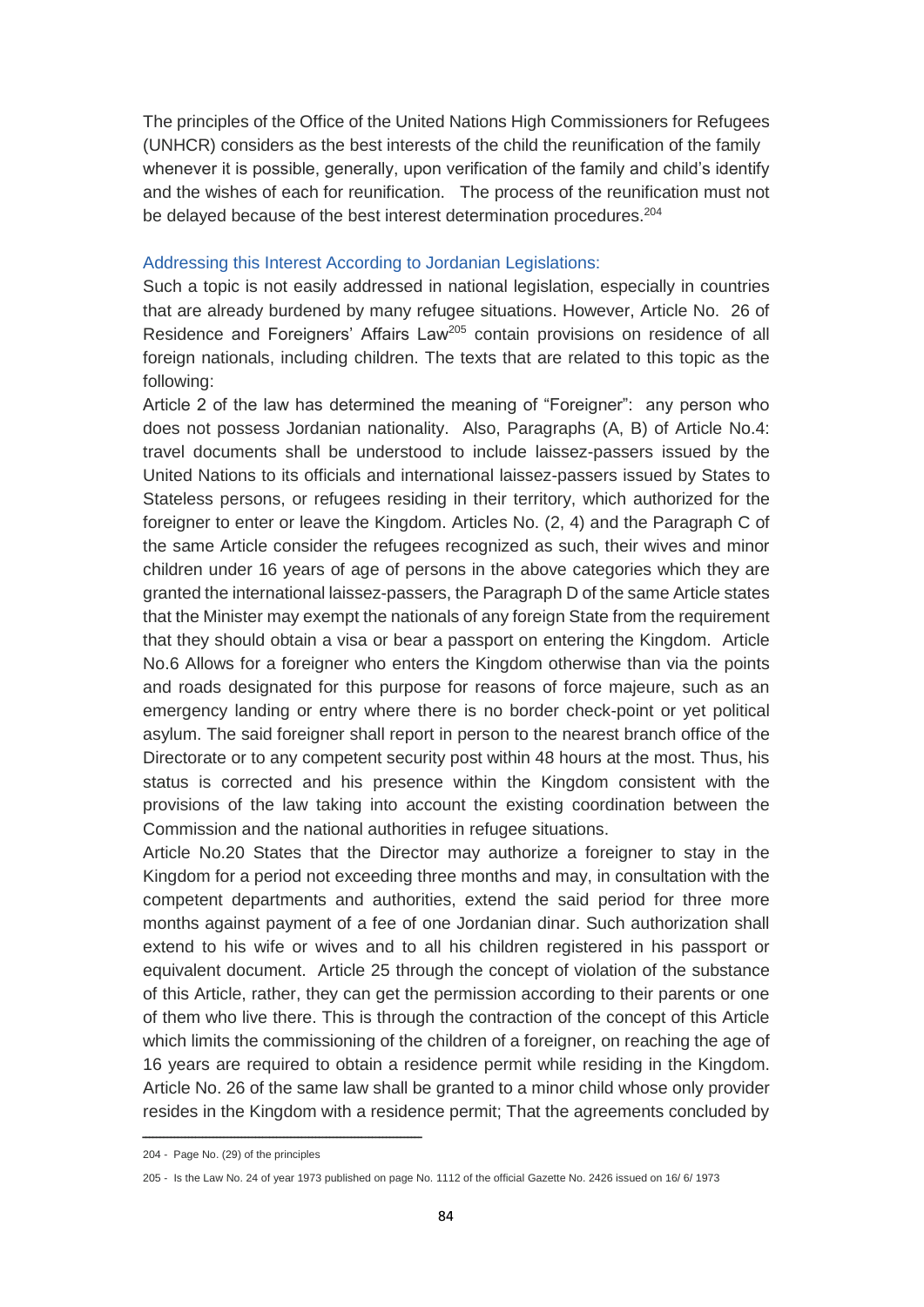The principles of the Office of the United Nations High Commissioners for Refugees (UNHCR) considers as the best interests of the child the reunification of the family whenever it is possible, generally, upon verification of the family and child's identify and the wishes of each for reunification. The process of the reunification must not be delayed because of the best interest determination procedures.<sup>204</sup>

### Addressing this Interest According to Jordanian Legislations:

Such a topic is not easily addressed in national legislation, especially in countries that are already burdened by many refugee situations. However, Article No. 26 of Residence and Foreigners' Affairs Law<sup>205</sup> contain provisions on residence of all foreign nationals, including children. The texts that are related to this topic as the following:

Article 2 of the law has determined the meaning of "Foreigner": any person who does not possess Jordanian nationality. Also, Paragraphs (A, B) of Article No.4: travel documents shall be understood to include laissez-passers issued by the United Nations to its officials and international laissez-passers issued by States to Stateless persons, or refugees residing in their territory, which authorized for the foreigner to enter or leave the Kingdom. Articles No. (2, 4) and the Paragraph C of the same Article consider the refugees recognized as such, their wives and minor children under 16 years of age of persons in the above categories which they are granted the international laissez-passers, the Paragraph D of the same Article states that the Minister may exempt the nationals of any foreign State from the requirement that they should obtain a visa or bear a passport on entering the Kingdom. Article No.6 Allows for a foreigner who enters the Kingdom otherwise than via the points and roads designated for this purpose for reasons of force majeure, such as an emergency landing or entry where there is no border check-point or yet political asylum. The said foreigner shall report in person to the nearest branch office of the Directorate or to any competent security post within 48 hours at the most. Thus, his status is corrected and his presence within the Kingdom consistent with the provisions of the law taking into account the existing coordination between the Commission and the national authorities in refugee situations.

Article No.20 States that the Director may authorize a foreigner to stay in the Kingdom for a period not exceeding three months and may, in consultation with the competent departments and authorities, extend the said period for three more months against payment of a fee of one Jordanian dinar. Such authorization shall extend to his wife or wives and to all his children registered in his passport or equivalent document. Article 25 through the concept of violation of the substance of this Article, rather, they can get the permission according to their parents or one of them who live there. This is through the contraction of the concept of this Article which limits the commissioning of the children of a foreigner, on reaching the age of 16 years are required to obtain a residence permit while residing in the Kingdom. Article No. 26 of the same law shall be granted to a minor child whose only provider resides in the Kingdom with a residence permit; That the agreements concluded by

<sup>204 -</sup> Page No. (29) of the principles

<sup>205 -</sup> Is the Law No. 24 of year 1973 published on page No. 1112 of the official Gazette No. 2426 issued on 16/ 6/ 1973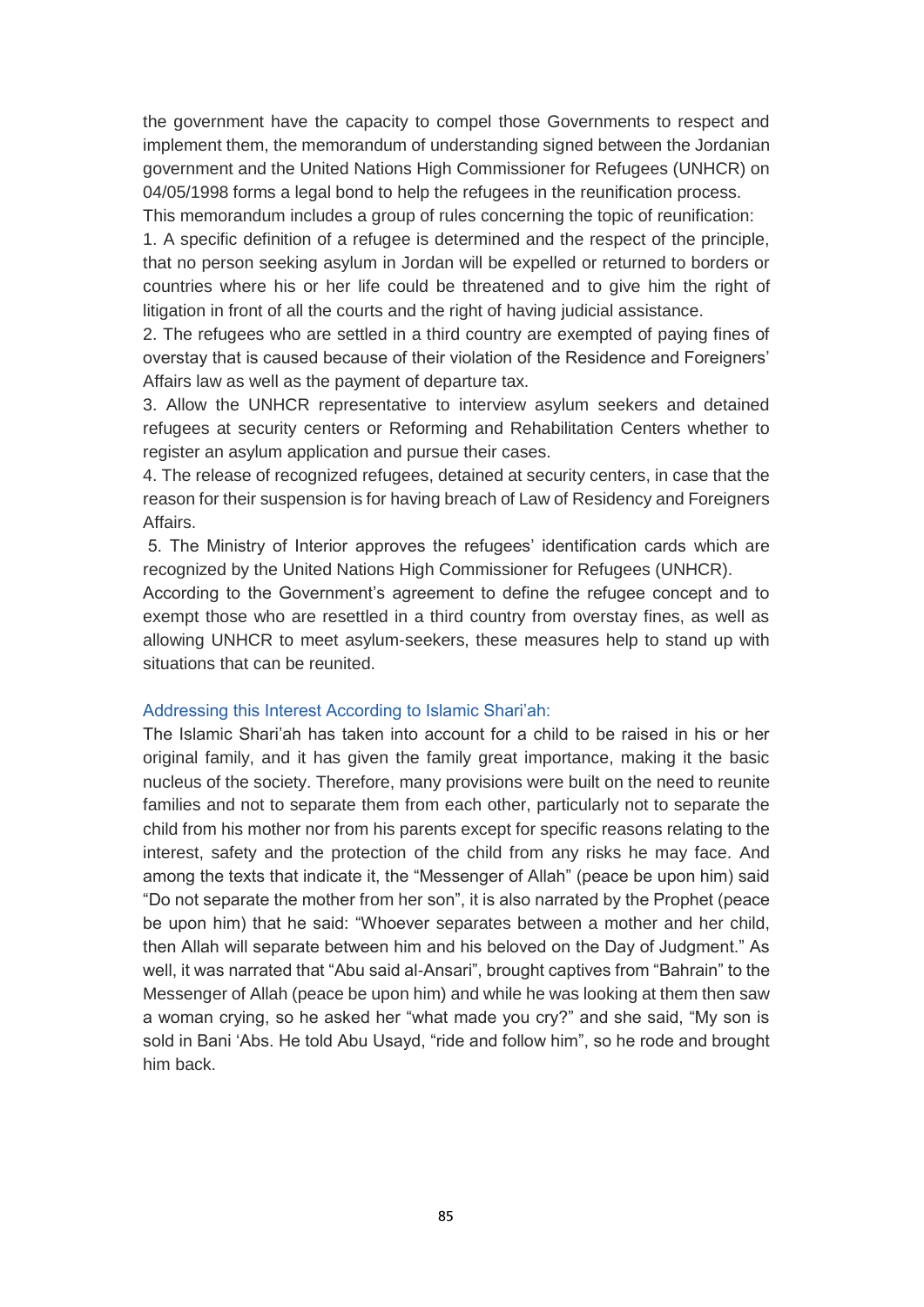the government have the capacity to compel those Governments to respect and implement them, the memorandum of understanding signed between the Jordanian government and the United Nations High Commissioner for Refugees (UNHCR) on 04/05/1998 forms a legal bond to help the refugees in the reunification process.

This memorandum includes a group of rules concerning the topic of reunification: 1. A specific definition of a refugee is determined and the respect of the principle, that no person seeking asylum in Jordan will be expelled or returned to borders or countries where his or her life could be threatened and to give him the right of litigation in front of all the courts and the right of having judicial assistance.

2. The refugees who are settled in a third country are exempted of paying fines of overstay that is caused because of their violation of the Residence and Foreigners' Affairs law as well as the payment of departure tax.

3. Allow the UNHCR representative to interview asylum seekers and detained refugees at security centers or Reforming and Rehabilitation Centers whether to register an asylum application and pursue their cases.

4. The release of recognized refugees, detained at security centers, in case that the reason for their suspension is for having breach of Law of Residency and Foreigners Affairs.

5. The Ministry of Interior approves the refugees' identification cards which are recognized by the United Nations High Commissioner for Refugees (UNHCR).

According to the Government's agreement to define the refugee concept and to exempt those who are resettled in a third country from overstay fines, as well as allowing UNHCR to meet asylum-seekers, these measures help to stand up with situations that can be reunited.

#### Addressing this Interest According to Islamic Shari'ah:

The Islamic Shari'ah has taken into account for a child to be raised in his or her original family, and it has given the family great importance, making it the basic nucleus of the society. Therefore, many provisions were built on the need to reunite families and not to separate them from each other, particularly not to separate the child from his mother nor from his parents except for specific reasons relating to the interest, safety and the protection of the child from any risks he may face. And among the texts that indicate it, the "Messenger of Allah" (peace be upon him) said "Do not separate the mother from her son", it is also narrated by the Prophet (peace be upon him) that he said: "Whoever separates between a mother and her child, then Allah will separate between him and his beloved on the Day of Judgment." As well, it was narrated that "Abu said al-Ansari", brought captives from "Bahrain" to the Messenger of Allah (peace be upon him) and while he was looking at them then saw a woman crying, so he asked her "what made you cry?" and she said, "My son is sold in Bani 'Abs. He told Abu Usayd, "ride and follow him", so he rode and brought him back.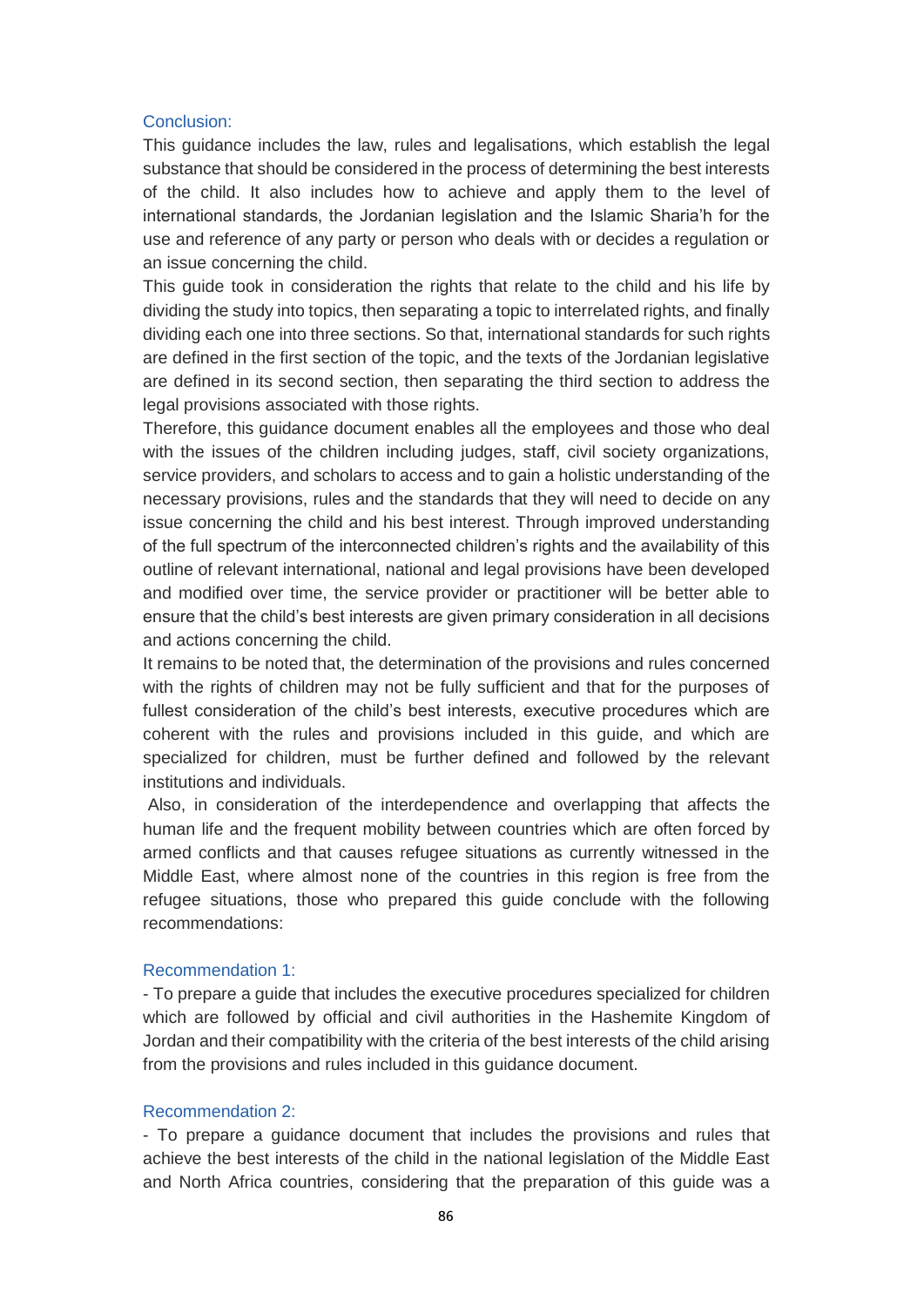## Conclusion:

This guidance includes the law, rules and legalisations, which establish the legal substance that should be considered in the process of determining the best interests of the child. It also includes how to achieve and apply them to the level of international standards, the Jordanian legislation and the Islamic Sharia'h for the use and reference of any party or person who deals with or decides a regulation or an issue concerning the child.

This guide took in consideration the rights that relate to the child and his life by dividing the study into topics, then separating a topic to interrelated rights, and finally dividing each one into three sections. So that, international standards for such rights are defined in the first section of the topic, and the texts of the Jordanian legislative are defined in its second section, then separating the third section to address the legal provisions associated with those rights.

Therefore, this guidance document enables all the employees and those who deal with the issues of the children including judges, staff, civil society organizations, service providers, and scholars to access and to gain a holistic understanding of the necessary provisions, rules and the standards that they will need to decide on any issue concerning the child and his best interest. Through improved understanding of the full spectrum of the interconnected children's rights and the availability of this outline of relevant international, national and legal provisions have been developed and modified over time, the service provider or practitioner will be better able to ensure that the child's best interests are given primary consideration in all decisions and actions concerning the child.

It remains to be noted that, the determination of the provisions and rules concerned with the rights of children may not be fully sufficient and that for the purposes of fullest consideration of the child's best interests, executive procedures which are coherent with the rules and provisions included in this guide, and which are specialized for children, must be further defined and followed by the relevant institutions and individuals.

Also, in consideration of the interdependence and overlapping that affects the human life and the frequent mobility between countries which are often forced by armed conflicts and that causes refugee situations as currently witnessed in the Middle East, where almost none of the countries in this region is free from the refugee situations, those who prepared this guide conclude with the following recommendations:

# Recommendation 1:

- To prepare a guide that includes the executive procedures specialized for children which are followed by official and civil authorities in the Hashemite Kingdom of Jordan and their compatibility with the criteria of the best interests of the child arising from the provisions and rules included in this guidance document.

# Recommendation 2:

- To prepare a guidance document that includes the provisions and rules that achieve the best interests of the child in the national legislation of the Middle East and North Africa countries, considering that the preparation of this guide was a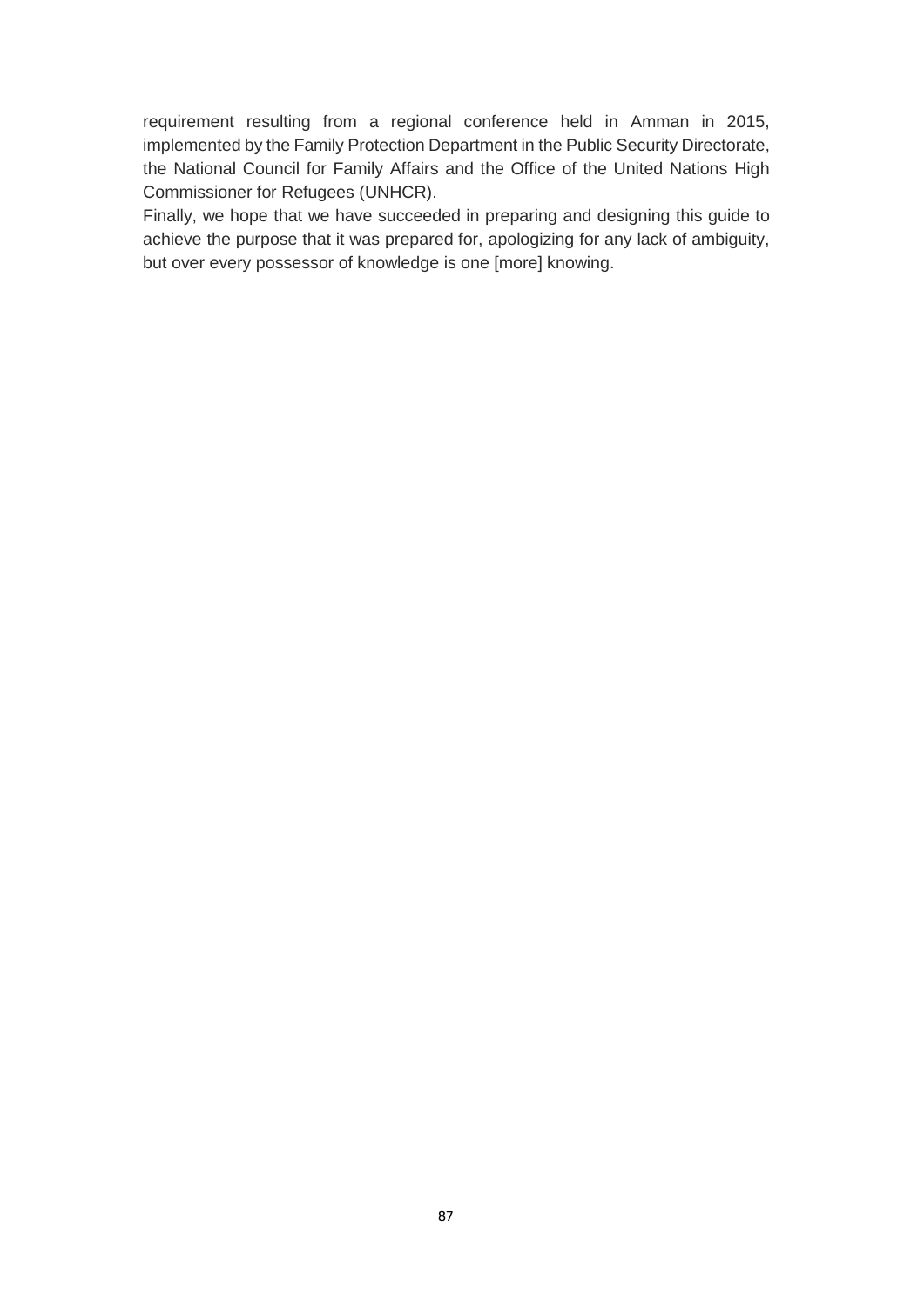requirement resulting from a regional conference held in Amman in 2015, implemented by the Family Protection Department in the Public Security Directorate, the National Council for Family Affairs and the Office of the United Nations High Commissioner for Refugees (UNHCR).

Finally, we hope that we have succeeded in preparing and designing this guide to achieve the purpose that it was prepared for, apologizing for any lack of ambiguity, but over every possessor of knowledge is one [more] knowing.